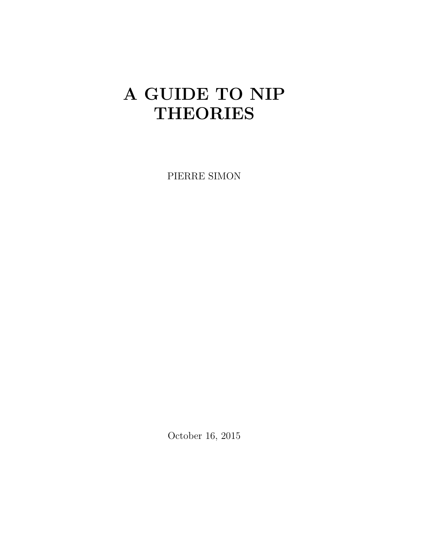# A GUIDE TO NIP **THEORIES**

PIERRE SIMON

October 16, 2015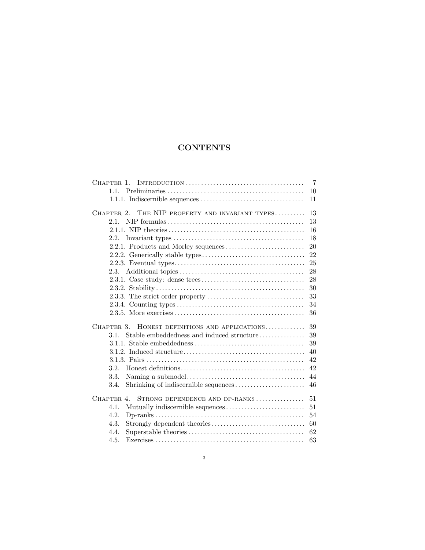# **CONTENTS**

| CHAPTER 1.                                         | $\overline{7}$ |  |  |
|----------------------------------------------------|----------------|--|--|
|                                                    |                |  |  |
|                                                    |                |  |  |
|                                                    |                |  |  |
| CHAPTER 2.<br>THE NIP PROPERTY AND INVARIANT TYPES | 13<br>13       |  |  |
| 2.1.                                               |                |  |  |
|                                                    |                |  |  |
|                                                    | 18             |  |  |
| 20                                                 |                |  |  |
| 22                                                 |                |  |  |
| 25                                                 |                |  |  |
| 2.3.                                               | 28             |  |  |
| 28                                                 |                |  |  |
| 30                                                 |                |  |  |
|                                                    | 33             |  |  |
|                                                    | 34             |  |  |
|                                                    | 36             |  |  |
| CHAPTER 3.<br>HONEST DEFINITIONS AND APPLICATIONS  | 39             |  |  |
| Stable embeddedness and induced structure<br>3.1.  | 39             |  |  |
| 39                                                 |                |  |  |
|                                                    |                |  |  |
|                                                    | 40<br>42       |  |  |
| 3.2.                                               | 42             |  |  |
| 3.3.                                               | 44             |  |  |
|                                                    |                |  |  |
| 3.4.                                               | 46             |  |  |
| CHAPTER 4.<br>STRONG DEPENDENCE AND DP-RANKS       | 51             |  |  |
| 4.1.                                               | 51             |  |  |
| 4.2.                                               | 54             |  |  |
| 4.3.                                               |                |  |  |
| 4.4.                                               |                |  |  |
| 4.5.                                               | 63             |  |  |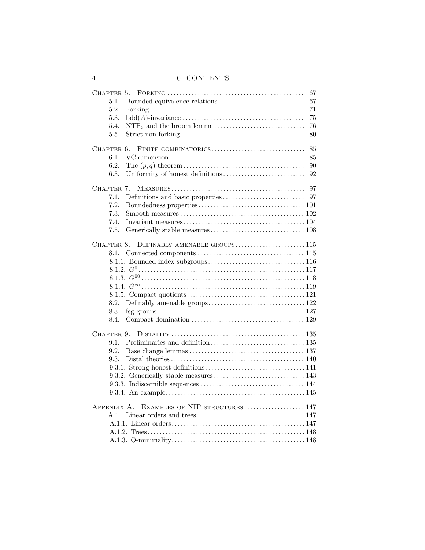## 4 0. CONTENTS

| CHAPTER <sub>5</sub> .<br>67                  |
|-----------------------------------------------|
| 5.1.<br>67                                    |
| 5.2.<br>71                                    |
| 5.3.<br>75                                    |
| 5.4.<br>76                                    |
| 5.5.<br>80                                    |
| FINITE COMBINATORICS<br>CHAPTER 6.<br>85      |
| 6.1.<br>85                                    |
| 6.2.<br>90                                    |
| 6.3.<br>92                                    |
| CHAPTER 7.<br>97                              |
| 7.1.<br>97                                    |
| 7.2.                                          |
| 7.3.                                          |
| 7.4.                                          |
| 7.5.                                          |
|                                               |
| DEFINABLY AMENABLE GROUPS115<br>CHAPTER 8.    |
| 8.1.                                          |
|                                               |
|                                               |
|                                               |
|                                               |
| 8.2.                                          |
| 8.3.                                          |
| 8.4.                                          |
|                                               |
| CHAPTER 9.                                    |
| 9.1.                                          |
| 9.2.                                          |
| 9.3.                                          |
|                                               |
|                                               |
|                                               |
|                                               |
| EXAMPLES OF NIP STRUCTURES 147<br>APPENDIX A. |
|                                               |
|                                               |
|                                               |
|                                               |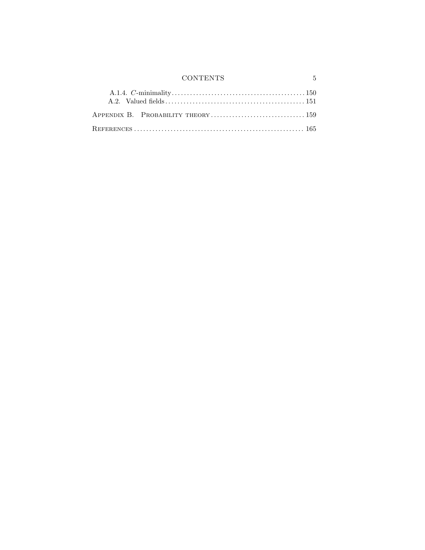# CONTENTS 5

| APPENDIX B. PROBABILITY THEORY 159 |  |
|------------------------------------|--|
|                                    |  |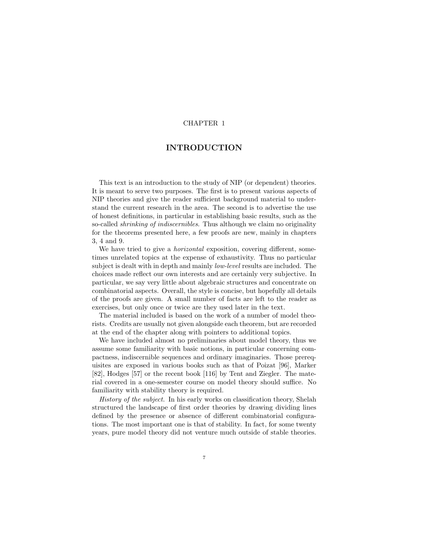## CHAPTER 1

## INTRODUCTION

This text is an introduction to the study of NIP (or dependent) theories. It is meant to serve two purposes. The first is to present various aspects of NIP theories and give the reader sufficient background material to understand the current research in the area. The second is to advertise the use of honest definitions, in particular in establishing basic results, such as the so-called *shrinking of indiscernibles*. Thus although we claim no originality for the theorems presented here, a few proofs are new, mainly in chapters 3, 4 and 9.

We have tried to give a *horizontal* exposition, covering different, sometimes unrelated topics at the expense of exhaustivity. Thus no particular subject is dealt with in depth and mainly *low-level* results are included. The choices made reflect our own interests and are certainly very subjective. In particular, we say very little about algebraic structures and concentrate on combinatorial aspects. Overall, the style is concise, but hopefully all details of the proofs are given. A small number of facts are left to the reader as exercises, but only once or twice are they used later in the text.

The material included is based on the work of a number of model theorists. Credits are usually not given alongside each theorem, but are recorded at the end of the chapter along with pointers to additional topics.

We have included almost no preliminaries about model theory, thus we assume some familiarity with basic notions, in particular concerning compactness, indiscernible sequences and ordinary imaginaries. Those prerequisites are exposed in various books such as that of Poizat [96], Marker [82], Hodges [57] or the recent book [116] by Tent and Ziegler. The material covered in a one-semester course on model theory should suffice. No familiarity with stability theory is required.

History of the subject. In his early works on classification theory, Shelah structured the landscape of first order theories by drawing dividing lines defined by the presence or absence of different combinatorial configurations. The most important one is that of stability. In fact, for some twenty years, pure model theory did not venture much outside of stable theories.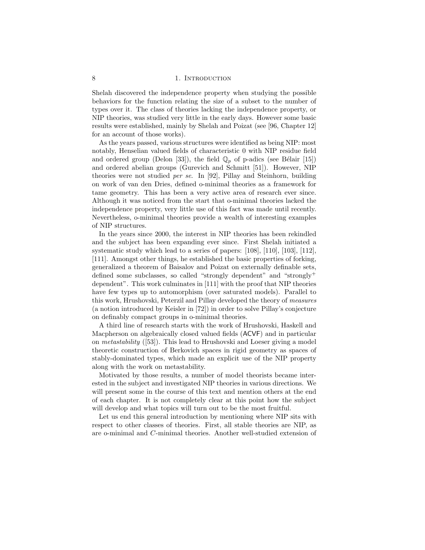## 8 1. INTRODUCTION

Shelah discovered the independence property when studying the possible behaviors for the function relating the size of a subset to the number of types over it. The class of theories lacking the independence property, or NIP theories, was studied very little in the early days. However some basic results were established, mainly by Shelah and Poizat (see [96, Chapter 12] for an account of those works).

As the years passed, various structures were identified as being NIP: most notably, Henselian valued fields of characteristic 0 with NIP residue field and ordered group (Delon [33]), the field  $\mathbb{Q}_p$  of p-adics (see Bélair [15]) and ordered abelian groups (Gurevich and Schmitt [51]). However, NIP theories were not studied per se. In [92], Pillay and Steinhorn, building on work of van den Dries, defined o-minimal theories as a framework for tame geometry. This has been a very active area of research ever since. Although it was noticed from the start that o-minimal theories lacked the independence property, very little use of this fact was made until recently. Nevertheless, o-minimal theories provide a wealth of interesting examples of NIP structures.

In the years since 2000, the interest in NIP theories has been rekindled and the subject has been expanding ever since. First Shelah initiated a systematic study which lead to a series of papers: [108], [110], [103], [112], [111]. Amongst other things, he established the basic properties of forking, generalized a theorem of Baisalov and Poizat on externally definable sets, defined some subclasses, so called "strongly dependent" and "strongly<sup>+</sup> dependent". This work culminates in [111] with the proof that NIP theories have few types up to automorphism (over saturated models). Parallel to this work, Hrushovski, Peterzil and Pillay developed the theory of measures (a notion introduced by Keisler in [72]) in order to solve Pillay's conjecture on definably compact groups in o-minimal theories.

A third line of research starts with the work of Hrushovski, Haskell and Macpherson on algebraically closed valued fields (ACVF) and in particular on metastability ([53]). This lead to Hrushovski and Loeser giving a model theoretic construction of Berkovich spaces in rigid geometry as spaces of stably-dominated types, which made an explicit use of the NIP property along with the work on metastability.

Motivated by those results, a number of model theorists became interested in the subject and investigated NIP theories in various directions. We will present some in the course of this text and mention others at the end of each chapter. It is not completely clear at this point how the subject will develop and what topics will turn out to be the most fruitful.

Let us end this general introduction by mentioning where NIP sits with respect to other classes of theories. First, all stable theories are NIP, as are o-minimal and C-minimal theories. Another well-studied extension of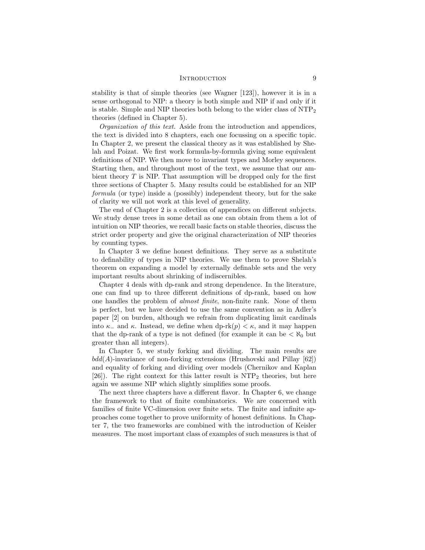## INTRODUCTION 9

stability is that of simple theories (see Wagner [123]), however it is in a sense orthogonal to NIP: a theory is both simple and NIP if and only if it is stable. Simple and NIP theories both belong to the wider class of  $NTP_2$ theories (defined in Chapter 5).

Organization of this text. Aside from the introduction and appendices, the text is divided into 8 chapters, each one focussing on a specific topic. In Chapter 2, we present the classical theory as it was established by Shelah and Poizat. We first work formula-by-formula giving some equivalent definitions of NIP. We then move to invariant types and Morley sequences. Starting then, and throughout most of the text, we assume that our ambient theory  $T$  is NIP. That assumption will be dropped only for the first three sections of Chapter 5. Many results could be established for an NIP formula (or type) inside a (possibly) independent theory, but for the sake of clarity we will not work at this level of generality.

The end of Chapter 2 is a collection of appendices on different subjects. We study dense trees in some detail as one can obtain from them a lot of intuition on NIP theories, we recall basic facts on stable theories, discuss the strict order property and give the original characterization of NIP theories by counting types.

In Chapter 3 we define honest definitions. They serve as a substitute to definability of types in NIP theories. We use them to prove Shelah's theorem on expanding a model by externally definable sets and the very important results about shrinking of indiscernibles.

Chapter 4 deals with dp-rank and strong dependence. In the literature, one can find up to three different definitions of dp-rank, based on how one handles the problem of *almost finite*, non-finite rank. None of them is perfect, but we have decided to use the same convention as in Adler's paper [2] on burden, although we refrain from duplicating limit cardinals into  $\kappa_-\,$  and  $\kappa$ . Instead, we define when dp-rk $(p) < \kappa$ , and it may happen that the dp-rank of a type is not defined (for example it can be  $\langle \aleph_0 \rangle$  but greater than all integers).

In Chapter 5, we study forking and dividing. The main results are  $bdd(A)$ -invariance of non-forking extensions (Hrushovski and Pillay [62]) and equality of forking and dividing over models (Chernikov and Kaplan [26]). The right context for this latter result is  $NTP_2$  theories, but here again we assume NIP which slightly simplifies some proofs.

The next three chapters have a different flavor. In Chapter 6, we change the framework to that of finite combinatorics. We are concerned with families of finite VC-dimension over finite sets. The finite and infinite approaches come together to prove uniformity of honest definitions. In Chapter 7, the two frameworks are combined with the introduction of Keisler measures. The most important class of examples of such measures is that of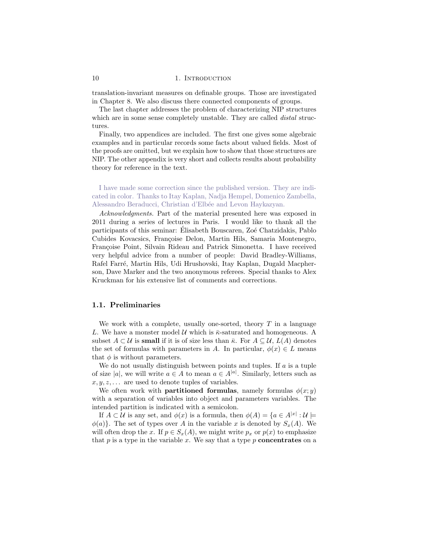#### 10 1. INTRODUCTION

translation-invariant measures on definable groups. Those are investigated in Chapter 8. We also discuss there connected components of groups.

The last chapter addresses the problem of characterizing NIP structures which are in some sense completely unstable. They are called *distal* structures.

Finally, two appendices are included. The first one gives some algebraic examples and in particular records some facts about valued fields. Most of the proofs are omitted, but we explain how to show that those structures are NIP. The other appendix is very short and collects results about probability theory for reference in the text.

I have made some correction since the published version. They are indicated in color. Thanks to Itay Kaplan, Nadja Hempel, Domenico Zambella, Alessandro Beraducci, Christian d'Elbée and Levon Haykazyan.

Acknowledgments. Part of the material presented here was exposed in 2011 during a series of lectures in Paris. I would like to thank all the participants of this seminar: Elisabeth Bouscaren, Zoé Chatzidakis, Pablo Cubides Kovacsics, Françoise Delon, Martin Hils, Samaria Montenegro, Françoise Point, Silvain Rideau and Patrick Simonetta. I have received very helpful advice from a number of people: David Bradley-Williams, Rafel Farré, Martin Hils, Udi Hrushovski, Itay Kaplan, Dugald Macpherson, Dave Marker and the two anonymous referees. Special thanks to Alex Kruckman for his extensive list of comments and corrections.

## 1.1. Preliminaries

We work with a complete, usually one-sorted, theory  $T$  in a language L. We have a monster model  $\mathcal U$  which is  $\bar \kappa$ -saturated and homogeneous. A subset  $A \subset U$  is small if it is of size less than  $\bar{\kappa}$ . For  $A \subset U$ ,  $L(A)$  denotes the set of formulas with parameters in A. In particular,  $\phi(x) \in L$  means that  $\phi$  is without parameters.

We do not usually distinguish between points and tuples. If  $a$  is a tuple of size |a|, we will write  $a \in A$  to mean  $a \in A^{|a|}$ . Similarly, letters such as  $x, y, z, \ldots$  are used to denote tuples of variables.

We often work with **partitioned formulas**, namely formulas  $\phi(x; y)$ with a separation of variables into object and parameters variables. The intended partition is indicated with a semicolon.

If  $A \subset \mathcal{U}$  is any set, and  $\phi(x)$  is a formula, then  $\phi(A) = \{a \in A^{|x|} : \mathcal{U} \models$  $\phi(a)$ . The set of types over A in the variable x is denoted by  $S_x(A)$ . We will often drop the x. If  $p \in S_x(A)$ , we might write  $p_x$  or  $p(x)$  to emphasize that  $p$  is a type in the variable  $x$ . We say that a type  $p$  concentrates on a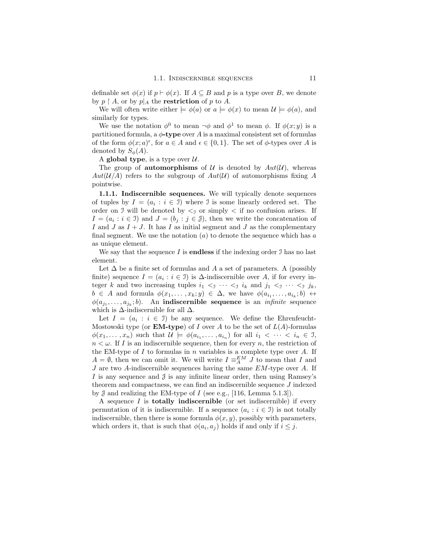definable set  $\phi(x)$  if  $p \vdash \phi(x)$ . If  $A \subseteq B$  and p is a type over B, we denote by  $p \restriction A$ , or by  $p|_A$  the **restriction** of p to A.

We will often write either  $\models \phi(a)$  or  $a \models \phi(x)$  to mean  $\mathcal{U} \models \phi(a)$ , and similarly for types.

We use the notation  $\phi^0$  to mean  $\neg \phi$  and  $\phi^1$  to mean  $\phi$ . If  $\phi(x; y)$  is a partitioned formula, a  $\phi$ -type over A is a maximal consistent set of formulas of the form  $\phi(x;a)^{\epsilon}$ , for  $a \in A$  and  $\epsilon \in \{0,1\}$ . The set of  $\phi$ -types over A is denoted by  $S_{\phi}(A)$ .

A global type, is a type over  $\mathcal{U}$ .

The group of **automorphisms** of  $U$  is denoted by  $Aut(U)$ , whereas  $Aut(U/A)$  refers to the subgroup of  $Aut(U)$  of automorphisms fixing A pointwise.

1.1.1. Indiscernible sequences. We will typically denote sequences of tuples by  $I = (a_i : i \in \mathcal{I})$  where  $\mathcal{I}$  is some linearly ordered set. The order on J will be denoted by  $\leq$  or simply  $\leq$  if no confusion arises. If  $I = (a_i : i \in \mathcal{I})$  and  $J = (b_j : j \in \mathcal{J})$ , then we write the concatenation of I and J as  $I + J$ . It has I as initial segment and J as the complementary final segment. We use the notation  $(a)$  to denote the sequence which has a as unique element.

We say that the sequence  $I$  is **endless** if the indexing order  $\mathcal{I}$  has no last element.

Let  $\Delta$  be a finite set of formulas and A a set of parameters. A (possibly finite) sequence  $I = (a_i : i \in \mathcal{I})$  is  $\Delta$ -indiscernible over A, if for every integer k and two increasing tuples  $i_1 \leq j \cdots \leq j$  i<sub>k</sub> and  $j_1 \leq j \cdots \leq j$  j<sub>k</sub>,  $b \in A$  and formula  $\phi(x_1, \ldots, x_k; y) \in \Delta$ , we have  $\phi(a_{i_1}, \ldots, a_{i_k}; b) \leftrightarrow$  $\phi(a_{j_1},\ldots,a_{j_k};b)$ . An indiscernible sequence is an *infinite* sequence which is  $\Delta$ -indiscernible for all  $\Delta$ .

Let  $I = (a_i : i \in \mathcal{I})$  be any sequence. We define the Ehrenfeucht-Mostowski type (or **EM-type**) of I over A to be the set of  $L(A)$ -formulas  $\phi(x_1,\ldots,x_n)$  such that  $\mathcal{U} \models \phi(a_{i_1},\ldots,a_{i_n})$  for all  $i_1 < \cdots < i_n \in \mathcal{I}$ ,  $n < \omega$ . If I is an indiscernible sequence, then for every n, the restriction of the EM-type of  $I$  to formulas in  $n$  variables is a complete type over  $A$ . If  $A = \emptyset$ , then we can omit it. We will write  $I \equiv_A^{EM} J$  to mean that I and J are two A-indiscernible sequences having the same  $EM$ -type over A. If I is any sequence and  $\mathcal J$  is any infinite linear order, then using Ramsey's theorem and compactness, we can find an indiscernible sequence J indexed by  $\beta$  and realizing the EM-type of I (see e.g., [116, Lemma 5.1.3]).

A sequence  $I$  is **totally indiscernible** (or set indiscernible) if every permutation of it is indiscernible. If a sequence  $(a_i : i \in \mathcal{I})$  is not totally indiscernible, then there is some formula  $\phi(x, y)$ , possibly with parameters, which orders it, that is such that  $\phi(a_i, a_j)$  holds if and only if  $i \leq j$ .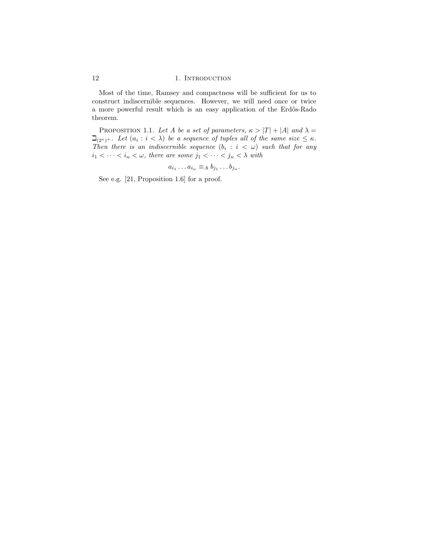## 12 1. INTRODUCTION

Most of the time, Ramsey and compactness will be sufficient for us to construct indiscernible sequences. However, we will need once or twice a more powerful result which is an easy application of the Erdős-Rado theorem.

PROPOSITION 1.1. Let A be a set of parameters,  $\kappa > |T| + |A|$  and  $\lambda =$  $\beth_{(2^{\kappa})^+}$ . Let  $(a_i : i < \lambda)$  be a sequence of tuples all of the same size  $\leq \kappa$ . Then there is an indiscernible sequence  $(b_i : i < \omega)$  such that for any  $i_1 < \cdots < i_n < \omega$ , there are some  $j_1 < \cdots < j_n < \lambda$  with

$$
a_{i_1}\ldots a_{i_n} \equiv_A b_{j_1}\ldots b_{j_n}.
$$

See e.g. [21, Proposition 1.6] for a proof.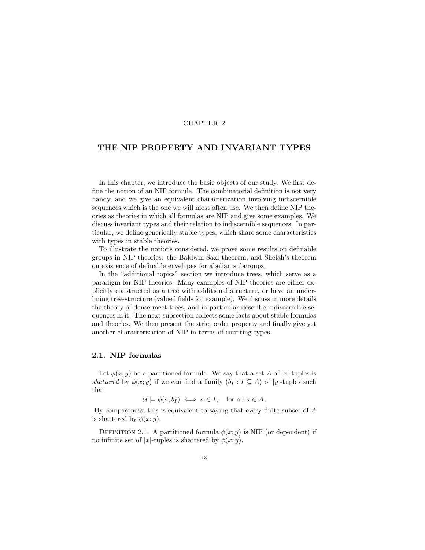## CHAPTER 2

## THE NIP PROPERTY AND INVARIANT TYPES

In this chapter, we introduce the basic objects of our study. We first define the notion of an NIP formula. The combinatorial definition is not very handy, and we give an equivalent characterization involving indiscernible sequences which is the one we will most often use. We then define NIP theories as theories in which all formulas are NIP and give some examples. We discuss invariant types and their relation to indiscernible sequences. In particular, we define generically stable types, which share some characteristics with types in stable theories.

To illustrate the notions considered, we prove some results on definable groups in NIP theories: the Baldwin-Saxl theorem, and Shelah's theorem on existence of definable envelopes for abelian subgroups.

In the "additional topics" section we introduce trees, which serve as a paradigm for NIP theories. Many examples of NIP theories are either explicitly constructed as a tree with additional structure, or have an underlining tree-structure (valued fields for example). We discuss in more details the theory of dense meet-trees, and in particular describe indiscernible sequences in it. The next subsection collects some facts about stable formulas and theories. We then present the strict order property and finally give yet another characterization of NIP in terms of counting types.

## 2.1. NIP formulas

Let  $\phi(x; y)$  be a partitioned formula. We say that a set A of |x|-tuples is shattered by  $\phi(x; y)$  if we can find a family  $(b_I : I \subseteq A)$  of |y|-tuples such that

$$
\mathcal{U} \models \phi(a; b_I) \iff a \in I, \quad \text{for all } a \in A
$$

By compactness, this is equivalent to saying that every finite subset of A is shattered by  $\phi(x; y)$ .

DEFINITION 2.1. A partitioned formula  $\phi(x; y)$  is NIP (or dependent) if no infinite set of |x|-tuples is shattered by  $\phi(x; y)$ .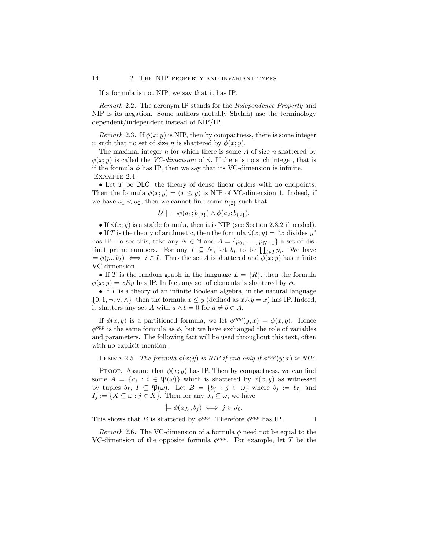If a formula is not NIP, we say that it has IP.

Remark 2.2. The acronym IP stands for the Independence Property and NIP is its negation. Some authors (notably Shelah) use the terminology dependent/independent instead of NIP/IP.

Remark 2.3. If  $\phi(x; y)$  is NIP, then by compactness, there is some integer n such that no set of size n is shattered by  $\phi(x; y)$ .

The maximal integer n for which there is some A of size n shattered by  $\phi(x; y)$  is called the *VC-dimension* of  $\phi$ . If there is no such integer, that is if the formula  $\phi$  has IP, then we say that its VC-dimension is infinite. Example 2.4.

• Let T be DLO: the theory of dense linear orders with no endpoints. Then the formula  $\phi(x; y) = (x \le y)$  is NIP of VC-dimension 1. Indeed, if we have  $a_1 < a_2$ , then we cannot find some  $b_{\{2\}}$  such that

$$
\mathcal{U} \models \neg \phi(a_1; b_{\{2\}}) \land \phi(a_2; b_{\{2\}}).
$$

• If  $\phi(x; y)$  is a stable formula, then it is NIP (see Section 2.3.2 if needed).

• If T is the theory of arithmetic, then the formula  $\phi(x; y) = x$  divides y" has IP. To see this, take any  $N \in \mathbb{N}$  and  $A = \{p_0, \ldots, p_{N-1}\}\$ a set of distinct prime numbers. For any  $I \subseteq N$ , set  $b_I$  to be  $\prod_{i \in I} p_i$ . We have  $\models \phi(p_i, b_I) \iff i \in I$ . Thus the set A is shattered and  $\phi(x; y)$  has infinite VC-dimension.

• If T is the random graph in the language  $L = \{R\}$ , then the formula  $\phi(x; y) = xRy$  has IP. In fact any set of elements is shattered by  $\phi$ .

• If  $T$  is a theory of an infinite Boolean algebra, in the natural language  $\{0, 1, \neg, \vee, \wedge\}$ , then the formula  $x \leq y$  (defined as  $x \wedge y = x$ ) has IP. Indeed, it shatters any set A with  $a \wedge b = 0$  for  $a \neq b \in A$ .

If  $\phi(x; y)$  is a partitioned formula, we let  $\phi^{opp}(y; x) = \phi(x; y)$ . Hence  $\phi^{opp}$  is the same formula as  $\phi$ , but we have exchanged the role of variables and parameters. The following fact will be used throughout this text, often with no explicit mention.

LEMMA 2.5. The formula  $\phi(x; y)$  is NIP if and only if  $\phi^{opp}(y; x)$  is NIP.

PROOF. Assume that  $\phi(x; y)$  has IP. Then by compactness, we can find some  $A = \{a_i : i \in \mathfrak{P}(\omega)\}\$  which is shattered by  $\phi(x; y)$  as witnessed by tuples  $b_I$ ,  $I \subseteq \mathfrak{P}(\omega)$ . Let  $B = \{b_j : j \in \omega\}$  where  $b_j := b_{I_j}$  and  $I_j := \{ X \subseteq \omega : j \in X \}.$  Then for any  $J_0 \subseteq \omega$ , we have

$$
\models \phi(a_{J_0}, b_j) \iff j \in J_0.
$$

This shows that B is shattered by  $\phi^{opp}$ . Therefore  $\phi^{opp}$  has IP.

*Remark* 2.6. The VC-dimension of a formula  $\phi$  need not be equal to the VC-dimension of the opposite formula  $\phi^{opp}$ . For example, let T be the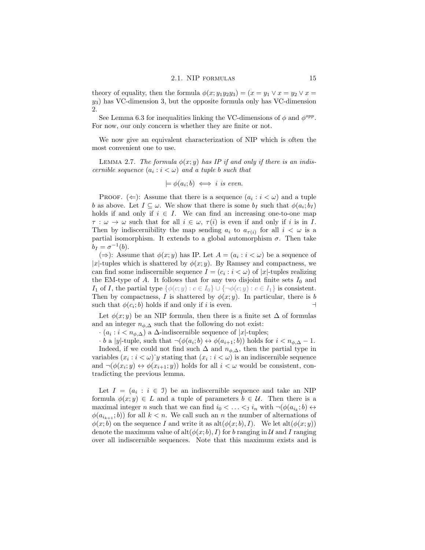theory of equality, then the formula  $\phi(x; y_1y_2y_3) = (x = y_1 \vee x = y_2 \vee x = y_3)$  $y_3$ ) has VC-dimension 3, but the opposite formula only has VC-dimension 2.

See Lemma 6.3 for inequalities linking the VC-dimensions of  $\phi$  and  $\phi^{opp}$ . For now, our only concern is whether they are finite or not.

We now give an equivalent characterization of NIP which is often the most convenient one to use.

LEMMA 2.7. The formula  $\phi(x; y)$  has IP if and only if there is an indiscernible sequence  $(a_i : i < \omega)$  and a tuple b such that

$$
\models \phi(a_i; b) \iff i \text{ is even.}
$$

PROOF. ( $\Leftarrow$ ): Assume that there is a sequence  $(a_i : i < \omega)$  and a tuple b as above. Let  $I \subseteq \omega$ . We show that there is some  $b_I$  such that  $\phi(a_i; b_I)$ holds if and only if  $i \in I$ . We can find an increasing one-to-one map  $\tau : \omega \to \omega$  such that for all  $i \in \omega$ ,  $\tau(i)$  is even if and only if i is in I. Then by indiscernibility the map sending  $a_i$  to  $a_{\tau(i)}$  for all  $i < \omega$  is a partial isomorphism. It extends to a global automorphism  $\sigma$ . Then take  $b_I = \sigma^{-1}(b).$ 

 $(\Rightarrow)$ : Assume that  $\phi(x; y)$  has IP. Let  $A = (a_i : i < \omega)$  be a sequence of |x|-tuples which is shattered by  $\phi(x; y)$ . By Ramsey and compactness, we can find some indiscernible sequence  $I = (c_i : i < \omega)$  of |x|-tuples realizing the EM-type of A. It follows that for any two disjoint finite sets  $I_0$  and I<sub>1</sub> of I, the partial type  $\{\phi(c; y) : c \in I_0\} \cup \{\neg \phi(c; y) : c \in I_1\}$  is consistent. Then by compactness, I is shattered by  $\phi(x; y)$ . In particular, there is b such that  $\phi(c_i; b)$  holds if and only if i is even.

Let  $\phi(x; y)$  be an NIP formula, then there is a finite set  $\Delta$  of formulas and an integer  $n_{\phi,\Delta}$  such that the following do not exist:

 $\cdot$   $(a_i : i < n_{\phi,\Delta})$  a  $\Delta$ -indiscernible sequence of  $|x|$ -tuples;

 $\cdot$  b a |y|-tuple, such that  $\neg(\phi(a_i; b) \leftrightarrow \phi(a_{i+1}; b))$  holds for  $i < n_{\phi,\Delta} - 1$ . Indeed, if we could not find such  $\Delta$  and  $n_{\phi,\Delta}$ , then the partial type in variables  $(x_i : i < \omega)^{\hat{}}y$  stating that  $(x_i : i < \omega)$  is an indiscernible sequence and  $\neg(\phi(x_i; y) \leftrightarrow \phi(x_{i+1}; y))$  holds for all  $i < \omega$  would be consistent, contradicting the previous lemma.

Let  $I = (a_i : i \in \mathcal{I})$  be an indiscernible sequence and take an NIP formula  $\phi(x; y) \in L$  and a tuple of parameters  $b \in \mathcal{U}$ . Then there is a maximal integer *n* such that we can find  $i_0 < \ldots < i_n$  with  $\neg(\phi(a_{i_k}; b) \leftrightarrow$  $\phi(a_{i_{k+1}}; b)$  for all  $k < n$ . We call such an n the number of alternations of  $\phi(x; b)$  on the sequence I and write it as  $\text{alt}(\phi(x; b), I)$ . We let  $\text{alt}(\phi(x; y))$ denote the maximum value of alt $(\phi(x; b), I)$  for b ranging in U and I ranging over all indiscernible sequences. Note that this maximum exists and is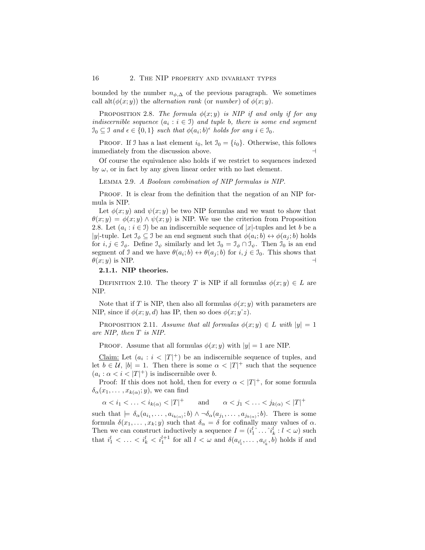bounded by the number  $n_{\phi,\Delta}$  of the previous paragraph. We sometimes call alt $(\phi(x; y))$  the *alternation rank* (or *number*) of  $\phi(x; y)$ .

PROPOSITION 2.8. The formula  $\phi(x; y)$  is NIP if and only if for any indiscernible sequence  $(a_i : i \in \mathcal{I})$  and tuple b, there is some end segment  $\mathfrak{I}_0 \subseteq \mathfrak{I}$  and  $\epsilon \in \{0,1\}$  such that  $\phi(a_i;b)^\epsilon$  holds for any  $i \in \mathfrak{I}_0$ .

PROOF. If J has a last element  $i_0$ , let  $\mathcal{I}_0 = \{i_0\}$ . Otherwise, this follows immediately from the discussion above.  $\Box$ 

Of course the equivalence also holds if we restrict to sequences indexed by  $\omega$ , or in fact by any given linear order with no last element.

Lemma 2.9. A Boolean combination of NIP formulas is NIP.

PROOF. It is clear from the definition that the negation of an NIP formula is NIP.

Let  $\phi(x; y)$  and  $\psi(x; y)$  be two NIP formulas and we want to show that  $\theta(x; y) = \phi(x; y) \wedge \psi(x; y)$  is NIP. We use the criterion from Proposition 2.8. Let  $(a_i : i \in \mathcal{I})$  be an indiscernible sequence of  $|x|$ -tuples and let b be a |y|-tuple. Let  $\mathcal{I}_{\phi} \subseteq \mathcal{I}$  be an end segment such that  $\phi(a_i; b) \leftrightarrow \phi(a_j; b)$  holds for  $i, j \in \mathcal{I}_{\phi}$ . Define  $\mathcal{I}_{\psi}$  similarly and let  $\mathcal{I}_0 = \mathcal{I}_{\phi} \cap \mathcal{I}_{\psi}$ . Then  $\mathcal{I}_0$  is an end segment of J and we have  $\theta(a_i; b) \leftrightarrow \theta(a_j; b)$  for  $i, j \in \mathcal{I}_0$ . This shows that  $\theta(x; y)$  is NIP.

## 2.1.1. NIP theories.

DEFINITION 2.10. The theory T is NIP if all formulas  $\phi(x; y) \in L$  are NIP.

Note that if T is NIP, then also all formulas  $\phi(x; y)$  with parameters are NIP, since if  $\phi(x; y, d)$  has IP, then so does  $\phi(x; y^2)$ .

PROPOSITION 2.11. Assume that all formulas  $\phi(x; y) \in L$  with  $|y| = 1$ are NIP, then T is NIP.

PROOF. Assume that all formulas  $\phi(x; y)$  with  $|y| = 1$  are NIP.

Claim: Let  $(a_i : i < |T|^+)$  be an indiscernible sequence of tuples, and let  $b \in \mathcal{U}, |b| = 1$ . Then there is some  $\alpha < |T|^+$  such that the sequence  $(a_i : \alpha < i < |T|^+)$  is indiscernible over b.

Proof: If this does not hold, then for every  $\alpha < |T|^+$ , for some formula  $\delta_{\alpha}(x_1,\ldots,x_{k(\alpha)};y)$ , we can find

 $\alpha < i_1 < \ldots < i_{k(\alpha)} < |T|^+$ + and  $\alpha < j_1 < ... < j_{k(\alpha)} < |T|^+$ 

such that  $\models \delta_{\alpha}(a_{i_1}, \ldots, a_{i_{k(\alpha)}}; b) \wedge \neg \delta_{\alpha}(a_{j_1}, \ldots, a_{j_{k(\alpha)}}; b)$ . There is some formula  $\delta(x_1, \ldots, x_k; y)$  such that  $\delta_{\alpha} = \delta$  for cofinally many values of  $\alpha$ . Then we can construct inductively a sequence  $I = (i_1^l \dots i_k^l : l < \omega)$  such that  $i_1^l < \ldots < i_k^l < i_1^{l+1}$  for all  $l < \omega$  and  $\delta(a_{i_1^l}, \ldots, a_{i_k^l}, b)$  holds if and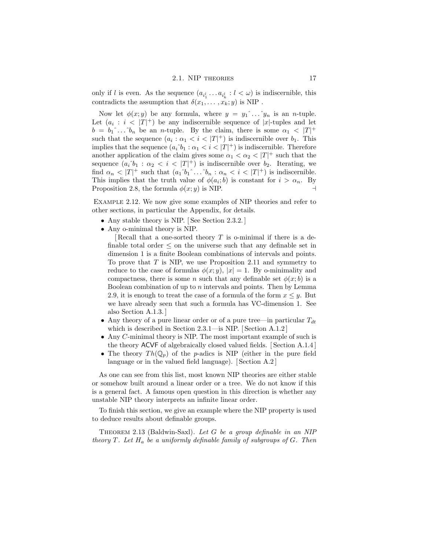only if l is even. As the sequence  $(a_{i_1}^1 \ldots a_{i_k}^1 : l < \omega)$  is indiscernible, this contradicts the assumption that  $\delta(x_1, \ldots, x_k; y)$  is NIP.

Now let  $\phi(x; y)$  be any formula, where  $y = y_1^{\hat{ }} \dots \hat{y}_n$  is an *n*-tuple. Let  $(a_i : i < |T|^+)$  be any indiscernible sequence of |x|-tuples and let  $b = b_1^{\hat{}} \dots^{\hat{}} b_n$  be an *n*-tuple. By the claim, there is some  $\alpha_1 < |T|^+$ such that the sequence  $(a_i : \alpha_1 < i < |T|^+)$  is indiscernible over  $b_1$ . This implies that the sequence  $(a_i^b_1 : \alpha_1 < i < |T|^+)$  is indiscernible. Therefore another application of the claim gives some  $\alpha_1 < \alpha_2 < |T|^+$  such that the sequence  $(a_i \hat{b}_1 : \alpha_2 < i < |T|^+$  is indiscernible over  $b_2$ . Iterating, we find  $\alpha_n < |T|^+$  such that  $(a_1 \delta_1 \delta_1 \delta_2 \delta_2 \delta_3 \delta_4 \delta_5 \delta_6 \delta_7 \delta_8 \delta_8 \delta_9 \delta_9 \delta_9$  is indiscernible. This implies that the truth value of  $\phi(a_i; b)$  is constant for  $i > \alpha_n$ . By Proposition 2.8, the formula  $\phi(x; y)$  is NIP.

EXAMPLE 2.12. We now give some examples of NIP theories and refer to other sections, in particular the Appendix, for details.

- Any stable theory is NIP. [See Section 2.3.2.]
- Any o-minimal theory is NIP.

[Recall that a one-sorted theory  $T$  is o-minimal if there is a definable total order  $\leq$  on the universe such that any definable set in dimension 1 is a finite Boolean combinations of intervals and points. To prove that  $T$  is NIP, we use Proposition 2.11 and symmetry to reduce to the case of formulas  $\phi(x; y)$ ,  $|x| = 1$ . By o-minimality and compactness, there is some *n* such that any definable set  $\phi(x; b)$  is a Boolean combination of up to  $n$  intervals and points. Then by Lemma 2.9, it is enough to treat the case of a formula of the form  $x \leq y$ . But we have already seen that such a formula has VC-dimension 1. See also Section A.1.3. ]

- Any theory of a pure linear order or of a pure tree—in particular  $T_{dt}$ which is described in Section 2.3.1—is NIP. [ Section A.1.2 ]
- Any C-minimal theory is NIP. The most important example of such is the theory ACVF of algebraically closed valued fields. [ Section A.1.4 ]
- The theory  $Th(\mathbb{Q}_p)$  of the p-adics is NIP (either in the pure field language or in the valued field language). [ Section A.2 ]

As one can see from this list, most known NIP theories are either stable or somehow built around a linear order or a tree. We do not know if this is a general fact. A famous open question in this direction is whether any unstable NIP theory interprets an infinite linear order.

To finish this section, we give an example where the NIP property is used to deduce results about definable groups.

THEOREM 2.13 (Baldwin-Saxl). Let G be a group definable in an NIP theory  $T$ . Let  $H_a$  be a uniformly definable family of subgroups of  $G$ . Then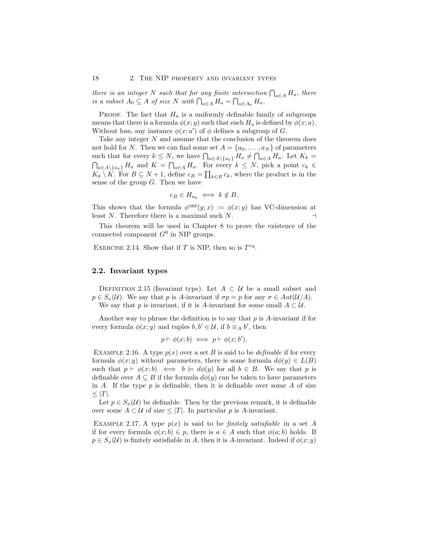there is an integer N such that for any finite intersection  $\bigcap_{a \in A} H_a$ , there is a subset  $A_0 \subseteq A$  of size N with  $\bigcap_{a \in A} H_a = \bigcap_{a \in A_0} H_a$ .

PROOF. The fact that  $H_a$  is a uniformly definable family of subgroups means that there is a formula  $\phi(x; y)$  such that each  $H_a$  is defined by  $\phi(x; a)$ . Without loss, any instance  $\phi(x; a')$  of  $\phi$  defines a subgroup of G.

Take any integer N and assume that the conclusion of the theorem does not hold for N. Then we can find some set  $A = \{a_0, \ldots, a_N\}$  of parameters such that for every  $k \leq N$ , we have  $\bigcap_{a \in A \setminus \{a_k\}} H_a \neq \bigcap_{a \in A} H_a$ . Let  $K_k =$  $\bigcap_{a\in A\setminus\{a_k\}} H_a$  and  $K = \bigcap_{a\in A} H_a$ . For every  $k \leq N$ , pick a point  $c_k \in$  $K_k \setminus K$ . For  $B \subseteq N+1$ , define  $c_B = \prod_{k \in B} c_k$ , where the product is in the sense of the group  $G$ . Then we have

$$
c_B \in H_{a_k} \iff k \notin B.
$$

This shows that the formula  $\phi^{opp}(y; x) := \phi(x; y)$  has VC-dimension at least  $N$ . Therefore there is a maximal such  $N$ .

This theorem will be used in Chapter 8 to prove the existence of the connected component  $G^0$  in NIP groups.

EXERCISE 2.14. Show that if T is NIP, then so is  $T^{eq}$ .

## 2.2. Invariant types

DEFINITION 2.15 (Invariant type). Let  $A \subset \mathcal{U}$  be a small subset and  $p \in S_x(\mathcal{U})$ . We say that p is A-invariant if  $\sigma p = p$  for any  $\sigma \in Aut(\mathcal{U}/A)$ . We say that p is invariant, if it is A-invariant for some small  $A \subset \mathcal{U}$ .

Another way to phrase the definition is to say that  $p$  is A-invariant if for every formula  $\phi(x; y)$  and tuples  $b, b' \in \mathcal{U}$ , if  $b \equiv_A b'$ , then

$$
p \vdash \phi(x;b) \iff p \vdash \phi(x;b').
$$

EXAMPLE 2.16. A type  $p(x)$  over a set B is said to be *definable* if for every formula  $\phi(x; y)$  without parameters, there is some formula  $d\phi(y) \in L(B)$ such that  $p \vdash \phi(x;b) \iff b \models d\phi(y)$  for all  $b \in B$ . We say that p is definable over  $A \subseteq B$  if the formula  $d\phi(y)$  can be taken to have parameters in  $A$ . If the type  $p$  is definable, then it is definable over some  $A$  of size  $\leq$  |T|.

Let  $p \in S_n(\mathcal{U})$  be definable. Then by the previous remark, it is definable over some  $A \subset U$  of size  $\leq |T|$ . In particular p is A-invariant.

EXAMPLE 2.17. A type  $p(x)$  is said to be *finitely satisfiable* in a set A if for every formula  $\phi(x;b) \in p$ , there is  $a \in A$  such that  $\phi(a;b)$  holds. If  $p \in S_x(\mathcal{U})$  is finitely satisfiable in A, then it is A-invariant. Indeed if  $\phi(x; y)$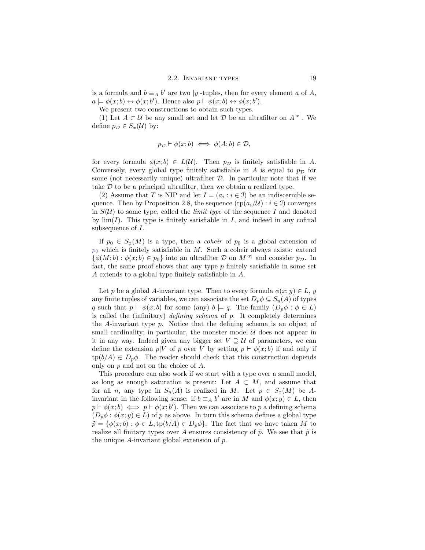is a formula and  $b \equiv_A b'$  are two |y|-tuples, then for every element a of A,  $a \models \phi(x;b) \leftrightarrow \phi(x;b')$ . Hence also  $p \vdash \phi(x;b) \leftrightarrow \phi(x;b')$ .

We present two constructions to obtain such types.

(1) Let  $A \subset U$  be any small set and let  $D$  be an ultrafilter on  $A^{|x|}$ . We define  $p_{\mathcal{D}} \in S_{x}(\mathcal{U})$  by:

$$
p_{\mathcal{D}} \vdash \phi(x;b) \iff \phi(A;b) \in \mathcal{D},
$$

for every formula  $\phi(x; b) \in L(\mathcal{U})$ . Then  $p_{\mathcal{D}}$  is finitely satisfiable in A. Conversely, every global type finitely satisfiable in A is equal to  $p<sub>D</sub>$  for some (not necessarily unique) ultrafilter  $D$ . In particular note that if we take  $\mathcal D$  to be a principal ultrafilter, then we obtain a realized type.

(2) Assume that T is NIP and let  $I = (a_i : i \in \mathcal{I})$  be an indiscernible sequence. Then by Proposition 2.8, the sequence  $(tp(a_i/\mathcal{U}) : i \in I)$  converges in  $S(\mathcal{U})$  to some type, called the *limit type* of the sequence I and denoted by  $\lim(I)$ . This type is finitely satisfiable in I, and indeed in any cofinal subsequence of I.

If  $p_0 \in S_x(M)$  is a type, then a *coheir* of  $p_0$  is a global extension of  $p_0$  which is finitely satisfiable in M. Such a coheir always exists: extend  $\{\phi(M;b) : \phi(x;b) \in p_0\}$  into an ultrafilter  $\mathcal D$  on  $M^{|x|}$  and consider  $p_{\mathcal D}$ . In fact, the same proof shows that any type  $p$  finitely satisfiable in some set A extends to a global type finitely satisfiable in A.

Let p be a global A-invariant type. Then to every formula  $\phi(x; y) \in L$ , y any finite tuples of variables, we can associate the set  $D_p \phi \subseteq S_y(A)$  of types q such that  $p \vdash \phi(x;b)$  for some (any)  $b \models q$ . The family  $(D_p \phi : \phi \in L)$ is called the (infinitary) defining schema of p. It completely determines the A-invariant type  $p$ . Notice that the defining schema is an object of small cardinality; in particular, the monster model  $U$  does not appear in it in any way. Indeed given any bigger set  $V \supseteq U$  of parameters, we can define the extension  $p|V$  of p over V by setting  $p \vdash \phi(x;b)$  if and only if  $\text{tp}(b/A) \in D_p\phi$ . The reader should check that this construction depends only on  $p$  and not on the choice of  $A$ .

This procedure can also work if we start with a type over a small model, as long as enough saturation is present: Let  $A \subset M$ , and assume that for all n, any type in  $S_n(A)$  is realized in M. Let  $p \in S_n(M)$  be Ainvariant in the following sense: if  $b \equiv_A b'$  are in M and  $\phi(x; y) \in L$ , then  $p \vdash \phi(x;b) \iff p \vdash \phi(x;b')$ . Then we can associate to p a defining schema  $(D_p \phi : \phi(x; y) \in L)$  of p as above. In turn this schema defines a global type  $\tilde{p} = \{\phi(x;b) : \phi \in L, \text{tp}(b/A) \in D_p\phi\}.$  The fact that we have taken M to realize all finitary types over A ensures consistency of  $\tilde{p}$ . We see that  $\tilde{p}$  is the unique  $A$ -invariant global extension of  $p$ .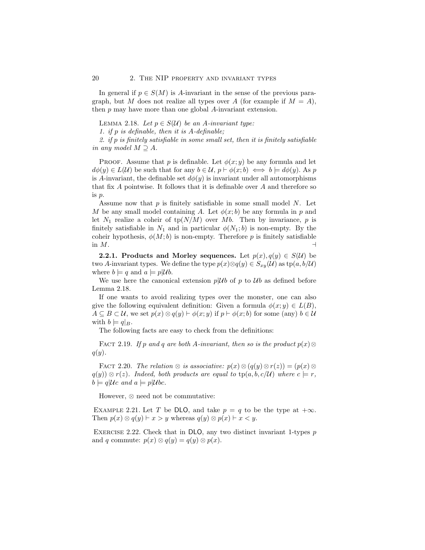In general if  $p \in S(M)$  is A-invariant in the sense of the previous paragraph, but M does not realize all types over A (for example if  $M = A$ ), then  $p$  may have more than one global  $A$ -invariant extension.

LEMMA 2.18. Let  $p \in S(\mathcal{U})$  be an A-invariant type:

1. if p is definable, then it is A-definable;

2. if p is finitely satisfiable in some small set, then it is finitely satisfiable in any model  $M \supseteq A$ .

PROOF. Assume that p is definable. Let  $\phi(x; y)$  be any formula and let  $d\phi(y) \in L(\mathcal{U})$  be such that for any  $b \in \mathcal{U}$ ,  $p \vdash \phi(x;b) \iff b \models d\phi(y)$ . As p is A-invariant, the definable set  $d\phi(y)$  is invariant under all automorphisms that fix  $A$  pointwise. It follows that it is definable over  $A$  and therefore so is p.

Assume now that  $p$  is finitely satisfiable in some small model  $N$ . Let M be any small model containing A. Let  $\phi(x; b)$  be any formula in p and let  $N_1$  realize a coheir of  $tp(N/M)$  over Mb. Then by invariance, p is finitely satisfiable in  $N_1$  and in particular  $\phi(N_1; b)$  is non-empty. By the coheir hypothesis,  $\phi(M; b)$  is non-empty. Therefore p is finitely satisfiable in  $M$ .

2.2.1. Products and Morley sequences. Let  $p(x), q(y) \in S(\mathcal{U})$  be two A-invariant types. We define the type  $p(x) \otimes q(y) \in S_{xy}(\mathcal{U})$  as  $tp(a, b/\mathcal{U})$ where  $b \models q$  and  $a \models p | \mathcal{U}b$ .

We use here the canonical extension  $p|\mathcal{U}b$  of p to  $\mathcal{U}b$  as defined before Lemma 2.18.

If one wants to avoid realizing types over the monster, one can also give the following equivalent definition: Given a formula  $\phi(x; y) \in L(B)$ ,  $A \subseteq B \subset U$ , we set  $p(x) \otimes q(y) \vdash \phi(x; y)$  if  $p \vdash \phi(x; b)$  for some (any)  $b \in U$ with  $b \models q|_B$ .

The following facts are easy to check from the definitions:

FACT 2.19. If p and q are both A-invariant, then so is the product  $p(x)$  $q(y)$ .

FACT 2.20. The relation  $\otimes$  is associative:  $p(x) \otimes (q(y) \otimes r(z)) = (p(x) \otimes$  $q(y)$ )  $\otimes$  r(z). Indeed, both products are equal to tp(a, b, c/U) where  $c \models r$ ,  $b \models q \mid \mathcal{U}c$  and  $a \models p \mid \mathcal{U}bc$ .

However, ⊗ need not be commutative:

EXAMPLE 2.21. Let T be DLO, and take  $p = q$  to be the type at  $+\infty$ . Then  $p(x) \otimes q(y) \vdash x > y$  whereas  $q(y) \otimes p(x) \vdash x < y$ .

EXERCISE 2.22. Check that in  $DLO$ , any two distinct invariant 1-types  $p$ and q commute:  $p(x) \otimes q(y) = q(y) \otimes p(x)$ .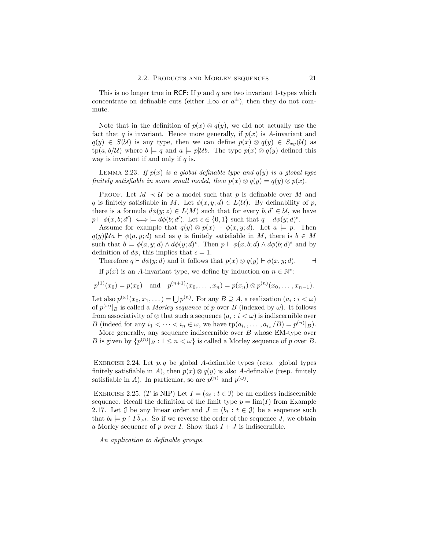This is no longer true in RCF: If  $p$  and  $q$  are two invariant 1-types which concentrate on definable cuts (either  $\pm \infty$  or  $a^{\pm}$ ), then they do not commute.

Note that in the definition of  $p(x) \otimes q(y)$ , we did not actually use the fact that q is invariant. Hence more generally, if  $p(x)$  is A-invariant and  $q(y) \in S(\mathcal{U})$  is any type, then we can define  $p(x) \otimes q(y) \in S_{xy}(\mathcal{U})$  as  $tp(a, b/\mathcal{U})$  where  $b \models q$  and  $a \models p|\mathcal{U}b$ . The type  $p(x) \otimes q(y)$  defined this way is invariant if and only if  $q$  is.

LEMMA 2.23. If  $p(x)$  is a global definable type and  $q(y)$  is a global type finitely satisfiable in some small model, then  $p(x) \otimes q(y) = q(y) \otimes p(x)$ .

PROOF. Let  $M \prec U$  be a model such that p is definable over M and q is finitely satisfiable in M. Let  $\phi(x, y; d) \in L(\mathcal{U})$ . By definability of p, there is a formula  $d\phi(v; z) \in L(M)$  such that for every  $b, d' \in \mathcal{U}$ , we have  $p \vdash \phi(x, b; d') \iff \models d\phi(b; d')$ . Let  $\epsilon \in \{0, 1\}$  such that  $q \vdash d\phi(y; d)^{\epsilon}$ .

Assume for example that  $q(y) \otimes p(x) \vdash \phi(x, y; d)$ . Let  $a \models p$ . Then  $q(y)|\mathcal{U}a \vdash \phi(a, y; d)$  and as q is finitely satisfiable in M, there is  $b \in M$ such that  $b \models \phi(a, y; d) \land d\phi(y; d)^{\epsilon}$ . Then  $p \vdash \phi(x, b; d) \land d\phi(b; d)^{\epsilon}$  and by definition of  $d\phi$ , this implies that  $\epsilon = 1$ .

Therefore  $q \vdash d\phi(y; d)$  and it follows that  $p(x) \otimes q(y) \vdash \phi(x, y; d)$ .

If  $p(x)$  is an A-invariant type, we define by induction on  $n \in \mathbb{N}^*$ :

$$
p^{(1)}(x_0) = p(x_0)
$$
 and  $p^{(n+1)}(x_0,...,x_n) = p(x_n) \otimes p^{(n)}(x_0,...,x_{n-1}).$ 

Let also  $p^{(\omega)}(x_0, x_1, ...) = \bigcup p^{(n)}$ . For any  $B \supseteq A$ , a realization  $(a_i : i < \omega)$ of  $p^{(\omega)}|_B$  is called a *Morley sequence* of p over B (indexed by  $\omega$ ). It follows from associativity of  $\otimes$  that such a sequence  $(a_i : i < \omega)$  is indiscernible over B (indeed for any  $i_1 < \cdots < i_n \in \omega$ , we have  $tp(a_{i_1}, \ldots, a_{i_n}/B) = p^{(n)}|_B$ ).

More generally, any sequence indiscernible over  $B$  whose EM-type over B is given by  $\{p^{(n)}|_B : 1 \le n < \omega\}$  is called a Morley sequence of p over B.

EXERCISE 2.24. Let  $p, q$  be global A-definable types (resp. global types finitely satisfiable in A), then  $p(x) \otimes q(y)$  is also A-definable (resp. finitely satisfiable in A). In particular, so are  $p^{(n)}$  and  $p^{(\omega)}$ .

EXERCISE 2.25. (T is NIP) Let  $I = (a_t : t \in \mathcal{I})$  be an endless indiscernible sequence. Recall the definition of the limit type  $p = \lim(I)$  from Example 2.17. Let  $\beta$  be any linear order and  $J = (b_t : t \in \mathcal{J})$  be a sequence such that  $b_t \models p \restriction I \bar{b}_{\geq t}$ . So if we reverse the order of the sequence  $\bar{J}$ , we obtain a Morley sequence of p over I. Show that  $I + J$  is indiscernible.

An application to definable groups.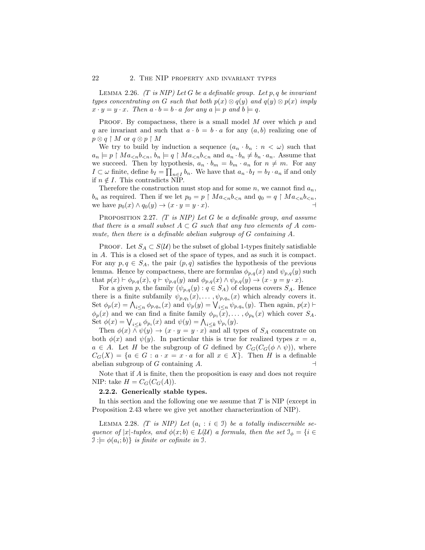LEMMA 2.26. (T is NIP) Let G be a definable group. Let p, q be invariant types concentrating on G such that both  $p(x) \otimes q(y)$  and  $q(y) \otimes p(x)$  imply  $x \cdot y = y \cdot x$ . Then  $a \cdot b = b \cdot a$  for any  $a \models p$  and  $b \models q$ .

PROOF. By compactness, there is a small model  $M$  over which  $p$  and q are invariant and such that  $a \cdot b = b \cdot a$  for any  $(a, b)$  realizing one of  $p \otimes q \restriction M$  or  $q \otimes p \restriction M$ 

We try to build by induction a sequence  $(a_n \cdot b_n : n < \omega)$  such that  $a_n \models p \restriction Ma_{\leq n} b_{\leq n}, b_n \models q \restriction Ma_{\leq n} b_{\leq n}$  and  $a_n \cdot b_n \neq b_n \cdot a_n$ . Assume that we succeed. Then by hypothesis,  $a_n \cdot b_m = b_m \cdot a_n$  for  $n \neq m$ . For any  $I \subset \omega$  finite, define  $b_I = \prod_{n \in I} b_n$ . We have that  $a_n \cdot b_I = b_I \cdot a_n$  if and only if  $n \notin I$ . This contradicts NIP.

Therefore the construction must stop and for some n, we cannot find  $a_n$ ,  $b_n$  as required. Then if we let  $p_0 = p \restriction Ma_{\leq n} b_{\leq n}$  and  $q_0 = q \restriction Ma_{\leq n} b_{\leq n}$ , we have  $p_0(x) \wedge q_0(y) \rightarrow (x \cdot y = y \cdot x)$ .

PROPOSITION 2.27. (T is NIP) Let G be a definable group, and assume that there is a small subset  $A \subset G$  such that any two elements of A commute, then there is a definable abelian subgroup of G containing A.

PROOF. Let  $S_A \subset S(U)$  be the subset of global 1-types finitely satisfiable in A. This is a closed set of the space of types, and as such it is compact. For any  $p, q \in S_A$ , the pair  $(p, q)$  satisfies the hypothesis of the previous lemma. Hence by compactness, there are formulas  $\phi_{p,q}(x)$  and  $\psi_{p,q}(y)$  such that  $p(x) \vdash \phi_{p,q}(x), q \vdash \psi_{p,q}(y)$  and  $\phi_{p,q}(x) \wedge \psi_{p,q}(y) \rightarrow (x \cdot y = y \cdot x)$ .

For a given p, the family  $(\psi_{p,q}(y) : q \in S_A)$  of clopens covers  $S_A$ . Hence there is a finite subfamily  $\psi_{p,q_1}(x), \ldots, \psi_{p,q_n}(x)$  which already covers it. Set  $\phi_p(x) = \bigwedge_{i \leq n} \phi_{p,q_n}(x)$  and  $\psi_p(y) = \bigvee_{i \leq n} \psi_{p,q_n}(y)$ . Then again,  $p(x) \vdash$  $\phi_p(x)$  and we can find a finite family  $\phi_{p_1}(x), \ldots, \phi_{p_k}(x)$  which cover  $S_A$ . Set  $\phi(x) = \bigvee_{i \leq k} \phi_{p_i}(x)$  and  $\psi(y) = \bigwedge_{i \leq k} \psi_{p_i}(y)$ .

Then  $\phi(x) \wedge \psi(y) \rightarrow (x \cdot y = y \cdot x)$  and all types of  $S_A$  concentrate on both  $\phi(x)$  and  $\psi(y)$ . In particular this is true for realized types  $x = a$ ,  $a \in A$ . Let H be the subgroup of G defined by  $C_G(C_G(\phi \wedge \psi))$ , where  $C_G(X) = \{a \in G : a \cdot x = x \cdot a$  for all  $x \in X\}$ . Then H is a definable abelian subgroup of G containing A.  $\Box$ 

Note that if A is finite, then the proposition is easy and does not require NIP: take  $H = C_G(C_G(A)).$ 

## 2.2.2. Generically stable types.

In this section and the following one we assume that  $T$  is NIP (except in Proposition 2.43 where we give yet another characterization of NIP).

LEMMA 2.28. (T is NIP) Let  $(a_i : i \in \mathcal{I})$  be a totally indiscernible sequence of |x|-tuples, and  $\phi(x;b) \in L(\mathcal{U})$  a formula, then the set  $\mathfrak{I}_{\phi} = \{i \in$  $\mathfrak{I} := \phi(a_i; b) \}$  is finite or cofinite in J.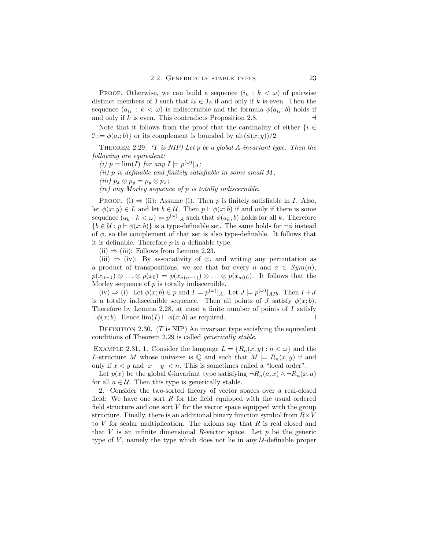PROOF. Otherwise, we can build a sequence  $(i_k : k < \omega)$  of pairwise distinct members of J such that  $i_k \in \mathcal{I}_{\phi}$  if and only if k is even. Then the sequence  $(a_{i_k}: k < \omega)$  is indiscernible and the formula  $\phi(a_{i_k}; b)$  holds if and only if k is even. This contradicts Proposition 2.8.  $\Box$ 

Note that it follows from the proof that the cardinality of either  $\{i \in \mathbb{Z}\}$  $\mathcal{I} := \phi(a_i; b)$  or its complement is bounded by alt $(\phi(x; y))/2$ .

THEOREM 2.29. (T is NIP) Let  $p$  be a global A-invariant type. Then the following are equivalent:

(i)  $p = \lim(I)$  for any  $I \models p^{(\omega)}|_A$ ;

(ii)  $p$  is definable and finitely satisfiable in some small  $M$ ;

(iii)  $p_x \otimes p_y = p_y \otimes p_x;$ 

 $(iv)$  any Morley sequence of  $p$  is totally indiscernible.

PROOF. (i)  $\Rightarrow$  (ii): Assume (i). Then p is finitely satisfiable in I. Also, let  $\phi(x; y) \in L$  and let  $b \in \mathcal{U}$ . Then  $p \vdash \phi(x; b)$  if and only if there is some sequence  $(a_k : k < \omega) \models p^{(\omega)}|_A$  such that  $\phi(a_k : b)$  holds for all k. Therefore  ${b \in \mathcal{U} : p \vdash \phi(x; b)}$  is a type-definable set. The same holds for  $\neg \phi$  instead of  $\phi$ , so the complement of that set is also type-definable. It follows that it is definable. Therefore  $p$  is a definable type.

 $(ii) \Rightarrow (iii)$ : Follows from Lemma 2.23.

(iii)  $\Rightarrow$  (iv): By associativity of  $\otimes$ , and writing any permutation as a product of transpositions, we see that for every n and  $\sigma \in Sym(n)$ ,  $p(x_{n-1}) \otimes \ldots \otimes p(x_0) = p(x_{\sigma(n-1)}) \otimes \ldots \otimes p(x_{\sigma(0)})$ . It follows that the Morley sequence of  $p$  is totally indiscernible.

 $(iv) \Rightarrow (i)$ : Let  $\phi(x;b) \in p$  and  $I \models p^{(\omega)}|_A$ . Let  $J \models p^{(\omega)}|_{A I b}$ . Then  $I + J$ is a totally indiscernible sequence. Then all points of J satisfy  $\phi(x;b)$ . Therefore by Lemma 2.28, at most a finite number of points of  $I$  satisfy  $\neg \phi(x;b)$ . Hence  $\lim(I) \vdash \phi(x;b)$  as required.

DEFINITION 2.30. (T is NIP) An invariant type satisfying the equivalent conditions of Theorem 2.29 is called generically stable.

EXAMPLE 2.31. 1. Consider the language  $L = \{R_n(x, y) : n < \omega\}$  and the L-structure M whose universe is  $\mathbb Q$  and such that  $M \models R_n(x, y)$  if and only if  $x < y$  and  $|x - y| < n$ . This is sometimes called a "local order".

Let  $p(x)$  be the global  $\emptyset$ -invariant type satisfying  $\neg R_n(a,x) \wedge \neg R_n(x,a)$ for all  $a \in \mathcal{U}$ . Then this type is generically stable.

2. Consider the two-sorted theory of vector spaces over a real-closed field: We have one sort R for the field equipped with the usual ordered field structure and one sort  $V$  for the vector space equipped with the group structure. Finally, there is an additional binary function symbol from  $R \times V$ to  $V$  for scalar multiplication. The axioms say that  $R$  is real closed and that  $V$  is an infinite dimensional  $R$ -vector space. Let  $p$  be the generic type of V, namely the type which does not lie in any  $U$ -definable proper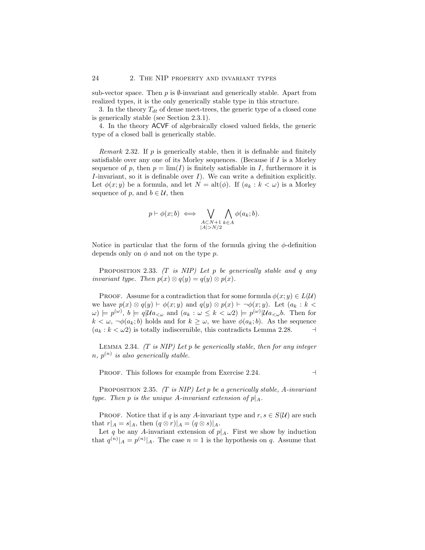sub-vector space. Then  $p$  is  $\emptyset$ -invariant and generically stable. Apart from realized types, it is the only generically stable type in this structure.

3. In the theory  $T_{dt}$  of dense meet-trees, the generic type of a closed cone is generically stable (see Section 2.3.1).

4. In the theory ACVF of algebraically closed valued fields, the generic type of a closed ball is generically stable.

*Remark* 2.32. If  $p$  is generically stable, then it is definable and finitely satisfiable over any one of its Morley sequences. (Because if  $I$  is a Morley sequence of p, then  $p = \lim(I)$  is finitely satisfiable in I, furthermore it is I-invariant, so it is definable over  $I$ ). We can write a definition explicitly. Let  $\phi(x; y)$  be a formula, and let  $N = alt(\phi)$ . If  $(a_k : k < \omega)$  is a Morley sequence of p, and  $b \in \mathcal{U}$ , then

$$
p \vdash \phi(x;b) \iff \bigvee_{\substack{A \subset N+1 \\ |A| > N/2}} \bigwedge_{k \in A} \phi(a_k;b).
$$

Notice in particular that the form of the formula giving the  $\phi$ -definition depends only on  $\phi$  and not on the type p.

PROPOSITION 2.33. (T is NIP) Let p be generically stable and q any invariant type. Then  $p(x) \otimes q(y) = q(y) \otimes p(x)$ .

**PROOF.** Assume for a contradiction that for some formula  $\phi(x; y) \in L(\mathcal{U})$ we have  $p(x) \otimes q(y) \vdash \phi(x; y)$  and  $q(y) \otimes p(x) \vdash \neg \phi(x; y)$ . Let  $(a_k : k <$  $\omega$ )  $\models p^{(\omega)}$ ,  $b \models q|\mathcal{U}a_{<\omega}$  and  $(a_k : \omega \leq k < \omega2) \models p^{(\omega)}|\mathcal{U}a_{<\omega}b$ . Then for  $k < \omega$ ,  $\neg \phi(a_k; b)$  holds and for  $k \geq \omega$ , we have  $\phi(a_k; b)$ . As the sequence  $(a_k : k < \omega 2)$  is totally indiscernible, this contradicts Lemma 2.28.

LEMMA 2.34. (T is NIP) Let  $p$  be generically stable, then for any integer  $n, p^{(n)}$  is also generically stable.

PROOF. This follows for example from Exercise 2.24.  $\Box$ 

PROPOSITION 2.35. (T is NIP) Let p be a generically stable, A-invariant type. Then p is the unique A-invariant extension of  $p|_A$ .

PROOF. Notice that if q is any A-invariant type and  $r, s \in S(\mathcal{U})$  are such that  $r|_A = s|_A$ , then  $(q \otimes r)|_A = (q \otimes s)|_A$ .

Let q be any A-invariant extension of  $p|_A$ . First we show by induction that  $q^{(n)}|_A = p^{(n)}|_A$ . The case  $n = 1$  is the hypothesis on q. Assume that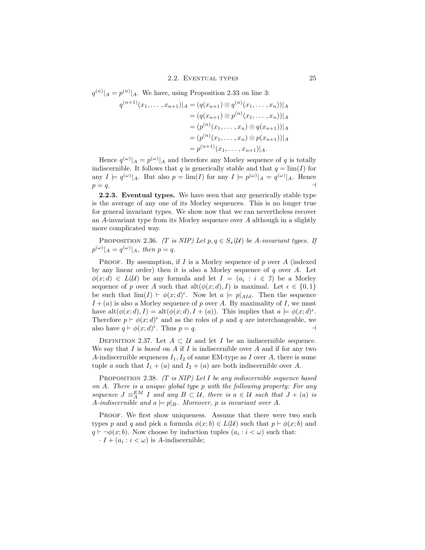$$
q^{(n)}|_A = p^{(n)}|_A.
$$
 We have, using Proposition 2.33 on line 3:  
\n
$$
q^{(n+1)}(x_1, ..., x_{n+1})|_A = (q(x_{n+1}) \otimes q^{(n)}(x_1, ..., x_n))|_A
$$
\n
$$
= (q(x_{n+1}) \otimes p^{(n)}(x_1, ..., x_n))|_A
$$
\n
$$
= (p^{(n)}(x_1, ..., x_n) \otimes q(x_{n+1}))|_A
$$
\n
$$
= (p^{(n)}(x_1, ..., x_n) \otimes p(x_{n+1}))|_A
$$
\n
$$
= p^{(n+1)}(x_1, ..., x_{n+1})|_A.
$$

Hence  $q^{(\omega)}|_A = p^{(\omega)}|_A$  and therefore any Morley sequence of q is totally indiscernible. It follows that q is generically stable and that  $q = \lim(I)$  for any  $I \models q^{(\omega)}|_A$ . But also  $p = \lim(I)$  for any  $I \models p^{(\omega)}|_A = q^{(\omega)}|_A$ . Hence  $p = q$ .

2.2.3. Eventual types. We have seen that any generically stable type is the average of any one of its Morley sequences. This is no longer true for general invariant types. We show now that we can nevertheless recover an A-invariant type from its Morley sequence over A although in a slightly more complicated way.

PROPOSITION 2.36. (T is NIP) Let  $p, q \in S_x(\mathcal{U})$  be A-invariant types. If  $p^{(\omega)}|_A = q^{(\omega)}|_A$ , then  $p = q$ .

**PROOF.** By assumption, if I is a Morley sequence of p over A (indexed by any linear order) then it is also a Morley sequence of  $q$  over  $A$ . Let  $\phi(x; d) \in L(\mathcal{U})$  be any formula and let  $I = (a_i : i \in \mathcal{I})$  be a Morley sequence of p over A such that  $alt(\phi(x; d), I)$  is maximal. Let  $\epsilon \in \{0, 1\}$ be such that  $\lim(I) \vdash \phi(x; d)^{\epsilon}$ . Now let  $a \models p|_{AId}$ . Then the sequence  $I + (a)$  is also a Morley sequence of p over A. By maximality of I, we must have  $\text{alt}(\phi(x; d), I) = \text{alt}(\phi(x; d), I + (a)).$  This implies that  $a \models \phi(x; d)^{\epsilon}$ . Therefore  $p \vdash \phi(x; d)$ <sup> $\epsilon$ </sup> and as the roles of p and q are interchangeable, we also have  $q \vdash \phi(x; d)^{\epsilon}$ . Thus  $p = q$ .

DEFINITION 2.37. Let  $A \subset U$  and let I be an indiscernible sequence. We say that  $I$  is based on  $A$  if  $I$  is indiscernible over  $A$  and if for any two A-indiscernible sequences  $I_1, I_2$  of same EM-type as I over A, there is some tuple a such that  $I_1 + (a)$  and  $I_2 + (a)$  are both indiscernible over A.

PROPOSITION 2.38. (T is NIP) Let I be any indiscernible sequence based on A. There is a unique global type p with the following property: For any sequence  $J \equiv_A^{EM} I$  and any  $B \subset \mathcal{U}$ , there is  $a \in \mathcal{U}$  such that  $J + (a)$  is A-indiscernible and  $a \models p|_B$ . Moreover, p is invariant over A.

PROOF. We first show uniqueness. Assume that there were two such types p and q and pick a formula  $\phi(x; b) \in L(\mathcal{U})$  such that  $p \vdash \phi(x; b)$  and  $q \vdash \neg \phi(x;b)$ . Now choose by induction tuples  $(a_i : i < \omega)$  such that:  $\cdot I + (a_i : i < \omega)$  is A-indiscernible;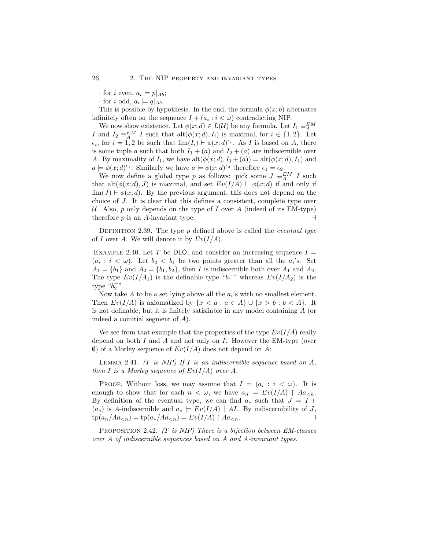$\cdot$  for *i* even,  $a_i \models p|_{Ab}$ ;

 $\cdot$  for *i* odd,  $a_i \models q|_{Ab}$ .

This is possible by hypothesis. In the end, the formula  $\phi(x; b)$  alternates infinitely often on the sequence  $I + (a_i : i < \omega)$  contradicting NIP.

We now show existence. Let  $\phi(x; d) \in L(\mathcal{U})$  be any formula. Let  $I_1 \equiv^{\text{EM}}_A$ *I* and  $I_2 \equiv_A^{EM} I$  such that  $alt(\phi(x; d), I_i)$  is maximal, for  $i \in \{1, 2\}$ . Let  $\epsilon_i$ , for  $i = 1, 2$  be such that  $\lim(I_i) \vdash \phi(x; d)^{\epsilon_i}$ . As I is based on A, there is some tuple a such that both  $I_1 + (a)$  and  $I_2 + (a)$  are indiscernible over A. By maximality of  $I_1$ , we have  $alt(\phi(x; d), I_1 + (a)) = alt(\phi(x; d), I_1)$  and  $a \models \phi(x; d)^{\epsilon_1}$ . Similarly we have  $a \models \phi(x; d)^{\epsilon_2}$  therefore  $\epsilon_1 = \epsilon_2$ .

We now define a global type p as follows: pick some  $J \equiv_A^{EM} I$  such that alt $(\phi(x; d), J)$  is maximal, and set  $Ev(I/A) \vdash \phi(x; d)$  if and only if  $\lim(J) \vdash \phi(x; d)$ . By the previous argument, this does not depend on the choice of J. It is clear that this defines a consistent, complete type over  $U.$  Also,  $p$  only depends on the type of  $I$  over  $A$  (indeed of its EM-type) therefore  $p$  is an A-invariant type.

DEFINITION 2.39. The type  $p$  defined above is called the *eventual type* of I over A. We will denote it by  $Ev(I/A)$ .

EXAMPLE 2.40. Let T be DLO, and consider an increasing sequence  $I =$  $(a_i : i < \omega)$ . Let  $b_2 < b_1$  be two points greater than all the  $a_i$ 's. Set  $A_1 = \{b_1\}$  and  $A_2 = \{b_1, b_2\}$ , then I is indiscernible both over  $A_1$  and  $A_2$ . The type  $Ev(I/A_1)$  is the definable type "b<sub>1</sub>" whereas  $Ev(I/A_2)$  is the type " $b_2^-$ ".

Now take  $A$  to be a set lying above all the  $a_i$ 's with no smallest element. Then  $Ev(I/A)$  is axiomatized by  $\{x < a : a \in A\} \cup \{x > b : b < A\}$ . It is not definable, but it is finitely satisfiable in any model containing A (or indeed a coinitial segment of A).

We see from that example that the properties of the type  $Ev(I/A)$  really depend on both  $I$  and  $A$  and not only on  $I$ . However the EM-type (over  $\emptyset$ ) of a Morley sequence of  $Ev(I/A)$  does not depend on A:

LEMMA 2.41. (T is NIP) If I is an indiscernible sequence based on  $A$ , then I is a Morley sequence of  $Ev(I/A)$  over A.

PROOF. Without loss, we may assume that  $I = (a_i : i < \omega)$ . It is enough to show that for each  $n < \omega$ , we have  $a_n \models Ev(I/A) \restriction Aa_{\leq n}$ . By definition of the eventual type, we can find  $a_*$  such that  $J = I +$  $(a_*)$  is A-indiscernible and  $a_* \models Ev(I/A) \restriction AI$ . By indiscernibility of J,  $tp(a_n/Aa_{\leq n}) = tp(a_*/Aa_{\leq n}) = Ev(I/A) \restriction Aa_{\leq n}.$ 

PROPOSITION 2.42.  $(T \text{ is } NIP)$  There is a bijection between EM-classes over A of indiscernible sequences based on A and A-invariant types.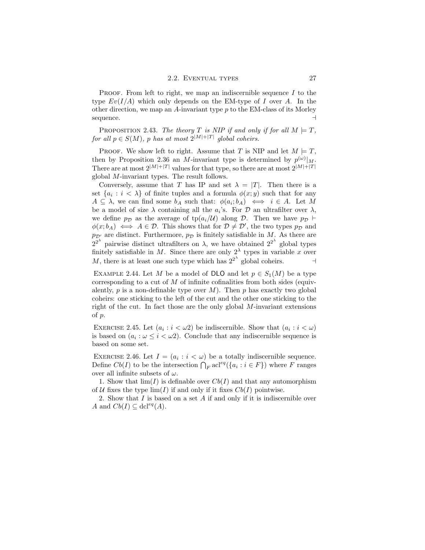**PROOF.** From left to right, we map an indiscernible sequence  $I$  to the type  $Ev(I/A)$  which only depends on the EM-type of I over A. In the other direction, we map an  $A$ -invariant type  $p$  to the EM-class of its Morley sequence.

PROPOSITION 2.43. The theory T is NIP if and only if for all  $M \models T$ , for all  $p \in S(M)$ , p has at most  $2^{|M|+|T|}$  global coheirs.

PROOF. We show left to right. Assume that T is NIP and let  $M \models T$ , then by Proposition 2.36 an M-invariant type is determined by  $p^{(\omega)}|_M$ . There are at most  $2^{|M|+|T|}$  values for that type, so there are at most  $2^{|M|+|T|}$ global M-invariant types. The result follows.

Conversely, assume that T has IP and set  $\lambda = |T|$ . Then there is a set  $\{a_i : i < \lambda\}$  of finite tuples and a formula  $\phi(x; y)$  such that for any  $A \subseteq \lambda$ , we can find some  $b_A$  such that:  $\phi(a_i; b_A) \iff i \in A$ . Let M be a model of size  $\lambda$  containing all the  $a_i$ 's. For  $\mathcal D$  an ultrafilter over  $\lambda$ , we define  $p_{\mathcal{D}}$  as the average of tp( $a_i/\mathcal{U}$ ) along  $\mathcal{D}$ . Then we have  $p_{\mathcal{D}}$   $\vdash$  $\phi(x;b_A) \iff A \in \mathcal{D}$ . This shows that for  $\mathcal{D} \neq \mathcal{D}'$ , the two types  $p_{\mathcal{D}}$  and  $p_{\mathcal{D}'}$  are distinct. Furthermore,  $p_{\mathcal{D}}$  is finitely satisfiable in M. As there are  $2^{2^{\lambda}}$  pairwise distinct ultrafilters on  $\lambda$ , we have obtained  $2^{2^{\lambda}}$  global types finitely satisfiable in M. Since there are only  $2^{\lambda}$  types in variable x over M, there is at least one such type which has  $2^{2^{\lambda}}$  global coheirs.

EXAMPLE 2.44. Let M be a model of DLO and let  $p \in S_1(M)$  be a type corresponding to a cut of  $M$  of infinite cofinalities from both sides (equivalently,  $p$  is a non-definable type over  $M$ ). Then  $p$  has exactly two global coheirs: one sticking to the left of the cut and the other one sticking to the right of the cut. In fact those are the only global  $M$ -invariant extensions of p.

EXERCISE 2.45. Let  $(a_i : i < \omega^2)$  be indiscernible. Show that  $(a_i : i < \omega)$ is based on  $(a_i : \omega \leq i < \omega 2)$ . Conclude that any indiscernible sequence is based on some set.

EXERCISE 2.46. Let  $I = (a_i : i < \omega)$  be a totally indiscernible sequence. Define  $Cb(I)$  to be the intersection  $\bigcap_F \mathrm{acl}^{eq}(\{a_i : i \in F\})$  where F ranges over all infinite subsets of  $\omega$ .

1. Show that  $\lim(I)$  is definable over  $Cb(I)$  and that any automorphism of U fixes the type  $\lim(I)$  if and only if it fixes  $Cb(I)$  pointwise.

2. Show that I is based on a set A if and only if it is indiscernible over A and  $Cb(I) \subseteq \text{dcl}^{eq}(A)$ .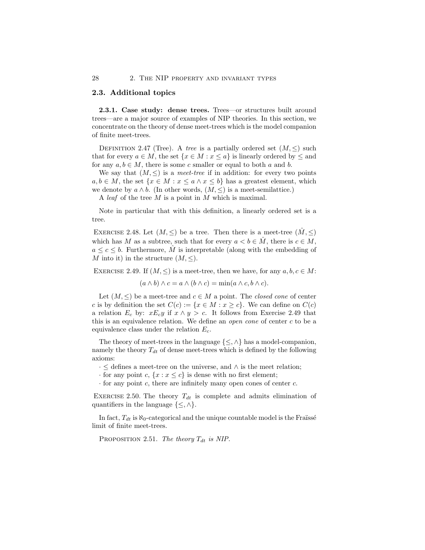## 2.3. Additional topics

2.3.1. Case study: dense trees. Trees—or structures built around trees—are a major source of examples of NIP theories. In this section, we concentrate on the theory of dense meet-trees which is the model companion of finite meet-trees.

DEFINITION 2.47 (Tree). A tree is a partially ordered set  $(M, \leq)$  such that for every  $a \in M$ , the set  $\{x \in M : x \le a\}$  is linearly ordered by  $\le$  and for any  $a, b \in M$ , there is some c smaller or equal to both a and b.

We say that  $(M, \leq)$  is a *meet-tree* if in addition: for every two points  $a, b \in M$ , the set  $\{x \in M : x \le a \wedge x \le b\}$  has a greatest element, which we denote by  $a \wedge b$ . (In other words,  $(M, \leq)$  is a meet-semilattice.)

A *leaf* of the tree  $M$  is a point in  $M$  which is maximal.

Note in particular that with this definition, a linearly ordered set is a tree.

EXERCISE 2.48. Let  $(M, \leq)$  be a tree. Then there is a meet-tree  $(M, \leq)$ which has M as a subtree, such that for every  $a < b \in \hat{M}$ , there is  $c \in M$ ,  $a \leq c \leq b$ . Furthermore, M is interpretable (along with the embedding of M into it) in the structure  $(M, \leq)$ .

EXERCISE 2.49. If  $(M, \leq)$  is a meet-tree, then we have, for any  $a, b, c \in M$ :

$$
(a \wedge b) \wedge c = a \wedge (b \wedge c) = \min(a \wedge c, b \wedge c).
$$

Let  $(M, \leq)$  be a meet-tree and  $c \in M$  a point. The *closed cone* of center c is by definition the set  $C(c) := \{x \in M : x \ge c\}$ . We can define on  $C(c)$ a relation  $E_c$  by:  $xE_c y$  if  $x \wedge y > c$ . It follows from Exercise 2.49 that this is an equivalence relation. We define an *open cone* of center  $c$  to be a equivalence class under the relation  $E_c$ .

The theory of meet-trees in the language  $\{\leq,\wedge\}$  has a model-companion, namely the theory  $T_{dt}$  of dense meet-trees which is defined by the following axioms:

· ≤ defines a meet-tree on the universe, and ∧ is the meet relation;

- · for any point c,  $\{x : x \leq c\}$  is dense with no first element;
- $\cdot$  for any point c, there are infinitely many open cones of center c.

EXERCISE 2.50. The theory  $T_{dt}$  is complete and admits elimination of quantifiers in the language  $\{\leq,\wedge\}.$ 

In fact,  $T_{dt}$  is  $\aleph_0$ -categorical and the unique countable model is the Fraüssé limit of finite meet-trees.

PROPOSITION 2.51. The theory  $T_{dt}$  is NIP.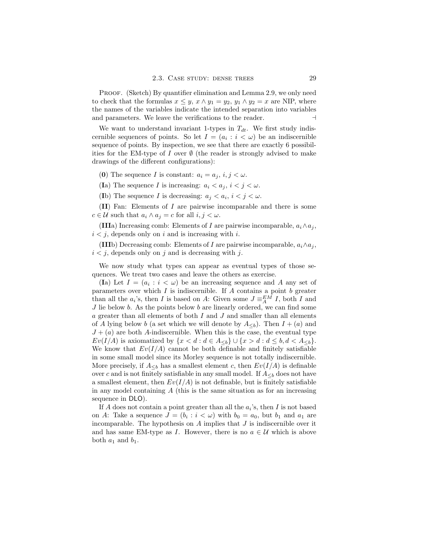PROOF. (Sketch) By quantifier elimination and Lemma 2.9, we only need to check that the formulas  $x \leq y$ ,  $x \wedge y_1 = y_2$ ,  $y_1 \wedge y_2 = x$  are NIP, where the names of the variables indicate the intended separation into variables and parameters. We leave the verifications to the reader.  $\Box$ 

We want to understand invariant 1-types in  $T_{dt}$ . We first study indiscernible sequences of points. So let  $I = (a_i : i < \omega)$  be an indiscernible sequence of points. By inspection, we see that there are exactly 6 possibilities for the EM-type of I over  $\emptyset$  (the reader is strongly advised to make drawings of the different configurations):

- (0) The sequence I is constant:  $a_i = a_j, i, j < \omega$ .
- (Ia) The sequence I is increasing:  $a_i < a_j$ ,  $i < j < \omega$ .
- (Ib) The sequence I is decreasing:  $a_j < a_i$ ,  $i < j < \omega$ .

(II) Fan: Elements of I are pairwise incomparable and there is some  $c \in \mathcal{U}$  such that  $a_i \wedge a_j = c$  for all  $i, j < \omega$ .

(IIIa) Increasing comb: Elements of I are pairwise incomparable,  $a_i \wedge a_j$ ,  $i < j$ , depends only on i and is increasing with i.

(IIIb) Decreasing comb: Elements of I are pairwise incomparable,  $a_i \wedge a_j$ ,  $i < j$ , depends only on j and is decreasing with j.

We now study what types can appear as eventual types of those sequences. We treat two cases and leave the others as exercise.

(Ia) Let  $I = (a_i : i < \omega)$  be an increasing sequence and A any set of parameters over which  $I$  is indiscernible. If  $A$  contains a point  $b$  greater than all the  $a_i$ 's, then I is based on A: Given some  $J \equiv_A^{EM} I$ , both I and  $J$  lie below  $b$ . As the points below  $b$  are linearly ordered, we can find some  $a$  greater than all elements of both  $I$  and  $J$  and smaller than all elements of A lying below b (a set which we will denote by  $A_{\leq b}$ ). Then  $I + (a)$  and  $J + (a)$  are both A-indiscernible. When this is the case, the eventual type  $Ev(I/A)$  is axiomatized by  $\{x < d : d \in A_{\leq b}\} \cup \{x > d : d \leq b, d < A_{\leq b}\}.$ We know that  $Ev(I/A)$  cannot be both definable and finitely satisfiable in some small model since its Morley sequence is not totally indiscernible. More precisely, if  $A_{\leq b}$  has a smallest element c, then  $Ev(I/A)$  is definable over c and is not finitely satisfiable in any small model. If  $A_{\leq b}$  does not have a smallest element, then  $Ev(I/A)$  is not definable, but is finitely satisfiable in any model containing  $A$  (this is the same situation as for an increasing sequence in DLO).

If A does not contain a point greater than all the  $a_i$ 's, then I is not based on A: Take a sequence  $J = (b_i : i < \omega)$  with  $b_0 = a_0$ , but  $b_1$  and  $a_1$  are incomparable. The hypothesis on  $A$  implies that  $J$  is indiscernible over it and has same EM-type as I. However, there is no  $a \in \mathcal{U}$  which is above both  $a_1$  and  $b_1$ .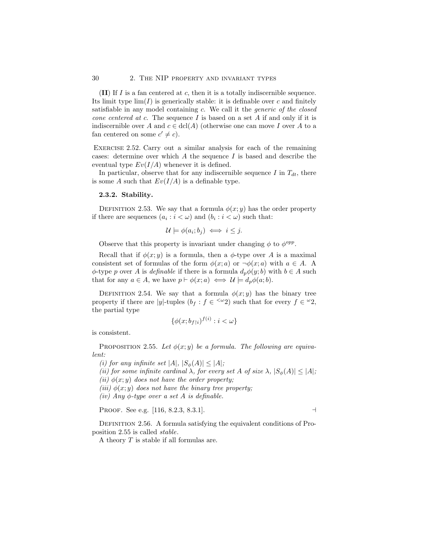(II) If I is a fan centered at c, then it is a totally indiscernible sequence. Its limit type  $\lim(I)$  is generically stable: it is definable over c and finitely satisfiable in any model containing  $c$ . We call it the *generic of the closed* cone centered at c. The sequence  $I$  is based on a set  $A$  if and only if it is indiscernible over A and  $c \in \text{dcl}(A)$  (otherwise one can move I over A to a fan centered on some  $c' \neq c$ .

EXERCISE 2.52. Carry out a similar analysis for each of the remaining cases: determine over which  $A$  the sequence  $I$  is based and describe the eventual type  $Ev(I/A)$  whenever it is defined.

In particular, observe that for any indiscernible sequence I in  $T_{dt}$ , there is some A such that  $Ev(I/A)$  is a definable type.

## 2.3.2. Stability.

DEFINITION 2.53. We say that a formula  $\phi(x; y)$  has the order property if there are sequences  $(a_i : i < \omega)$  and  $(b_i : i < \omega)$  such that:

$$
\mathcal{U} \models \phi(a_i; b_j) \iff i \leq j.
$$

Observe that this property is invariant under changing  $\phi$  to  $\phi^{opp}$ .

Recall that if  $\phi(x; y)$  is a formula, then a  $\phi$ -type over A is a maximal consistent set of formulas of the form  $\phi(x; a)$  or  $\neg \phi(x; a)$  with  $a \in A$ .  $\phi$ -type p over A is definable if there is a formula  $d_p\phi(y; b)$  with  $b \in A$  such that for any  $a \in A$ , we have  $p \vdash \phi(x; a) \iff \mathcal{U} \models d_p \phi(a; b)$ .

DEFINITION 2.54. We say that a formula  $\phi(x; y)$  has the binary tree property if there are |y|-tuples  $(b_f : f \in \langle \omega_2 \rangle)$  such that for every  $f \in \omega_2$ , the partial type

$$
\{\phi(x;b_{f\restriction i})^{f(i)} : i<\omega\}
$$

is consistent.

PROPOSITION 2.55. Let  $\phi(x; y)$  be a formula. The following are equivalent:

(i) for any infinite set  $|A|, |S_{\phi}(A)| \leq |A|$ ;

(ii) for some infinite cardinal  $\lambda$ , for every set A of size  $\lambda$ ,  $|S_{\phi}(A)| \leq |A|$ ;

(ii)  $\phi(x; y)$  does not have the order property;

(iii)  $\phi(x; y)$  does not have the binary tree property;

(iv) Any  $\phi$ -type over a set A is definable.

PROOF. See e.g.  $[116, 8.2.3, 8.3.1]$ .

DEFINITION 2.56. A formula satisfying the equivalent conditions of Proposition 2.55 is called *stable*.

A theory T is stable if all formulas are.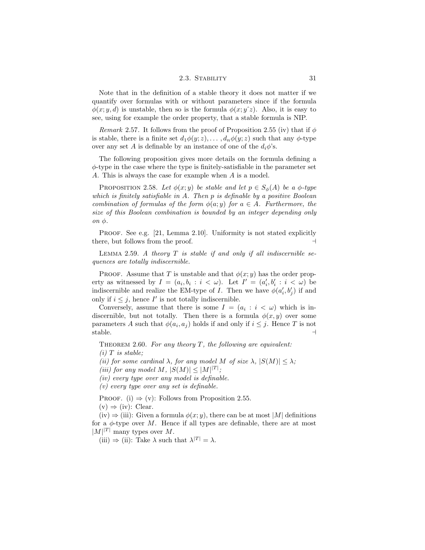#### 2.3. STABILITY 31

Note that in the definition of a stable theory it does not matter if we quantify over formulas with or without parameters since if the formula  $\phi(x; y, d)$  is unstable, then so is the formula  $\phi(x; y \hat{z})$ . Also, it is easy to see, using for example the order property, that a stable formula is NIP.

Remark 2.57. It follows from the proof of Proposition 2.55 (iv) that if  $\phi$ is stable, there is a finite set  $d_1\phi(y; z), \ldots, d_n\phi(y; z)$  such that any  $\phi$ -type over any set A is definable by an instance of one of the  $d_i\phi$ 's.

The following proposition gives more details on the formula defining a  $\phi$ -type in the case where the type is finitely-satisfiable in the parameter set A. This is always the case for example when A is a model.

PROPOSITION 2.58. Let  $\phi(x; y)$  be stable and let  $p \in S_{\phi}(A)$  be a  $\phi$ -type which is finitely satisfiable in A. Then p is definable by a positive Boolean combination of formulas of the form  $\phi(a; y)$  for  $a \in A$ . Furthermore, the size of this Boolean combination is bounded by an integer depending only on φ.

PROOF. See e.g. [21, Lemma 2.10]. Uniformity is not stated explicitly there, but follows from the proof.

LEMMA 2.59. A theory  $T$  is stable if and only if all indiscernible sequences are totally indiscernible.

PROOF. Assume that T is unstable and that  $\phi(x; y)$  has the order property as witnessed by  $I = (a_i, b_i : i < \omega)$ . Let  $I' = (a'_i, b'_i : i < \omega)$  be indiscernible and realize the EM-type of I. Then we have  $\phi(a'_i, b'_j)$  if and only if  $i \leq j$ , hence  $I'$  is not totally indiscernible.

Conversely, assume that there is some  $I = (a_i : i < \omega)$  which is indiscernible, but not totally. Then there is a formula  $\phi(x, y)$  over some parameters A such that  $\phi(a_i, a_j)$  holds if and only if  $i \leq j$ . Hence T is not stable.  $\Box$ 

THEOREM 2.60. For any theory  $T$ , the following are equivalent:  $(i)$  T is stable;

(ii) for some cardinal  $\lambda$ , for any model M of size  $\lambda$ ,  $|S(M)| \leq \lambda$ ;

(iii) for any model M,  $|S(M)| \leq |M|^{|T|}$ ;

(iv) every type over any model is definable.

(v) every type over any set is definable.

PROOF. (i)  $\Rightarrow$  (v): Follows from Proposition 2.55.  $(v) \Rightarrow (iv)$ : Clear.

(iv)  $\Rightarrow$  (iii): Given a formula  $\phi(x; y)$ , there can be at most |M| definitions for a  $\phi$ -type over M. Hence if all types are definable, there are at most  $|M|^{T}$  many types over M.

(iii)  $\Rightarrow$  (ii): Take  $\lambda$  such that  $\lambda^{|T|} = \lambda$ .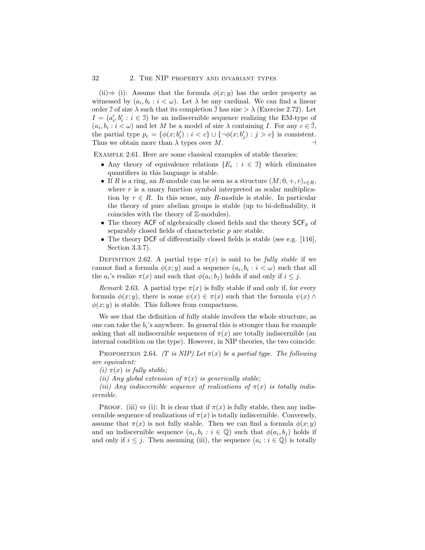(ii)⇒ (i): Assume that the formula  $\phi(x; y)$  has the order property as witnessed by  $(a_i, b_i : i < \omega)$ . Let  $\lambda$  be any cardinal. We can find a linear order J of size  $\lambda$  such that its completion J has size  $>\lambda$  (Exercise 2.72). Let  $I = (a'_i, b'_i : i \in \mathcal{I})$  be an indiscernible sequence realizing the EM-type of  $(a_i, b_i : i < \omega)$  and let M be a model of size  $\lambda$  containing I. For any  $c \in \overline{J}$ , the partial type  $p_c = \{ \phi(x; b'_i) : i < c \} \cup \{ \neg \phi(x; b'_j) : j > c \}$  is consistent. Thus we obtain more than  $\lambda$  types over M.

EXAMPLE 2.61. Here are some classical examples of stable theories:

- Any theory of equivalence relations  $\{E_i : i \in \mathcal{I}\}\$  which eliminates quantifiers in this language is stable.
- If R is a ring, an R-module can be seen as a structure  $(M; 0, +, r)_{r \in R}$ , where  $r$  is a unary function symbol interpreted as scalar multiplication by  $r \in R$ . In this sense, any R-module is stable. In particular the theory of pure abelian groups is stable (up to bi-definability, it coincides with the theory of Z-modules).
- The theory  $ACF$  of algebraically closed fields and the theory  $SCF_p$  of separably closed fields of characteristic p are stable.
- The theory DCF of differentially closed fields is stable (see e.g. [116], Section 3.3.7).

DEFINITION 2.62. A partial type  $\pi(x)$  is said to be *fully stable* if we cannot find a formula  $\phi(x; y)$  and a sequence  $(a_i, b_i : i < \omega)$  such that all the  $a_i$ 's realize  $\pi(x)$  and such that  $\phi(a_i; b_j)$  holds if and only if  $i \leq j$ .

Remark 2.63. A partial type  $\pi(x)$  is fully stable if and only if, for every formula  $\phi(x; y)$ , there is some  $\psi(x) \in \pi(x)$  such that the formula  $\psi(x) \wedge$  $\phi(x; y)$  is stable. This follows from compactness.

We see that the definition of fully stable involves the whole structure, as one can take the  $b_i$ 's anywhere. In general this is stronger than for example asking that all indiscernible sequences of  $\pi(x)$  are totally indiscernible (an internal condition on the type). However, in NIP theories, the two coincide.

PROPOSITION 2.64. (T is NIP) Let  $\pi(x)$  be a partial type. The following are equivalent:

(i)  $\pi(x)$  is fully stable;

(ii) Any global extension of  $\pi(x)$  is generically stable;

(iii) Any indiscernible sequence of realizations of  $\pi(x)$  is totally indiscernible.

PROOF. (iii)  $\Leftrightarrow$  (i): It is clear that if  $\pi(x)$  is fully stable, then any indiscernible sequence of realizations of  $\pi(x)$  is totally indiscernible. Conversely, assume that  $\pi(x)$  is not fully stable. Then we can find a formula  $\phi(x; y)$ and an indiscernible sequence  $(a_i, b_i : i \in \mathbb{Q})$  such that  $\phi(a_i, b_j)$  holds if and only if  $i \leq j$ . Then assuming (iii), the sequence  $(a_i : i \in \mathbb{Q})$  is totally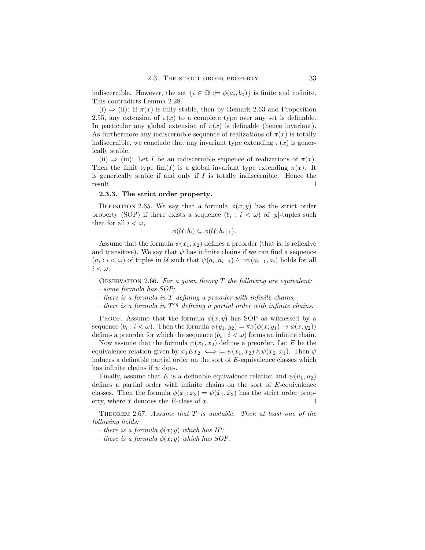indiscernible. However, the set  $\{i \in \mathbb{Q} : \models \phi(a_i, b_0)\}$  is finite and cofinite. This contradicts Lemma 2.28.

(i)  $\Rightarrow$  (ii): If  $\pi(x)$  is fully stable, then by Remark 2.63 and Proposition 2.55, any extension of  $\pi(x)$  to a complete type over any set is definable. In particular any global extension of  $\pi(x)$  is definable (hence invariant). As furthermore any indiscernible sequence of realizations of  $\pi(x)$  is totally indiscernible, we conclude that any invariant type extending  $\pi(x)$  is generically stable.

(ii)  $\Rightarrow$  (iii): Let I be an indiscernible sequence of realizations of  $\pi(x)$ . Then the limit type  $\lim(I)$  is a global invariant type extending  $\pi(x)$ . It is generically stable if and only if  $I$  is totally indiscernible. Hence the  $r$ esult.  $\Box$ 

## 2.3.3. The strict order property.

DEFINITION 2.65. We say that a formula  $\phi(x; y)$  has the strict order property (SOP) if there exists a sequence  $(b_i : i < \omega)$  of |y|-tuples such that for all  $i < \omega$ ,

$$
\phi(\mathcal{U};b_i) \subsetneq \phi(\mathcal{U};b_{i+1}).
$$

Assume that the formula  $\psi(x_1, x_2)$  defines a preorder (that is, is reflexive and transitive). We say that  $\psi$  has infinite chains if we can find a sequence  $(a_i : i < \omega)$  of tuples in U such that  $\psi(a_i, a_{i+1}) \wedge \neg \psi(a_{i+1}, a_i)$  holds for all  $i < \omega$ .

OBSERVATION 2.66. For a given theory  $T$  the following are equivalent: · some formula has SOP;

- $\cdot$  there is a formula in  $T$  defining a preorder with infinite chains;
- $\cdot$  there is a formula in  $T^{eq}$  defining a partial order with infinite chains.

PROOF. Assume that the formula  $\phi(x; y)$  has SOP as witnessed by a sequence  $(b_i : i < \omega)$ . Then the formula  $\psi(y_1, y_2) = \forall x(\phi(x; y_1) \rightarrow \phi(x; y_2))$ defines a preorder for which the sequence  $(b_i : i < \omega)$  forms an infinite chain.

Now assume that the formula  $\psi(x_1, x_2)$  defines a preorder. Let E be the equivalence relation given by  $x_1Ex_2 \iff \models \psi(x_1, x_2) \land \psi(x_2, x_1)$ . Then  $\psi$ induces a definable partial order on the sort of  $E$ -equivalence classes which has infinite chains if  $\psi$  does.

Finally, assume that E is a definable equivalence relation and  $\psi(u_1, u_2)$ defines a partial order with infinite chains on the sort of  $E$ -equivalence classes. Then the formula  $\phi(x_1; x_2) = \psi(\hat{x}_1, \hat{x}_2)$  has the strict order property, where  $\hat{x}$  denotes the E-class of x.

THEOREM 2.67. Assume that  $T$  is unstable. Then at least one of the following holds:

 $\cdot$  there is a formula  $\phi(x; y)$  which has IP;

 $\cdot$  there is a formula  $\phi(x; y)$  which has SOP.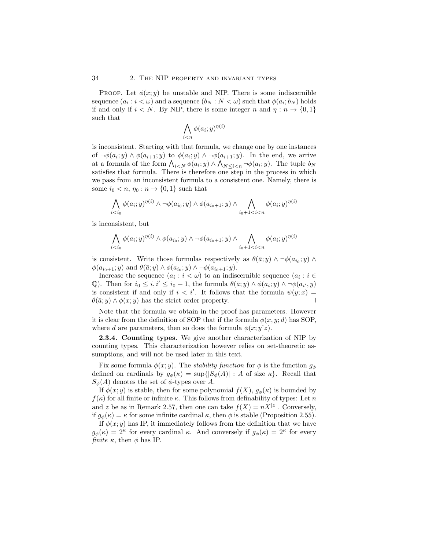**PROOF.** Let  $\phi(x; y)$  be unstable and NIP. There is some indiscernible sequence  $(a_i : i < \omega)$  and a sequence  $(b_N : N < \omega)$  such that  $\phi(a_i : b_N)$  holds if and only if  $i < N$ . By NIP, there is some integer n and  $\eta : n \to \{0, 1\}$ such that

$$
\bigwedge_{i
$$

is inconsistent. Starting with that formula, we change one by one instances of  $\neg \phi(a_i; y) \wedge \phi(a_{i+1}; y)$  to  $\phi(a_i; y) \wedge \phi(a_{i+1}; y)$ . In the end, we arrive at a formula of the form  $\bigwedge_{i\leq N}\phi(a_i; y)\wedge \bigwedge_{N\leq i\leq n}\neg\phi(a_i; y)$ . The tuple  $b_N$ satisfies that formula. There is therefore one step in the process in which we pass from an inconsistent formula to a consistent one. Namely, there is some  $i_0 < n$ ,  $\eta_0 : n \to \{0, 1\}$  such that

$$
\bigwedge_{i
$$

is inconsistent, but

$$
\bigwedge_{i
$$

is consistent. Write those formulas respectively as  $\theta(\bar{a}; y) \wedge \neg \phi(a_{i_0}; y) \wedge \neg \phi(a_{i_0}; y)$  $\phi(a_{i_0+1}; y)$  and  $\theta(\bar{a}; y) \wedge \phi(a_{i_0}; y) \wedge \neg \phi(a_{i_0+1}; y)$ .

Increase the sequence  $(a_i : i < \omega)$  to an indiscernible sequence  $(a_i : i \in \mathbb{Z})$ Q). Then for  $i_0 \leq i, i' \leq i_0 + 1$ , the formula  $\theta(\bar{a}; y) \wedge \phi(a_i; y) \wedge \neg \phi(a_{i'}, y)$ is consistent if and only if  $i < i'$ . It follows that the formula  $\psi(y; x) =$  $\theta(\bar{a}; y) \wedge \phi(x; y)$  has the strict order property.

Note that the formula we obtain in the proof has parameters. However it is clear from the definition of SOP that if the formula  $\phi(x, y; d)$  has SOP, where d are parameters, then so does the formula  $\phi(x; y^2)$ .

2.3.4. Counting types. We give another characterization of NIP by counting types. This characterization however relies on set-theoretic assumptions, and will not be used later in this text.

Fix some formula  $\phi(x; y)$ . The *stability function* for  $\phi$  is the function  $g_{\phi}$ defined on cardinals by  $g_{\phi}(\kappa) = \sup\{|S_{\phi}(A)| : A \text{ of size } \kappa\}.$  Recall that  $S_{\phi}(A)$  denotes the set of  $\phi$ -types over A.

If  $\phi(x; y)$  is stable, then for some polynomial  $f(X)$ ,  $g_{\phi}(\kappa)$  is bounded by  $f(\kappa)$  for all finite or infinite  $\kappa$ . This follows from definability of types: Let n and z be as in Remark 2.57, then one can take  $f(X) = nX^{|z|}$ . Conversely, if  $g_{\phi}(\kappa) = \kappa$  for some infinite cardinal  $\kappa$ , then  $\phi$  is stable (Proposition 2.55).

If  $\phi(x; y)$  has IP, it immediately follows from the definition that we have  $g_{\phi}(\kappa) = 2^{\kappa}$  for every cardinal  $\kappa$ . And conversely if  $g_{\phi}(\kappa) = 2^{\kappa}$  for every *finite*  $\kappa$ , then  $\phi$  has IP.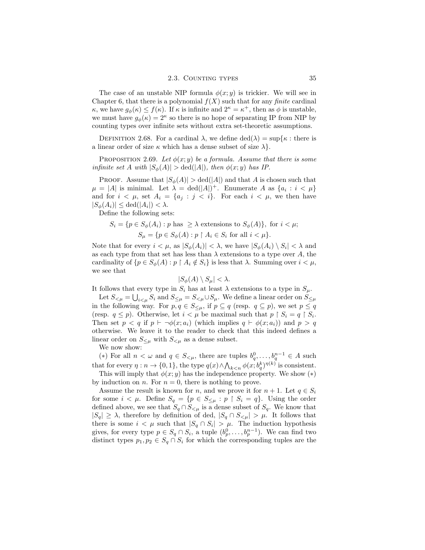The case of an unstable NIP formula  $\phi(x; y)$  is trickier. We will see in Chapter 6, that there is a polynomial  $f(X)$  such that for any *finite* cardinal κ, we have  $g_{\phi}(\kappa) \le f(\kappa)$ . If κ is infinite and  $2^{\kappa} = \kappa^+$ , then as φ is unstable, we must have  $g_{\phi}(\kappa) = 2^{\kappa}$  so there is no hope of separating IP from NIP by counting types over infinite sets without extra set-theoretic assumptions.

DEFINITION 2.68. For a cardinal  $\lambda$ , we define ded( $\lambda$ ) = sup{ $\kappa$ : there is a linear order of size  $\kappa$  which has a dense subset of size  $\lambda$ .

PROPOSITION 2.69. Let  $\phi(x; y)$  be a formula. Assume that there is some infinite set A with  $|S_{\phi}(A)| > \text{ded}(|A|)$ , then  $\phi(x; y)$  has IP.

**PROOF.** Assume that  $|S_{\phi}(A)| > \text{ded}(|A|)$  and that A is chosen such that  $\mu = |A|$  is minimal. Let  $\lambda = \text{ded}(|A|)^{+}$ . Enumerate A as  $\{a_i : i < \mu\}$ and for  $i < \mu$ , set  $A_i = \{a_j : j < i\}$ . For each  $i < \mu$ , we then have  $|S_{\phi}(A_i)| \leq \operatorname{ded}(|A_i|) < \lambda.$ 

Define the following sets:

$$
S_i = \{ p \in S_{\phi}(A_i) : p \text{ has } \ge \lambda \text{ extensions to } S_{\phi}(A) \}, \text{ for } i < \mu; S_{\mu} = \{ p \in S_{\phi}(A) : p \upharpoonright A_i \in S_i \text{ for all } i < \mu \}.
$$

Note that for every  $i < \mu$ , as  $|S_{\phi}(A_i)| < \lambda$ , we have  $|S_{\phi}(A_i) \setminus S_i| < \lambda$  and as each type from that set has less than  $\lambda$  extensions to a type over A, the cardinality of  $\{p \in S_{\phi}(A) : p \upharpoonright A_i \notin S_i\}$  is less that  $\lambda$ . Summing over  $i < \mu$ , we see that

$$
|S_{\phi}(A) \setminus S_{\mu}| < \lambda.
$$

It follows that every type in  $S_i$  has at least  $\lambda$  extensions to a type in  $S_\mu$ .

Let  $S_{\leq \mu} = \bigcup_{i \leq \mu} S_i$  and  $S_{\leq \mu} = S_{\leq \mu} \cup S_{\mu}$ . We define a linear order on  $S_{\leq \mu}$ in the following way. For  $p, q \in S_{\leq \mu}$ , if  $p \subseteq q$  (resp.  $q \subseteq p$ ), we set  $p \leq q$ (resp.  $q \leq p$ ). Otherwise, let  $i < \mu$  be maximal such that  $p \restriction S_i = q \restriction S_i$ . Then set  $p < q$  if  $p \vdash \neg \phi(x; a_i)$  (which implies  $q \vdash \phi(x; a_i)$ ) and  $p > q$ otherwise. We leave it to the reader to check that this indeed defines a linear order on  $S_{\leq \mu}$  with  $S_{\leq \mu}$  as a dense subset.

We now show:

(\*) For all  $n < \omega$  and  $q \in S_{\leq \mu}$ , there are tuples  $b_q^0, \ldots, b_q^{n-1} \in A$  such that for every  $\eta: n \to \{0, 1\}$ , the type  $q(x) \wedge \bigwedge_{k \leq n} \phi(x; b_q^k)^{\eta(k)}$  is consistent.

This will imply that  $\phi(x; y)$  has the independence property. We show  $(*)$ by induction on *n*. For  $n = 0$ , there is nothing to prove.

Assume the result is known for n, and we prove it for  $n + 1$ . Let  $q \in S_i$ for some  $i < \mu$ . Define  $S_q = \{p \in S_{\leq \mu} : p \restriction S_i = q\}$ . Using the order defined above, we see that  $S_q \cap S_{\leq \mu}$  is a dense subset of  $S_q$ . We know that  $|S_q| \geq \lambda$ , therefore by definition of ded,  $|S_q \cap S_{\leq \mu}| > \mu$ . It follows that there is some  $i < \mu$  such that  $|S_q \cap S_i| > \mu$ . The induction hypothesis gives, for every type  $p \in S_q \cap S_i$ , a tuple  $(b_p^0, \ldots, b_p^{n-1})$ . We can find two distinct types  $p_1, p_2 \in S_q \cap S_i$  for which the corresponding tuples are the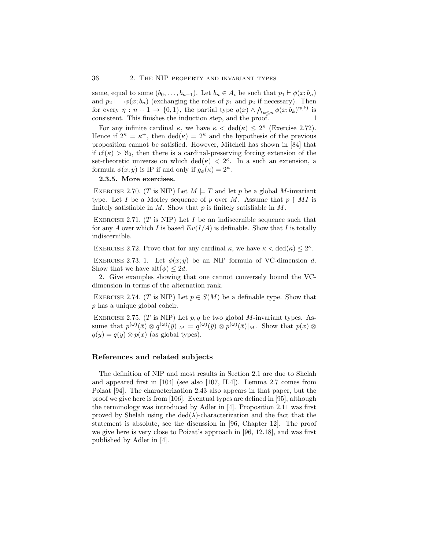same, equal to some  $(b_0, \ldots, b_{n-1})$ . Let  $b_n \in A_i$  be such that  $p_1 \vdash \phi(x; b_n)$ and  $p_2 \vdash \neg \phi(x; b_n)$  (exchanging the roles of  $p_1$  and  $p_2$  if necessary). Then for every  $\eta: n+1 \to \{0,1\}$ , the partial type  $q(x) \wedge \bigwedge_{k \leq n} \phi(x;b_k)^{\eta(k)}$  is consistent. This finishes the induction step, and the proof.  $\Box$ 

For any infinite cardinal  $\kappa$ , we have  $\kappa < \text{ded}(\kappa) \leq 2^{\kappa}$  (Exercise 2.72). Hence if  $2^{\kappa} = \kappa^+$ , then  $\text{ded}(\kappa) = 2^{\kappa}$  and the hypothesis of the previous proposition cannot be satisfied. However, Mitchell has shown in [84] that if  $cf(\kappa) > \aleph_0$ , then there is a cardinal-preserving forcing extension of the set-theoretic universe on which  $\text{ded}(\kappa) < 2^{\kappa}$ . In a such an extension, a formula  $\phi(x; y)$  is IP if and only if  $g_{\phi}(\kappa) = 2^{\kappa}$ .

## 2.3.5. More exercises.

EXERCISE 2.70. (T is NIP) Let  $M \models T$  and let p be a global M-invariant type. Let I be a Morley sequence of p over M. Assume that  $p \restriction MI$  is finitely satisfiable in  $M$ . Show that  $p$  is finitely satisfiable in  $M$ .

EXERCISE 2.71. (T is NIP) Let I be an indiscernible sequence such that for any A over which I is based  $Ev(I/A)$  is definable. Show that I is totally indiscernible.

EXERCISE 2.72. Prove that for any cardinal  $\kappa$ , we have  $\kappa < \text{ded}(\kappa) \leq 2^{\kappa}$ .

EXERCISE 2.73. 1. Let  $\phi(x; y)$  be an NIP formula of VC-dimension d. Show that we have  $\text{alt}(\phi) \leq 2d$ .

2. Give examples showing that one cannot conversely bound the VCdimension in terms of the alternation rank.

EXERCISE 2.74. (T is NIP) Let  $p \in S(M)$  be a definable type. Show that p has a unique global coheir.

EXERCISE 2.75. (T is NIP) Let  $p, q$  be two global M-invariant types. Assume that  $p^{(\omega)}(\bar{x}) \otimes q^{(\omega)}(\bar{y})|_M = q^{(\omega)}(\bar{y}) \otimes p^{(\omega)}(\bar{x})|_M$ . Show that  $p(x) \otimes$  $q(y) = q(y) \otimes p(x)$  (as global types).

#### References and related subjects

The definition of NIP and most results in Section 2.1 are due to Shelah and appeared first in [104] (see also [107, II.4]). Lemma 2.7 comes from Poizat [94]. The characterization 2.43 also appears in that paper, but the proof we give here is from [106]. Eventual types are defined in [95], although the terminology was introduced by Adler in [4]. Proposition 2.11 was first proved by Shelah using the  $\text{ded}(\lambda)$ -characterization and the fact that the statement is absolute, see the discussion in [96, Chapter 12]. The proof we give here is very close to Poizat's approach in [96, 12.18], and was first published by Adler in [4].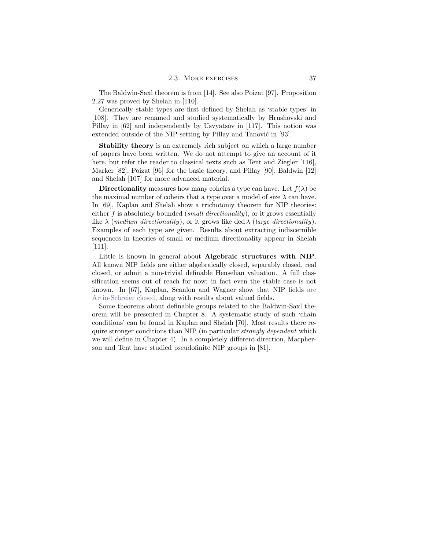The Baldwin-Saxl theorem is from [14]. See also Poizat [97]. Proposition 2.27 was proved by Shelah in [110].

Generically stable types are first defined by Shelah as 'stable types' in [108]. They are renamed and studied systematically by Hrushovski and Pillay in [62] and independently by Usvyatsov in [117]. This notion was extended outside of the NIP setting by Pillay and Tanović in  $[93]$ .

Stability theory is an extremely rich subject on which a large number of papers have been written. We do not attempt to give an account of it here, but refer the reader to classical texts such as Tent and Ziegler [116], Marker [82], Poizat [96] for the basic theory, and Pillay [90], Baldwin [12] and Shelah [107] for more advanced material.

**Directionality** measures how many coheirs a type can have. Let  $f(\lambda)$  be the maximal number of coheirs that a type over a model of size  $\lambda$  can have. In [69], Kaplan and Shelah show a trichotomy theorem for NIP theories: either  $f$  is absolutely bounded (*small directionality*), or it grows essentially like  $\lambda$  (medium directionality), or it grows like ded  $\lambda$  (large directionality). Examples of each type are given. Results about extracting indiscernible sequences in theories of small or medium directionality appear in Shelah [111].

Little is known in general about Algebraic structures with NIP. All known NIP fields are either algebraically closed, separably closed, real closed, or admit a non-trivial definable Henselian valuation. A full classification seems out of reach for now; in fact even the stable case is not known. In [67], Kaplan, Scanlon and Wagner show that NIP fields are Artin-Schreier closed, along with results about valued fields.

Some theorems about definable groups related to the Baldwin-Saxl theorem will be presented in Chapter 8. A systematic study of such 'chain conditions' can be found in Kaplan and Shelah [70]. Most results there require stronger conditions than NIP (in particular *strongly dependent* which we will define in Chapter 4). In a completely different direction, Macpherson and Tent have studied pseudofinite NIP groups in [81].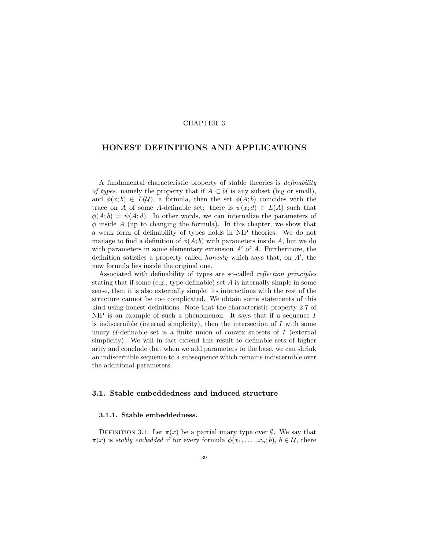## CHAPTER 3

# HONEST DEFINITIONS AND APPLICATIONS

A fundamental characteristic property of stable theories is definability of types, namely the property that if  $A \subset \mathcal{U}$  is any subset (big or small), and  $\phi(x;b) \in L(\mathcal{U})$ , a formula, then the set  $\phi(A;b)$  coincides with the trace on A of some A-definable set: there is  $\psi(x; d) \in L(A)$  such that  $\phi(A;b) = \psi(A;d)$ . In other words, we can internalize the parameters of  $\phi$  inside A (up to changing the formula). In this chapter, we show that a weak form of definability of types holds in NIP theories. We do not manage to find a definition of  $\phi(A; b)$  with parameters inside A, but we do with parameters in some elementary extension  $A'$  of  $A$ . Furthermore, the definition satisfies a property called *honesty* which says that, on  $A'$ , the new formula lies inside the original one.

Associated with definability of types are so-called reflection principles stating that if some (e.g., type-definable) set  $A$  is internally simple in some sense, then it is also externally simple: its interactions with the rest of the structure cannot be too complicated. We obtain some statements of this kind using honest definitions. Note that the characteristic property 2.7 of NIP is an example of such a phenomenon. It says that if a sequence I is indiscernible (internal simplicity), then the intersection of  $I$  with some unary  $U$ -definable set is a finite union of convex subsets of  $I$  (external simplicity). We will in fact extend this result to definable sets of higher arity and conclude that when we add parameters to the base, we can shrink an indiscernible sequence to a subsequence which remains indiscernible over the additional parameters.

# 3.1. Stable embeddedness and induced structure

### 3.1.1. Stable embeddedness.

DEFINITION 3.1. Let  $\pi(x)$  be a partial unary type over  $\emptyset$ . We say that  $\pi(x)$  is stably embedded if for every formula  $\phi(x_1, \ldots, x_n; b)$ ,  $b \in \mathcal{U}$ , there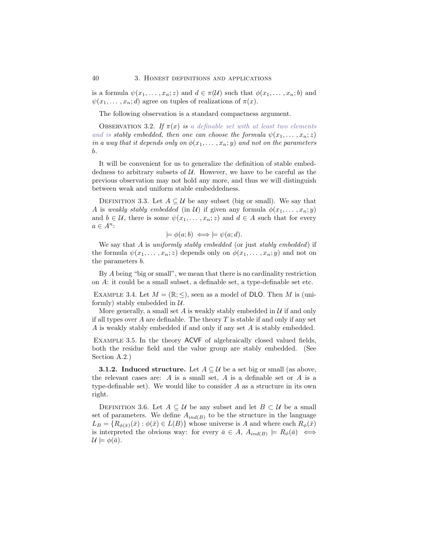is a formula  $\psi(x_1, \ldots, x_n; z)$  and  $d \in \pi(\mathcal{U})$  such that  $\phi(x_1, \ldots, x_n; b)$  and  $\psi(x_1, \ldots, x_n; d)$  agree on tuples of realizations of  $\pi(x)$ .

The following observation is a standard compactness argument.

**OBSERVATION 3.2.** If  $\pi(x)$  is a definable set with at least two elements and is stably embedded, then one can choose the formula  $\psi(x_1, \ldots, x_n; z)$ in a way that it depends only on  $\phi(x_1, \ldots, x_n; y)$  and not on the parameters b.

It will be convenient for us to generalize the definition of stable embeddedness to arbitrary subsets of  $U$ . However, we have to be careful as the previous observation may not hold any more, and thus we will distinguish between weak and uniform stable embeddedness.

DEFINITION 3.3. Let  $A \subseteq U$  be any subset (big or small). We say that A is weakly stably embedded (in U) if given any formula  $\phi(x_1, \ldots, x_n; y)$ and  $b \in \mathcal{U}$ , there is some  $\psi(x_1, \ldots, x_n; z)$  and  $d \in A$  such that for every  $a \in A^n$ :

$$
\models \phi(a;b) \iff \models \psi(a;d).
$$

We say that  $A$  is uniformly stably embedded (or just stably embedded) if the formula  $\psi(x_1, \ldots, x_n; z)$  depends only on  $\phi(x_1, \ldots, x_n; y)$  and not on the parameters b.

By A being "big or small", we mean that there is no cardinality restriction on A: it could be a small subset, a definable set, a type-definable set etc.

EXAMPLE 3.4. Let  $M = (\mathbb{R}; \leq)$ , seen as a model of DLO. Then M is (uniformly) stably embedded in  $U$ .

More generally, a small set A is weakly stably embedded in  $\mathcal U$  if and only if all types over  $A$  are definable. The theory  $T$  is stable if and only if any set A is weakly stably embedded if and only if any set A is stably embedded.

Example 3.5. In the theory ACVF of algebraically closed valued fields, both the residue field and the value group are stably embedded. (See Section A.2.)

**3.1.2.** Induced structure. Let  $A \subseteq U$  be a set big or small (as above, the relevant cases are:  $A$  is a small set,  $A$  is a definable set or  $A$  is a type-definable set). We would like to consider A as a structure in its own right.

DEFINITION 3.6. Let  $A \subseteq U$  be any subset and let  $B \subset U$  be a small set of parameters. We define  $A_{ind(B)}$  to be the structure in the language  $L_B = \{R_{\phi(\bar{x})}(\bar{x}) : \phi(\bar{x}) \in L(B)\}\$  whose universe is A and where each  $R_{\phi}(\bar{x})$ is interpreted the obvious way: for every  $\bar{a} \in A$ ,  $A_{ind(B)} \models R_{\phi}(\bar{a}) \iff$  $\mathcal{U} \models \phi(\bar{a}).$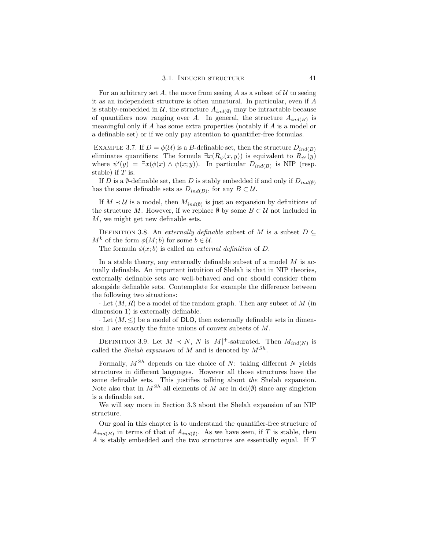For an arbitrary set A, the move from seeing A as a subset of  $U$  to seeing it as an independent structure is often unnatural. In particular, even if A is stably-embedded in  $\mathcal{U}$ , the structure  $A_{ind(\emptyset)}$  may be intractable because of quantifiers now ranging over A. In general, the structure  $A_{ind(B)}$  is meaningful only if A has some extra properties (notably if A is a model or a definable set) or if we only pay attention to quantifier-free formulas.

EXAMPLE 3.7. If  $D = \phi(\mathcal{U})$  is a B-definable set, then the structure  $D_{ind(B)}$ eliminates quantifiers: The formula  $\exists x (R_{\psi}(x, y))$  is equivalent to  $R_{\psi}(y)$ where  $\psi'(y) = \exists x (\phi(x) \land \psi(x; y))$ . In particular  $D_{ind(B)}$  is NIP (resp. stable) if  $T$  is.

If D is a Ø-definable set, then D is stably embedded if and only if  $D_{ind(\emptyset)}$ has the same definable sets as  $D_{ind(B)}$ , for any  $B \subset \mathcal{U}$ .

If  $M \prec U$  is a model, then  $M_{ind(\emptyset)}$  is just an expansion by definitions of the structure M. However, if we replace  $\emptyset$  by some  $B \subset \mathcal{U}$  not included in M, we might get new definable sets.

DEFINITION 3.8. An externally definable subset of M is a subset  $D \subseteq$  $M^k$  of the form  $\phi(M;b)$  for some  $b \in \mathcal{U}$ .

The formula  $\phi(x;b)$  is called an *external definition* of D.

In a stable theory, any externally definable subset of a model  $M$  is actually definable. An important intuition of Shelah is that in NIP theories, externally definable sets are well-behaved and one should consider them alongside definable sets. Contemplate for example the difference between the following two situations:

 $\cdot$  Let  $(M, R)$  be a model of the random graph. Then any subset of M (in dimension 1) is externally definable.

 $\cdot$  Let  $(M, \leq)$  be a model of DLO, then externally definable sets in dimension 1 are exactly the finite unions of convex subsets of M.

DEFINITION 3.9. Let  $M \prec N$ , N is  $|M|^+$ -saturated. Then  $M_{ind(N)}$  is called the *Shelah expansion* of M and is denoted by  $M^{Sh}$ .

Formally,  $M^{Sh}$  depends on the choice of N: taking different N yields structures in different languages. However all those structures have the same definable sets. This justifies talking about the Shelah expansion. Note also that in  $M^{Sh}$  all elements of M are in dcl( $\emptyset$ ) since any singleton is a definable set.

We will say more in Section 3.3 about the Shelah expansion of an NIP structure.

Our goal in this chapter is to understand the quantifier-free structure of  $A_{ind(B)}$  in terms of that of  $A_{ind(\emptyset)}$ . As we have seen, if T is stable, then A is stably embedded and the two structures are essentially equal. If T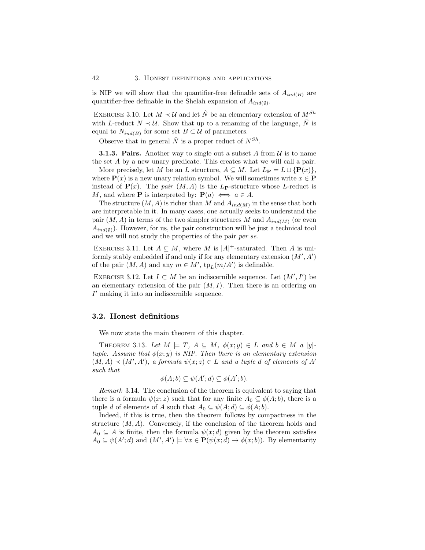is NIP we will show that the quantifier-free definable sets of  $A_{ind(B)}$  are quantifier-free definable in the Shelah expansion of  $A_{ind(\emptyset)}$ .

EXERCISE 3.10. Let  $M \prec \mathcal{U}$  and let  $\hat{N}$  be an elementary extension of  $M^{Sh}$ with L-reduct  $N \prec U$ . Show that up to a renaming of the language,  $\hat{N}$  is equal to  $N_{ind(B)}$  for some set  $B \subset \mathcal{U}$  of parameters.

Observe that in general  $\hat{N}$  is a proper reduct of  $N^{Sh}$ .

**3.1.3. Pairs.** Another way to single out a subset A from  $\mathcal{U}$  is to name the set A by a new unary predicate. This creates what we will call a pair.

More precisely, let M be an L structure,  $A \subseteq M$ . Let  $L_{\mathbf{P}} = L \cup {\mathbf{P}(x)}$ , where  $P(x)$  is a new unary relation symbol. We will sometimes write  $x \in P$ instead of  $P(x)$ . The pair  $(M, A)$  is the L<sub>P</sub>-structure whose L-reduct is M, and where **P** is interpreted by:  $P(a) \iff a \in A$ .

The structure  $(M, A)$  is richer than M and  $A_{ind(M)}$  in the sense that both are interpretable in it. In many cases, one actually seeks to understand the pair  $(M, A)$  in terms of the two simpler structures M and  $A_{ind(M)}$  (or even  $A_{ind(\emptyset)}$ ). However, for us, the pair construction will be just a technical tool and we will not study the properties of the pair per se.

EXERCISE 3.11. Let  $A \subseteq M$ , where M is  $|A|$ <sup>+</sup>-saturated. Then A is uniformly stably embedded if and only if for any elementary extension  $(M', A')$ of the pair  $(M, A)$  and any  $m \in M'$ ,  $\text{tp}_L(m/A')$  is definable.

EXERCISE 3.12. Let  $I \subset M$  be an indiscernible sequence. Let  $(M', I')$  be an elementary extension of the pair  $(M, I)$ . Then there is an ordering on  $I'$  making it into an indiscernible sequence.

#### 3.2. Honest definitions

We now state the main theorem of this chapter.

THEOREM 3.13. Let  $M \models T$ ,  $A \subseteq M$ ,  $\phi(x; y) \in L$  and  $b \in M$  a |y|tuple. Assume that  $\phi(x; y)$  is NIP. Then there is an elementary extension  $(M, A) \prec (M', A')$ , a formula  $\psi(x; z) \in L$  and a tuple d of elements of A' such that

$$
\phi(A;b) \subseteq \psi(A';d) \subseteq \phi(A';b).
$$

Remark 3.14. The conclusion of the theorem is equivalent to saying that there is a formula  $\psi(x; z)$  such that for any finite  $A_0 \subseteq \phi(A; b)$ , there is a tuple d of elements of A such that  $A_0 \subseteq \psi(A; d) \subseteq \phi(A; b)$ .

Indeed, if this is true, then the theorem follows by compactness in the structure  $(M, A)$ . Conversely, if the conclusion of the theorem holds and  $A_0 \subseteq A$  is finite, then the formula  $\psi(x; d)$  given by the theorem satisfies  $A_0 \subseteq \psi(A';d)$  and  $(M', A') \models \forall x \in \mathbf{P}(\psi(x; d) \to \phi(x; b))$ . By elementarity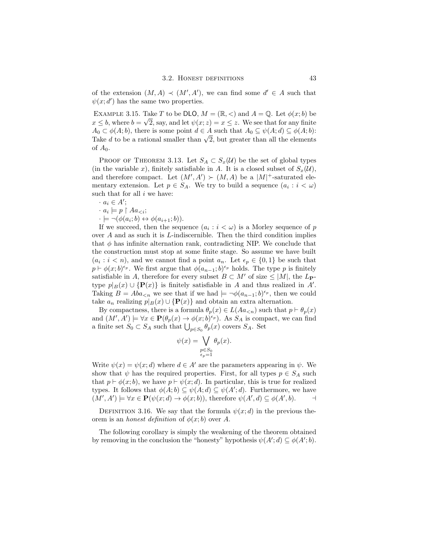of the extension  $(M, A) \prec (M', A')$ , we can find some  $d' \in A$  such that  $\psi(x; d')$  has the same two properties.

EXAMPLE 3.15. Take T to be DLO,  $M = (\mathbb{R}, <)$  and  $A = \mathbb{Q}$ . Let  $\phi(x; b)$  be  $x \leq b$ , where  $b = \sqrt{2}$ , say, and let  $\psi(x; z) = x \leq z$ . We see that for any finite  $A_0 \subset \phi(A; b)$ , there is some point  $d \in A$  such that  $A_0 \subseteq \psi(A; d) \subseteq \phi(A; b)$ :  $A_0 \subseteq \varphi(A; 0)$ , there is some point  $a \in A$  such that  $A_0 \subseteq \varphi(A; a) \subseteq \varphi(A; 0)$ .<br>Take d to be a rational smaller than  $\sqrt{2}$ , but greater than all the elements of  $A_0$ .

PROOF OF THEOREM 3.13. Let  $S_A \subset S_x(\mathcal{U})$  be the set of global types (in the variable x), finitely satisfiable in A. It is a closed subset of  $S_x(\mathcal{U})$ , and therefore compact. Let  $(M', A') \succ (M, A)$  be a  $|M|^+$ -saturated elementary extension. Let  $p \in S_A$ . We try to build a sequence  $(a_i : i < \omega)$ such that for all  $i$  we have:

- $\cdot a_i \in A';$
- $\cdot a_i \models p \upharpoonright A a_{\lt i};$
- $\cdot \models \neg(\phi(a_i;b) \leftrightarrow \phi(a_{i+1};b)).$

If we succeed, then the sequence  $(a_i : i < \omega)$  is a Morley sequence of p over  $A$  and as such it is  $L$ -indiscernible. Then the third condition implies that  $\phi$  has infinite alternation rank, contradicting NIP. We conclude that the construction must stop at some finite stage. So assume we have built  $(a_i : i < n)$ , and we cannot find a point  $a_n$ . Let  $\epsilon_p \in \{0,1\}$  be such that  $p \vdash \phi(x;b)^{\epsilon_p}$ . We first argue that  $\phi(a_{n-1};b)^{\epsilon_p}$  holds. The type p is finitely satisfiable in A, therefore for every subset  $B \subset M'$  of size  $\leq |M|$ , the  $L_{\mathbf{P}}$ type  $p|_B(x) \cup {\bf P}(x)$  is finitely satisfiable in A and thus realized in A'. Taking  $B = Aba_{\leq n}$  we see that if we had  $\models \neg \phi(a_{n-1}; b)^{\epsilon_p}$ , then we could take  $a_n$  realizing  $p|_B(x) \cup {\bf P}(x)$  and obtain an extra alternation.

By compactness, there is a formula  $\theta_p(x) \in L(Aa_{\leq n})$  such that  $p \vdash \theta_p(x)$ and  $(M', A') \models \forall x \in \mathbf{P}(\theta_p(x) \to \phi(x; b)^{\epsilon_p})$ . As  $S_A$  is compact, we can find a finite set  $S_0 \subset S_A$  such that  $\bigcup_{p \in S_0} \theta_p(x)$  covers  $S_A$ . Set

$$
\psi(x) = \bigvee_{\substack{p \in S_0 \\ \epsilon_p = 1}} \theta_p(x).
$$

Write  $\psi(x) = \psi(x; d)$  where  $d \in A'$  are the parameters appearing in  $\psi$ . We show that  $\psi$  has the required properties. First, for all types  $p \in S_A$  such that  $p \vdash \phi(x; b)$ , we have  $p \vdash \psi(x; d)$ . In particular, this is true for realized types. It follows that  $\phi(A; b) \subseteq \psi(A; d) \subseteq \psi(A'; d)$ . Furthermore, we have  $(M', A') \models \forall x \in \mathbf{P}(\psi(x; d) \to \phi(x; b)),$  therefore  $\psi(A', d) \subseteq \phi(A', b).$ 

DEFINITION 3.16. We say that the formula  $\psi(x; d)$  in the previous theorem is an *honest definition* of  $\phi(x; b)$  over A.

The following corollary is simply the weakening of the theorem obtained by removing in the conclusion the "honesty" hypothesis  $\psi(A';d) \subseteq \phi(A';b)$ .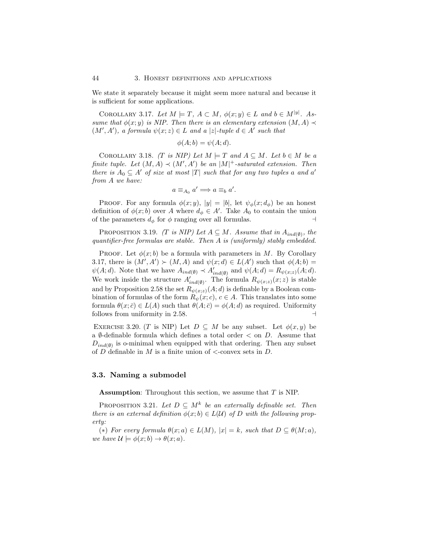We state it separately because it might seem more natural and because it is sufficient for some applications.

COROLLARY 3.17. Let  $M \models T$ ,  $A \subset M$ ,  $\phi(x; y) \in L$  and  $b \in M^{|y|}$ . Assume that  $\phi(x; y)$  is NIP. Then there is an elementary extension  $(M, A) \prec$  $(M', A')$ , a formula  $\psi(x; z) \in L$  and a |z|-tuple  $d \in A'$  such that

$$
\phi(A;b) = \psi(A;d).
$$

COROLLARY 3.18. (T is NIP) Let  $M \models T$  and  $A \subseteq M$ . Let  $b \in M$  be a finite tuple. Let  $(M, A) \prec (M', A')$  be an  $|M|^+$ -saturated extension. Then there is  $A_0 \subseteq A'$  of size at most |T| such that for any two tuples a and a' from A we have:

$$
a \equiv_{A_0} a' \Longrightarrow a \equiv_b a'.
$$

**PROOF.** For any formula  $\phi(x; y)$ ,  $|y| = |b|$ , let  $\psi_{\phi}(x; d_{\phi})$  be an honest definition of  $\phi(x;b)$  over A where  $d_{\phi} \in A'$ . Take  $A_0$  to contain the union of the parameters  $d_{\phi}$  for  $\phi$  ranging over all formulas.

PROPOSITION 3.19. (T is NIP) Let  $A \subseteq M$ . Assume that in  $A_{ind(\emptyset)}$ , the quantifier-free formulas are stable. Then A is (uniformly) stably embedded.

PROOF. Let  $\phi(x; b)$  be a formula with parameters in M. By Corollary 3.17, there is  $(M', A') \succ (M, A)$  and  $\psi(x; d) \in L(A')$  such that  $\phi(A; b) =$  $\psi(A; d)$ . Note that we have  $A_{ind(\emptyset)} \prec A'_{ind(\emptyset)}$  and  $\psi(A; d) = R_{\psi(x;z)}(A; d)$ . We work inside the structure  $A'_{ind(\emptyset)}$ . The formula  $R_{\psi(x;z)}(x;z)$  is stable and by Proposition 2.58 the set  $R_{\psi(x;z)}(A; d)$  is definable by a Boolean combination of formulas of the form  $R_{\psi}(x; c)$ ,  $c \in A$ . This translates into some formula  $\theta(x; \bar{c}) \in L(A)$  such that  $\theta(A; \bar{c}) = \phi(A; d)$  as required. Uniformity follows from uniformity in 2.58.  $\Box$ 

EXERCISE 3.20. (T is NIP) Let  $D \subseteq M$  be any subset. Let  $\phi(x, y)$  be a  $\emptyset$ -definable formula which defines a total order  $\lt$  on D. Assume that  $D_{ind(\emptyset)}$  is o-minimal when equipped with that ordering. Then any subset of D definable in M is a finite union of  $\lt$ -convex sets in D.

#### 3.3. Naming a submodel

Assumption: Throughout this section, we assume that T is NIP.

PROPOSITION 3.21. Let  $D \subseteq M^k$  be an externally definable set. Then there is an external definition  $\phi(x; b) \in L(\mathcal{U})$  of D with the following propertu:

(\*) For every formula  $\theta(x; a) \in L(M)$ ,  $|x| = k$ , such that  $D \subseteq \theta(M; a)$ , we have  $\mathcal{U} \models \phi(x;b) \rightarrow \theta(x;a)$ .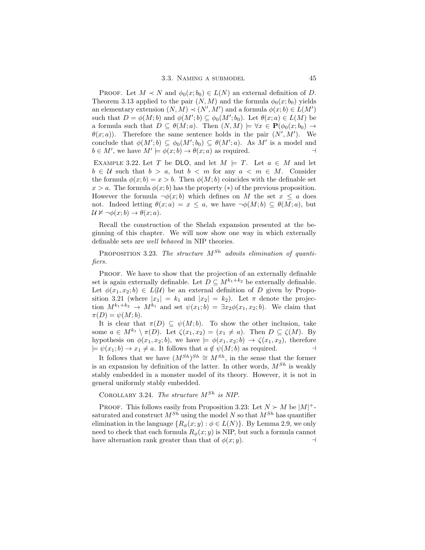PROOF. Let  $M \prec N$  and  $\phi_0(x; b_0) \in L(N)$  an external definition of D. Theorem 3.13 applied to the pair  $(N, M)$  and the formula  $\phi_0(x; b_0)$  yields an elementary extension  $(N, M) \prec (N', M')$  and a formula  $\phi(x; b) \in L(M')$ such that  $D = \phi(M; b)$  and  $\phi(M'; b) \subseteq \phi_0(M'; b_0)$ . Let  $\theta(x; a) \in L(M)$  be a formula such that  $D \subseteq \theta(M; a)$ . Then  $(N, M) \models \forall x \in \mathbf{P}(\phi_0(x; b_0) \rightarrow$  $\theta(x; a)$ ). Therefore the same sentence holds in the pair  $(N', M')$ . We conclude that  $\phi(M';b) \subseteq \phi_0(M';b_0) \subseteq \theta(M';a)$ . As M' is a model and  $b \in M'$ , we have  $M' \models \phi(x;b) \rightarrow \theta(x;a)$  as required.

EXAMPLE 3.22. Let T be DLO, and let  $M \models T$ . Let  $a \in M$  and let  $b \in \mathcal{U}$  such that  $b > a$ , but  $b < m$  for any  $a < m \in M$ . Consider the formula  $\phi(x; b) = x > b$ . Then  $\phi(M; b)$  coincides with the definable set  $x > a$ . The formula  $\phi(x; b)$  has the property  $(*)$  of the previous proposition. However the formula  $\neg \phi(x;b)$  which defines on M the set  $x \leq a$  does not. Indeed letting  $\theta(x; a) = x \leq a$ , we have  $\neg \phi(M; b) \subseteq \theta(M; a)$ , but  $\mathcal{U} \nvDash \neg \phi(x;b) \rightarrow \theta(x;a).$ 

Recall the construction of the Shelah expansion presented at the beginning of this chapter. We will now show one way in which externally definable sets are well behaved in NIP theories.

PROPOSITION 3.23. The structure  $M^{Sh}$  admits elimination of quantifiers.

PROOF. We have to show that the projection of an externally definable set is again externally definable. Let  $D \subseteq M^{k_1+k_2}$  be externally definable. Let  $\phi(x_1, x_2; b) \in L(\mathcal{U})$  be an external definition of D given by Proposition 3.21 (where  $|x_1| = k_1$  and  $|x_2| = k_2$ ). Let  $\pi$  denote the projection  $M^{k_1+k_2} \to M^{k_1}$  and set  $\psi(x_1;b) = \exists x_2 \phi(x_1,x_2;b)$ . We claim that  $\pi(D) = \psi(M;b).$ 

It is clear that  $\pi(D) \subseteq \psi(M;b)$ . To show the other inclusion, take some  $a \in M^{k_1} \setminus \pi(D)$ . Let  $\zeta(x_1, x_2) = (x_1 \neq a)$ . Then  $D \subseteq \zeta(M)$ . By hypothesis on  $\phi(x_1, x_2; b)$ , we have  $\models \phi(x_1, x_2; b) \rightarrow \zeta(x_1, x_2)$ , therefore  $\models \psi(x_1; b) \rightarrow x_1 \neq a$ . It follows that  $a \notin \psi(M; b)$  as required.  $\Box$ 

It follows that we have  $(M^{Sh})^{Sh} \cong M^{Sh}$ , in the sense that the former is an expansion by definition of the latter. In other words,  $M^{Sh}$  is weakly stably embedded in a monster model of its theory. However, it is not in general uniformly stably embedded.

COROLLARY 3.24. The structure  $M^{Sh}$  is NIP.

PROOF. This follows easily from Proposition 3.23: Let  $N \succ M$  be  $|M|^+$ . saturated and construct  $M^{S_h}$  using the model N so that  $M^{Sh}$  has quantifier elimination in the language  $\{R_{\phi}(x; y) : \phi \in L(N)\}\)$ . By Lemma 2.9, we only need to check that each formula  $R_{\phi}(x; y)$  is NIP, but such a formula cannot have alternation rank greater than that of  $\phi(x; y)$ .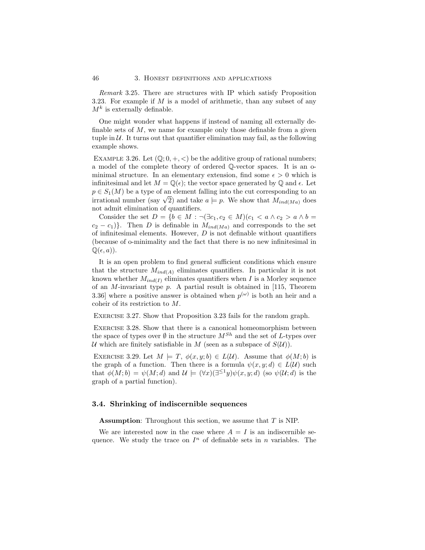Remark 3.25. There are structures with IP which satisfy Proposition 3.23. For example if  $M$  is a model of arithmetic, than any subset of any  $M^k$  is externally definable.

One might wonder what happens if instead of naming all externally definable sets of  $M$ , we name for example only those definable from a given tuple in  $U$ . It turns out that quantifier elimination may fail, as the following example shows.

EXAMPLE 3.26. Let  $(\mathbb{Q}; 0, +, <)$  be the additive group of rational numbers; a model of the complete theory of ordered Q-vector spaces. It is an ominimal structure. In an elementary extension, find some  $\epsilon > 0$  which is infinitesimal and let  $M = \mathbb{Q}(\epsilon)$ ; the vector space generated by  $\mathbb Q$  and  $\epsilon$ . Let  $p \in S_1(M)$  be a type of an element falling into the cut corresponding to an  $p \in S_1(M)$  be a type of an element ranning into the cut corresponding to an irrational number (say  $\sqrt{2}$ ) and take  $a \models p$ . We show that  $M_{ind(Ma)}$  does not admit elimination of quantifiers.

Consider the set  $D = \{b \in M : \neg(\exists c_1, c_2 \in M)(c_1 < a \land c_2 > a \land b = a\})$  $(c_2 - c_1)$ . Then D is definable in  $M_{ind(Ma)}$  and corresponds to the set of infinitesimal elements. However,  $D$  is not definable without quantifiers (because of o-minimality and the fact that there is no new infinitesimal in  $\mathbb{Q}(\epsilon, a)$ .

It is an open problem to find general sufficient conditions which ensure that the structure  $M_{ind(A)}$  eliminates quantifiers. In particular it is not known whether  $M_{ind(I)}$  eliminates quantifiers when I is a Morley sequence of an  $M$ -invariant type  $p$ . A partial result is obtained in [115, Theorem 3.36 where a positive answer is obtained when  $p^{(\omega)}$  is both an heir and a coheir of its restriction to M.

Exercise 3.27. Show that Proposition 3.23 fails for the random graph.

Exercise 3.28. Show that there is a canonical homeomorphism between the space of types over  $\emptyset$  in the structure  $M^{Sh}$  and the set of L-types over U which are finitely satisfiable in M (seen as a subspace of  $S(U)$ ).

EXERCISE 3.29. Let  $M \models T, \phi(x, y; b) \in L(\mathcal{U})$ . Assume that  $\phi(M; b)$  is the graph of a function. Then there is a formula  $\psi(x, y; d) \in L(\mathcal{U})$  such that  $\phi(M;b) = \psi(M;d)$  and  $\mathcal{U} \models (\forall x)(\exists^{\leq 1}y)\psi(x,y;d)$  (so  $\psi(\mathcal{U};d)$  is the graph of a partial function).

#### 3.4. Shrinking of indiscernible sequences

**Assumption:** Throughout this section, we assume that  $T$  is NIP.

We are interested now in the case where  $A = I$  is an indiscernible sequence. We study the trace on  $I<sup>n</sup>$  of definable sets in *n* variables. The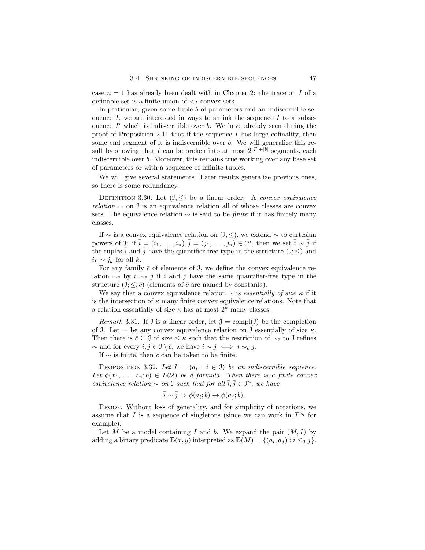case  $n = 1$  has already been dealt with in Chapter 2: the trace on I of a definable set is a finite union of  $\leq_I$ -convex sets.

In particular, given some tuple b of parameters and an indiscernible sequence  $I$ , we are interested in ways to shrink the sequence  $I$  to a subsequence  $I'$  which is indiscernible over  $b$ . We have already seen during the proof of Proposition 2.11 that if the sequence  $I$  has large cofinality, then some end segment of it is indiscernible over b. We will generalize this result by showing that I can be broken into at most  $2^{|T|+|b|}$  segments, each indiscernible over b. Moreover, this remains true working over any base set of parameters or with a sequence of infinite tuples.

We will give several statements. Later results generalize previous ones, so there is some redundancy.

DEFINITION 3.30. Let  $(1, \leq)$  be a linear order. A *convex equivalence relation*  $\sim$  on J is an equivalence relation all of whose classes are convex sets. The equivalence relation  $\sim$  is said to be *finite* if it has finitely many classes.

If  $\sim$  is a convex equivalence relation on  $(1, \leq)$ , we extend  $\sim$  to cartesian powers of J: if  $\bar{i} = (i_1, \ldots, i_n), \bar{j} = (j_1, \ldots, j_n) \in \mathcal{I}^n$ , then we set  $\bar{i} \sim \bar{j}$  if the tuples  $\bar{i}$  and  $\bar{j}$  have the quantifier-free type in the structure  $(1, \leq)$  and  $i_k \sim j_k$  for all k.

For any family  $\bar{c}$  of elements of J, we define the convex equivalence relation  $\sim_{\bar{c}}$  by  $i \sim_{\bar{c}} j$  if i and j have the same quantifier-free type in the structure  $(1, \leq, \bar{c})$  (elements of  $\bar{c}$  are named by constants).

We say that a convex equivalence relation  $\sim$  is *essentially of size*  $\kappa$  if it is the intersection of  $\kappa$  many finite convex equivalence relations. Note that a relation essentially of size  $\kappa$  has at most  $2^{\kappa}$  many classes.

*Remark* 3.31. If J is a linear order, let  $\mathcal{J} = \text{compl}(\mathcal{I})$  be the completion of J. Let  $\sim$  be any convex equivalence relation on J essentially of size  $\kappa$ . Then there is  $\bar{c} \subseteq \bar{\jmath}$  of size  $\leq \kappa$  such that the restriction of  $\sim_{\bar{c}}$  to J refines  $\sim$  and for every  $i, j \in \mathcal{I} \setminus \overline{c}$ , we have  $i \sim j \iff i \sim_{\overline{c}} j$ .

If  $\sim$  is finite, then  $\bar{c}$  can be taken to be finite.

PROPOSITION 3.32. Let  $I = (a_i : i \in \mathcal{I})$  be an indiscernible sequence. Let  $\phi(x_1, \ldots, x_n; b) \in L(\mathcal{U})$  be a formula. Then there is a finite convex equivalence relation  $\sim$  on J such that for all  $\bar{i}, \bar{j} \in \mathbb{J}^n$ , we have

$$
\overline{i} \sim \overline{j} \Rightarrow \phi(a_{\overline{i}}; b) \leftrightarrow \phi(a_{\overline{j}}; b).
$$

PROOF. Without loss of generality, and for simplicity of notations, we assume that  $I$  is a sequence of singletons (since we can work in  $T^{eq}$  for example).

Let M be a model containing I and b. We expand the pair  $(M, I)$  by adding a binary predicate  $\mathbf{E}(x, y)$  interpreted as  $\mathbf{E}(M) = \{(a_i, a_j) : i \leq j\}.$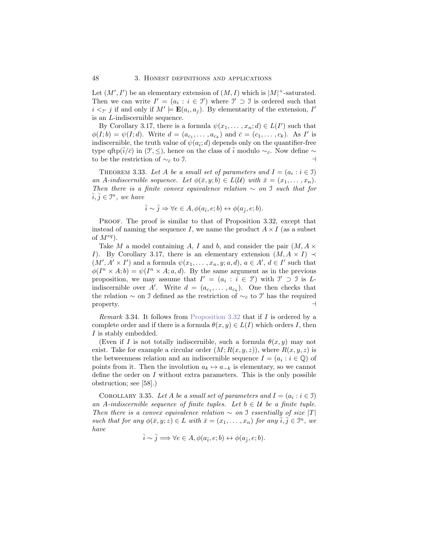Let  $(M', I')$  be an elementary extension of  $(M, I)$  which is  $|M|$ <sup>+</sup>-saturated. Then we can write  $I' = (a_i : i \in \mathcal{I}')$  where  $\mathcal{I}' \supset \mathcal{I}$  is ordered such that  $i <_{\mathcal{I}}$  if and only if  $M' \models \mathbf{E}(a_i, a_j)$ . By elementarity of the extension, I' is an L-indiscernible sequence.

By Corollary 3.17, there is a formula  $\psi(x_1, \ldots, x_n; d) \in L(I')$  such that  $\phi(I;b) = \psi(I;d)$ . Write  $d = (a_{c_1}, \ldots, a_{c_k})$  and  $\bar{c} = (c_1, \ldots, c_k)$ . As I' is indiscernible, the truth value of  $\psi(a_{\bar{i}}; d)$  depends only on the quantifier-free type qftp( $\bar{i}/\bar{c}$ ) in ( $\mathcal{I}, \leq$ ), hence on the class of  $\bar{i}$  modulo  $\sim_{\bar{c}}$ . Now define  $\sim$ to be the restriction of  $\sim_{\bar{c}}$  to J.  $\rightarrow$ 

THEOREM 3.33. Let A be a small set of parameters and  $I = (a_i : i \in \mathcal{I})$ an A-indiscernible sequence. Let  $\phi(\bar{x}, y; b) \in L(\mathcal{U})$  with  $\bar{x} = (x_1, \ldots, x_n)$ . Then there is a finite convex equivalence relation  $\sim$  on J such that for  $\bar{i}, \bar{j} \in \mathcal{I}^n$ , we have

$$
\overline{i} \sim \overline{j} \Rightarrow \forall e \in A, \phi(a_{\overline{i}}, e; b) \leftrightarrow \phi(a_{\overline{j}}, e; b).
$$

PROOF. The proof is similar to that of Proposition 3.32, except that instead of naming the sequence I, we name the product  $A \times I$  (as a subset of  $M^{eq}$ ).

Take M a model containing A, I and b, and consider the pair  $(M, A \times$ I). By Corollary 3.17, there is an elementary extension  $(M, A \times I) \prec$  $(M', A' \times I')$  and a formula  $\psi(x_1, \ldots, x_n, y; a, d)$ ,  $a \in A', d \in I'$  such that  $\phi(I^n \times A; b) = \psi(I^n \times A; a, d)$ . By the same argument as in the previous proposition, we may assume that  $I' = (a_i : i \in \mathcal{I}')$  with  $\mathcal{I}' \supset \mathcal{I}$  is Lindiscernible over A'. Write  $d = (a_{c_1}, \ldots, a_{c_k})$ . One then checks that the relation  $\sim$  on J defined as the restriction of  $\sim_{\bar{c}}$  to J' has the required  $\blacksquare$ 

*Remark* 3.34. It follows from Proposition 3.32 that if  $I$  is ordered by a complete order and if there is a formula  $\theta(x, y) \in L(I)$  which orders I, then I is stably embedded.

(Even if I is not totally indiscernible, such a formula  $\theta(x, y)$  may not exist. Take for example a circular order  $(M; R(x, y, z))$ , where  $R(x, y, z)$  is the betweenness relation and an indiscernible sequence  $I = (a_i : i \in \mathbb{Q})$  of points from it. Then the involution  $a_k \mapsto a_{-k}$  is elementary, so we cannot define the order on  $I$  without extra parameters. This is the only possible obstruction; see [58].)

COROLLARY 3.35. Let A be a small set of parameters and  $I = (a_i : i \in \mathcal{I})$ an A-indiscernible sequence of finite tuples. Let  $b \in \mathcal{U}$  be a finite tuple. Then there is a convex equivalence relation  $\sim$  on J essentially of size |T| such that for any  $\phi(\bar{x}, y; z) \in L$  with  $\bar{x} = (x_1, \dots, x_n)$  for any  $\bar{i}, \bar{j} \in \mathbb{J}^n$ , we have

$$
\overline{i} \sim \overline{j} \Longrightarrow \forall e \in A, \phi(a_{\overline{i}}, e; b) \leftrightarrow \phi(a_{\overline{j}}, e; b).
$$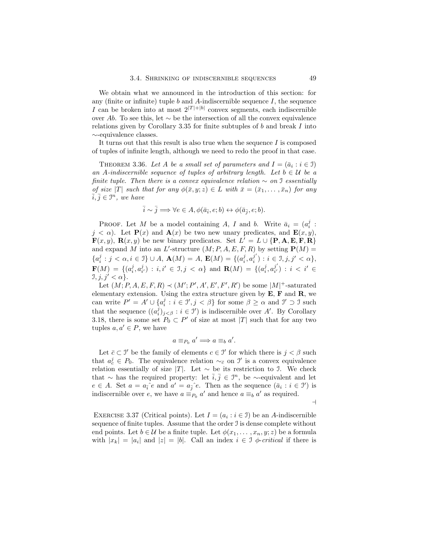We obtain what we announced in the introduction of this section: for any (finite or infinite) tuple  $b$  and  $A$ -indiscernible sequence  $I$ , the sequence I can be broken into at most  $2^{|T|+|b|}$  convex segments, each indiscernible over Ab. To see this, let  $\sim$  be the intersection of all the convex equivalence relations given by Corollary 3.35 for finite subtuples of  $b$  and break  $I$  into ∼-equivalence classes.

It turns out that this result is also true when the sequence  $I$  is composed of tuples of infinite length, although we need to redo the proof in that case.

THEOREM 3.36. Let A be a small set of parameters and  $I = (\bar{a}_i : i \in \mathcal{I})$ an A-indiscernible sequence of tuples of arbitrary length. Let  $b \in \mathcal{U}$  be a finite tuple. Then there is a convex equivalence relation  $\sim$  on J essentially of size |T| such that for any  $\phi(\bar{x}, y; z) \in L$  with  $\bar{x} = (\bar{x}_1, \ldots, \bar{x}_n)$  for any  $\overline{i}, \overline{j} \in \mathcal{I}^n$ , we have

$$
\overline{i} \sim \overline{j} \Longrightarrow \forall e \in A, \phi(\overline{a}_{\overline{i}}, e; b) \leftrightarrow \phi(\overline{a}_{\overline{j}}, e; b).
$$

PROOF. Let M be a model containing A, I and b. Write  $\bar{a}_i = (a_i^j : a_i^j)$  $j < \alpha$ ). Let  $\mathbf{P}(x)$  and  $\mathbf{A}(x)$  be two new unary predicates, and  $\mathbf{E}(x, y)$ ,  $\mathbf{F}(x, y)$ ,  $\mathbf{R}(x, y)$  be new binary predicates. Set  $L' = L \cup \{\mathbf{P}, \mathbf{A}, \mathbf{E}, \mathbf{F}, \mathbf{R}\}\$ and expand M into an L'-structure  $(M; P, A, E, F, R)$  by setting  $P(M)$  =  ${a_i^j : j < \alpha, i \in J} \cup A$ ,  $\mathbf{A}(M) = A$ ,  $\mathbf{E}(M) = {(a_i^j, a_i^{j'}]}$  $j'_{i}$ ) :  $i \in \mathcal{I}, j, j' < \alpha$ ,  $\mathbf{F}(M) = \{ (a_i^j, a_{i'}^j) : i, i' \in \mathcal{I}, j < \alpha \}$  and  $\mathbf{R}(M) = \{ (a_i^j, a_{i'}^{j'}), i' \in \mathcal{I}, j' \in \mathcal{I}\}$  $\binom{j'}{i'}$  :  $i \, < \, i' \, \in$  $\mathfrak{I}, j, j' < \alpha$ .

Let  $(M; P, A, E, F, R) \prec (M'; P', A', E', F', R')$  be some  $|M|^+$ -saturated elementary extension. Using the extra structure given by  $E$ ,  $F$  and  $R$ , we can write  $P' = A' \cup \{a_i^j : i \in \mathcal{I}', j < \beta\}$  for some  $\beta \geq \alpha$  and  $\mathcal{I}' \supset \mathcal{I}$  such that the sequence  $((a_i^j)_{j < \beta} : i \in \mathcal{I}')$  is indiscernible over A'. By Corollary 3.18, there is some set  $P_0 \subset P'$  of size at most |T| such that for any two tuples  $a, a' \in P$ , we have

$$
a \equiv_{P_0} a' \Longrightarrow a \equiv_b a'.
$$

Let  $\bar{c} \subset \mathcal{I}'$  be the family of elements  $c \in \mathcal{I}'$  for which there is  $j < \beta$  such that  $a_c^j \in P_0$ . The equivalence relation  $\sim_{\bar{c}}$  on  $\mathcal{I}'$  is a convex equivalence relation essentially of size |T|. Let  $\sim$  be its restriction to J. We check that  $\sim$  has the required property: let  $\bar{i}, \bar{j} \in \mathcal{I}^n$ , be  $\sim$ -equivalent and let  $e \in A$ . Set  $a = a_i^{\hat{e}} e$  and  $a' = a_j^{\hat{e}} e$ . Then as the sequence  $(\bar{a}_i : i \in \mathcal{I}')$  is indiscernible over e, we have  $a \equiv_{P_0} a'$  and hence  $a \equiv_b a'$  as required.

 $\overline{\phantom{a}}$ 

EXERCISE 3.37 (Critical points). Let  $I = (a_i : i \in \mathcal{I})$  be an A-indiscernible sequence of finite tuples. Assume that the order I is dense complete without end points. Let  $b \in \mathcal{U}$  be a finite tuple. Let  $\phi(x_1, \ldots, x_n, y; z)$  be a formula with  $|x_k| = |a_i|$  and  $|z| = |b|$ . Call an index  $i \in \mathcal{I}$   $\phi$ -critical if there is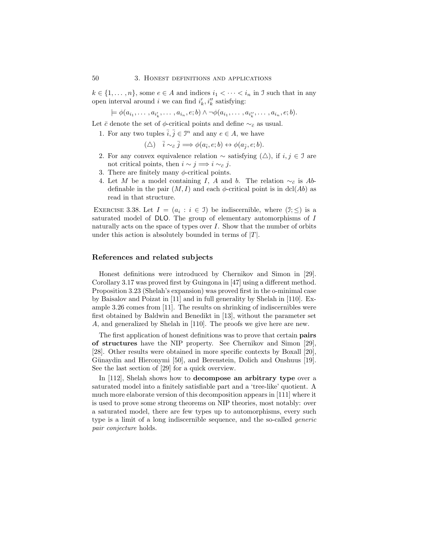$k \in \{1, \ldots, n\}$ , some  $e \in A$  and indices  $i_1 < \cdots < i_n$  in J such that in any open interval around *i* we can find  $i'_{k}$ ,  $i''_{k}$  satisfying:

 $\models \phi(a_{i_1}, \ldots, a_{i_k'}, \ldots, a_{i_n}, e; b) \land \neg \phi(a_{i_1}, \ldots, a_{i_k'}, \ldots, a_{i_n}, e; b).$ 

Let  $\bar{c}$  denote the set of  $\phi$ -critical points and define ∼ $\bar{c}$  as usual.

1. For any two tuples  $\overline{i}, \overline{j} \in \mathcal{I}^n$  and any  $e \in A$ , we have

 $(\triangle) \quad \bar{i} \sim_{\bar{c}} \bar{j} \Longrightarrow \phi(a_{\bar{i}}, e; b) \leftrightarrow \phi(a_{\bar{j}}, e; b).$ 

- 2. For any convex equivalence relation  $\sim$  satisfying  $(\triangle)$ , if  $i, j \in \mathcal{I}$  are not critical points, then  $i \sim j \Longrightarrow i \sim_{\bar{c}} j$ .
- 3. There are finitely many  $\phi$ -critical points.
- 4. Let M be a model containing I, A and b. The relation  $\sim_{\bar{c}}$  is Abdefinable in the pair  $(M, I)$  and each  $\phi$ -critical point is in dcl(Ab) as read in that structure.

EXERCISE 3.38. Let  $I = (a_i : i \in \mathcal{I})$  be indiscernible, where  $(\mathcal{I}; \leq)$  is a saturated model of DLO. The group of elementary automorphisms of I naturally acts on the space of types over  $I$ . Show that the number of orbits under this action is absolutely bounded in terms of  $|T|$ .

### References and related subjects

Honest definitions were introduced by Chernikov and Simon in [29]. Corollary 3.17 was proved first by Guingona in [47] using a different method. Proposition 3.23 (Shelah's expansion) was proved first in the o-minimal case by Baisalov and Poizat in [11] and in full generality by Shelah in [110]. Example 3.26 comes from [11]. The results on shrinking of indiscernibles were first obtained by Baldwin and Benedikt in [13], without the parameter set A, and generalized by Shelah in [110]. The proofs we give here are new.

The first application of honest definitions was to prove that certain pairs of structures have the NIP property. See Chernikov and Simon [29], [28]. Other results were obtained in more specific contexts by Boxall [20], Günaydin and Hieronymi [50], and Berenstein, Dolich and Onshuus [19]. See the last section of [29] for a quick overview.

In [112], Shelah shows how to decompose an arbitrary type over a saturated model into a finitely satisfiable part and a 'tree-like' quotient. A much more elaborate version of this decomposition appears in [111] where it is used to prove some strong theorems on NIP theories, most notably: over a saturated model, there are few types up to automorphisms, every such type is a limit of a long indiscernible sequence, and the so-called *generic* pair conjecture holds.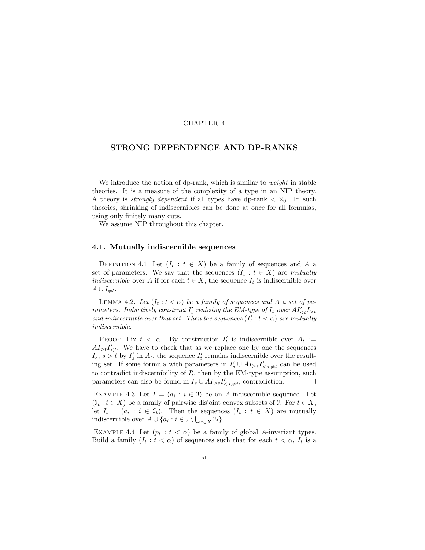## CHAPTER 4

## STRONG DEPENDENCE AND DP-RANKS

We introduce the notion of dp-rank, which is similar to *weight* in stable theories. It is a measure of the complexity of a type in an NIP theory. A theory is *strongly dependent* if all types have dp-rank  $\langle \aleph_0, \text{In such} \rangle$ theories, shrinking of indiscernibles can be done at once for all formulas, using only finitely many cuts.

We assume NIP throughout this chapter.

### 4.1. Mutually indiscernible sequences

DEFINITION 4.1. Let  $(I_t : t \in X)$  be a family of sequences and A a set of parameters. We say that the sequences  $(I_t : t \in X)$  are mutually indiscernible over A if for each  $t \in X$ , the sequence  $I_t$  is indiscernible over  $A \cup I_{\neq t}$ .

LEMMA 4.2. Let  $(I_t : t < \alpha)$  be a family of sequences and A a set of parameters. Inductively construct  $I'_t$  realizing the EM-type of  $I_t$  over  $AI'_{\lt t}I_{\gt t}$ and indiscernible over that set. Then the sequences  $(I'_t : t < \alpha)$  are mutually indiscernible.

PROOF. Fix  $t < \alpha$ . By construction  $I'_t$  is indiscernible over  $A_t :=$  $A I_{\geq t} I'_{\leq t}$ . We have to check that as we replace one by one the sequences  $I_s$ ,  $s > t$  by  $I'_s$  in  $A_t$ , the sequence  $I'_t$  remains indiscernible over the resulting set. If some formula with parameters in  $I'_{s} \cup AI_{>s}I'_{\leq s,\neq t}$  can be used to contradict indiscernibility of  $I'_t$ , then by the EM-type assumption, such parameters can also be found in  $I_s \cup AI_{\geq s}I'_{\leq s,\neq t}$ ; contradiction.

EXAMPLE 4.3. Let  $I = (a_i : i \in \mathcal{I})$  be an A-indiscernible sequence. Let  $(\mathcal{I}_t : t \in X)$  be a family of pairwise disjoint convex subsets of  $\mathcal{I}$ . For  $t \in X$ , let  $I_t = (a_i : i \in \mathcal{I}_t)$ . Then the sequences  $(I_t : t \in X)$  are mutually indiscernible over  $A \cup \{a_i : i \in \mathcal{I} \setminus \bigcup_{t \in X} \mathcal{I}_t\}.$ 

EXAMPLE 4.4. Let  $(p_t : t < \alpha)$  be a family of global A-invariant types. Build a family  $(I_t : t < \alpha)$  of sequences such that for each  $t < \alpha$ ,  $I_t$  is a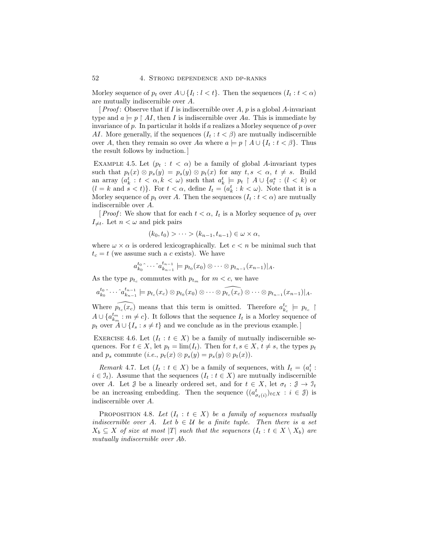Morley sequence of  $p_t$  over  $A \cup \{I_l : l < t\}$ . Then the sequences  $(I_t : t < \alpha)$ are mutually indiscernible over A.

[*Proof*: Observe that if I is indiscernible over A, p is a global A-invariant type and  $a \models p \restriction AI$ , then I is indiscernible over Aa. This is immediate by invariance of  $p$ . In particular it holds if  $a$  realizes a Morley sequence of  $p$  over AI. More generally, if the sequences  $(I_t : t < \beta)$  are mutually indiscernible over A, then they remain so over Aa where  $a \models p \restriction A \cup \{I_t : t < \beta\}$ . Thus the result follows by induction. ]

EXAMPLE 4.5. Let  $(p_t : t < \alpha)$  be a family of global A-invariant types such that  $p_t(x) \otimes p_s(y) = p_s(y) \otimes p_t(x)$  for any  $t, s < \alpha, t \neq s$ . Build an array  $(a_k^t : t < \alpha, k < \omega)$  such that  $a_k^t \models p_t \upharpoonright A \cup \{a_l^s : (l < k)$  or  $(l = k \text{ and } s < t)$ . For  $t < \alpha$ , define  $I_t = (a_k^t : k < \omega)$ . Note that it is a Morley sequence of  $p_t$  over A. Then the sequences  $(I_t : t < \alpha)$  are mutually indiscernible over A.

[*Proof*: We show that for each  $t < \alpha$ ,  $I_t$  is a Morley sequence of  $p_t$  over  $I_{\neq t}$ . Let  $n < \omega$  and pick pairs

$$
(k_0, t_0) > \cdots > (k_{n-1}, t_{n-1}) \in \omega \times \alpha,
$$

where  $\omega \times \alpha$  is ordered lexicographically. Let  $c < n$  be minimal such that  $t_c = t$  (we assume such a c exists). We have

$$
a_{k_0}^{t_0} \cdots \hat{a}_{k_{n-1}}^{t_{n-1}} \models p_{t_0}(x_0) \otimes \cdots \otimes p_{t_{n-1}}(x_{n-1})|_{A}.
$$

As the type  $p_{t_c}$  commutes with  $p_{t_m}$  for  $m < c$ , we have

$$
a_{k_0}^{t_0} \hat{\cdot} \cdots \hat{\cdot} a_{k_{n-1}}^{t_{n-1}} \models p_{t_c}(x_c) \otimes p_{t_0}(x_0) \otimes \cdots \otimes \widehat{p_{t_c}(x_c)} \otimes \cdots \otimes p_{t_{n-1}}(x_{n-1})|_{A}.
$$

Where  $\widehat{p_{t_c}(x_c)}$  means that this term is omitted. Therefore  $a_{k_c}^{t_c} \models p_{t_c} \upharpoonright$  $A \cup \{a_{k_m}^{t_m} : m \neq c\}$ . It follows that the sequence  $I_t$  is a Morley sequence of  $p_t$  over  $A \cup \{I_s : s \neq t\}$  and we conclude as in the previous example.

EXERCISE 4.6. Let  $(I_t : t \in X)$  be a family of mutually indiscernible sequences. For  $t \in X$ , let  $p_t = \lim(I_t)$ . Then for  $t, s \in X$ ,  $t \neq s$ , the types  $p_t$ and  $p_s$  commute  $(i.e., p_t(x) \otimes p_s(y) = p_s(y) \otimes p_t(x)).$ 

*Remark* 4.7. Let  $(I_t : t \in X)$  be a family of sequences, with  $I_t = (a_i^t : t \in X)$  $i \in \mathcal{I}_t$ . Assume that the sequences  $(I_t : t \in X)$  are mutually indiscernible over A. Let  $\mathcal{J}$  be a linearly ordered set, and for  $t \in X$ , let  $\sigma_t : \mathcal{J} \to \mathcal{I}_t$ be an increasing embedding. Then the sequence  $((a_{\sigma_t(i)})_{t\in X}: i \in \mathcal{J})$  is indiscernible over A.

PROPOSITION 4.8. Let  $(I_t : t \in X)$  be a family of sequences mutually indiscernible over A. Let  $b \in \mathcal{U}$  be a finite tuple. Then there is a set  $X_b \subseteq X$  of size at most |T| such that the sequences  $(I_t : t \in X \setminus X_b)$  are mutually indiscernible over Ab.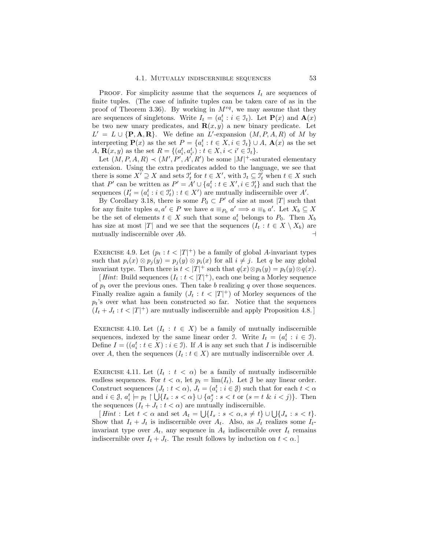**PROOF.** For simplicity assume that the sequences  $I_t$  are sequences of finite tuples. (The case of infinite tuples can be taken care of as in the proof of Theorem 3.36). By working in  $M^{eq}$ , we may assume that they are sequences of singletons. Write  $I_t = (a_i^t : i \in \mathcal{I}_t)$ . Let  $\mathbf{P}(x)$  and  $\mathbf{A}(x)$ be two new unary predicates, and  $\mathbf{R}(x, y)$  a new binary predicate. Let  $L' = L \cup \{P, A, R\}$ . We define an L'-expansion  $(M, P, A, R)$  of M by interpreting  $P(x)$  as the set  $P = \{a_i^t : t \in X, i \in J_t\} \cup A$ ,  $A(x)$  as the set A,  $\mathbf{R}(x, y)$  as the set  $R = \{(a_i^t, a_{i'}^t) : t \in X, i < i' \in \mathcal{I}_t\}.$ 

Let  $(M, P, A, R) \prec (M', P', A', R')$  be some  $|M|^+$ -saturated elementary extension. Using the extra predicates added to the language, we see that there is some  $X' \supseteq X$  and sets  $\mathcal{I}'_t$  for  $t \in X'$ , with  $\mathcal{I}_t \subseteq \mathcal{I}'_t$  when  $t \in X$  such that P' can be written as  $P' = A' \cup \{a_i^t : t \in X', i \in \mathcal{I}'_t\}$  and such that the sequences  $(I'_t = (a_i^t : i \in \mathcal{I}'_t) : t \in X')$  are mutually indiscernible over A'.

By Corollary 3.18, there is some  $P_0 \subset P'$  of size at most |T| such that for any finite tuples  $a, a' \in P$  we have  $a \equiv_{P_0} a' \implies a \equiv_b a'$ . Let  $X_b \subseteq X$ be the set of elements  $t \in X$  such that some  $a_i^t$  belongs to  $P_0$ . Then  $X_b$ has size at most |T| and we see that the sequences  $(I_t : t \in X \setminus X_b)$  are mutually indiscernible over  $Ab$ .

EXERCISE 4.9. Let  $(p_t : t < |T|^+)$  be a family of global A-invariant types such that  $p_i(x) \otimes p_j(y) = p_j(y) \otimes p_i(x)$  for all  $i \neq j$ . Let q be any global invariant type. Then there is  $t < |T|^+$  such that  $q(x) \otimes p_t(y) = p_t(y) \otimes q(x)$ .

[*Hint*: Build sequences  $(I_t : t < |T|^+)$ , each one being a Morley sequence of  $p_t$  over the previous ones. Then take b realizing q over those sequences. Finally realize again a family  $(J_t : t < |T|^+)$  of Morley sequences of the  $p_t$ 's over what has been constructed so far. Notice that the sequences  $(I_t + J_t : t < |T|^+$  are mutually indiscernible and apply Proposition 4.8.]

EXERCISE 4.10. Let  $(I_t : t \in X)$  be a family of mutually indiscernible sequences, indexed by the same linear order J. Write  $I_t = (a_i^t : i \in \mathcal{I})$ . Define  $I = ((a_i^t : t \in X) : i \in \mathcal{I})$ . If A is any set such that I is indiscernible over A, then the sequences  $(I_t : t \in X)$  are mutually indiscernible over A.

EXERCISE 4.11. Let  $(I_t : t < \alpha)$  be a family of mutually indiscernible endless sequences. For  $t < \alpha$ , let  $p_t = \lim(I_t)$ . Let  $\beta$  be any linear order. Construct sequences  $(J_t : t < \alpha)$ ,  $J_t = (a_i^t : i \in \mathcal{J})$  such that for each  $t < \alpha$ and  $i \in \mathcal{J}$ ,  $a_i^t \models p_t \upharpoonright \bigcup \{I_s : s < \alpha\} \cup \{a_j^s : s < t \text{ or } (s = t \& i < j)\}.$  Then the sequences  $(I_t + J_t : t < \alpha)$  are mutually indiscernible.

[ $\text{Hint}: \text{ Let } t < \alpha \text{ and set } A_t = \bigcup \{ I_s : s < \alpha, s \neq t \} \cup \bigcup \{ J_s : s < t \}.$ Show that  $I_t + J_t$  is indiscernible over  $A_t$ . Also, as  $J_t$  realizes some  $I_t$ invariant type over  $A_t$ , any sequence in  $A_t$  indiscernible over  $I_t$  remains indiscernible over  $I_t + J_t$ . The result follows by induction on  $t < \alpha$ .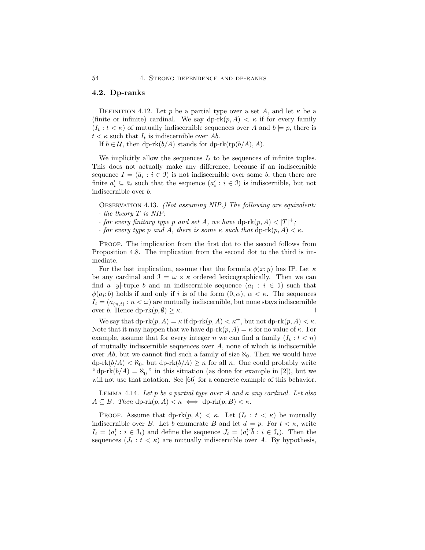#### 4.2. Dp-ranks

DEFINITION 4.12. Let p be a partial type over a set A, and let  $\kappa$  be a (finite or infinite) cardinal. We say dp-rk $(p, A) < \kappa$  if for every family  $(I_t : t < \kappa)$  of mutually indiscernible sequences over A and  $b \models p$ , there is  $t < \kappa$  such that  $I_t$  is indiscernible over Ab.

If  $b \in \mathcal{U}$ , then dp-rk(b/A) stands for dp-rk(tp(b/A), A).

We implicitly allow the sequences  $I_t$  to be sequences of infinite tuples. This does not actually make any difference, because if an indiscernible sequence  $I = (\bar{a}_i : i \in \mathcal{I})$  is not indiscernible over some b, then there are finite  $a'_i \subseteq \overline{a}_i$  such that the sequence  $(a'_i : i \in \mathcal{I})$  is indiscernible, but not indiscernible over b.

Observation 4.13. (Not assuming NIP.) The following are equivalent:  $\cdot$  the theory T is NIP;

- for every finitary type p and set A, we have dp-rk $(p, A) < |T|^+$ ;
- · for every type p and A, there is some  $\kappa$  such that dp-rk $(p, A) < \kappa$ .

PROOF. The implication from the first dot to the second follows from Proposition 4.8. The implication from the second dot to the third is immediate.

For the last implication, assume that the formula  $\phi(x; y)$  has IP. Let  $\kappa$ be any cardinal and  $\mathcal{I} = \omega \times \kappa$  ordered lexicographically. Then we can find a |y|-tuple b and an indiscernible sequence  $(a_i : i \in \mathcal{I})$  such that  $\phi(a_i;b)$  holds if and only if i is of the form  $(0,\alpha)$ ,  $\alpha < \kappa$ . The sequences  $I_t = (a_{(n,t)} : n < \omega)$  are mutually indiscernible, but none stays indiscernible over b. Hence dp-rk $(p, \emptyset) \geq \kappa$ .

We say that dp-rk $(p, A) = \kappa$  if dp-rk $(p, A) < \kappa^+$ , but not dp-rk $(p, A) < \kappa$ . Note that it may happen that we have dp-rk $(p, A) = \kappa$  for no value of  $\kappa$ . For example, assume that for every integer n we can find a family  $(I_t : t < n)$ of mutually indiscernible sequences over  $A$ , none of which is indiscernible over Ab, but we cannot find such a family of size  $\aleph_0$ . Then we would have  $dp-rk(b/A) < \aleph_0$ , but  $dp-rk(b/A) \geq n$  for all n. One could probably write " dp-rk $(b/A) = \aleph_0^{-}$ " in this situation (as done for example in [2]), but we will not use that notation. See [66] for a concrete example of this behavior.

LEMMA 4.14. Let p be a partial type over A and  $\kappa$  any cardinal. Let also  $A \subseteq B$ . Then dp-rk $(p, A) < \kappa \iff$  dp-rk $(p, B) < \kappa$ .

PROOF. Assume that dp-rk $(p, A) < \kappa$ . Let  $(I_t : t < \kappa)$  be mutually indiscernible over B. Let  $\bar{b}$  enumerate B and let  $d \models p$ . For  $t < \kappa$ , write  $I_t = (a_i^t : i \in \mathcal{I}_t)$  and define the sequence  $J_t = (a_i^t \overline{b} : i \in \mathcal{I}_t)$ . Then the sequences  $(J_t : t < \kappa)$  are mutually indiscernible over A. By hypothesis,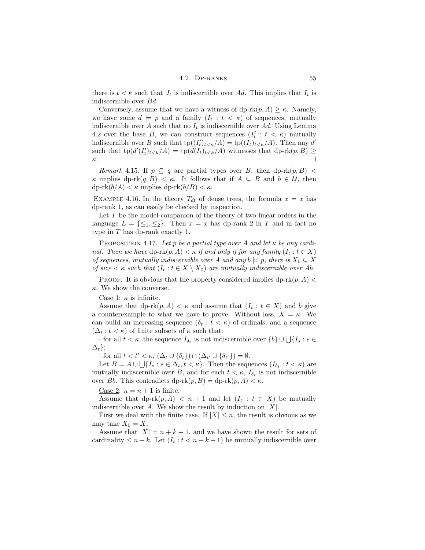there is  $t < \kappa$  such that  $J_t$  is indiscernible over Ad. This implies that  $I_t$  is indiscernible over Bd.

Conversely, assume that we have a witness of dp-rk $(p, A) \geq \kappa$ . Namely, we have some  $d \models p$  and a family  $(I_t : t < \kappa)$  of sequences, mutually indiscernible over A such that no  $I_t$  is indiscernible over Ad. Using Lemma 4.2 over the base B, we can construct sequences  $(I'_t : t < \kappa)$  mutually indiscernible over B such that  $tp((I_t')_{t \le \kappa}/A) = tp((I_t)_{t \le \kappa}/A)$ . Then any d' such that  $\text{tp}(d'(I_t')_{t\leq k}/A) = \text{tp}(d(I_t)_{t\leq k}/A)$  witnesses that  $\text{dp-rk}(p, B) \geq$  $\kappa$ .

Remark 4.15. If  $p \subseteq q$  are partial types over B, then dp-rk $(p, B)$  <  $\kappa$  implies dp-rk $(q, B) < \kappa$ . It follows that if  $A \subseteq B$  and  $b \in U$ , then dp-rk $(b/A) < \kappa$  implies dp-rk $(b/B) < \kappa$ .

EXAMPLE 4.16. In the theory  $T_{dt}$  of dense trees, the formula  $x = x$  has dp-rank 1, as can easily be checked by inspection.

Let  $T$  be the model-companion of the theory of two linear orders in the language  $L = \{\leq_1, \leq_2\}$ . Then  $x = x$  has dp-rank 2 in T and in fact no type in T has dp-rank exactly 1.

PROPOSITION 4.17. Let p be a partial type over A and let  $\kappa$  be any cardinal. Then we have dp-rk $(p, A) < \kappa$  if and only if for any family  $(I_t : t \in X)$ of sequences, mutually indiscernible over A and any  $b \models p$ , there is  $X_0 \subseteq X$ of size  $\lt$   $\kappa$  such that  $(I_t : t \in X \setminus X_0)$  are mutually indiscernible over Ab.

PROOF. It is obvious that the property considered implies dp-rk $(p, A)$  <  $\kappa$ . We show the converse.

Case 1:  $\kappa$  is infinite.

Assume that dp-rk $(p, A) < \kappa$  and assume that  $(I_t : t \in X)$  and b give a counterexample to what we have to prove. Without loss,  $X = \kappa$ . We can build an increasing sequence  $(\delta_t : t < \kappa)$  of ordinals, and a sequence  $(\Delta_t : t < \kappa)$  of finite subsets of  $\kappa$  such that:

· for all  $t < \kappa$ , the sequence  $I_{\delta_t}$  is not indiscernible over  $\{b\} \cup \bigcup \{I_s : s \in$  $\Delta_t$ };

· for all  $t < t' < \kappa$ ,  $(\Delta_t \cup {\delta_t}) \cap (\Delta_{t'} \cup {\delta_{t'}}) = \emptyset$ .

Let  $B = A \cup \bigcup \{I_s : s \in \Delta_t, t < \kappa\}$ . Then the sequences  $(I_{\delta_t} : t < \kappa)$  are mutually indiscernible over B, and for each  $t < \kappa$ ,  $I_{\delta_t}$  is not indiscernible over Bb. This contradicts dp-rk $(p, B) = dp$ -rk $(p, A) < \kappa$ .

Case 2:  $\kappa = n + 1$  is finite.

Assume that dp-rk $(p, A) < n + 1$  and let  $(I_t : t \in X)$  be mutually indiscernible over A. We show the result by induction on  $|X|$ .

First we deal with the finite case. If  $|X| \leq n$ , the result is obvious as we may take  $X_0 = X$ .

Assume that  $|X| = n + k + 1$ , and we have shown the result for sets of cardinality  $\leq n+k$ . Let  $(I_t : t < n+k+1)$  be mutually indiscernible over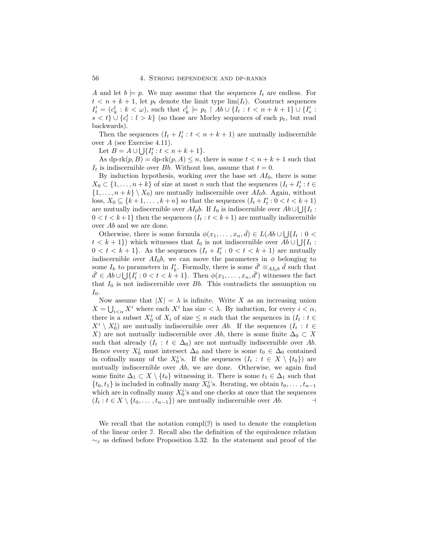A and let  $b \models p$ . We may assume that the sequences  $I_t$  are endless. For  $t < n + k + 1$ , let  $p_t$  denote the limit type  $\lim(I_t)$ . Construct sequences  $I'_t = (c_k^t : k < \omega)$ , such that  $c_k^t \models p_t \upharpoonright Ab \cup \{I_t : t < n + k + 1\} \cup \{I'_s : t < n + k + 1\}$  $s < t$ }  $\cup$  { $c_i^t : l > k$ } (so those are Morley sequences of each  $p_t$ , but read backwards).

Then the sequences  $(I_t + I'_t : t < n + k + 1)$  are mutually indiscernible over A (see Exercise 4.11).

Let  $B = A \cup \bigcup \{I'_t : t < n + k + 1\}.$ 

As dp-rk $(p, B) =$ dp-rk $(p, A) \leq n$ , there is some  $t < n + k + 1$  such that  $I_t$  is indiscernible over Bb. Without loss, assume that  $t = 0$ .

By induction hypothesis, working over the base set  $AI_0$ , there is some  $X_0 \subset \{1, \ldots, n+k\}$  of size at most n such that the sequences  $(I_t + I'_t : t \in$  $\{1, \ldots, n+k\} \setminus X_0$  are mutually indiscernible over  $AI_0b$ . Again, without loss,  $X_0 \subseteq \{k+1, \ldots, k+n\}$  so that the sequences  $(I_t + I'_t : 0 < t < k+1)$ are mutually indiscernible over  $AI_0b$ . If  $I_0$  is indiscernible over  $Ab \cup \bigcup \{I_t :$  $0 < t < k+1$  then the sequences  $(I_t : t < k+1)$  are mutually indiscernible over Ab and we are done.

Otherwise, there is some formula  $\phi(x_1, \ldots, x_n, \bar{d}) \in L(Ab \cup \bigcup \{I_t : 0 \leq \bar{d}\})$  $t < k + 1$ }) which witnesses that  $I_0$  is not indiscernible over  $Ab \cup \bigcup \{I_t :$  $0 < t < k+1$ . As the sequences  $(I_t + I'_t : 0 < t < k+1)$  are mutually indiscernible over  $AI_0b$ , we can move the parameters in  $\phi$  belonging to some  $I_k$  to parameters in  $I'_k$ . Formally, there is some  $\bar{d}' \equiv_{AI_0b} \bar{d}$  such that  $\bar{d}' \in Ab \cup \bigcup \{I'_t : 0 < t < k+1\}.$  Then  $\phi(x_1, \ldots, x_n, \bar{d}')$  witnesses the fact that  $I_0$  is not indiscernible over  $Bb$ . This contradicts the assumption on  $I_0$ .

Now assume that  $|X| = \lambda$  is infinite. Write X as an increasing union  $X = \bigcup_{i < \alpha} X^i$  where each  $X^i$  has size  $\langle \lambda \rangle$ . By induction, for every  $i < \alpha$ , there is a subset  $X_0^i$  of  $X_i$  of size  $\leq n$  such that the sequences in  $(I_t : t \in$  $X^i \setminus X_0^i$  are mutually indiscernible over Ab. If the sequences  $(I_t : t \in$ X) are not mutually indiscernible over Ab, there is some finite  $\Delta_0 \subset X$ such that already  $(I_t : t \in \Delta_0)$  are not mutually indiscernible over Ab. Hence every  $X_0^i$  must intersect  $\Delta_0$  and there is some  $t_0 \in \Delta_0$  contained in cofinally many of the  $X_0^i$ 's. If the sequences  $(I_t : t \in X \setminus \{t_0\})$  are mutually indiscernible over  $Ab$ , we are done. Otherwise, we again find some finite  $\Delta_1 \subset X \setminus \{t_0\}$  witnessing it. There is some  $t_1 \in \Delta_1$  such that  $\{t_0, t_1\}$  is included in cofinally many  $X_0^i$ 's. Iterating, we obtain  $t_0, \ldots, t_{n-1}$ which are in cofinally many  $X_0^i$ 's and one checks at once that the sequences  $(I_t : t \in X \setminus \{t_0, \ldots, t_{n-1}\})$  are mutually indiscernible over Ab.

We recall that the notation compl $(1)$  is used to denote the completion of the linear order I. Recall also the definition of the equivalence relation  $\sim_{\bar{c}}$  as defined before Proposition 3.32. In the statement and proof of the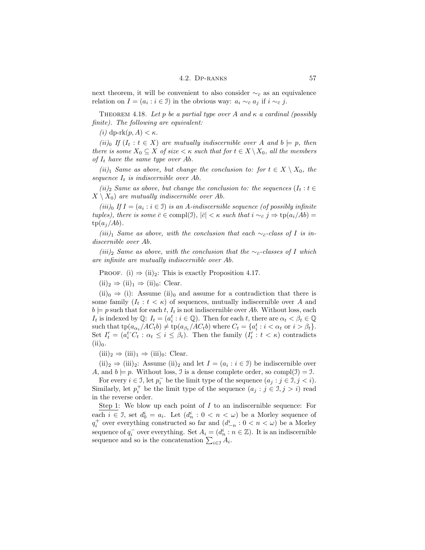next theorem, it will be convenient to also consider  $\sim_{\bar{c}}$  as an equivalence relation on  $I = (a_i : i \in \mathcal{I})$  in the obvious way:  $a_i \sim_{\bar{c}} a_j$  if  $i \sim_{\bar{c}} j$ .

THEOREM 4.18. Let p be a partial type over A and  $\kappa$  a cardinal (possibly finite). The following are equivalent:

(*i*) dp-rk $(p, A) < \kappa$ .

(ii)<sub>0</sub> If  $(I_t : t \in X)$  are mutually indiscernible over A and  $b \models p$ , then there is some  $X_0 \subseteq X$  of size  $\lt \kappa$  such that for  $t \in X \setminus X_0$ , all the members of  $I_t$  have the same type over Ab.

(ii)<sub>1</sub> Same as above, but change the conclusion to: for  $t \in X \setminus X_0$ , the sequence  $I_t$  is indiscernible over Ab.

 $(ii)_2$  Same as above, but change the conclusion to: the sequences  $(I_t : t \in$  $X \setminus X_0$  are mutually indiscernible over Ab.

 $(iii)$ <sup>0</sup> If  $I = (a_i : i \in \mathcal{I})$  is an A-indiscernible sequence (of possibly infinite tuples), there is some  $\bar{c} \in \text{compl}(\mathfrak{I}), |\bar{c}| < \kappa$  such that  $i \sim_{\bar{c}} j \Rightarrow \text{tp}(a_i/Ab) =$  $tp(a_j/Ab).$ 

 $(iii)_1$  Same as above, with the conclusion that each  $\sim_{\bar{c}}$ -class of I is indiscernible over Ab.

(iii)<sub>2</sub> Same as above, with the conclusion that the  $\sim_{\bar{c}}$ -classes of I which are infinite are mutually indiscernible over Ab.

PROOF. (i)  $\Rightarrow$  (ii)<sub>2</sub>: This is exactly Proposition 4.17.

 $(ii)_2 \Rightarrow (ii)_1 \Rightarrow (ii)_0$ : Clear.

 $(ii)<sub>0</sub> \Rightarrow (i)$ : Assume  $(ii)<sub>0</sub>$  and assume for a contradiction that there is some family  $(I_t : t < \kappa)$  of sequences, mutually indiscernible over A and  $b \models p$  such that for each t,  $I_t$  is not indiscernible over Ab. Without loss, each  $I_t$  is indexed by  $\mathbb{Q}$ :  $I_t = (a_i^t : i \in \mathbb{Q})$ . Then for each t, there are  $\alpha_t < \beta_t \in \mathbb{Q}$ such that  $tp(a_{\alpha_t}/AC_t b) \neq tp(a_{\beta_t}/AC_t b)$  where  $C_t = \{a_i^t : i < \alpha_t \text{ or } i > \beta_t\}.$ Set  $I'_t = (a_i^t C_t : \alpha_t \leq i \leq \beta_t)$ . Then the family  $(I'_t : t < \kappa)$  contradicts  $(ii)$ <sub>0</sub>.

 $(iii)_2 \Rightarrow (iii)_1 \Rightarrow (iii)_0$ : Clear.

 $(ii)_2 \Rightarrow (iii)_2$ : Assume  $(ii)_2$  and let  $I = (a_i : i \in \mathcal{I})$  be indiscernible over A, and  $b \models p$ . Without loss, J is a dense complete order, so compl(J) = J.

For every  $i \in \mathcal{I}$ , let  $p_i^-$  be the limit type of the sequence  $(a_j : j \in \mathcal{I}, j < i)$ . Similarly, let  $p_i^+$  be the limit type of the sequence  $(a_j : j \in \mathcal{I}, j > i)$  read in the reverse order.

Step 1: We blow up each point of  $I$  to an indiscernible sequence: For each  $i \in \mathcal{I}$ , set  $d_0^i = a_i$ . Let  $(d_n^i : 0 < n < \omega)$  be a Morley sequence of  $q_i^+$  over everything constructed so far and  $(d_{-n}^i : 0 < n < \omega)$  be a Morley sequence of  $q_i^-$  over everything. Set  $A_i = (d_n^i : n \in \mathbb{Z})$ . It is an indiscernible sequence and so is the concatenation  $\sum_{i\in\mathcal{I}} A_i$ .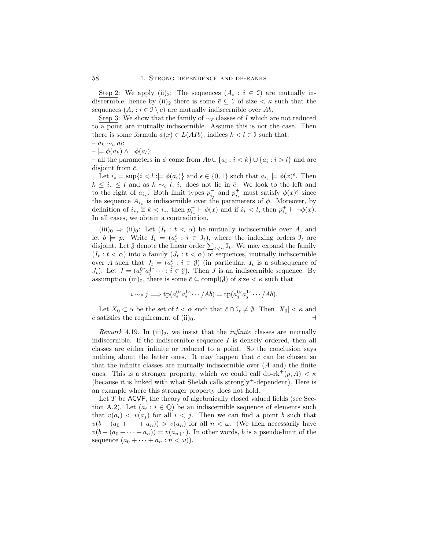Step 2: We apply (ii)<sub>2</sub>: The sequences  $(A_i : i \in \mathcal{I})$  are mutually indiscernible, hence by (ii)<sub>2</sub> there is some  $\bar{c} \subseteq \bar{c}$  of size  $\lt \kappa$  such that the sequences  $(A_i : i \in \mathcal{I} \setminus \overline{c})$  are mutually indiscernible over Ab.

Step 3: We show that the family of  $\sim_{\bar{c}}$  classes of I which are not reduced to a point are mutually indiscernible. Assume this is not the case. Then there is some formula  $\phi(x) \in L(AIb)$ , indices  $k < l \in \mathcal{I}$  such that:

$$
- a_k \sim_{\bar{c}} a_l;
$$

 $- \models \phi(a_k) \land \neg \phi(a_l);$ 

- all the parameters in  $ϕ$  come from  $Ab ∪ {a<sub>i</sub> : i < k} ∪ {a<sub>i</sub> : i > l}$  and are disjoint from  $\bar{c}$ .

Let  $i_* = \sup\{i < l : \models \phi(a_i)\}\$ and  $\epsilon \in \{0, 1\}$  such that  $a_{i_*} \models \phi(x)^{\epsilon}$ . Then  $k \leq i_* \leq l$  and as  $k \sim_{\bar{c}} l$ ,  $i_*$  does not lie in  $\bar{c}$ . We look to the left and to the right of  $a_{i_*}$ . Both limit types  $p_{i_*}^-$  and  $p_{i_*}^+$  must satisfy  $\phi(x)$ <sup> $\epsilon$ </sup> since the sequence  $A_{i_*}$  is indiscernible over the parameters of  $\phi$ . Moreover, by definition of  $i_*$ , if  $k < i_*$ , then  $p_{i_*}^- \vdash \phi(x)$  and if  $i_* < l$ , then  $p_{i_*}^+ \vdash \neg \phi(x)$ . In all cases, we obtain a contradiction.

 $(iii)_0 \Rightarrow (ii)_0$ : Let  $(I_t : t < \alpha)$  be mutually indiscernible over A, and let  $b \models p$ . Write  $I_t = (a_i^t : i \in \mathcal{I}_t)$ , where the indexing orders  $\mathcal{I}_t$  are disjoint. Let  $\mathcal{J}$  denote the linear order  $\sum_{t<\alpha} \mathcal{J}_t$ . We may expand the family  $(I_t : t < \alpha)$  into a family  $(J_t : t < \alpha)$  of sequences, mutually indiscernible over A such that  $J_t = (a_i^t : i \in \mathcal{J})$  (in particular,  $I_t$  is a subsequence of  $J_t$ ). Let  $J = (a_i^0 \hat{a}_i^1 \hat{\cdot} \cdots \hat{\cdot} i \in \mathcal{J})$ . Then J is an indiscernible sequence. By assumption (iii)<sub>0</sub>, there is some  $\bar{c} \subseteq \text{compl}(\mathcal{J})$  of size  $\lt \kappa$  such that

$$
i \sim_{\bar{c}} j \Longrightarrow \text{tp}(a_i^0 \hat{a}_i^1 \hat{b}_i \cdots / Ab) = \text{tp}(a_j^0 \hat{a}_j^1 \hat{b}_i \cdots / Ab).
$$

Let  $X_0 \subset \alpha$  be the set of  $t < \alpha$  such that  $\bar{c} \cap \mathcal{I}_t \neq \emptyset$ . Then  $|X_0| < \kappa$  and  $\bar{c}$  satisfies the requirement of (ii)<sub>0</sub>.

Remark 4.19. In  $(iii)_2$ , we insist that the *infinite* classes are mutually indiscernible. If the indiscernible sequence  $I$  is densely ordered, then all classes are either infinite or reduced to a point. So the conclusion says nothing about the latter ones. It may happen that  $\bar{c}$  can be chosen so that the infinite classes are mutually indiscernible over  $(A \text{ and})$  the finite ones. This is a stronger property, which we could call dp-rk<sup>+</sup> $(p, A) < \kappa$ (because it is linked with what Shelah calls strongly<sup>+</sup>-dependent). Here is an example where this stronger property does not hold.

Let T be ACVF, the theory of algebraically closed valued fields (see Section A.2). Let  $(a_i : i \in \mathbb{Q})$  be an indiscernible sequence of elements such that  $v(a_i) < v(a_i)$  for all  $i < j$ . Then we can find a point b such that  $v(b - (a_0 + \cdots + a_n)) > v(a_n)$  for all  $n < \omega$ . (We then necessarily have  $v(b - (a_0 + \cdots + a_n)) = v(a_{n+1})$ . In other words, b is a pseudo-limit of the sequence  $(a_0 + \cdots + a_n : n < \omega)$ ).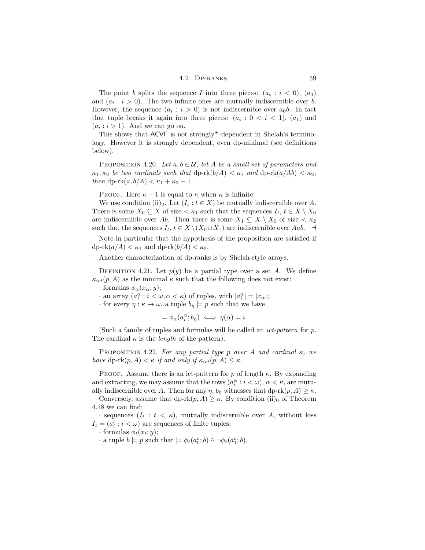The point b splits the sequence I into three pieces:  $(a_i : i < 0)$ ,  $(a_0)$ and  $(a_i : i > 0)$ . The two infinite ones are mutually indiscernible over b. However, the sequence  $(a_i : i > 0)$  is not indiscernible over  $a_0b$ . In fact that tuple breaks it again into three pieces:  $(a_i : 0 \lt i \lt 1)$ ,  $(a_1)$  and  $(a_i : i > 1)$ . And we can go on.

This shows that ACVF is not strongly<sup>+</sup>-dependent in Shelah's terminology. However it is strongly dependent, even dp-minimal (see definitions below).

PROPOSITION 4.20. Let  $a, b \in \mathcal{U}$ , let A be a small set of parameters and  $\kappa_1, \kappa_2$  be two cardinals such that dp-rk(b/A)  $< \kappa_1$  and dp-rk(a/Ab)  $< \kappa_2$ , then dp-rk $(a, b/A) < \kappa_1 + \kappa_2 - 1$ .

PROOF. Here  $\kappa - 1$  is equal to  $\kappa$  when  $\kappa$  is infinite.

We use condition (ii)<sub>2</sub>. Let  $(I_t : t \in X)$  be mutually indiscernible over A. There is some  $X_0 \subseteq X$  of size  $\lt \kappa_1$  such that the sequences  $I_t, t \in X \setminus X_0$ are indiscernible over Ab. Then there is some  $X_1 \subseteq X \setminus X_0$  of size  $\lt \kappa_2$ such that the sequences  $I_t, t \in X \setminus (X_0 \cup X_1)$  are indiscernible over Aab.  $\exists$ 

Note in particular that the hypothesis of the proposition are satisfied if dp-rk $(a/A) < \kappa_1$  and dp-rk $(b/A) < \kappa_2$ .

Another characterization of dp-ranks is by Shelah-style arrays.

DEFINITION 4.21. Let  $p(y)$  be a partial type over a set A. We define  $\kappa_{ict}(p, A)$  as the minimal  $\kappa$  such that the following does not exist:

· formulas  $\phi_{\alpha}(x_{\alpha};y)$ ;

· an array  $(a_i^{\alpha}: i < \omega, \alpha < \kappa)$  of tuples, with  $|a_i^{\alpha}| = |x_{\alpha}|$ ;

· for every  $\eta : \kappa \to \omega$ , a tuple  $b_{\eta} \models p$  such that we have

$$
\models \phi_{\alpha}(a_i^{\alpha}; b_{\eta}) \iff \eta(\alpha) = i.
$$

(Such a family of tuples and formulas will be called an ict-pattern for p. The cardinal  $\kappa$  is the *length* of the pattern).

PROPOSITION 4.22. For any partial type p over A and cardinal  $\kappa$ , we have dp-rk $(p, A) < \kappa$  if and only if  $\kappa_{ict}(p, A) \leq \kappa$ .

PROOF. Assume there is an ict-pattern for p of length  $\kappa$ . By expanding and extracting, we may assume that the rows  $(a_i^{\alpha}: i < \omega)$ ,  $\alpha < \kappa$ , are mutually indiscernible over A. Then for any  $\eta$ ,  $b_{\eta}$  witnesses that dp-rk $(p, A) \geq \kappa$ .

Conversely, assume that dp-rk $(p, A) \geq \kappa$ . By condition  $(ii)<sub>0</sub>$  of Theorem 4.18 we can find:

· sequences  $(I_t : t < \kappa)$ , mutually indiscernible over A, without loss  $I_t = (a_i^t : i < \omega)$  are sequences of finite tuples;

$$
\cdot \text{ formulas } \phi_t(x_t; y);
$$

· a tuple  $b \models p$  such that  $\models \phi_t(a_0^t; b) \land \neg \phi_t(a_1^t; b)$ .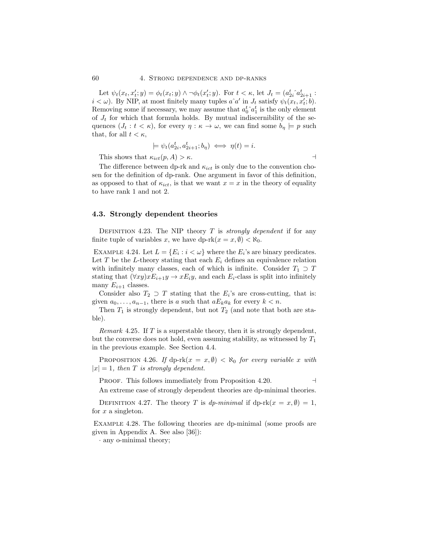Let  $\psi_t(x_t, x'_t; y) = \phi_t(x_t; y) \wedge \neg \phi_t(x'_t; y)$ . For  $t < \kappa$ , let  $J_t = (a_{2i}^t \hat{a}_{2i+1}^t :$  $i < \omega$ ). By NIP, at most finitely many tuples  $a^{\hat{a}} a'$  in  $J_t$  satisfy  $\psi_t(x_t, x'_t; b)$ . Removing some if necessary, we may assume that  $a_0^t$ <sup> $\hat{a}_1^t$ </sup> is the only element of  $J_t$  for which that formula holds. By mutual indiscernibility of the sequences  $(J_t : t < \kappa)$ , for every  $\eta : \kappa \to \omega$ , we can find some  $b_\eta \models p$  such that, for all  $t < \kappa$ ,

$$
\models \psi_t(a_{2i}^t, a_{2i+1}^t; b_{\eta}) \iff \eta(t) = i.
$$

This shows that  $\kappa_{ict}(p, A) > \kappa$ .

The difference between dp-rk and  $\kappa_{ict}$  is only due to the convention chosen for the definition of dp-rank. One argument in favor of this definition, as opposed to that of  $\kappa_{ict}$ , is that we want  $x = x$  in the theory of equality to have rank 1 and not 2.

### 4.3. Strongly dependent theories

DEFINITION 4.23. The NIP theory T is *strongly dependent* if for any finite tuple of variables x, we have dp-rk $(x = x, \emptyset) < \aleph_0$ .

EXAMPLE 4.24. Let  $L = \{E_i : i < \omega\}$  where the  $E_i$ 's are binary predicates. Let T be the L-theory stating that each  $E_i$  defines an equivalence relation with infinitely many classes, each of which is infinite. Consider  $T_1 \supset T$ stating that  $(\forall xy) x E_{i+1}y \rightarrow x E_i y$ , and each  $E_i$ -class is split into infinitely many  $E_{i+1}$  classes.

Consider also  $T_2 \supset T$  stating that the  $E_i$ 's are cross-cutting, that is: given  $a_0, \ldots, a_{n-1}$ , there is a such that  $aE_k a_k$  for every  $k < n$ .

Then  $T_1$  is strongly dependent, but not  $T_2$  (and note that both are stable).

*Remark* 4.25. If  $T$  is a superstable theory, then it is strongly dependent, but the converse does not hold, even assuming stability, as witnessed by  $T_1$ in the previous example. See Section 4.4.

PROPOSITION 4.26. If dp-rk $(x = x, \emptyset) < \aleph_0$  for every variable x with  $|x|=1$ , then T is strongly dependent.

PROOF. This follows immediately from Proposition 4.20.  $\Box$ 

An extreme case of strongly dependent theories are dp-minimal theories.

DEFINITION 4.27. The theory T is dp-minimal if dp-rk $(x = x, \emptyset) = 1$ , for  $x$  a singleton.

Example 4.28. The following theories are dp-minimal (some proofs are given in Appendix A. See also [36]):

· any o-minimal theory;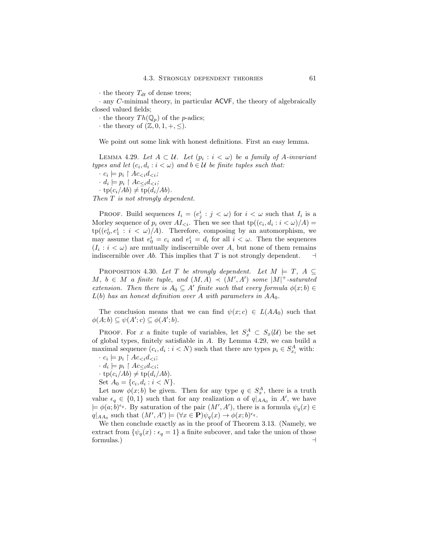$\cdot$  the theory  $T_{dt}$  of dense trees;

· any C-minimal theory, in particular ACVF, the theory of algebraically closed valued fields;

 $\cdot$  the theory  $Th(\mathbb{Q}_p)$  of the p-adics;

 $\cdot$  the theory of  $(\mathbb{Z}, 0, 1, +, \leq)$ .

We point out some link with honest definitions. First an easy lemma.

LEMMA 4.29. Let  $A \subset \mathcal{U}$ . Let  $(p_i : i < \omega)$  be a family of A-invariant types and let  $(c_i, d_i : i < \omega)$  and  $b \in \mathcal{U}$  be finite tuples such that:

 $\cdot$   $c_i \models p_i \upharpoonright Ac_{< i}d_{< i};$  $\cdot d_i \models p_i \upharpoonright Ac_{\leq i}d_{\leq i};$  $\cdot$  tp $(c_i/Ab) \neq$  tp $(d_i/Ab)$ .

Then T is not strongly dependent.

**PROOF.** Build sequences  $I_i = (e_j^i : j < \omega)$  for  $i < \omega$  such that  $I_i$  is a Morley sequence of  $p_i$  over  $AI_{\leq i}$ . Then we see that  $tp((c_i, d_i : i \leq \omega)/A)$  =  $tp((e_0^i, e_1^i : i < \omega)/A)$ . Therefore, composing by an automorphism, we may assume that  $e_0^i = c_i$  and  $e_1^i = d_i$  for all  $i < \omega$ . Then the sequences  $(I_i : i < \omega)$  are mutually indiscernible over A, but none of them remains indiscernible over Ab. This implies that T is not strongly dependent.  $\Box$ 

PROPOSITION 4.30. Let T be strongly dependent. Let  $M \models T$ ,  $A \subseteq$  $M, b \in M$  a finite tuple, and  $(M, A) \prec (M', A')$  some  $|M|^+$ -saturated extension. Then there is  $A_0 \subseteq A'$  finite such that every formula  $\phi(x; b) \in$  $L(b)$  has an honest definition over A with parameters in  $AA_0$ .

The conclusion means that we can find  $\psi(x; c) \in L(AA_0)$  such that  $\phi(A;b) \subseteq \psi(A';c) \subseteq \phi(A';b).$ 

PROOF. For x a finite tuple of variables, let  $S_x^A \subset S_x(\mathcal{U})$  be the set of global types, finitely satisfiable in A. By Lemma 4.29, we can build a maximal sequence  $(c_i, d_i : i < N)$  such that there are types  $p_i \in S_{x_i}^A$  with:

 $\cdot$   $c_i \models p_i \upharpoonright Ac_{< i} d_{< i};$ 

 $\cdot d_i \models p_i \upharpoonright Ac_{\leq i}d_{$ 

 $\cdot$  tp $(c_i/Ab) \neq$  tp $(d_i/Ab)$ .

Set  $A_0 = \{c_i, d_i : i < N\}.$ 

Let now  $\phi(x;b)$  be given. Then for any type  $q \in S_x^A$ , there is a truth value  $\epsilon_q \in \{0,1\}$  such that for any realization a of  $q|_{AA_0}$  in A', we have  $\models \phi(a;b)^{\epsilon_q}$ . By saturation of the pair  $(M',A')$ , there is a formula  $\psi_q(x) \in$  $q|_{AA_0}$  such that  $(M', A') \models (\forall x \in \mathbf{P}) \psi_q(x) \rightarrow \phi(x; b)^{\epsilon_q}$ .

We then conclude exactly as in the proof of Theorem 3.13. (Namely, we extract from  $\{\psi_q(x): \epsilon_q = 1\}$  a finite subcover, and take the union of those  $\pm$  formulas.)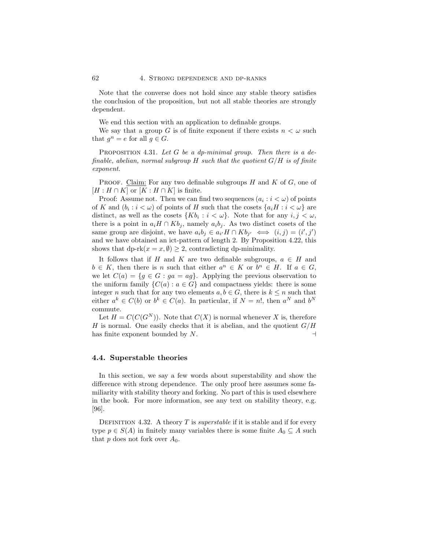Note that the converse does not hold since any stable theory satisfies the conclusion of the proposition, but not all stable theories are strongly dependent.

We end this section with an application to definable groups.

We say that a group G is of finite exponent if there exists  $n < \omega$  such that  $g^n = e$  for all  $g \in G$ .

PROPOSITION 4.31. Let  $G$  be a dp-minimal group. Then there is a definable, abelian, normal subgroup  $H$  such that the quotient  $G/H$  is of finite exponent.

PROOF. Claim: For any two definable subgroups  $H$  and  $K$  of  $G$ , one of  $[H : H \cap K]$  or  $[K : H \cap K]$  is finite.

Proof: Assume not. Then we can find two sequences  $(a_i : i < \omega)$  of points of K and  $(b_i : i < \omega)$  of points of H such that the cosets  $\{a_i H : i < \omega\}$  are distinct, as well as the cosets  $\{Kb_i : i < \omega\}$ . Note that for any  $i, j < \omega$ , there is a point in  $a_iH \cap Kb_j$ , namely  $a_ib_j$ . As two distinct cosets of the same group are disjoint, we have  $a_i b_j \in a_{i'} H \cap K b_{j'} \iff (i, j) = (i', j')$ and we have obtained an ict-pattern of length 2. By Proposition 4.22, this shows that dp-rk $(x = x, \emptyset) \geq 2$ , contradicting dp-minimality.

It follows that if H and K are two definable subgroups,  $a \in H$  and  $b \in K$ , then there is n such that either  $a^n \in K$  or  $b^n \in H$ . If  $a \in G$ , we let  $C(a) = \{g \in G : ga = ag\}$ . Applying the previous observation to the uniform family  $\{C(a): a \in G\}$  and compactness yields: there is some integer *n* such that for any two elements  $a, b \in G$ , there is  $k \leq n$  such that either  $a^k \in C(b)$  or  $b^k \in C(a)$ . In particular, if  $N = n!$ , then  $a^N$  and  $b^N$ commute.

Let  $H = C(C(G^N))$ . Note that  $C(X)$  is normal whenever X is, therefore H is normal. One easily checks that it is abelian, and the quotient  $G/H$ has finite exponent bounded by  $N$ .

### 4.4. Superstable theories

In this section, we say a few words about superstability and show the difference with strong dependence. The only proof here assumes some familiarity with stability theory and forking. No part of this is used elsewhere in the book. For more information, see any text on stability theory, e.g. [96].

DEFINITION 4.32. A theory T is *superstable* if it is stable and if for every type  $p \in S(A)$  in finitely many variables there is some finite  $A_0 \subseteq A$  such that  $p$  does not fork over  $A_0$ .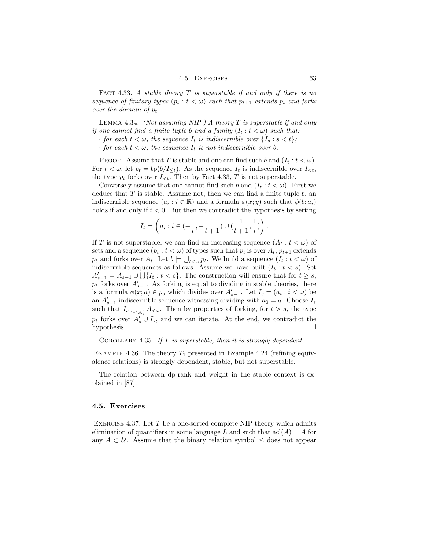FACT 4.33. A stable theory  $T$  is superstable if and only if there is no sequence of finitary types  $(p_t : t < \omega)$  such that  $p_{t+1}$  extends  $p_t$  and forks over the domain of  $p_t$ .

LEMMA 4.34. (Not assuming NIP.) A theory  $T$  is superstable if and only if one cannot find a finite tuple b and a family  $(I_t : t < \omega)$  such that:

· for each  $t < \omega$ , the sequence  $I_t$  is indiscernible over  $\{I_s : s < t\}$ ;

· for each  $t < \omega$ , the sequence  $I_t$  is not indiscernible over b.

PROOF. Assume that T is stable and one can find such b and  $(I_t : t < \omega)$ . For  $t < \omega$ , let  $p_t = \text{tp}(b/I_{\leq t})$ . As the sequence  $I_t$  is indiscernible over  $I_{\leq t}$ , the type  $p_t$  forks over  $I_{\leq t}$ . Then by Fact 4.33, T is not superstable.

Conversely assume that one cannot find such b and  $(I_t : t < \omega)$ . First we deduce that  $T$  is stable. Assume not, then we can find a finite tuple  $b$ , an indiscernible sequence  $(a_i : i \in \mathbb{R})$  and a formula  $\phi(x; y)$  such that  $\phi(b; a_i)$ holds if and only if  $i < 0$ . But then we contradict the hypothesis by setting

$$
I_t = \left(a_i : i \in \left(-\frac{1}{t}, -\frac{1}{t+1}\right) \cup \left(\frac{1}{t+1}, \frac{1}{t}\right)\right).
$$

If T is not superstable, we can find an increasing sequence  $(A_t : t < \omega)$  of sets and a sequence  $(p_t : t < \omega)$  of types such that  $p_t$  is over  $A_t$ ,  $p_{t+1}$  extends  $p_t$  and forks over  $A_t$ . Let  $b \models \bigcup_{t \prec \omega} p_t$ . We build a sequence  $(I_t : t < \omega)$  of indiscernible sequences as follows. Assume we have built  $(I_t : t < s)$ . Set  $A'_{s-1} = A_{s-1} \cup \bigcup \{I_t : t < s\}.$  The construction will ensure that for  $t \geq s$ ,  $p_t$  forks over  $A'_{s-1}$ . As forking is equal to dividing in stable theories, there is a formula  $\phi(x; a) \in p_s$  which divides over  $A'_{s-1}$ . Let  $I_s = (a_i : i < \omega)$  be an  $A'_{s-1}$ -indiscernible sequence witnessing dividing with  $a_0 = a$ . Choose  $I_s$ such that  $I_s \bigcup_{A'_s} A_{\leq \omega}$ . Then by properties of forking, for  $t > s$ , the type  $p_t$  forks over  $A'_s \cup I_s$ , and we can iterate. At the end, we contradict the  $hypothesis.$ 

COROLLARY 4.35. If  $T$  is superstable, then it is strongly dependent.

EXAMPLE 4.36. The theory  $T_1$  presented in Example 4.24 (refining equivalence relations) is strongly dependent, stable, but not superstable.

The relation between dp-rank and weight in the stable context is explained in [87].

#### 4.5. Exercises

EXERCISE 4.37. Let  $T$  be a one-sorted complete NIP theory which admits elimination of quantifiers in some language L and such that  $\operatorname{acl}(A) = A$  for any  $A \subset U$ . Assume that the binary relation symbol  $\leq$  does not appear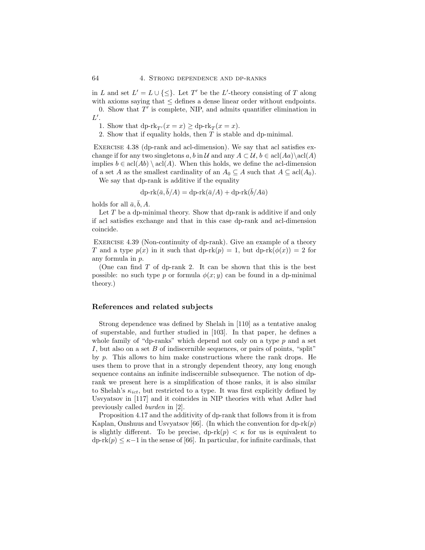in L and set  $L' = L \cup \{\leq\}$ . Let T' be the L'-theory consisting of T along with axioms saying that  $\leq$  defines a dense linear order without endpoints.

0. Show that  $T'$  is complete, NIP, and admits quantifier elimination in  $L'.$ 

1. Show that  $dp\text{-rk}_{T'}(x = x) \ge dp\text{-rk}_T(x = x)$ .

2. Show that if equality holds, then T is stable and dp-minimal.

Exercise 4.38 (dp-rank and acl-dimension). We say that acl satisfies exchange if for any two singletons a, b in U and any  $A \subset U$ ,  $b \in \text{acl}(A) \setminus \text{acl}(A)$ implies  $b \in \text{acl}(Ab) \setminus \text{acl}(A)$ . When this holds, we define the acl-dimension of a set A as the smallest cardinality of an  $A_0 \subseteq A$  such that  $A \subseteq \text{acl}(A_0)$ .

We say that dp-rank is additive if the equality

$$
dp\text{-rk}(\bar{a}, \bar{b}/A) = dp\text{-rk}(\bar{a}/A) + dp\text{-rk}(\bar{b}/A\bar{a})
$$

holds for all  $\bar{a}, \bar{b}, A$ .

Let  $T$  be a dp-minimal theory. Show that dp-rank is additive if and only if acl satisfies exchange and that in this case dp-rank and acl-dimension coincide.

EXERCISE 4.39 (Non-continuity of dp-rank). Give an example of a theory T and a type  $p(x)$  in it such that dp-rk $(p) = 1$ , but dp-rk $(\phi(x)) = 2$  for any formula in p.

(One can find  $T$  of dp-rank 2. It can be shown that this is the best possible: no such type p or formula  $\phi(x; y)$  can be found in a dp-minimal theory.)

#### References and related subjects

Strong dependence was defined by Shelah in [110] as a tentative analog of superstable, and further studied in [103]. In that paper, he defines a whole family of "dp-ranks" which depend not only on a type  $p$  and a set  $I$ , but also on a set  $B$  of indiscernible sequences, or pairs of points, "split" by  $p$ . This allows to him make constructions where the rank drops. He uses them to prove that in a strongly dependent theory, any long enough sequence contains an infinite indiscernible subsequence. The notion of dprank we present here is a simplification of those ranks, it is also similar to Shelah's  $\kappa_{ict}$ , but restricted to a type. It was first explicitly defined by Usvyatsov in [117] and it coincides in NIP theories with what Adler had previously called burden in [2].

Proposition 4.17 and the additivity of dp-rank that follows from it is from Kaplan, Onshuus and Usvyatsov [66]. (In which the convention for dp-rk $(p)$ ) is slightly different. To be precise,  $dp-rk(p) < \kappa$  for us is equivalent to  $dp-rk(p) \leq \kappa-1$  in the sense of [66]. In particular, for infinite cardinals, that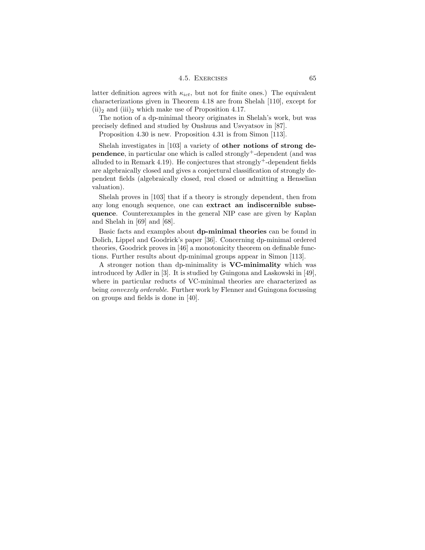latter definition agrees with  $\kappa_{ict}$ , but not for finite ones.) The equivalent characterizations given in Theorem 4.18 are from Shelah [110], except for  $(ii)<sub>2</sub>$  and  $(iii)<sub>2</sub>$  which make use of Proposition 4.17.

The notion of a dp-minimal theory originates in Shelah's work, but was precisely defined and studied by Onshuus and Usvyatsov in [87].

Proposition 4.30 is new. Proposition 4.31 is from Simon [113].

Shelah investigates in [103] a variety of other notions of strong dependence, in particular one which is called strongly+-dependent (and was alluded to in Remark 4.19). He conjectures that strongly<sup>+</sup>-dependent fields are algebraically closed and gives a conjectural classification of strongly dependent fields (algebraically closed, real closed or admitting a Henselian valuation).

Shelah proves in [103] that if a theory is strongly dependent, then from any long enough sequence, one can extract an indiscernible subsequence. Counterexamples in the general NIP case are given by Kaplan and Shelah in [69] and [68].

Basic facts and examples about dp-minimal theories can be found in Dolich, Lippel and Goodrick's paper [36]. Concerning dp-minimal ordered theories, Goodrick proves in [46] a monotonicity theorem on definable functions. Further results about dp-minimal groups appear in Simon [113].

A stronger notion than dp-minimality is VC-minimality which was introduced by Adler in [3]. It is studied by Guingona and Laskowski in [49], where in particular reducts of VC-minimal theories are characterized as being *convexely orderable*. Further work by Flenner and Guingona focussing on groups and fields is done in [40].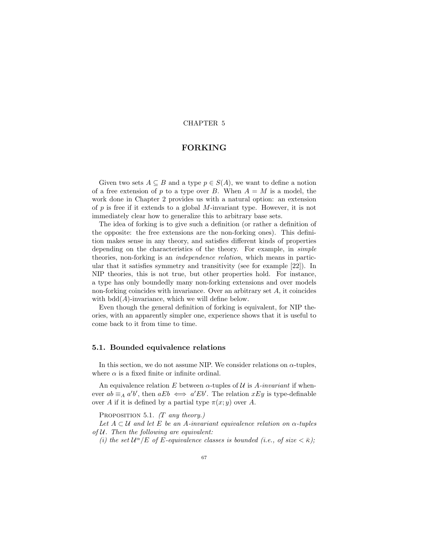### CHAPTER 5

## FORKING

Given two sets  $A \subseteq B$  and a type  $p \in S(A)$ , we want to define a notion of a free extension of p to a type over B. When  $A = M$  is a model, the work done in Chapter 2 provides us with a natural option: an extension of  $p$  is free if it extends to a global M-invariant type. However, it is not immediately clear how to generalize this to arbitrary base sets.

The idea of forking is to give such a definition (or rather a definition of the opposite: the free extensions are the non-forking ones). This definition makes sense in any theory, and satisfies different kinds of properties depending on the characteristics of the theory. For example, in *simple* theories, non-forking is an independence relation, which means in particular that it satisfies symmetry and transitivity (see for example [22]). In NIP theories, this is not true, but other properties hold. For instance, a type has only boundedly many non-forking extensions and over models non-forking coincides with invariance. Over an arbitrary set  $A$ , it coincides with  $\text{bdd}(A)$ -invariance, which we will define below.

Even though the general definition of forking is equivalent, for NIP theories, with an apparently simpler one, experience shows that it is useful to come back to it from time to time.

## 5.1. Bounded equivalence relations

In this section, we do not assume NIP. We consider relations on  $\alpha$ -tuples, where  $\alpha$  is a fixed finite or infinite ordinal.

An equivalence relation E between  $\alpha$ -tuples of U is A-invariant if whenever  $ab \equiv_A a'b'$ , then  $aEb \iff a'Eb'$ . The relation  $xEy$  is type-definable over A if it is defined by a partial type  $\pi(x; y)$  over A.

PROPOSITION 5.1.  $(T \ any \ theory.)$ 

Let  $A \subset U$  and let E be an A-invariant equivalence relation on  $\alpha$ -tuples of  $U$ . Then the following are equivalent:

(i) the set  $\mathcal{U}^{\alpha}/E$  of E-equivalence classes is bounded (i.e., of size  $\lt \bar{\kappa}$ );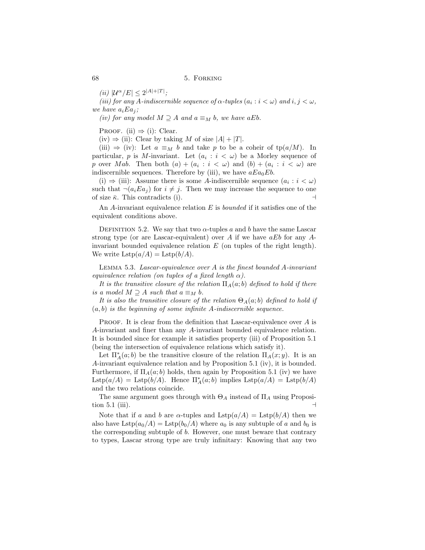68 5. Forking

(*ii*)  $|U^{\alpha}/E| \le 2^{|A|+|T|}$ ;

(iii) for any A-indiscernible sequence of  $\alpha$ -tuples  $(a_i : i < \omega)$  and  $i, j < \omega$ , we have  $a_i E a_j$ ;

(iv) for any model  $M \supseteq A$  and  $a \equiv_M b$ , we have aEb.

PROOF. (ii)  $\Rightarrow$  (i): Clear.

(iv)  $\Rightarrow$  (ii): Clear by taking M of size  $|A| + |T|$ .

(iii)  $\Rightarrow$  (iv): Let  $a \equiv_M b$  and take p to be a coheir of tp( $a/M$ ). In particular, p is M-invariant. Let  $(a_i : i < \omega)$  be a Morley sequence of p over Mab. Then both  $(a) + (a_i : i < \omega)$  and  $(b) + (a_i : i < \omega)$  are indiscernible sequences. Therefore by (iii), we have  $aEa_0Eb$ .

(i)  $\Rightarrow$  (iii): Assume there is some A-indiscernible sequence  $(a_i : i < \omega)$ such that  $\neg(a_iEa_j)$  for  $i \neq j$ . Then we may increase the sequence to one of size  $\bar{\kappa}$ . This contradicts (i).

An  $A$ -invariant equivalence relation  $E$  is *bounded* if it satisfies one of the equivalent conditions above.

DEFINITION 5.2. We say that two  $\alpha$ -tuples a and b have the same Lascar strong type (or are Lascar-equivalent) over A if we have  $aEb$  for any Ainvariant bounded equivalence relation  $E$  (on tuples of the right length). We write  $\text{Lstp}(a/A) = \text{Lstp}(b/A)$ .

Lemma 5.3. Lascar-equivalence over A is the finest bounded A-invariant equivalence relation (on tuples of a fixed length  $\alpha$ ).

It is the transitive closure of the relation  $\Pi_A(a;b)$  defined to hold if there is a model  $M \supseteq A$  such that  $a \equiv_M b$ .

It is also the transitive closure of the relation  $\Theta_A(a;b)$  defined to hold if  $(a, b)$  is the beginning of some infinite A-indiscernible sequence.

**PROOF.** It is clear from the definition that Lascar-equivalence over  $A$  is A-invariant and finer than any A-invariant bounded equivalence relation. It is bounded since for example it satisfies property (iii) of Proposition 5.1 (being the intersection of equivalence relations which satisfy it).

Let  $\Pi_A^*(a;b)$  be the transitive closure of the relation  $\Pi_A(x;y)$ . It is an A-invariant equivalence relation and by Proposition 5.1 (iv), it is bounded. Furthermore, if  $\Pi_A(a;b)$  holds, then again by Proposition 5.1 (iv) we have Lstp $(a/A)$  = Lstp $(b/A)$ . Hence  $\Pi_A^*(a;b)$  implies Lstp $(a/A)$  = Lstp $(b/A)$ and the two relations coincide.

The same argument goes through with  $\Theta_A$  instead of  $\Pi_A$  using Proposition  $5.1$  (iii).

Note that if a and b are  $\alpha$ -tuples and  $\text{Lstp}(a/A) = \text{Lstp}(b/A)$  then we also have  $\text{Lstp}(a_0/A) = \text{Lstp}(b_0/A)$  where  $a_0$  is any subtuple of a and  $b_0$  is the corresponding subtuple of b. However, one must beware that contrary to types, Lascar strong type are truly infinitary: Knowing that any two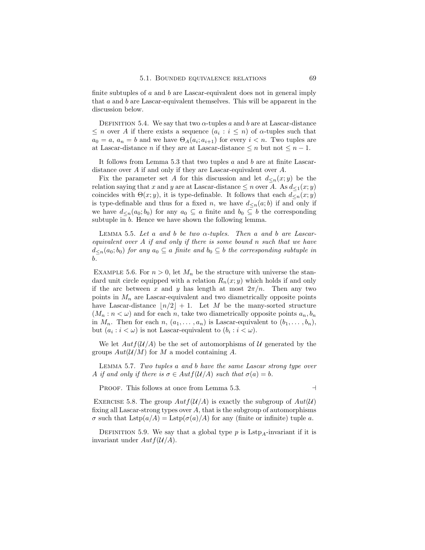finite subtuples of a and b are Lascar-equivalent does not in general imply that  $a$  and  $b$  are Lascar-equivalent themselves. This will be apparent in the discussion below.

DEFINITION 5.4. We say that two  $\alpha$ -tuples  $a$  and  $b$  are at Lascar-distance  $\leq n$  over A if there exists a sequence  $(a_i : i \leq n)$  of  $\alpha$ -tuples such that  $a_0 = a, a_n = b$  and we have  $\Theta_A(a_i; a_{i+1})$  for every  $i < n$ . Two tuples are at Lascar-distance n if they are at Lascar-distance  $\leq n$  but not  $\leq n-1$ .

It follows from Lemma 5.3 that two tuples  $a$  and  $b$  are at finite Lascardistance over A if and only if they are Lascar-equivalent over A.

Fix the parameter set A for this discussion and let  $d_{\leq n}(x; y)$  be the relation saying that x and y are at Lascar-distance  $\leq n$  over A. As  $d_{\leq 1}(x; y)$ coincides with  $\Theta(x, y)$ , it is type-definable. It follows that each  $d_{\leq n}(x, y)$ is type-definable and thus for a fixed n, we have  $d_{\leq n}(a;b)$  if and only if we have  $d_{\leq n}(a_0; b_0)$  for any  $a_0 \subseteq a$  finite and  $b_0 \subseteq b$  the corresponding subtuple in b. Hence we have shown the following lemma.

LEMMA 5.5. Let a and b be two  $\alpha$ -tuples. Then a and b are Lascarequivalent over A if and only if there is some bound n such that we have  $d_{\leq n}(a_0; b_0)$  for any  $a_0 \subseteq a$  finite and  $b_0 \subseteq b$  the corresponding subtuple in b.

EXAMPLE 5.6. For  $n > 0$ , let  $M_n$  be the structure with universe the standard unit circle equipped with a relation  $R_n(x; y)$  which holds if and only if the arc between x and y has length at most  $2\pi/n$ . Then any two points in  $M_n$  are Lascar-equivalent and two diametrically opposite points have Lascar-distance  $\lfloor n/2 \rfloor + 1$ . Let M be the many-sorted structure  $(M_n : n < \omega)$  and for each n, take two diametrically opposite points  $a_n, b_n$ in  $M_n$ . Then for each n,  $(a_1, \ldots, a_n)$  is Lascar-equivalent to  $(b_1, \ldots, b_n)$ , but  $(a_i : i < \omega)$  is not Lascar-equivalent to  $(b_i : i < \omega)$ .

We let  $Autf(\mathcal{U}/A)$  be the set of automorphisms of U generated by the groups  $Aut(U/M)$  for M a model containing A.

Lemma 5.7. Two tuples a and b have the same Lascar strong type over A if and only if there is  $\sigma \in Autf(\mathcal{U}/A)$  such that  $\sigma(a) = b$ .

PROOF. This follows at once from Lemma 5.3.  $\Box$ 

EXERCISE 5.8. The group  $Aut f(U/A)$  is exactly the subgroup of  $Aut(U)$ fixing all Lascar-strong types over A, that is the subgroup of automorphisms  $\sigma$  such that  $\text{Lstp}(a/A) = \text{Lstp}(\sigma(a)/A)$  for any (finite or infinite) tuple a.

DEFINITION 5.9. We say that a global type  $p$  is  $\text{Lstp}_{A}$ -invariant if it is invariant under  $Autf(\mathcal{U}/A)$ .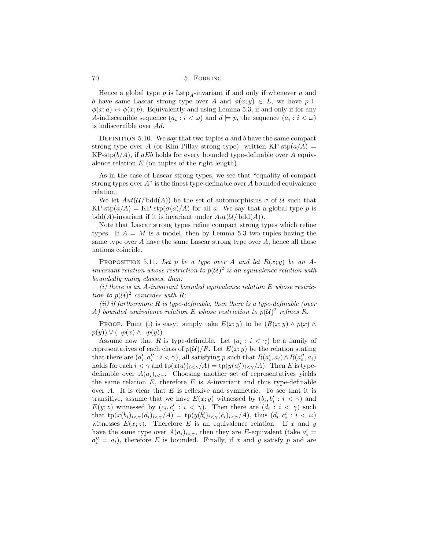70 5. Forking

Hence a global type  $p$  is  $\mathrm{Lstp}_{A}$ -invariant if and only if whenever  $a$  and b have same Lascar strong type over A and  $\phi(x; y) \in L$ , we have  $p \vdash$  $\phi(x; a) \leftrightarrow \phi(x; b)$ . Equivalently and using Lemma 5.3, if and only if for any A-indiscernible sequence  $(a_i : i < \omega)$  and  $d \models p$ , the sequence  $(a_i : i < \omega)$ is indiscernible over Ad.

DEFINITION 5.10. We say that two tuples  $a$  and  $b$  have the same compact strong type over A (or Kim-Pillay strong type), written KP-stp $(a/A)$  = KP-stp $(b/A)$ , if aEb holds for every bounded type-definable over A equivalence relation  $E$  (on tuples of the right length).

As in the case of Lascar strong types, we see that "equality of compact strong types over  $A$ " is the finest type-definable over  $A$  bounded equivalence relation.

We let  $Aut(U/\text{bdd}(A))$  be the set of automorphisms  $\sigma$  of U such that  $KP\text{-stp}(a/A) = KP\text{-stp}(\sigma(a)/A)$  for all a. We say that a global type p is  $\text{bdd}(A)$ -invariant if it is invariant under  $Aut(\mathcal{U}/\text{bdd}(A)).$ 

Note that Lascar strong types refine compact strong types which refine types. If  $A = M$  is a model, then by Lemma 5.3 two tuples having the same type over A have the same Lascar strong type over A, hence all those notions coincide.

PROPOSITION 5.11. Let p be a type over A and let  $R(x; y)$  be an Ainvariant relation whose restriction to  $p(\mathcal{U})^2$  is an equivalence relation with boundedly many classes, then:

 $(i)$  there is an A-invariant bounded equivalence relation E whose restriction to  $p(\mathcal{U})^2$  coincides with R;

(ii) if furthermore  $R$  is type-definable, then there is a type-definable (over A) bounded equivalence relation E whose restriction to  $p(\mathcal{U})^2$  refines R.

PROOF. Point (i) is easy: simply take  $E(x; y)$  to be  $(R(x; y) \wedge p(x) \wedge p(y))$  $p(y)$ )  $\vee$   $(\neg p(x) \wedge \neg p(y)).$ 

Assume now that R is type-definable. Let  $(a_i : i < \gamma)$  be a family of representatives of each class of  $p(\mathcal{U})/R$ . Let  $E(x, y)$  be the relation stating that there are  $(a'_i, a''_i : i < \gamma)$ , all satisfying p such that  $R(a'_i, a_i) \wedge R(a''_i, a_i)$ holds for each  $i < \gamma$  and  $\text{tp}(x(a_i')_{i < \gamma}/A) = \text{tp}(y(a_i'')_{i < \gamma}/A)$ . Then E is typedefinable over  $A(a_i)_{i \leq \gamma}$ . Choosing another set of representatives yields the same relation  $E$ , therefore  $E$  is  $A$ -invariant and thus type-definable over A. It is clear that  $E$  is reflexive and symmetric. To see that it is transitive, assume that we have  $E(x; y)$  witnessed by  $(b_i, b'_i : i < \gamma)$  and  $E(y; z)$  witnessed by  $(c_i, c'_i : i < \gamma)$ . Then there are  $(d_i : i < \gamma)$  such that  $tp(x(b_i)_{i < \gamma}(d_i)_{i < \gamma}/A) = tp(y(b'_i)_{i < \gamma}(c_i)_{i < \gamma}/A)$ , thus  $(d_i, c'_i : i < \omega)$ witnesses  $E(x; z)$ . Therefore E is an equivalence relation. If x and y have the same type over  $A(a_i)_{i \leq \gamma}$ , then they are E-equivalent (take  $a'_i =$  $a_i'' = a_i$ , therefore E is bounded. Finally, if x and y satisfy p and are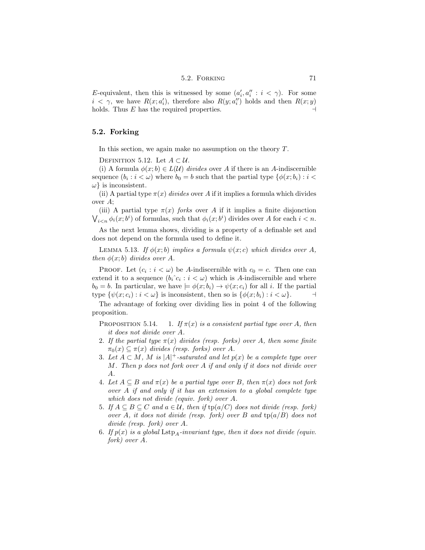E-equivalent, then this is witnessed by some  $(a'_i, a''_i : i < \gamma)$ . For some  $i < \gamma$ , we have  $R(x; a'_i)$ , therefore also  $R(y; a''_i)$  holds and then  $R(x; y)$ holds. Thus  $E$  has the required properties.

## 5.2. Forking

In this section, we again make no assumption on the theory  $T$ .

DEFINITION 5.12. Let  $A \subset \mathcal{U}$ .

(i) A formula  $\phi(x; b) \in L(\mathcal{U})$  divides over A if there is an A-indiscernible sequence  $(b_i : i < \omega)$  where  $b_0 = b$  such that the partial type  $\{\phi(x;b_i) : i <$  $\omega$  is inconsistent.

(ii) A partial type  $\pi(x)$  divides over A if it implies a formula which divides over A;

(iii) A partial type  $\pi(x)$  forks over A if it implies a finite disjonction  $\bigvee_{i\leq n}\phi_i(x;b^i)$  of formulas, such that  $\phi_i(x;b^i)$  divides over A for each  $i < n$ .

As the next lemma shows, dividing is a property of a definable set and does not depend on the formula used to define it.

LEMMA 5.13. If  $\phi(x;b)$  implies a formula  $\psi(x;c)$  which divides over A, then  $\phi(x; b)$  divides over A.

PROOF. Let  $(c_i : i < \omega)$  be A-indiscernible with  $c_0 = c$ . Then one can extend it to a sequence  $(b_i\hat{c}_i : i < \omega)$  which is A-indiscernible and where  $b_0 = b$ . In particular, we have  $\models \phi(x; b_i) \rightarrow \psi(x; c_i)$  for all i. If the partial type  $\{\psi(x; c_i) : i < \omega\}$  is inconsistent, then so is  $\{\phi(x; b_i) : i < \omega\}$ .

The advantage of forking over dividing lies in point 4 of the following proposition.

- PROPOSITION 5.14. 1. If  $\pi(x)$  is a consistent partial type over A, then it does not divide over A.
- 2. If the partial type  $\pi(x)$  divides (resp. forks) over A, then some finite  $\pi_0(x) \subseteq \pi(x)$  divides (resp. forks) over A.
- 3. Let  $A \subset M$ , M is  $|A|$ <sup>+</sup>-saturated and let  $p(x)$  be a complete type over M. Then p does not fork over A if and only if it does not divide over A.
- 4. Let  $A \subseteq B$  and  $\pi(x)$  be a partial type over B, then  $\pi(x)$  does not fork over A if and only if it has an extension to a global complete type which does not divide (equiv. fork) over A.
- 5. If  $A \subseteq B \subseteq C$  and  $a \in U$ , then if  $tp(a/C)$  does not divide (resp. fork) over A, it does not divide (resp. fork) over B and  $tp(a/B)$  does not divide (resp. fork) over A.
- 6. If  $p(x)$  is a global  $\text{Lstp}_{A}$ -invariant type, then it does not divide (equiv. fork) over A.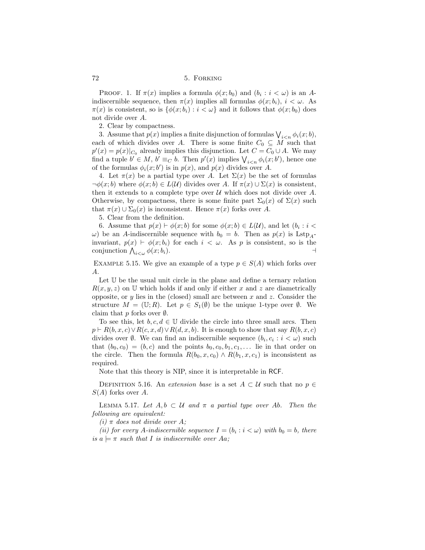72 5. Forking

PROOF. 1. If  $\pi(x)$  implies a formula  $\phi(x;b_0)$  and  $(b_i : i < \omega)$  is an Aindiscernible sequence, then  $\pi(x)$  implies all formulas  $\phi(x;b_i), i < \omega$ . As  $\pi(x)$  is consistent, so is  $\{\phi(x;b_i): i<\omega\}$  and it follows that  $\phi(x;b_0)$  does not divide over A.

2. Clear by compactness.

3. Assume that  $p(x)$  implies a finite disjunction of formulas  $\bigvee_{i \leq n} \phi_i(x; b)$ , each of which divides over A. There is some finite  $C_0 \subseteq M$  such that  $p'(x) = p(x)|_{C_0}$  already implies this disjunction. Let  $C = C_0 \cup A$ . We may find a tuple  $b' \in M$ ,  $b' \equiv_C b$ . Then  $p'(x)$  implies  $\bigvee_{i \leq n} \phi_i(x; b')$ , hence one of the formulas  $\phi_i(x; b')$  is in  $p(x)$ , and  $p(x)$  divides over A.

4. Let  $\pi(x)$  be a partial type over A. Let  $\Sigma(x)$  be the set of formulas  $\neg \phi(x; b)$  where  $\phi(x; b) \in L(\mathcal{U})$  divides over A. If  $\pi(x) \cup \Sigma(x)$  is consistent, then it extends to a complete type over  $\mathcal U$  which does not divide over  $\mathcal A$ . Otherwise, by compactness, there is some finite part  $\Sigma_0(x)$  of  $\Sigma(x)$  such that  $\pi(x) \cup \Sigma_0(x)$  is inconsistent. Hence  $\pi(x)$  forks over A.

5. Clear from the definition.

6. Assume that  $p(x) \vdash \phi(x;b)$  for some  $\phi(x;b) \in L(\mathcal{U})$ , and let  $(b_i : i <$ ω) be an A-indiscernible sequence with  $b_0 = b$ . Then as  $p(x)$  is Lstp<sub>A</sub>invariant,  $p(x) \vdash \phi(x; b_i)$  for each  $i < \omega$ . As p is consistent, so is the conjunction  $\bigwedge_{i<\omega}\phi(x;b_i).$ 

EXAMPLE 5.15. We give an example of a type  $p \in S(A)$  which forks over A.

Let  $\mathbb U$  be the usual unit circle in the plane and define a ternary relation  $R(x, y, z)$  on U which holds if and only if either x and z are diametrically opposite, or  $y$  lies in the (closed) small arc between  $x$  and  $z$ . Consider the structure  $M = (\mathbb{U}; R)$ . Let  $p \in S_1(\emptyset)$  be the unique 1-type over  $\emptyset$ . We claim that p forks over  $\emptyset$ .

To see this, let  $b, c, d \in \mathbb{U}$  divide the circle into three small arcs. Then  $p \vdash R(b, x, c) \lor R(c, x, d) \lor R(d, x, b)$ . It is enough to show that say  $R(b, x, c)$ divides over  $\emptyset$ . We can find an indiscernible sequence  $(b_i, c_i : i < \omega)$  such that  $(b_0, c_0) = (b, c)$  and the points  $b_0, c_0, b_1, c_1, \ldots$  lie in that order on the circle. Then the formula  $R(b_0, x, c_0) \wedge R(b_1, x, c_1)$  is inconsistent as required.

Note that this theory is NIP, since it is interpretable in RCF.

DEFINITION 5.16. An extension base is a set  $A \subset U$  such that no  $p \in$  $S(A)$  forks over A.

LEMMA 5.17. Let  $A, b \subset U$  and  $\pi$  a partial type over Ab. Then the following are equivalent:

(i)  $\pi$  does not divide over A;

(ii) for every A-indiscernible sequence  $I = (b_i : i < \omega)$  with  $b_0 = b$ , there is  $a \models \pi$  such that I is indiscernible over Aa;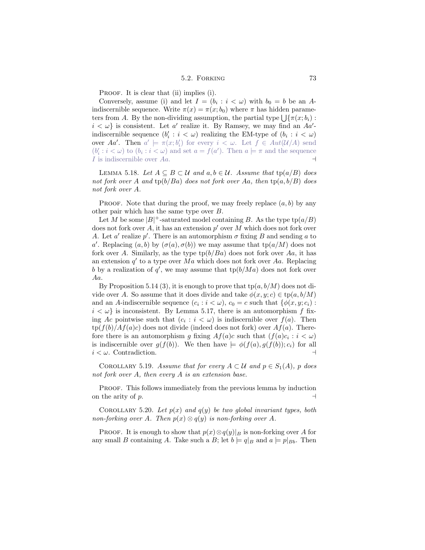PROOF. It is clear that (ii) implies (i).

Conversely, assume (i) and let  $I = (b_i : i < \omega)$  with  $b_0 = b$  be an Aindiscernible sequence. Write  $\pi(x) = \pi(x; b_0)$  where  $\pi$  has hidden parameters from A. By the non-dividing assumption, the partial type  $\bigcup \{\pi(x; b_i) :$  $i < \omega$  is consistent. Let a' realize it. By Ramsey, we may find an Aa'indiscernible sequence  $(b'_i : i < \omega)$  realizing the EM-type of  $(b_i : i < \omega)$ over Aa'. Then  $a' \models \pi(x; b'_i)$  for every  $i < \omega$ . Let  $f \in Aut(U/A)$  send  $(b'_i : i < \omega)$  to  $(b_i : i < \omega)$  and set  $a = f(a')$ . Then  $a \models \pi$  and the sequence I is indiscernible over  $Aa$ .

LEMMA 5.18. Let  $A \subseteq B \subset \mathcal{U}$  and  $a, b \in \mathcal{U}$ . Assume that  $tp(a/B)$  does not fork over A and  $tp(b/Ba)$  does not fork over Aa, then  $tp(a, b/B)$  does not fork over A.

PROOF. Note that during the proof, we may freely replace  $(a, b)$  by any other pair which has the same type over B.

Let M be some  $|B|$ <sup>+</sup>-saturated model containing B. As the type  $tp(a/B)$ does not fork over A, it has an extension  $p'$  over M which does not fork over A. Let  $a'$  realize  $p'$ . There is an automorphism  $\sigma$  fixing B and sending a to a'. Replacing  $(a, b)$  by  $(\sigma(a), \sigma(b))$  we may assume that  $tp(a/M)$  does not fork over A. Similarly, as the type  $tp(b/Ba)$  does not fork over Aa, it has an extension  $q'$  to a type over Ma which does not fork over Aa. Replacing b by a realization of  $q'$ , we may assume that  $tp(b/Ma)$  does not fork over Aa.

By Proposition 5.14 (3), it is enough to prove that  $tp(a, b/M)$  does not divide over A. So assume that it does divide and take  $\phi(x, y; c) \in \text{tp}(a, b/M)$ and an A-indiscernible sequence  $(c_i : i < \omega)$ ,  $c_0 = c$  such that  $\{\phi(x, y; c_i) :$  $i < \omega$  is inconsistent. By Lemma 5.17, there is an automorphism f fixing Ac pointwise such that  $(c_i : i < \omega)$  is indiscernible over  $f(a)$ . Then  $\text{tp}(f(b)/Af(a)c)$  does not divide (indeed does not fork) over  $Af(a)$ . Therefore there is an automorphism g fixing  $Af(a)c$  such that  $(f(a)c_i : i < \omega)$ is indiscernible over  $g(f(b))$ . We then have  $\models \phi(f(a), g(f(b)); c_i)$  for all  $i < \omega$ . Contradiction.

COROLLARY 5.19. Assume that for every  $A \subset \mathcal{U}$  and  $p \in S_1(A)$ , p does not fork over A, then every A is an extension base.

PROOF. This follows immediately from the previous lemma by induction on the arity of  $p$ .

COROLLARY 5.20. Let  $p(x)$  and  $q(y)$  be two global invariant types, both non-forking over A. Then  $p(x) \otimes q(y)$  is non-forking over A.

PROOF. It is enough to show that  $p(x) \otimes q(y)|_B$  is non-forking over A for any small B containing A. Take such a B; let  $b \models q|_B$  and  $a \models p|_{Bb}$ . Then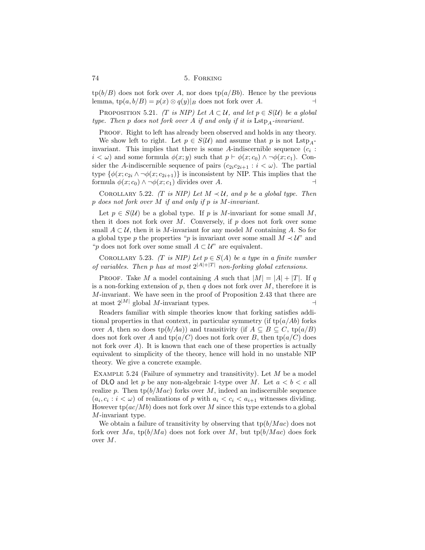74 5. Forking

 $\text{tp}(b/B)$  does not fork over A, nor does  $\text{tp}(a/Bb)$ . Hence by the previous lemma,  $tp(a, b/B) = p(x) \otimes q(y)|_B$  does not fork over A.

PROPOSITION 5.21. (T is NIP) Let  $A \subset U$ , and let  $p \in S(U)$  be a global type. Then p does not fork over A if and only if it is  $Lstp_A$ -invariant.

PROOF. Right to left has already been observed and holds in any theory.

We show left to right. Let  $p \in S(\mathcal{U})$  and assume that p is not Lstp<sub>A</sub>invariant. This implies that there is some A-indiscernible sequence  $(c_i$ :  $i < \omega$ ) and some formula  $\phi(x; y)$  such that  $p \vdash \phi(x; c_0) \land \neg \phi(x; c_1)$ . Consider the A-indiscernible sequence of pairs  $(c_{2i}c_{2i+1} : i < \omega)$ . The partial type  $\{\phi(x; c_{2i} \wedge \neg \phi(x; c_{2i+1})\}$  is inconsistent by NIP. This implies that the formula  $\phi(x; c_0) \wedge \neg \phi(x; c_1)$  divides over A.

COROLLARY 5.22. (T is NIP) Let  $M \prec U$ , and p be a global type. Then p does not fork over M if and only if p is M-invariant.

Let  $p \in S(\mathcal{U})$  be a global type. If p is M-invariant for some small M, then it does not fork over  $M$ . Conversely, if  $p$  does not fork over some small  $A \subset \mathcal{U}$ , then it is M-invariant for any model M containing A. So for a global type p the properties "p is invariant over some small  $M \prec U$ " and "p does not fork over some small  $A \subset \mathcal{U}$ " are equivalent.

COROLLARY 5.23. (T is NIP) Let  $p \in S(A)$  be a type in a finite number of variables. Then p has at most  $2^{|A|+|T|}$  non-forking global extensions.

PROOF. Take M a model containing A such that  $|M| = |A| + |T|$ . If q is a non-forking extension of  $p$ , then  $q$  does not fork over  $M$ , therefore it is M-invariant. We have seen in the proof of Proposition 2.43 that there are at most  $2^{|M|}$  global M-invariant types.

Readers familiar with simple theories know that forking satisfies additional properties in that context, in particular symmetry (if  $tp(a/Ab)$  forks over A, then so does tp(b/Aa)) and transitivity (if  $A \subseteq B \subseteq C$ , tp(a/B) does not fork over A and  $\text{tp}(a/C)$  does not fork over B, then  $\text{tp}(a/C)$  does not fork over  $A$ ). It is known that each one of these properties is actually equivalent to simplicity of the theory, hence will hold in no unstable NIP theory. We give a concrete example.

EXAMPLE  $5.24$  (Failure of symmetry and transitivity). Let M be a model of DLO and let p be any non-algebraic 1-type over M. Let  $a < b < c$  all realize p. Then  $tp(b/Mac)$  forks over M, indeed an indiscernible sequence  $(a_i, c_i : i < \omega)$  of realizations of p with  $a_i < c_i < a_{i+1}$  witnesses dividing. However  $tp(ac/Mb)$  does not fork over M since this type extends to a global M-invariant type.

We obtain a failure of transitivity by observing that  $tp(b/Mac)$  does not fork over  $Ma$ , tp $(b/Ma)$  does not fork over M, but tp $(b/Mac)$  does fork over M.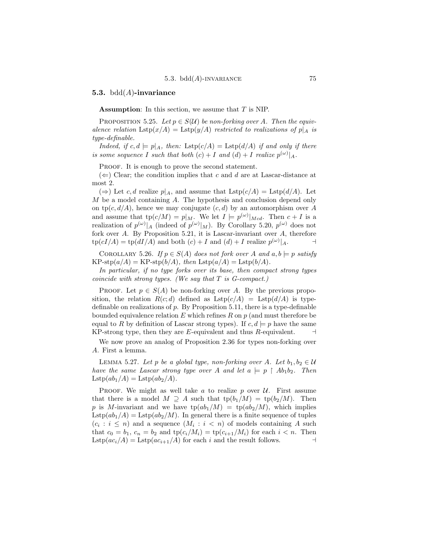### **5.3.** bdd $(A)$ -invariance

Assumption: In this section, we assume that T is NIP.

PROPOSITION 5.25. Let  $p \in S(\mathcal{U})$  be non-forking over A. Then the equivalence relation  $\text{Lstp}(x/A) = \text{Lstp}(y/A)$  restricted to realizations of  $p|_A$  is type-definable.

Indeed, if  $c, d \models p|_A$ , then:  $Lstp(c/A) = Lstp(d/A)$  if and only if there is some sequence I such that both  $(c) + I$  and  $(d) + I$  realize  $p^{(\omega)}|_A$ .

PROOF. It is enough to prove the second statement.

 $(\Leftarrow)$  Clear; the condition implies that c and d are at Lascar-distance at most 2.

 $(\Rightarrow)$  Let c, d realize  $p|_A$ , and assume that  $Lstp(c/A) = Lstp(d/A)$ . Let M be a model containing A. The hypothesis and conclusion depend only on tp(c,  $d/A$ ), hence we may conjugate  $(c, d)$  by an automorphism over A and assume that  $tp(c/M) = p|_M$ . We let  $I \models p^{(\omega)}|_{Med}$ . Then  $c + I$  is a realization of  $p^{(\omega)}|_A$  (indeed of  $p^{(\omega)}|_M$ ). By Corollary 5.20,  $p^{(\omega)}$  does not fork over  $A$ . By Proposition 5.21, it is Lascar-invariant over  $A$ , therefore  $\text{tp}(cI/A) = \text{tp}(dI/A)$  and both  $(c) + I$  and  $(d) + I$  realize  $p^{(\omega)}|_A$ .

COROLLARY 5.26. If  $p \in S(A)$  does not fork over A and  $a, b \models p$  satisfy  $KP\text{-}stp(a/A) = KP\text{-}stp(b/A), \text{ then } \text{Lstp}(a/A) = \text{Lstp}(b/A).$ 

In particular, if no type forks over its base, then compact strong types coincide with strong types. (We say that  $T$  is  $G$ -compact.)

PROOF. Let  $p \in S(A)$  be non-forking over A. By the previous proposition, the relation  $R(c,d)$  defined as  $Lstp(c/A) = Lstp(d/A)$  is typedefinable on realizations of  $p$ . By Proposition 5.11, there is a type-definable bounded equivalence relation E which refines R on  $p$  (and must therefore be equal to R by definition of Lascar strong types). If  $c, d \models p$  have the same KP-strong type, then they are E-equivalent and thus R-equivalent.  $\Box$ 

We now prove an analog of Proposition 2.36 for types non-forking over A. First a lemma.

LEMMA 5.27. Let p be a global type, non-forking over A. Let  $b_1, b_2 \in \mathcal{U}$ have the same Lascar strong type over A and let  $a \models p \restriction Ab_1b_2$ . Then  $\text{Lstp}(ab_1/A) = \text{Lstp}(ab_2/A).$ 

PROOF. We might as well take a to realize  $p$  over  $U$ . First assume that there is a model  $M \supseteq A$  such that  $\text{tp}(b_1/M) = \text{tp}(b_2/M)$ . Then p is M-invariant and we have  $tp(ab_1/M) = tp(ab_2/M)$ , which implies  $\text{Lstp}(ab_1/A) = \text{Lstp}(ab_2/M)$ . In general there is a finite sequence of tuples  $(c_i : i \leq n)$  and a sequence  $(M_i : i < n)$  of models containing A such that  $c_0 = b_1$ ,  $c_n = b_2$  and  $tp(c_i/M_i) = tp(c_{i+1}/M_i)$  for each  $i < n$ . Then Lstp $(ac_i/A) =$ Lstp $(ac_{i+1}/A)$  for each i and the result follows.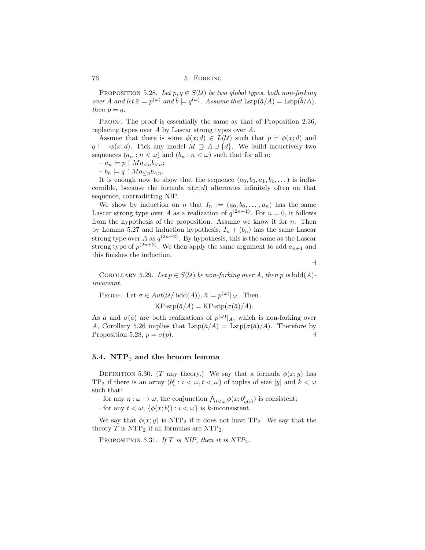76 5. FORKING

PROPOSITION 5.28. Let  $p, q \in S(U)$  be two global types, both non-forking over A and let  $\bar{a} \models p^{(\omega)}$  and  $\bar{b} \models q^{(\omega)}$ . Assume that  $\text{Lstp}(\bar{a}/A) = \text{Lstp}(\bar{b}/A)$ , then  $p = q$ .

PROOF. The proof is essentially the same as that of Proposition 2.36, replacing types over A by Lascar strong types over A.

Assume that there is some  $\phi(x; d) \in L(\mathcal{U})$  such that  $p \vdash \phi(x; d)$  and  $q \vdash \neg \phi(x; d)$ . Pick any model  $M \supseteq A \cup \{d\}$ . We build inductively two sequences  $(a_n : n < \omega)$  and  $(b_n : n < \omega)$  such that for all n:

$$
- a_n \models p \restriction Ma_{\leq n}b_{\leq n};
$$

$$
-b_n \models q \restriction Ma_{\leq n}b_{\leq n}.
$$

It is enough now to show that the sequence  $(a_0, b_0, a_1, b_1, \dots)$  is indiscernible, because the formula  $\phi(x; d)$  alternates infinitely often on that sequence, contradicting NIP.

We show by induction on n that  $I_n := (a_0, b_0, \ldots, a_n)$  has the same Lascar strong type over A as a realization of  $q^{(2n+1)}$ . For  $n = 0$ , it follows from the hypothesis of the proposition. Assume we know it for  $n$ . Then by Lemma 5.27 and induction hypothesis,  $I_n + (b_n)$  has the same Lascar strong type over A as  $q^{(2n+2)}$ . By hypothesis, this is the same as the Lascar strong type of  $p^{(2n+2)}$ . We then apply the same argument to add  $a_{n+1}$  and this finishes the induction.

 $\overline{\phantom{a}}$ 

COROLLARY 5.29. Let  $p \in S(\mathcal{U})$  be non-forking over A, then p is bdd(A)invariant.

PROOF. Let  $\sigma \in Aut(U/\mathrm{bdd}(A)), \bar{a} \models p^{(\omega)}|_{M}$ . Then  $KP\text{-stp}(\bar{a}/A) = KP\text{-stp}(\sigma(\bar{a})/A).$ 

As  $\bar{a}$  and  $\sigma(\bar{a})$  are both realizations of  $p^{(\omega)}|_A$ , which is non-forking over A, Corollary 5.26 implies that  $\text{Lstp}(\bar{a}/A) = \text{Lstp}(\sigma(\bar{a})/A)$ . Therefore by Proposition 5.28,  $p = \sigma(p)$ .

## 5.4.  $NTP_2$  and the broom lemma

DEFINITION 5.30. (T any theory.) We say that a formula  $\phi(x; y)$  has TP<sub>2</sub> if there is an array  $(b_i^t : i < \omega, t < \omega)$  of tuples of size |y| and  $k < \omega$ such that:

· for any  $\eta : \omega \to \omega$ , the conjunction  $\bigwedge_{t<\omega} \phi(x;b^t_{\eta(t)})$  is consistent;

for any  $t < \omega$ ,  $\{\phi(x; b_i^t) : i < \omega\}$  is *k*-inconsistent.

We say that  $\phi(x; y)$  is NTP<sub>2</sub> if it does not have TP<sub>2</sub>. We say that the theory  $T$  is  $\text{NTP}_2$  if all formulas are  $\text{NTP}_2$ .

PROPOSITION 5.31. If T is NIP, then it is  $NTP_2$ .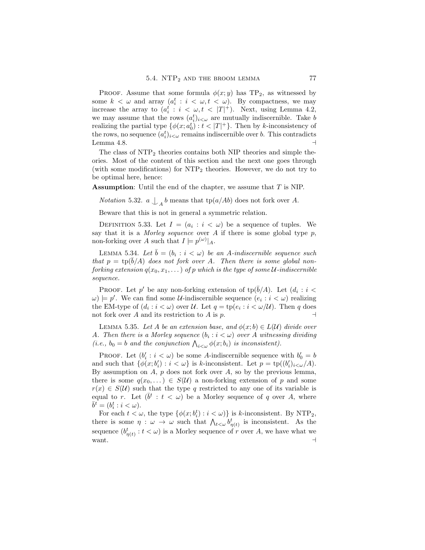**PROOF.** Assume that some formula  $\phi(x; y)$  has TP<sub>2</sub>, as witnessed by some  $k < \omega$  and array  $(a_i^t : i < \omega, t < \omega)$ . By compactness, we may increase the array to  $(a_i^t : i < \omega, t < |T|^+)$ . Next, using Lemma 4.2, we may assume that the rows  $(a_i^t)_{i \leq \omega}$  are mutually indiscernible. Take b realizing the partial type  $\{\phi(x; a_0^t) : t < |T|^+\}$ . Then by k-inconsistency of the rows, no sequence  $(a_i^t)_{i < \omega}$  remains indiscernible over b. This contradicts Lemma  $4.8$ .

The class of  $NTP_2$  theories contains both NIP theories and simple theories. Most of the content of this section and the next one goes through (with some modifications) for  $NTP_2$  theories. However, we do not try to be optimal here, hence:

Assumption: Until the end of the chapter, we assume that T is NIP.

*Notation* 5.32.  $a \bigcup_{A} b$  means that  $tp(a/Ab)$  does not fork over A.

Beware that this is not in general a symmetric relation.

DEFINITION 5.33. Let  $I = (a_i : i < \omega)$  be a sequence of tuples. We say that it is a *Morley sequence* over A if there is some global type  $p$ , non-forking over A such that  $I \models p^{(\omega)}|_A$ .

LEMMA 5.34. Let  $\bar{b} = (b_i : i < \omega)$  be an A-indiscernible sequence such that  $p = \text{tp}(\bar{b}/A)$  does not fork over A. Then there is some global nonforking extension  $q(x_0, x_1, \dots)$  of p which is the type of some U-indiscernible sequence.

PROOF. Let  $p'$  be any non-forking extension of  $tp(\bar{b}/A)$ . Let  $(d_i : i <$  $\omega$   $\models$   $p'$ . We can find some *U*-indiscernible sequence  $(e_i : i < \omega)$  realizing the EM-type of  $(d_i : i < \omega)$  over U. Let  $q = \text{tp}(e_i : i < \omega/U)$ . Then q does not fork over A and its restriction to A is  $p$ .

LEMMA 5.35. Let A be an extension base, and  $\phi(x;b) \in L(\mathcal{U})$  divide over A. Then there is a Morley sequence  $(b_i : i < \omega)$  over A witnessing dividing (i.e.,  $b_0 = b$  and the conjunction  $\bigwedge_{i < \omega} \phi(x; b_i)$  is inconsistent).

PROOF. Let  $(b'_i : i < \omega)$  be some A-indiscernible sequence with  $b'_0 = b$ and such that  $\{\phi(x;b'_i): i < \omega\}$  is k-inconsistent. Let  $p = \text{tp}((b'_i)_{i < \omega}/A)$ . By assumption on  $A$ ,  $p$  does not fork over  $A$ , so by the previous lemma, there is some  $q(x_0,...) \in S(\mathcal{U})$  a non-forking extension of p and some  $r(x) \in S(\mathcal{U})$  such that the type q restricted to any one of its variable is equal to r. Let  $(\bar{b}^t : t < \omega)$  be a Morley sequence of q over A, where  $\overline{b}^t = (b_i^t : i < \omega).$ 

For each  $t < \omega$ , the type  $\{\phi(x; b_i^t) : i < \omega\}$  is k-inconsistent. By NTP<sub>2</sub>, there is some  $\eta : \omega \to \omega$  such that  $\bigwedge_{t<\omega} b_{\eta(t)}^t$  is inconsistent. As the sequence  $(b_{\eta(t)}^t : t < \omega)$  is a Morley sequence of r over A, we have what we want.  $\Box$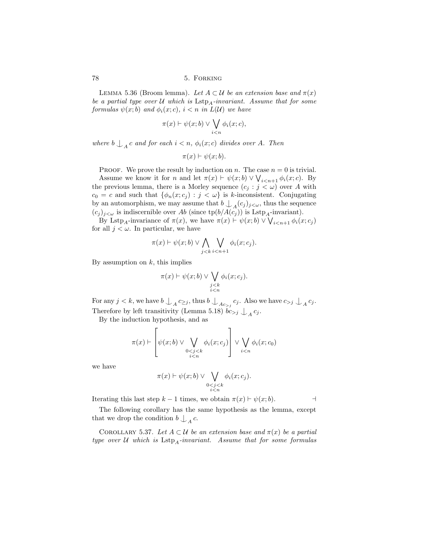78 5. Forking

LEMMA 5.36 (Broom lemma). Let  $A \subset \mathcal{U}$  be an extension base and  $\pi(x)$ be a partial type over U which is  $\mathrm{Lstp}_{A}$ -invariant. Assume that for some formulas  $\psi(x; b)$  and  $\phi_i(x; c)$ ,  $i < n$  in  $L(\mathcal{U})$  we have

$$
\pi(x) \vdash \psi(x;b) \lor \bigvee_{i
$$

where  $b \bigcup_{A} c$  and for each  $i < n$ ,  $\phi_i(x; c)$  divides over A. Then

$$
\pi(x) \vdash \psi(x;b).
$$

PROOF. We prove the result by induction on n. The case  $n = 0$  is trivial. Assume we know it for *n* and let  $\pi(x) \vdash \psi(x;b) \lor \bigvee_{i \leq n+1} \phi_i(x;c)$ . By the previous lemma, there is a Morley sequence  $(c_j : j < \omega)$  over A with  $c_0 = c$  and such that  $\{\phi_n(x; c_j) : j < \omega\}$  is k-inconsistent. Conjugating by an automorphism, we may assume that  $b \bigcup_{A} (c_j)_{j < \omega}$ , thus the sequence  $(c_j)_{j<\omega}$  is indiscernible over Ab (since tp(b/A(c<sub>j</sub>)) is Lstp<sub>A</sub>-invariant).

By Lstp<sub>A</sub>-invariance of  $\pi(x)$ , we have  $\pi(x) \vdash \psi(x;b) \lor \bigvee_{i \leq n+1} \phi_i(x;c_j)$ for all  $j < \omega$ . In particular, we have

$$
\pi(x) \vdash \psi(x;b) \lor \bigwedge_{j < k} \bigvee_{i < n+1} \phi_i(x;c_j).
$$

By assumption on  $k$ , this implies

$$
\pi(x) \vdash \psi(x;b) \lor \bigvee_{\substack{j < k \\ i < n}} \phi_i(x;c_j).
$$

For any  $j < k$ , we have  $b \bigcup_A c_{\geq j}$ , thus  $b \bigcup_{Ac_{>j}} c_j$ . Also we have  $c_{>j} \bigcup_A c_j$ . Therefore by left transitivity (Lemma 5.18)  $bc_{>j} \nightharpoonup_A c_j$ .

By the induction hypothesis, and as

$$
\pi(x) \vdash \left[\psi(x;b) \vee \bigvee_{\substack{0 < j < k \\ i < n}} \phi_i(x;c_j)\right] \vee \bigvee_{i < n} \phi_i(x;c_0)
$$

we have

$$
\pi(x) \vdash \psi(x;b) \lor \bigvee_{\substack{0 < j < k \\ i < n}} \phi_i(x;c_j).
$$

Iterating this last step  $k - 1$  times, we obtain  $\pi(x) \vdash \psi(x; b)$ .

The following corollary has the same hypothesis as the lemma, except that we drop the condition  $b \bigcup_{A} c$ .

COROLLARY 5.37. Let  $A \subset U$  be an extension base and  $\pi(x)$  be a partial type over U which is  $Lstp_A-invariant$ . Assume that for some formulas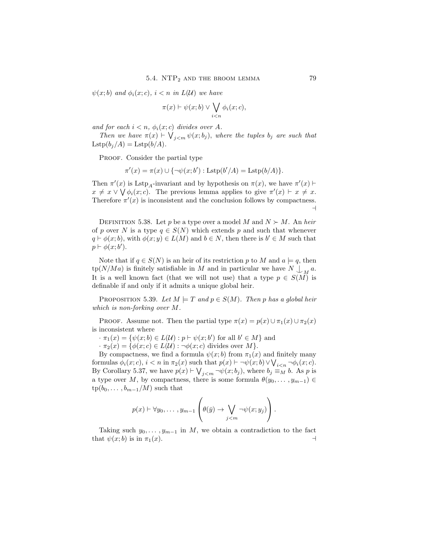$\psi(x;b)$  and  $\phi_i(x;c)$ ,  $i < n$  in  $L(\mathcal{U})$  we have

$$
\pi(x) \vdash \psi(x;b) \lor \bigvee_{i
$$

and for each  $i < n$ ,  $\phi_i(x; c)$  divides over A.

Then we have  $\pi(x) \vdash \bigvee_{j \leq m} \psi(x;b_j)$ , where the tuples  $b_j$  are such that  $\text{Lstp}(b_i/A) = \text{Lstp}(b/A).$ 

PROOF. Consider the partial type

$$
\pi'(x) = \pi(x) \cup {\neg \psi(x; b')} : \text{Lstp}(b'/A) = \text{Lstp}(b/A).
$$

Then  $\pi'(x)$  is Lstp<sub>A</sub>-invariant and by hypothesis on  $\pi(x)$ , we have  $\pi'(x)$   $\vdash$  $x \neq x \vee \bigvee \phi_i(x; c)$ . The previous lemma applies to give  $\pi'(x) \vdash x \neq x$ . Therefore  $\pi'(x)$  is inconsistent and the conclusion follows by compactness.  $\overline{\phantom{a}}$ 

DEFINITION 5.38. Let p be a type over a model M and  $N \succ M$ . An heir of p over N is a type  $q \in S(N)$  which extends p and such that whenever  $q \vdash \phi(x;b)$ , with  $\phi(x;y) \in L(M)$  and  $b \in N$ , then there is  $b' \in M$  such that  $p \vdash \phi(x;b').$ 

Note that if  $q \in S(N)$  is an heir of its restriction p to M and  $a \models q$ , then  $\text{tp}(N/Ma)$  is finitely satisfiable in M and in particular we have  $N \bigcup_{M} a$ . It is a well known fact (that we will not use) that a type  $p \in S(M)$  is definable if and only if it admits a unique global heir.

PROPOSITION 5.39. Let  $M \models T$  and  $p \in S(M)$ . Then p has a global heir which is non-forking over M.

PROOF. Assume not. Then the partial type  $\pi(x) = p(x) \cup \pi_1(x) \cup \pi_2(x)$ is inconsistent where

 $\cdot \pi_1(x) = \{ \psi(x;b) \in L(\mathcal{U}) : p \vdash \psi(x;b') \text{ for all } b' \in M \}$  and

 $\cdot \pi_2(x) = \{ \phi(x; c) \in L(\mathcal{U}) : \neg \phi(x; c) \text{ divides over } M \}.$ 

By compactness, we find a formula  $\psi(x; b)$  from  $\pi_1(x)$  and finitely many formulas  $\phi_i(x; c), i < n$  in  $\pi_2(x)$  such that  $p(x) \vdash \neg \psi(x; b) \vee \bigvee_{i \leq n} \neg \phi_i(x; c)$ . By Corollary 5.37, we have  $p(x) \vdash \bigvee_{j \leq m} \neg \psi(x; b_j)$ , where  $b_j \equiv_M b$ . As p is a type over M, by compactness, there is some formula  $\theta(y_0, \ldots, y_{m-1}) \in$  $tp(b_0, \ldots, b_{m-1}/M)$  such that

$$
p(x) \vdash \forall y_0, \ldots, y_{m-1} \left( \theta(\bar{y}) \to \bigvee_{j < m} \neg \psi(x; y_j) \right).
$$

Taking such  $y_0, \ldots, y_{m-1}$  in M, we obtain a contradiction to the fact that  $\psi(x;b)$  is in  $\pi_1(x)$ .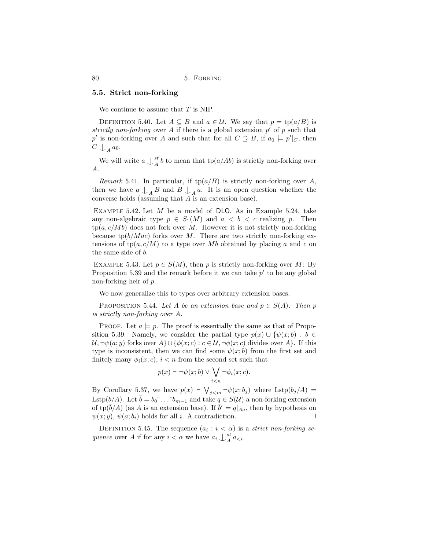80 5. Forking

#### 5.5. Strict non-forking

We continue to assume that  $T$  is NIP.

DEFINITION 5.40. Let  $A \subseteq B$  and  $a \in \mathcal{U}$ . We say that  $p = \text{tp}(a/B)$  is strictly non-forking over A if there is a global extension  $p'$  of p such that p' is non-forking over A and such that for all  $C \supseteq B$ , if  $a_0 \models p' \mid_C$ , then  $C \bigcup_A a_0.$ 

We will write  $a \nightharpoonup_A^{st}$  $\frac{st}{A}b$  to mean that  $tp(a/Ab)$  is strictly non-forking over A.

Remark 5.41. In particular, if  $tp(a/B)$  is strictly non-forking over A, then we have  $a \nightharpoonup_A B$  and  $B \nightharpoonup_A a$ . It is an open question whether the converse holds (assuming that A is an extension base).

Example 5.42. Let M be a model of DLO. As in Example 5.24, take any non-algebraic type  $p \in S_1(M)$  and  $a < b < c$  realizing p. Then  $tp(a, c/Mb)$  does not fork over M. However it is not strictly non-forking because  $tp(b/Mac)$  forks over M. There are two strictly non-forking extensions of  $tp(a, c/M)$  to a type over Mb obtained by placing a and c on the same side of b.

EXAMPLE 5.43. Let  $p \in S(M)$ , then p is strictly non-forking over M: By Proposition 5.39 and the remark before it we can take  $p'$  to be any global non-forking heir of p.

We now generalize this to types over arbitrary extension bases.

PROPOSITION 5.44. Let A be an extension base and  $p \in S(A)$ . Then p is strictly non-forking over A.

PROOF. Let  $a \models p$ . The proof is essentially the same as that of Proposition 5.39. Namely, we consider the partial type  $p(x) \cup \{\psi(x;b) : b \in$  $\mathcal{U}, \neg \psi(a; y)$  forks over  $A \} \cup \{ \phi(x; c) : c \in \mathcal{U}, \neg \phi(x; c)$  divides over  $A \}$ . If this type is inconsistent, then we can find some  $\psi(x; b)$  from the first set and finitely many  $\phi_i(x; c)$ ,  $i < n$  from the second set such that

$$
p(x) \vdash \neg \psi(x;b) \lor \bigvee_{i
$$

By Corollary 5.37, we have  $p(x) \vdash \bigvee_{j \leq m} \neg \psi(x; b_j)$  where  $\text{Lstp}(b_j/A) =$ Lstp( $b/A$ ). Let  $\bar{b} = b_0$ <sup>^</sup>... ^ $b_{m-1}$  and take  $q \in S(\mathcal{U})$  a non-forking extension of tp $(\vec{b}/A)$  (as A is an extension base). If  $\vec{b}' \models q|_{Aa}$ , then by hypothesis on  $\psi(x; y)$ ,  $\psi(a; b_i)$  holds for all i. A contradiction.

DEFINITION 5.45. The sequence  $(a_i : i < \alpha)$  is a *strict non-forking se*quence over A if for any  $i < \alpha$  we have  $a_i \nightharpoonup_A^{st}$  $\frac{st}{A}a_{\lt i}.$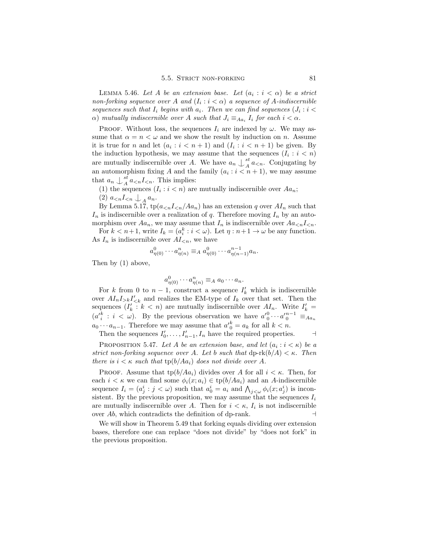LEMMA 5.46. Let A be an extension base. Let  $(a_i : i < \alpha)$  be a strict non-forking sequence over A and  $(I_i : i < \alpha)$  a sequence of A-indiscernible sequences such that  $I_i$  begins with  $a_i$ . Then we can find sequences  $(J_i : i <$  $\alpha)$  mutually indiscernible over A such that  $J_i \equiv_{Aa_i} I_i$  for each  $i < \alpha$ .

PROOF. Without loss, the sequences  $I_i$  are indexed by  $\omega$ . We may assume that  $\alpha = n < \omega$  and we show the result by induction on n. Assume it is true for *n* and let  $(a_i : i < n+1)$  and  $(I_i : i < n+1)$  be given. By the induction hypothesis, we may assume that the sequences  $(I_i : i < n)$ are mutually indiscernible over A. We have  $a_n \nightharpoonup_A^{st}$  $\frac{st}{A}a_{\leq n}$ . Conjugating by an automorphism fixing A and the family  $(a_i : i < n+1)$ , we may assume that  $a_n \nightharpoonup_A^{st}$  $\frac{1}{A}a_{\leq n}I_{\leq n}$ . This implies:

(1) the sequences  $(I_i : i < n)$  are mutually indiscernible over  $Aa_n$ ;

(2)  $a_{\leq n} I_{\leq n} \downarrow_{A} a_{n}$ .

By Lemma 5.17,  $tp(a_{\leq n}I_{\leq n}/Aa_n)$  has an extension q over  $AI_n$  such that  $I_n$  is indiscernible over a realization of q. Therefore moving  $I_n$  by an automorphism over  $Aa_n$ , we may assume that  $I_n$  is indiscernible over  $Aa_{\leq n}I_{\leq n}$ .

For  $k < n+1$ , write  $I_k = (a_i^k : i < \omega)$ . Let  $\eta : n+1 \to \omega$  be any function. As  $I_n$  is indiscernible over  $AI_{\leq n}$ , we have

$$
a_{\eta(0)}^0 \cdots a_{\eta(n)}^n \equiv_A a_{\eta(0)}^0 \cdots a_{\eta(n-1)}^{n-1} a_n.
$$

Then by (1) above,

$$
a_{\eta(0)}^0 \cdots a_{\eta(n)}^n \equiv_A a_0 \cdots a_n.
$$

For k from 0 to  $n-1$ , construct a sequence  $I'_k$  which is indiscernible over  $AI_n I_{> k} I'_{< k}$  and realizes the EM-type of  $I_k$  over that set. Then the sequences  $(I'_k : k < n)$  are mutually indiscernible over  $AI_n$ . Write  $I'_k =$  $(a_i^k : i < \omega)$ . By the previous observation we have  $a_0^0 \cdots a_0^{n-1} \equiv_{Aa_n}$  $a_0 \cdots a_{n-1}$ . Therefore we may assume that  $a_0'^k = a_k$  for all  $k < n$ .

Then the sequences  $I'_0, \ldots, I'_{n-1}, I_n$  have the required properties.  $\Box$ 

PROPOSITION 5.47. Let A be an extension base, and let  $(a_i : i < \kappa)$  be a strict non-forking sequence over A. Let b such that  $dp-rk(b/A) < \kappa$ . Then there is  $i < \kappa$  such that  $tp(b/Aa_i)$  does not divide over A.

PROOF. Assume that  $tp(b/Aa_i)$  divides over A for all  $i < \kappa$ . Then, for each  $i < \kappa$  we can find some  $\phi_i(x; a_i) \in \text{tp}(b/Aa_i)$  and an A-indiscernible sequence  $I_i = (a_j^i : j < \omega)$  such that  $a_0^i = a_i$  and  $\bigwedge_{j<\omega} \phi_i(x; a_j^i)$  is inconsistent. By the previous proposition, we may assume that the sequences  $I_i$ are mutually indiscernible over A. Then for  $i < \kappa$ ,  $I_i$  is not indiscernible over  $Ab$ , which contradicts the definition of dp-rank.

We will show in Theorem 5.49 that forking equals dividing over extension bases, therefore one can replace "does not divide" by "does not fork" in the previous proposition.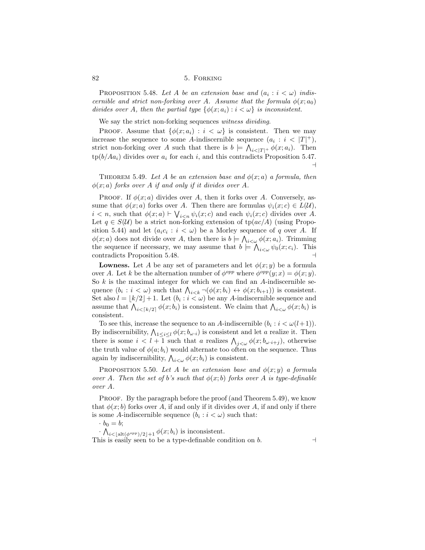82 5. FORKING

PROPOSITION 5.48. Let A be an extension base and  $(a_i : i < \omega)$  indiscernible and strict non-forking over A. Assume that the formula  $\phi(x; a_0)$ divides over A, then the partial type  $\{\phi(x; a_i) : i < \omega\}$  is inconsistent.

We say the strict non-forking sequences witness dividing.

PROOF. Assume that  $\{\phi(x; a_i) : i < \omega\}$  is consistent. Then we may increase the sequence to some A-indiscernible sequence  $(a_i : i < |T|^+),$ strict non-forking over A such that there is  $b \models \bigwedge_{i \leq |T|^{+}} \phi(x; a_{i})$ . Then  $\text{tp}(b/Aa_i)$  divides over  $a_i$  for each i, and this contradicts Proposition 5.47.  $\overline{\phantom{0}}$ 

THEOREM 5.49. Let A be an extension base and  $\phi(x; a)$  a formula, then  $\phi(x; a)$  forks over A if and only if it divides over A.

**PROOF.** If  $\phi(x; a)$  divides over A, then it forks over A. Conversely, assume that  $\phi(x; a)$  forks over A. Then there are formulas  $\psi_i(x; c) \in L(\mathcal{U}),$  $i < n$ , such that  $\phi(x; a) \vdash \bigvee_{i < n} \psi_i(x; c)$  and each  $\psi_i(x; c)$  divides over A. Let  $q \in S(\mathcal{U})$  be a strict non-forking extension of  $tp(ac/A)$  (using Proposition 5.44) and let  $(a_i c_i : i < \omega)$  be a Morley sequence of q over A. If  $\phi(x; a)$  does not divide over A, then there is  $b \models \bigwedge_{i \leq \omega} \phi(x; a_i)$ . Trimming the sequence if necessary, we may assume that  $b \models \bigwedge_{i<\omega} \psi_0(x; c_i)$ . This contradicts Proposition 5.48.  $\Box$ 

**Lowness.** Let A be any set of parameters and let  $\phi(x; y)$  be a formula over A. Let k be the alternation number of  $\phi^{opp}$  where  $\phi^{opp}(y; x) = \phi(x; y)$ . So  $k$  is the maximal integer for which we can find an  $A$ -indiscernible sequence  $(b_i : i < \omega)$  such that  $\bigwedge_{i < k} \neg(\phi(x; b_i) \leftrightarrow \phi(x; b_{i+1}))$  is consistent. Set also  $l = \lfloor k/2 \rfloor + 1$ . Let  $(b_i : i < \omega)$  be any A-indiscernible sequence and assume that  $\bigwedge_{i \leq [k/2]} \phi(x; b_i)$  is consistent. We claim that  $\bigwedge_{i \leq \omega} \phi(x; b_i)$  is consistent.

To see this, increase the sequence to an A-indiscernible  $(b_i : i < \omega(l+1)).$ By indiscernibility,  $\bigwedge_{1 \leq i \leq l} \phi(x; b_{\omega \cdot i})$  is consistent and let a realize it. Then there is some  $i < l + 1$  such that a realizes  $\bigwedge_{j < \omega} \phi(x; b_{\omega \cdot i+j})$ , otherwise the truth value of  $\phi(a;b_i)$  would alternate too often on the sequence. Thus again by indiscernibility,  $\bigwedge_{i<\omega}\phi(x;b_i)$  is consistent.

PROPOSITION 5.50. Let A be an extension base and  $\phi(x; y)$  a formula over A. Then the set of b's such that  $\phi(x;b)$  forks over A is type-definable over A.

PROOF. By the paragraph before the proof (and Theorem 5.49), we know that  $\phi(x; b)$  forks over A, if and only if it divides over A, if and only if there is some A-indiscernible sequence  $(b_i : i < \omega)$  such that:

 $\cdot \bigwedge_{i < |\text{alt}(\phi^{opp})/2|+1} \phi(x; b_i)$  is inconsistent.

This is easily seen to be a type-definable condition on  $b$ .

 $\cdot b_0 = b$ ;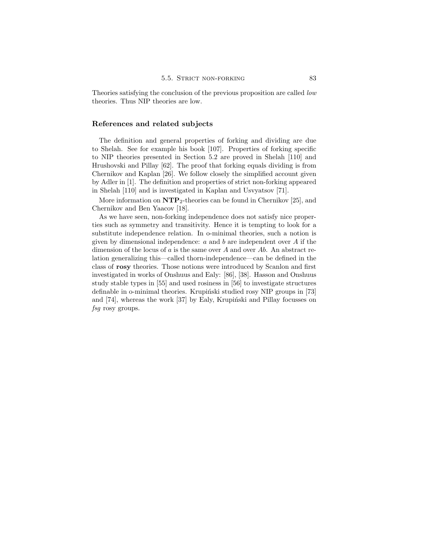Theories satisfying the conclusion of the previous proposition are called *low* theories. Thus NIP theories are low.

#### References and related subjects

The definition and general properties of forking and dividing are due to Shelah. See for example his book [107]. Properties of forking specific to NIP theories presented in Section 5.2 are proved in Shelah [110] and Hrushovski and Pillay [62]. The proof that forking equals dividing is from Chernikov and Kaplan [26]. We follow closely the simplified account given by Adler in [1]. The definition and properties of strict non-forking appeared in Shelah [110] and is investigated in Kaplan and Usvyatsov [71].

More information on  $\bf{NTP}_2$ -theories can be found in Chernikov [25], and Chernikov and Ben Yaacov [18].

As we have seen, non-forking independence does not satisfy nice properties such as symmetry and transitivity. Hence it is tempting to look for a substitute independence relation. In o-minimal theories, such a notion is given by dimensional independence: a and b are independent over A if the dimension of the locus of  $a$  is the same over  $A$  and over  $Ab$ . An abstract relation generalizing this—called thorn-independence—can be defined in the class of rosy theories. Those notions were introduced by Scanlon and first investigated in works of Onshuus and Ealy: [86], [38]. Hasson and Onshuus study stable types in [55] and used rosiness in [56] to investigate structures definable in o-minimal theories. Krupiński studied rosy NIP groups in [73] and  $[74]$ , whereas the work  $[37]$  by Ealy, Krupiński and Pillay focusses on fsg rosy groups.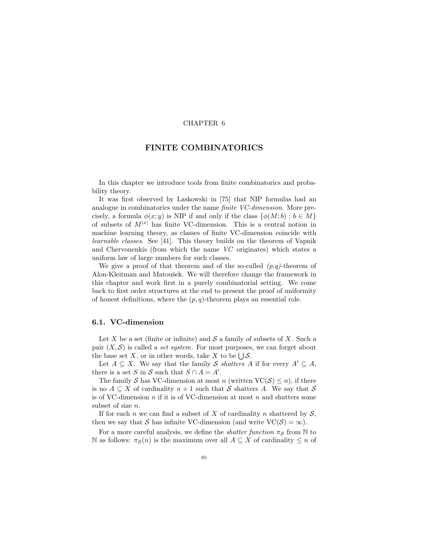### CHAPTER 6

## FINITE COMBINATORICS

In this chapter we introduce tools from finite combinatorics and probability theory.

It was first observed by Laskowski in [75] that NIP formulas had an analogue in combinatorics under the name finite VC-dimension. More precisely, a formula  $\phi(x; y)$  is NIP if and only if the class  $\{\phi(M; b) : b \in M\}$ of subsets of  $M^{|x|}$  has finite VC-dimension. This is a central notion in machine learning theory, as classes of finite VC-dimension coincide with learnable classes. See [41]. This theory builds on the theorem of Vapnik and Chervonenkis (from which the name VC originates) which states a uniform law of large numbers for such classes.

We give a proof of that theorem and of the so-called  $(p,q)$ -theorem of Alon-Kleitman and Matoušek. We will therefore change the framework in this chapter and work first in a purely combinatorial setting. We come back to first order structures at the end to present the proof of uniformity of honest definitions, where the  $(p, q)$ -theorem plays an essential role.

#### 6.1. VC-dimension

Let X be a set (finite or infinite) and  $\mathcal S$  a family of subsets of X. Such a pair  $(X, \mathcal{S})$  is called a set system. For most purposes, we can forget about the base set X, or in other words, take X to be  $\bigcup \mathcal{S}$ .

Let  $A \subseteq X$ . We say that the family S shatters A if for every  $A' \subseteq A$ , there is a set S in S such that  $S \cap A = A'$ .

The family S has VC-dimension at most n (written  $VC(S) \leq n$ ), if there is no  $A \subseteq X$  of cardinality  $n+1$  such that S shatters A. We say that S is of VC-dimension  $n$  if it is of VC-dimension at most  $n$  and shatters some subset of size *n*.

If for each n we can find a subset of X of cardinality n shattered by  $S$ , then we say that S has infinite VC-dimension (and write  $VC(S) = \infty$ ).

For a more careful analysis, we define the *shatter function*  $\pi_{\mathcal{S}}$  from N to N as follows:  $\pi_{\mathcal{S}}(n)$  is the maximum over all  $A \subseteq X$  of cardinality  $\leq n$  of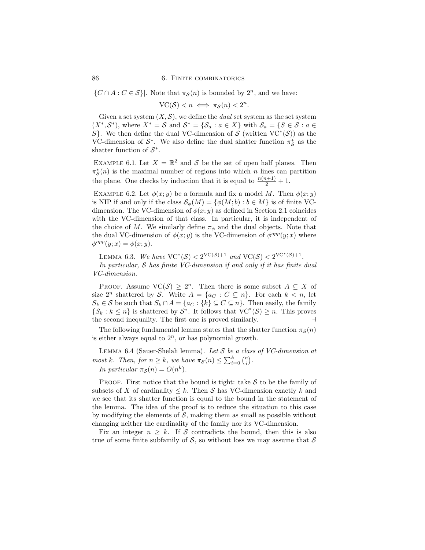$|\{C \cap A : C \in \mathcal{S}\}|$ . Note that  $\pi_{\mathcal{S}}(n)$  is bounded by  $2^n$ , and we have:

 $\text{VC}(\mathcal{S}) < n \iff \pi_{\mathcal{S}}(n) < 2^n.$ 

Given a set system  $(X, \mathcal{S})$ , we define the *dual* set system as the set system  $(X^*, \mathcal{S}^*)$ , where  $X^* = \mathcal{S}$  and  $\mathcal{S}^* = \{S_a : a \in X\}$  with  $\mathcal{S}_a = \{S \in \mathcal{S} : a \in \mathcal{S} \}$ S}. We then define the dual VC-dimension of  $\mathcal{S}$  (written  $\mathrm{VC}^*(\mathcal{S})$ ) as the VC-dimension of  $S^*$ . We also define the dual shatter function  $\pi_S^*$  as the shatter function of  $S^*$ .

EXAMPLE 6.1. Let  $X = \mathbb{R}^2$  and S be the set of open half planes. Then  $\pi_{\mathcal{S}}^*(n)$  is the maximal number of regions into which n lines can partition the plane. One checks by induction that it is equal to  $\frac{n(n+1)}{2} + 1$ .

EXAMPLE 6.2. Let  $\phi(x; y)$  be a formula and fix a model M. Then  $\phi(x; y)$ is NIP if and only if the class  $\mathcal{S}_{\phi}(M) = \{\phi(M;b) : b \in M\}$  is of finite VCdimension. The VC-dimension of  $\phi(x; y)$  as defined in Section 2.1 coincides with the VC-dimension of that class. In particular, it is independent of the choice of M. We similarly define  $\pi_{\phi}$  and the dual objects. Note that the dual VC-dimension of  $\phi(x; y)$  is the VC-dimension of  $\phi^{opp}(y; x)$  where  $\phi^{opp}(y;x) = \phi(x;y).$ 

LEMMA 6.3. We have  $\text{VC}^*(\mathcal{S}) < 2^{\text{VC}(\mathcal{S})+1}$  and  $\text{VC}(\mathcal{S}) < 2^{\text{VC}^*(\mathcal{S})+1}$ .

In particular, S has finite VC-dimension if and only if it has finite dual VC-dimension.

PROOF. Assume  $\text{VC}(\mathcal{S}) \geq 2^n$ . Then there is some subset  $A \subseteq X$  of size  $2^n$  shattered by S. Write  $A = \{a_C : C \subseteq n\}$ . For each  $k < n$ , let  $S_k \in \mathcal{S}$  be such that  $S_k \cap A = \{a_C : \{k\} \subseteq C \subseteq n\}$ . Then easily, the family  $\{S_k : k \leq n\}$  is shattered by  $S^*$ . It follows that  $VC^*(\mathcal{S}) \geq n$ . This proves the second inequality. The first one is proved similarly.

The following fundamental lemma states that the shatter function  $\pi_{\mathcal{S}}(n)$ is either always equal to  $2<sup>n</sup>$ , or has polynomial growth.

LEMMA 6.4 (Sauer-Shelah lemma). Let  $S$  be a class of VC-dimension at most k. Then, for  $n \geq k$ , we have  $\pi_{\mathcal{S}}(n) \leq \sum_{i=0}^{k} {n \choose i}$ . In particular  $\pi_{\mathcal{S}}(n) = O(n^k)$ .

PROOF. First notice that the bound is tight: take  $S$  to be the family of subsets of X of cardinality  $\leq k$ . Then S has VC-dimension exactly k and we see that its shatter function is equal to the bound in the statement of the lemma. The idea of the proof is to reduce the situation to this case by modifying the elements of  $S$ , making them as small as possible without changing neither the cardinality of the family nor its VC-dimension.

Fix an integer  $n \geq k$ . If S contradicts the bound, then this is also true of some finite subfamily of S, so without loss we may assume that S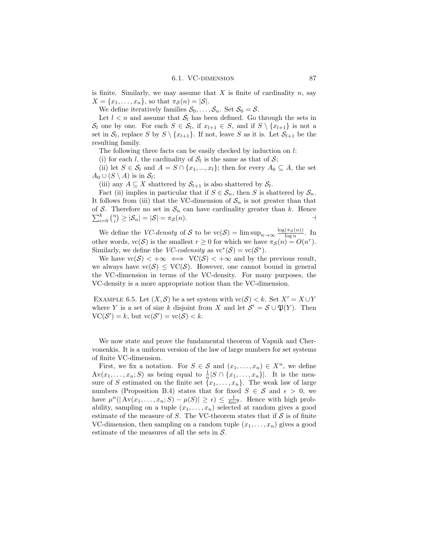is finite. Similarly, we may assume that  $X$  is finite of cardinality  $n$ , say  $X = \{x_1, \ldots, x_n\}$ , so that  $\pi_{\mathcal{S}}(n) = |\mathcal{S}|$ .

We define iteratively families  $S_0, \ldots, S_n$ . Set  $S_0 = S$ .

Let  $l < n$  and assume that  $S_l$  has been defined. Go through the sets in  $S_l$  one by one. For each  $S \in S_l$ , if  $x_{l+1} \in S$ , and if  $S \setminus \{x_{l+1}\}\$ is not a set in  $S_l$ , replace S by  $S \setminus \{x_{l+1}\}.$  If not, leave S as it is. Let  $S_{l+1}$  be the resulting family.

The following three facts can be easily checked by induction on l:

(i) for each l, the cardinality of  $S_l$  is the same as that of  $S$ ;

(ii) let  $S \in \mathcal{S}_l$  and  $A = S \cap \{x_1, ..., x_l\}$ ; then for every  $A_0 \subseteq A$ , the set  $A_0 \cup (S \setminus A)$  is in  $S_l$ ;

(iii) any  $A \subseteq X$  shattered by  $S_{l+1}$  is also shattered by  $S_l$ .

Fact (ii) implies in particular that if  $S \in \mathcal{S}_n$ , then S is shattered by  $\mathcal{S}_n$ . It follows from (iii) that the VC-dimension of  $S_n$  is not greater than that of S. Therefore no set in  $S_n$  can have cardinality greater than k. Hence  $\sum_{i=0}^{k} {n \choose i} \ge |\mathcal{S}_n| = |\mathcal{S}| = \pi_{\mathcal{S}}(n).$ 

We define the *VC-density* of S to be  $vc(S) = \limsup_{n \to \infty} \frac{\log(\pi_S(n))}{\log n}$ . In other words,  $vc(S)$  is the smallest  $r \geq 0$  for which we have  $\pi_{\mathcal{S}}(n) = O(n^r)$ . Similarly, we define the *VC-codensity* as  $vc^*(\mathcal{S}) = vc(\mathcal{S}^*)$ .

We have  $\text{vc}(\mathcal{S}) < +\infty \iff \text{VC}(\mathcal{S}) < +\infty$  and by the previous result, we always have  $\text{vc}(\mathcal{S}) \leq \text{VC}(\mathcal{S})$ . However, one cannot bound in general the VC-dimension in terms of the VC-density. For many purposes, the VC-density is a more appropriate notion than the VC-dimension.

EXAMPLE 6.5. Let  $(X, \mathcal{S})$  be a set system with  $vc(\mathcal{S}) < k$ . Set  $X' = X \cup Y$ where Y is a set of size k disjoint from X and let  $S' = S \cup \mathfrak{P}(Y)$ . Then  $\text{VC}(\mathcal{S}') = k$ , but  $\text{vc}(\mathcal{S}') = \text{vc}(\mathcal{S}) < k$ .

We now state and prove the fundamental theorem of Vapnik and Chervonenkis. It is a uniform version of the law of large numbers for set systems of finite VC-dimension.

First, we fix a notation. For  $S \in \mathcal{S}$  and  $(x_1, \ldots, x_n) \in X^n$ , we define  $Av(x_1, \ldots, x_n; S)$  as being equal to  $\frac{1}{n} |S \cap \{x_1, \ldots, x_n\}|$ . It is the measure of S estimated on the finite set  $\{x_1, \ldots, x_n\}$ . The weak law of large numbers (Proposition B.4) states that for fixed  $S \in \mathcal{S}$  and  $\epsilon > 0$ , we have  $\mu^{n}(|Av(x_1,...,x_n;S)-\mu(S)| \geq \epsilon) \leq \frac{1}{4n\epsilon^2}$ . Hence with high probability, sampling on a tuple  $(x_1, \ldots, x_n)$  selected at random gives a good estimate of the measure of S. The VC-theorem states that if  $S$  is of finite VC-dimension, then sampling on a random tuple  $(x_1, \ldots, x_n)$  gives a good estimate of the measures of all the sets in  $S$ .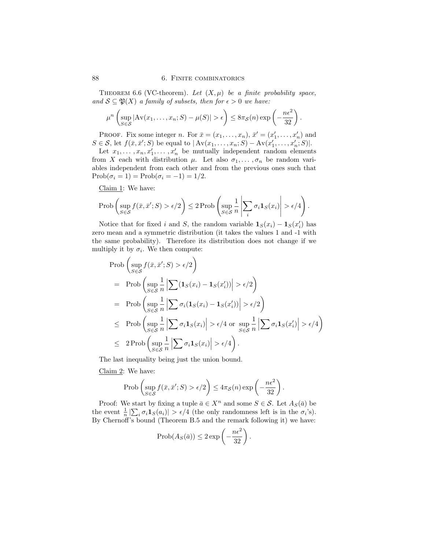THEOREM 6.6 (VC-theorem). Let  $(X, \mu)$  be a finite probability space, and  $S \subseteq \mathfrak{P}(X)$  a family of subsets, then for  $\epsilon > 0$  we have:

$$
\mu^{n}\left(\sup_{S\in\mathcal{S}}|Av(x_1,\ldots,x_n;S)-\mu(S)|>\epsilon\right)\leq 8\pi_{\mathcal{S}}(n)\exp\left(-\frac{n\epsilon^2}{32}\right).
$$

PROOF. Fix some integer *n*. For  $\bar{x} = (x_1, \ldots, x_n)$ ,  $\bar{x}' = (x'_1, \ldots, x'_n)$  and  $S \in \mathcal{S}$ , let  $f(\bar{x}, \bar{x}'; S)$  be equal to  $|\operatorname{Av}(x_1, \ldots, x_n; S) - \operatorname{Av}(x'_1, \ldots, x'_n; S)|$ .

Let  $x_1, \ldots, x_n, x'_1, \ldots, x'_n$  be mutually independent random elements from X each with distribution  $\mu$ . Let also  $\sigma_1, \ldots, \sigma_n$  be random variables independent from each other and from the previous ones such that  $Prob(\sigma_i = 1) = Prob(\sigma_i = -1) = 1/2.$ 

Claim 1: We have:

$$
\text{Prob}\left(\sup_{S\in\mathcal{S}} f(\bar{x}, \bar{x}'; S) > \epsilon/2\right) \le 2 \text{Prob}\left(\sup_{S\in\mathcal{S}} \frac{1}{n} \left|\sum_{i} \sigma_i \mathbf{1}_S(x_i)\right| > \epsilon/4\right).
$$

Notice that for fixed i and S, the random variable  $\mathbf{1}_S(x_i) - \mathbf{1}_S(x_i')$  has zero mean and a symmetric distribution (it takes the values 1 and -1 with the same probability). Therefore its distribution does not change if we multiply it by  $\sigma_i$ . We then compute:

$$
\begin{aligned}\n\text{Prob} & \left( \sup_{S \in \mathcal{S}} f(\bar{x}, \bar{x}'; S) > \epsilon/2 \right) \\
&= \text{Prob} \left( \sup_{S \in \mathcal{S}} \frac{1}{n} \left| \sum_{S} (\mathbf{1}_S(x_i) - \mathbf{1}_S(x_i')) \right| > \epsilon/2 \right) \\
&= \text{Prob} \left( \sup_{S \in \mathcal{S}} \frac{1}{n} \left| \sum_{S} \sigma_i (\mathbf{1}_S(x_i) - \mathbf{1}_S(x_i')) \right| > \epsilon/2 \right) \\
& \leq \text{Prob} \left( \sup_{S \in \mathcal{S}} \frac{1}{n} \left| \sum_{S} \sigma_i \mathbf{1}_S(x_i) \right| > \epsilon/4 \text{ or } \sup_{S \in \mathcal{S}} \frac{1}{n} \left| \sum_{S} \sigma_i \mathbf{1}_S(x_i') \right| > \epsilon/4 \right) \\
& \leq 2 \text{Prob} \left( \sup_{S \in \mathcal{S}} \frac{1}{n} \left| \sum_{S} \sigma_i \mathbf{1}_S(x_i) \right| > \epsilon/4 \right).\n\end{aligned}
$$

The last inequality being just the union bound.

Claim 2: We have:

$$
\operatorname{Prob}\left(\sup_{S\in\mathcal{S}}f(\bar{x},\bar{x}';S) > \epsilon/2\right) \leq 4\pi_{\mathcal{S}}(n)\exp\left(-\frac{n\epsilon^2}{32}\right).
$$

Proof: We start by fixing a tuple  $\bar{a} \in X^n$  and some  $S \in \mathcal{S}$ . Let  $A_S(\bar{a})$  be the event  $\frac{1}{n} \left| \sum_i \sigma_i \mathbf{1}_S(a_i) \right| > \epsilon/4$  (the only randomness left is in the  $\sigma_i$ 's). By Chernoff's bound (Theorem B.5 and the remark following it) we have:

$$
\mathrm{Prob}(A_S(\bar{a})) \leq 2 \exp\left(-\frac{n\epsilon^2}{32}\right).
$$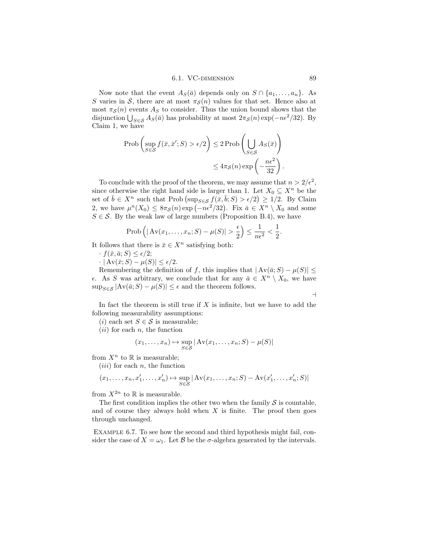Now note that the event  $A_S(\bar{a})$  depends only on  $S \cap \{a_1, \ldots, a_n\}$ . As S varies in S, there are at most  $\pi_{\mathcal{S}}(n)$  values for that set. Hence also at most  $\pi_{\mathcal{S}}(n)$  events  $A_S$  to consider. Thus the union bound shows that the disjunction  $\bigcup_{S \in \mathcal{S}} A_S(\bar{a})$  has probability at most  $2\pi_{\mathcal{S}}(n) \exp(-n\epsilon^2/32)$ . By Claim 1, we have

$$
\begin{aligned} \text{Prob}\left(\sup_{S \in \mathcal{S}} f(\bar{x}, \bar{x}'; S) > \epsilon/2\right) &\leq 2 \, \text{Prob}\left(\bigcup_{S \in \mathcal{S}} A_S(\bar{x})\right) \\ &\leq 4\pi_{\mathcal{S}}(n) \exp\left(-\frac{n\epsilon^2}{32}\right). \end{aligned}
$$

To conclude with the proof of the theorem, we may assume that  $n > 2/\epsilon^2$ , since otherwise the right hand side is larger than 1. Let  $X_0 \subseteq X^n$  be the set of  $\bar{b} \in X^n$  such that Prob  $(\sup_{S \in \mathcal{S}} f(\bar{x}, \bar{b}; S) > \epsilon/2) \geq 1/2$ . By Claim 2, we have  $\mu^{n}(X_0) \leq 8\pi_{\mathcal{S}}(n) \exp(-n\epsilon^2/32)$ . Fix  $\bar{a} \in X^n \setminus X_0$  and some  $S \in \mathcal{S}$ . By the weak law of large numbers (Proposition B.4), we have

$$
\text{Prob}\left(|\operatorname{Av}(x_1,\ldots,x_n;S)-\mu(S)|>\frac{\epsilon}{2}\right)\leq \frac{1}{n\epsilon^2}<\frac{1}{2}.
$$

It follows that there is  $\bar{x} \in X^n$  satisfying both:

 $\cdot f(\bar{x}, \bar{a}; S) \leq \epsilon/2;$ 

 $\cdot$  | Av( $\bar{x}$ ; S) –  $\mu(S)$ |  $\leq \epsilon/2$ .

Remembering the definition of f, this implies that  $|Av(\bar{a};S) - \mu(S)| \le$  $\epsilon$ . As S was arbitrary, we conclude that for any  $\bar{a} \in X^n \setminus X_0$ , we have  $\sup_{S \in \mathcal{S}} |\text{Av}(\bar{a}; S) - \mu(S)| \leq \epsilon$  and the theorem follows.

 $\overline{\phantom{a}}$ 

In fact the theorem is still true if  $X$  is infinite, but we have to add the following measurability assumptions:

(*i*) each set  $S \in \mathcal{S}$  is measurable;

 $(ii)$  for each n, the function

$$
(x_1, \ldots, x_n) \mapsto \sup_{S \in \mathcal{S}} |Av(x_1, \ldots, x_n; S) - \mu(S)|
$$

from  $X^n$  to  $\mathbb R$  is measurable;

 $(iii)$  for each n, the function

$$
(x_1, \ldots, x_n, x'_1, \ldots, x'_n) \mapsto \sup_{S \in \mathcal{S}} |Av(x_1, \ldots, x_n; S) - Av(x'_1, \ldots, x'_n; S)|
$$

from  $X^{2n}$  to R is measurable.

The first condition implies the other two when the family  $\mathcal S$  is countable, and of course they always hold when  $X$  is finite. The proof then goes through unchanged.

Example 6.7. To see how the second and third hypothesis might fail, consider the case of  $X = \omega_1$ . Let B be the  $\sigma$ -algebra generated by the intervals.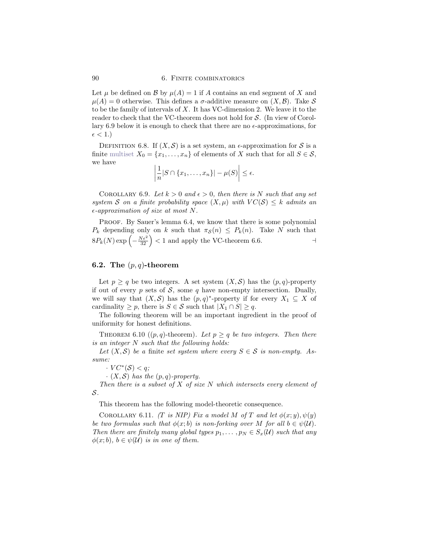Let  $\mu$  be defined on B by  $\mu(A) = 1$  if A contains an end segment of X and  $\mu(A) = 0$  otherwise. This defines a  $\sigma$ -additive measure on  $(X, \mathcal{B})$ . Take S to be the family of intervals of  $X$ . It has VC-dimension 2. We leave it to the reader to check that the VC-theorem does not hold for S. (In view of Corollary 6.9 below it is enough to check that there are no  $\epsilon$ -approximations, for  $\epsilon < 1.$ 

DEFINITION 6.8. If  $(X, \mathcal{S})$  is a set system, an  $\epsilon$ -approximation for S is a finite multiset  $X_0 = \{x_1, \ldots, x_n\}$  of elements of X such that for all  $S \in \mathcal{S}$ , we have

$$
\left|\frac{1}{n}|S\cap\{x_1,\ldots,x_n\}|-\mu(S)\right|\leq\epsilon.
$$

COROLLARY 6.9. Let  $k > 0$  and  $\epsilon > 0$ , then there is N such that any set system S on a finite probability space  $(X, \mu)$  with  $VC(S) \leq k$  admits an  $\epsilon$ -approximation of size at most N.

PROOF. By Sauer's lemma 6.4, we know that there is some polynomial  $P_k$  depending only on k such that  $\pi_{\mathcal{S}}(n) \leq P_k(n)$ . Take N such that  $8P_k(N) \exp\left(-\frac{N\epsilon^2}{32}\right) < 1$  and apply the VC-theorem 6.6.

## **6.2.** The  $(p, q)$ -theorem

Let  $p \ge q$  be two integers. A set system  $(X, \mathcal{S})$  has the  $(p, q)$ -property if out of every  $p$  sets of  $S$ , some  $q$  have non-empty intersection. Dually, we will say that  $(X, \mathcal{S})$  has the  $(p, q)^*$ -property if for every  $X_1 \subseteq X$  of cardinality  $\geq p$ , there is  $S \in \mathcal{S}$  such that  $|X_1 \cap S| \geq q$ .

The following theorem will be an important ingredient in the proof of uniformity for honest definitions.

THEOREM 6.10  $((p,q)\text{-theorem})$ . Let  $p \geq q$  be two integers. Then there is an integer N such that the following holds:

Let  $(X, \mathcal{S})$  be a finite set system where every  $S \in \mathcal{S}$  is non-empty. Assume:

 $\cdot$   $VC^*(\mathcal{S}) < q;$ 

 $\cdot$  (X, S) has the  $(p, q)$ -property.

Then there is a subset of  $X$  of size  $N$  which intersects every element of S.

This theorem has the following model-theoretic consequence.

COROLLARY 6.11. (T is NIP) Fix a model M of T and let  $\phi(x; y)$ ,  $\psi(y)$ be two formulas such that  $\phi(x;b)$  is non-forking over M for all  $b \in \psi(\mathcal{U})$ . Then there are finitely many global types  $p_1, \ldots, p_N \in S_x(\mathcal{U})$  such that any  $\phi(x;b), b \in \psi(\mathcal{U})$  is in one of them.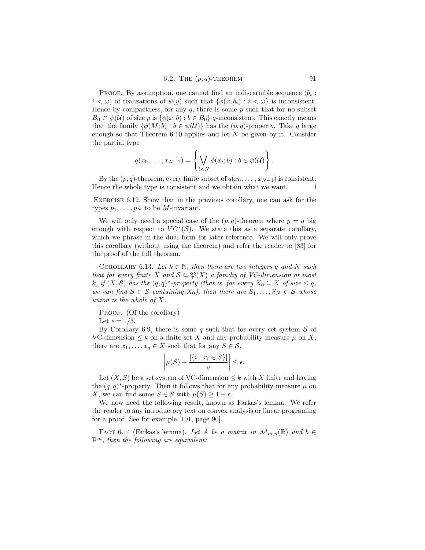PROOF. By assumption, one cannot find an indiscernible sequence  $(b_i :$  $i < \omega$ ) of realizations of  $\psi(y)$  such that  $\{\phi(x;b_i): i < \omega\}$  is inconsistent. Hence by compactness, for any  $q$ , there is some  $p$  such that for no subset  $B_0 \subset \psi(\mathcal{U})$  of size p is  $\{\phi(x;b) : b \in B_0\}$  q-inconsistent. This exactly means that the family  $\{\phi(M;b):b\in\psi(\mathcal{U})\}$  has the  $(p,q)$ -property. Take q large enough so that Theorem 6.10 applies and let  $N$  be given by it. Consider the partial type

$$
q(x_0,\ldots,x_{N-1})=\left\{\bigvee_{i
$$

By the  $(p, q)$ -theorem, every finite subset of  $q(x_0, \ldots, x_{N-1})$  is consistent. Hence the whole type is consistent and we obtain what we want.

Exercise 6.12. Show that in the previous corollary, one can ask for the types  $p_1, \ldots, p_N$  to be *M*-invariant.

We will only need a special case of the  $(p, q)$ -theorem where  $p = q$  big enough with respect to  $VC^*(\mathcal{S})$ . We state this as a separate corollary, which we phrase in the dual form for later reference. We will only prove this corollary (without using the theorem) and refer the reader to [83] for the proof of the full theorem.

COROLLARY 6.13. Let  $k \in \mathbb{N}$ , then there are two integers q and N such that for every finite X and  $S \subseteq \mathfrak{P}(X)$  a familiy of VC-dimension at most k, if  $(X, \mathcal{S})$  has the  $(q, q)^*$ -property (that is, for every  $X_0 \subseteq X$  of size  $\leq q$ , we can find  $S \in \mathcal{S}$  containing  $X_0$ ), then there are  $S_1, \ldots, S_N \in \mathcal{S}$  whose union is the whole of X.

PROOF. (Of the corollary)

Let  $\epsilon = 1/3$ .

By Corollary 6.9, there is some q such that for every set system  $S$  of VC-dimension  $\leq k$  on a finite set X and any probability measure  $\mu$  on X, there are  $x_1, \ldots, x_q \in X$  such that for any  $S \in \mathcal{S}$ ,

$$
\left|\mu(S) - \frac{|\{i : x_i \in S\}|}{q}\right| \le \epsilon.
$$

Let  $(X, \mathcal{S})$  be a set system of VC-dimension  $\leq k$  with X finite and having the  $(q, q)^*$ -property. Then it follows that for any probability measure  $\mu$  on X, we can find some  $S \in \mathcal{S}$  with  $\mu(S) \geq 1 - \epsilon$ .

We now need the following result, known as Farkas's lemma. We refer the reader to any introductory text on convex analysis or linear programing for a proof. See for example [101, page 90].

FACT 6.14 (Farkas's lemma). Let A be a matrix in  $\mathcal{M}_{m,n}(\mathbb{R})$  and  $b \in$  $\mathbb{R}^m$ , then the following are equivalent: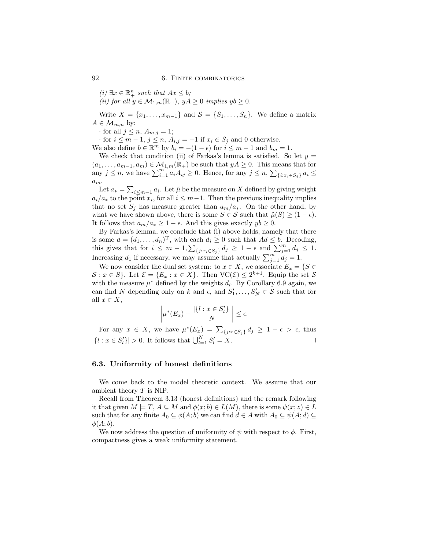(i)  $∃x ∈ ℝ<sup>n</sup><sub>+</sub> such that Ax ≤ b;$ 

(ii) for all  $y \in \mathcal{M}_{1,m}(\mathbb{R}_+), yA \geq 0$  implies  $yb \geq 0$ .

Write  $X = \{x_1, \ldots, x_{m-1}\}\$ and  $S = \{S_1, \ldots, S_n\}$ . We define a matrix  $A \in \mathcal{M}_{m,n}$  by:

 $\cdot$  for all  $j \leq n$ ,  $A_{m,j} = 1$ ;

· for  $i \leq m-1$ ,  $j \leq n$ ,  $A_{i,j} = -1$  if  $x_i \in S_j$  and 0 otherwise.

We also define  $b \in \mathbb{R}^m$  by  $b_i = -(1 - \epsilon)$  for  $i \leq m - 1$  and  $b_m = 1$ .

We check that condition (ii) of Farkas's lemma is satisfied. So let  $y =$  $(a_1, \ldots, a_{m-1}, a_m) \in \mathcal{M}_{1,m}(\mathbb{R}_+)$  be such that  $yA \geq 0$ . This means that for any  $j \leq n$ , we have  $\sum_{i=1}^{m} a_i A_{ij} \geq 0$ . Hence, for any  $j \leq n$ ,  $\sum_{\{i: x_i \in S_j\}} a_i \leq$  $a_m$ 

Let  $a_* = \sum_{i \leq m-1} a_i$ . Let  $\tilde{\mu}$  be the measure on X defined by giving weight  $a_i/a_*$  to the point  $x_i$ , for all  $i \leq m-1$ . Then the previous inequality implies that no set  $S_i$  has measure greater than  $a_m/a_*$ . On the other hand, by what we have shown above, there is some  $S \in \mathcal{S}$  such that  $\tilde{\mu}(S) \geq (1 - \epsilon)$ . It follows that  $a_m/a_* \geq 1 - \epsilon$ . And this gives exactly  $yb \geq 0$ .

By Farkas's lemma, we conclude that (i) above holds, namely that there is some  $d = (d_1, \ldots, d_n)^T$ , with each  $d_i \geq 0$  such that  $Ad \leq b$ . Decoding, this gives that for  $i \leq m-1, \sum_{\{j: x_i \in S_j\}} d_j \geq 1-\epsilon$  and  $\sum_{j=1}^m d_j \leq 1$ . Increasing  $d_1$  if necessary, we may assume that actually  $\sum_{j=1}^{m} d_j = 1$ .

We now consider the dual set system: to  $x \in X$ , we associate  $E_x = \{S \in$  $S: x \in S$ . Let  $\mathcal{E} = \{E_x : x \in X\}$ . Then  $\text{VC}(\mathcal{E}) \leq 2^{k+1}$ . Equip the set  $S$ with the measure  $\mu^*$  defined by the weights  $d_i$ . By Corollary 6.9 again, we can find N depending only on k and  $\epsilon$ , and  $S'_1, \ldots, S'_N \in \mathcal{S}$  such that for all  $x \in X$ ,

$$
\left|\mu^*(E_x) - \frac{|\{l : x \in S'_l\}|}{N}\right| \le \epsilon.
$$

For any  $x \in X$ , we have  $\mu^*(E_x) = \sum_{\{j: x \in S_j\}} d_j \ge 1 - \epsilon > \epsilon$ , thus  $|\{l : x \in S'_l\}| > 0$ . It follows that  $\bigcup_{l=1}^N S'_l = X$ .

## 6.3. Uniformity of honest definitions

We come back to the model theoretic context. We assume that our ambient theory T is NIP.

Recall from Theorem 3.13 (honest definitions) and the remark following it that given  $M \models T$ ,  $A \subseteq M$  and  $\phi(x; b) \in L(M)$ , there is some  $\psi(x; z) \in L$ such that for any finite  $A_0 \subseteq \phi(A; b)$  we can find  $d \in A$  with  $A_0 \subseteq \psi(A; d) \subseteq$  $\phi(A;b).$ 

We now address the question of uniformity of  $\psi$  with respect to  $\phi$ . First, compactness gives a weak uniformity statement.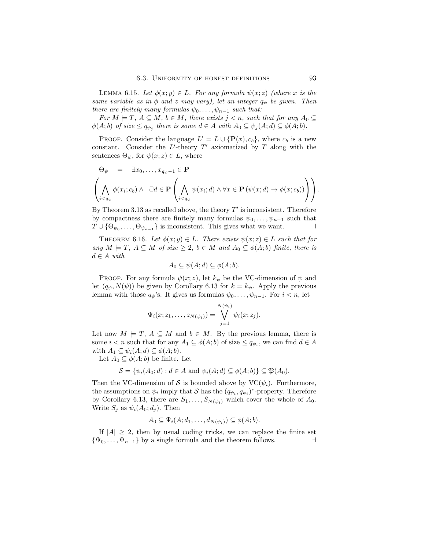LEMMA 6.15. Let  $\phi(x; y) \in L$ . For any formula  $\psi(x; z)$  (where x is the same variable as in  $\phi$  and z may vary), let an integer  $q_{\psi}$  be given. Then there are finitely many formulas  $\psi_0, \ldots, \psi_{n-1}$  such that:

For  $M \models T$ ,  $A \subseteq M$ ,  $b \in M$ , there exists  $j < n$ , such that for any  $A_0 \subseteq$  $\phi(A;b)$  of size  $\leq q_{\psi_j}$  there is some  $d \in A$  with  $A_0 \subseteq \psi_j(A;d) \subseteq \phi(A;b)$ .

PROOF. Consider the language  $L' = L \cup \{P(x), c_b\}$ , where  $c_b$  is a new constant. Consider the  $L'$ -theory  $T'$  axiomatized by  $T$  along with the sentences  $\Theta_{\psi}$ , for  $\psi(x; z) \in L$ , where

$$
\Theta_{\psi} = \exists x_0, \dots, x_{q_{\psi}-1} \in \mathbf{P}
$$
\n
$$
\left( \bigwedge_{i < q_{\psi}} \phi(x_i; c_b) \land \neg \exists d \in \mathbf{P} \left( \bigwedge_{i < q_{\psi}} \psi(x_i; d) \land \forall x \in \mathbf{P} \left( \psi(x; d) \to \phi(x; c_b) \right) \right) \right).
$$

By Theorem 3.13 as recalled above, the theory  $T'$  is inconsistent. Therefore by compactness there are finitely many formulas  $\psi_0, \ldots, \psi_{n-1}$  such that  $T \cup {\Theta_{\psi_0}, \ldots, \Theta_{\psi_{n-1}}}$  is inconsistent. This gives what we want.

THEOREM 6.16. Let  $\phi(x; y) \in L$ . There exists  $\psi(x; z) \in L$  such that for any  $M \models T$ ,  $A \subseteq M$  of size  $\geq 2$ ,  $b \in M$  and  $A_0 \subseteq \phi(A;b)$  finite, there is  $d \in A$  with

$$
A_0 \subseteq \psi(A; d) \subseteq \phi(A; b).
$$

PROOF. For any formula  $\psi(x; z)$ , let  $k_{\psi}$  be the VC-dimension of  $\psi$  and let  $(q_{\psi}, N(\psi))$  be given by Corollary 6.13 for  $k = k_{\psi}$ . Apply the previous lemma with those  $q_{\psi}$ 's. It gives us formulas  $\psi_0, \ldots, \psi_{n-1}$ . For  $i < n$ , let

$$
\Psi_i(x; z_1, \dots, z_{N(\psi_i)}) = \bigvee_{j=1}^{N(\psi_i)} \psi_i(x; z_j).
$$

Let now  $M \models T$ ,  $A \subseteq M$  and  $b \in M$ . By the previous lemma, there is some  $i < n$  such that for any  $A_1 \subseteq \phi(A;b)$  of size  $\leq q_{\psi_i}$ , we can find  $d \in A$ with  $A_1 \subseteq \psi_i(A; d) \subseteq \phi(A; b)$ .

Let  $A_0 \subseteq \phi(A;b)$  be finite. Let

$$
\mathcal{S} = \{ \psi_i(A_0; d) : d \in A \text{ and } \psi_i(A; d) \subseteq \phi(A; b) \} \subseteq \mathfrak{P}(A_0).
$$

Then the VC-dimension of S is bounded above by  $VC(\psi_i)$ . Furthermore, the assumptions on  $\psi_i$  imply that S has the  $(q_{\psi_i}, q_{\psi_i})^*$ -property. Therefore by Corollary 6.13, there are  $S_1, \ldots, S_{N(\psi_i)}$  which cover the whole of  $A_0$ . Write  $S_j$  as  $\psi_i(A_0; d_j)$ . Then

$$
A_0 \subseteq \Psi_i(A; d_1, \ldots, d_{N(\psi_i)}) \subseteq \phi(A; b).
$$

If  $|A| \geq 2$ , then by usual coding tricks, we can replace the finite set  $\{\Psi_0, \ldots, \Psi_{n-1}\}\$  by a single formula and the theorem follows.  $\Box$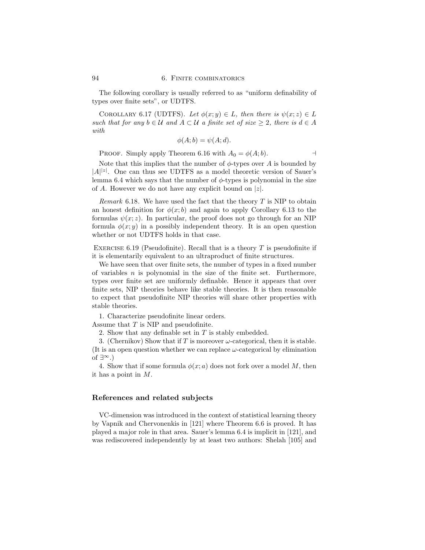The following corollary is usually referred to as "uniform definability of types over finite sets", or UDTFS.

COROLLARY 6.17 (UDTFS). Let  $\phi(x; y) \in L$ , then there is  $\psi(x; z) \in L$ such that for any  $b \in \mathcal{U}$  and  $A \subset \mathcal{U}$  a finite set of size  $\geq 2$ , there is  $d \in A$ with

$$
\phi(A;b) = \psi(A;d).
$$

PROOF. Simply apply Theorem 6.16 with  $A_0 = \phi(A; b)$ .

Note that this implies that the number of  $\phi$ -types over A is bounded by  $|A|^{|z|}$ . One can thus see UDTFS as a model theoretic version of Sauer's lemma 6.4 which says that the number of  $\phi$ -types is polynomial in the size of A. However we do not have any explicit bound on  $|z|$ .

Remark 6.18. We have used the fact that the theory  $T$  is NIP to obtain an honest definition for  $\phi(x; b)$  and again to apply Corollary 6.13 to the formulas  $\psi(x; z)$ . In particular, the proof does not go through for an NIP formula  $\phi(x; y)$  in a possibly independent theory. It is an open question whether or not UDTFS holds in that case.

EXERCISE 6.19 (Pseudofinite). Recall that is a theory  $T$  is pseudofinite if it is elementarily equivalent to an ultraproduct of finite structures.

We have seen that over finite sets, the number of types in a fixed number of variables  $n$  is polynomial in the size of the finite set. Furthermore, types over finite set are uniformly definable. Hence it appears that over finite sets, NIP theories behave like stable theories. It is then reasonable to expect that pseudofinite NIP theories will share other properties with stable theories.

1. Characterize pseudofinite linear orders.

Assume that T is NIP and pseudofinite.

2. Show that any definable set in  $T$  is stably embedded.

3. (Chernikov) Show that if T is moreover  $\omega$ -categorical, then it is stable. (It is an open question whether we can replace  $\omega$ -categorical by elimination of  $\exists^{\infty}$ .)

4. Show that if some formula  $\phi(x; a)$  does not fork over a model M, then it has a point in M.

## References and related subjects

VC-dimension was introduced in the context of statistical learning theory by Vapnik and Chervonenkis in [121] where Theorem 6.6 is proved. It has played a major role in that area. Sauer's lemma 6.4 is implicit in [121], and was rediscovered independently by at least two authors: Shelah [105] and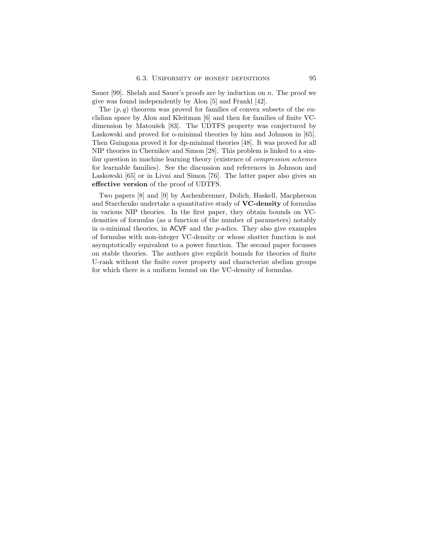Sauer [99]. Shelah and Sauer's proofs are by induction on  $n$ . The proof we give was found independently by Alon [5] and Frankl [42].

The  $(p, q)$  theorem was proved for families of convex subsets of the euclidian space by Alon and Kleitman [6] and then for families of finite VCdimension by Matoušek [83]. The UDTFS property was conjectured by Laskowski and proved for o-minimal theories by him and Johnson in [65]. Then Guingona proved it for dp-minimal theories [48]. It was proved for all NIP theories in Chernikov and Simon [28]. This problem is linked to a similar question in machine learning theory (existence of compression schemes for learnable families). See the discussion and references in Johnson and Laskowski [65] or in Livni and Simon [76]. The latter paper also gives an effective version of the proof of UDTFS.

Two papers [8] and [9] by Aschenbrenner, Dolich, Haskell, Macpherson and Starchenko undertake a quantitative study of **VC-density** of formulas in various NIP theories. In the first paper, they obtain bounds on VCdensities of formulas (as a function of the number of parameters) notably in o-minimal theories, in ACVF and the p-adics. They also give examples of formulas with non-integer VC-density or whose shatter function is not asymptotically equivalent to a power function. The second paper focusses on stable theories. The authors give explicit bounds for theories of finite U-rank without the finite cover property and characterize abelian groups for which there is a uniform bound on the VC-density of formulas.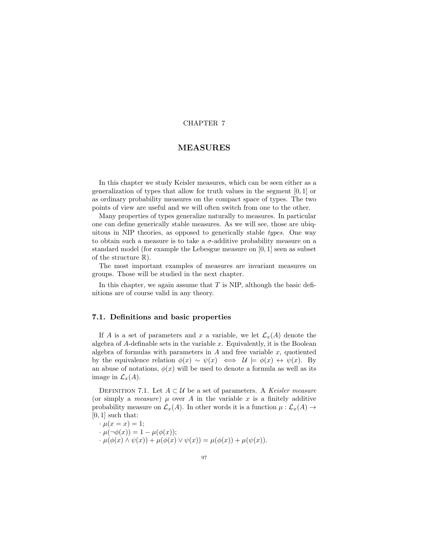### CHAPTER 7

## MEASURES

In this chapter we study Keisler measures, which can be seen either as a generalization of types that allow for truth values in the segment [0, 1] or as ordinary probability measures on the compact space of types. The two points of view are useful and we will often switch from one to the other.

Many properties of types generalize naturally to measures. In particular one can define generically stable measures. As we will see, those are ubiquitous in NIP theories, as opposed to generically stable types. One way to obtain such a measure is to take a  $\sigma$ -additive probability measure on a standard model (for example the Lebesgue measure on [0, 1] seen as subset of the structure  $\mathbb{R}$ ).

The most important examples of measures are invariant measures on groups. Those will be studied in the next chapter.

In this chapter, we again assume that  $T$  is NIP, although the basic definitions are of course valid in any theory.

## 7.1. Definitions and basic properties

If A is a set of parameters and x a variable, we let  $\mathcal{L}_x(A)$  denote the algebra of  $A$ -definable sets in the variable  $x$ . Equivalently, it is the Boolean algebra of formulas with parameters in  $A$  and free variable  $x$ , quotiented by the equivalence relation  $\phi(x) \sim \psi(x) \iff \mathcal{U} \models \phi(x) \leftrightarrow \psi(x)$ . By an abuse of notations,  $\phi(x)$  will be used to denote a formula as well as its image in  $\mathcal{L}_x(A)$ .

DEFINITION 7.1. Let  $A \subset \mathcal{U}$  be a set of parameters. A Keisler measure (or simply a *measure*)  $\mu$  over A in the variable x is a finitely additive probability measure on  $\mathcal{L}_x(A)$ . In other words it is a function  $\mu : \mathcal{L}_x(A) \to$  $[0, 1]$  such that:

$$
\begin{aligned}\n\cdot \mu(x = x) &= 1; \\
\cdot \mu(\neg \phi(x)) &= 1 - \mu(\phi(x)); \\
\cdot \mu(\phi(x) \land \psi(x)) + \mu(\phi(x) \lor \psi(x)) &= \mu(\phi(x)) + \mu(\psi(x)).\n\end{aligned}
$$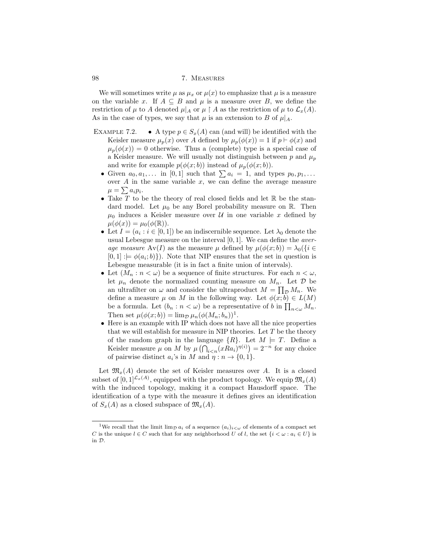#### 98 7. Measures

We will sometimes write  $\mu$  as  $\mu_x$  or  $\mu(x)$  to emphasize that  $\mu$  is a measure on the variable x. If  $A \subseteq B$  and  $\mu$  is a measure over B, we define the restriction of  $\mu$  to A denoted  $\mu|_A$  or  $\mu \upharpoonright A$  as the restriction of  $\mu$  to  $\mathcal{L}_x(A)$ . As in the case of types, we say that  $\mu$  is an extension to B of  $\mu|_A$ .

- EXAMPLE 7.2. A type  $p \in S_x(A)$  can (and will) be identified with the Keisler measure  $\mu_p(x)$  over A defined by  $\mu_p(\phi(x)) = 1$  if  $p \vdash \phi(x)$  and  $\mu_p(\phi(x)) = 0$  otherwise. Thus a (complete) type is a special case of a Keisler measure. We will usually not distinguish between  $p$  and  $\mu_p$ and write for example  $p(\phi(x;b))$  instead of  $\mu_p(\phi(x;b))$ .
	- Given  $a_0, a_1, \ldots$  in [0,1] such that  $\sum a_i = 1$ , and types  $p_0, p_1, \ldots$ over  $A$  in the same variable  $x$ , we can define the average measure  $\mu = \sum a_i p_i.$
	- Take  $T$  to be the theory of real closed fields and let  $\mathbb R$  be the standard model. Let  $\mu_0$  be any Borel probability measure on R. Then  $\mu_0$  induces a Keisler measure over U in one variable x defined by  $\mu(\phi(x)) = \mu_0(\phi(\mathbb{R})).$
	- Let  $I = (a_i : i \in [0,1])$  be an indiscernible sequence. Let  $\lambda_0$  denote the usual Lebesgue measure on the interval  $[0, 1]$ . We can define the *aver*age measure Av(I) as the measure  $\mu$  defined by  $\mu(\phi(x;b)) = \lambda_0(\{i \in$  $[0,1] := \phi(a_i;b)$ . Note that NIP ensures that the set in question is Lebesgue measurable (it is in fact a finite union of intervals).
	- Let  $(M_n : n < \omega)$  be a sequence of finite structures. For each  $n < \omega$ , let  $\mu_n$  denote the normalized counting measure on  $M_n$ . Let  $\mathcal D$  be an ultrafilter on  $\omega$  and consider the ultraproduct  $M = \prod_{\mathcal{D}} M_n$ . We define a measure  $\mu$  on M in the following way. Let  $\phi(x;b) \in L(M)$ be a formula. Let  $(b_n : n < \omega)$  be a representative of b in  $\prod_{n<\omega} M_n$ . Then set  $\mu(\phi(x;b)) = \lim_{\mathcal{D}} \mu_n(\phi(M_n;b_n))^1$ .
	- Here is an example with IP which does not have all the nice properties that we will establish for measure in NIP theories. Let  $T$  be the theory of the random graph in the language  $\{R\}$ . Let  $M \models T$ . Define a Keisler measure  $\mu$  on M by  $\mu\left(\bigcap_{i\leq n}(xRa_i)^{\eta(i)}\right)=2^{-n}$  for any choice of pairwise distinct  $a_i$ 's in M and  $\eta : n \to \{0, 1\}.$

Let  $\mathfrak{M}_{x}(A)$  denote the set of Keisler measures over A. It is a closed subset of  $[0,1]^{\mathcal{L}_x(A)}$ , equipped with the product topology. We equip  $\mathfrak{M}_x(A)$ with the induced topology, making it a compact Hausdorff space. The identification of a type with the measure it defines gives an identification of  $S_x(A)$  as a closed subspace of  $\mathfrak{M}_x(A)$ .

<sup>&</sup>lt;sup>1</sup>We recall that the limit lim<sub>D</sub>  $a_i$  of a sequence  $(a_i)_{i<\omega}$  of elements of a compact set C is the unique  $l \in C$  such that for any neighborhood U of l, the set  $\{i < \omega : a_i \in U\}$  is in D.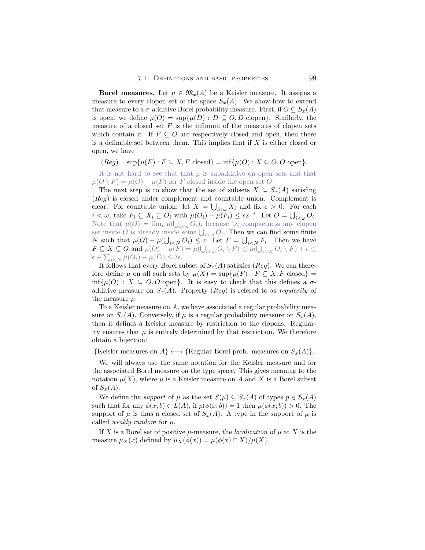Borel measures. Let  $\mu \in \mathfrak{M}_x(A)$  be a Keisler measure. It assigns a measure to every clopen set of the space  $S_x(A)$ . We show how to extend that measure to a  $\sigma$ -additive Borel probability measure. First, if  $O \subseteq S_x(A)$ is open, we define  $\mu(O) = \sup \{ \mu(D) : D \subseteq O, D \text{ clopen} \}.$  Similarly, the measure of a closed set  $F$  is the infimum of the measures of clopen sets which contain it. If  $F \subseteq O$  are respectively closed and open, then there is a definable set between them. This implies that if  $X$  is either closed or open, we have

# $(Reg) \quad \sup\{\mu(F) : F \subseteq X, F \text{ closed}\} = \inf\{\mu(O) : X \subseteq O, O \text{ open}\}.$

It is not hard to see that that  $\mu$  is subadditive on open sets and that  $\mu(O \setminus F) = \mu(O) - \mu(F)$  for F closed inside the open set O.

The next step is to show that the set of subsets  $X \subseteq S_x(A)$  satisfing (Reg) is closed under complement and countable union. Complement is clear. For countable union: let  $X = \bigcup_{i < \omega} X_i$  and fix  $\epsilon > 0$ . For each  $i < \omega$ , take  $F_i \subseteq X_i \subseteq O_i$  with  $\mu(O_i) - \mu(F_i) \leq \epsilon 2^{-i}$ . Let  $O = \bigcup_{i < \omega} O_i$ . Note that  $\mu(O) = \lim_{n} \mu(\bigcup_{i < n} O_i)$ , because by compactness any clopen set inside O is already inside some  $\bigcup_{i \leq n} O_i$ . Then we can find some finite N such that  $\mu(O) - \mu(\bigcup_{i < N} O_i) \leq \epsilon$ . Let  $F = \bigcup_{i < N} F_i$ . Then we have  $F \subseteq X \subseteq O$  and  $\mu(O) - \mu(F) = \mu(\bigcup_{i < \omega} O_i \setminus F) \leq \mu(\bigcup_{i < N} O_i \setminus F) + \epsilon \leq$  $\epsilon + \sum_{i < N} \mu(O_i) - \mu(F_i) \leq 3\epsilon.$ 

It follows that every Borel subset of  $S_x(A)$  satisfies (Reg). We can therefore define  $\mu$  on all such sets by  $\mu(X) = \sup{\mu(F) : F \subseteq X, F \text{ closed}}$  $\inf\{\mu(O): X \subseteq O, O \text{ open}\}.$  It is easy to check that this defines a  $\sigma$ additive measure on  $S_x(A)$ . Property (Reg) is referred to as regularity of the measure  $\mu$ .

To a Keisler measure on A, we have associated a regular probability measure on  $S_x(A)$ . Conversely, if  $\mu$  is a regular probability measure on  $S_x(A)$ , then it defines a Keisler measure by restriction to the clopens. Regularity ensures that  $\mu$  is entirely determined by that restriction. We therefore obtain a bijection:

{Keisler measures on  $A$ }  $\longleftrightarrow$  {Regular Borel prob. measures on  $S_x(A)$ }.

We will always use the same notation for the Keisler measure and for the associated Borel measure on the type space. This gives meaning to the notation  $\mu(X)$ , where  $\mu$  is a Keisler measure on A and X is a Borel subset of  $S_x(A)$ .

We define the *support* of  $\mu$  as the set  $S(\mu) \subseteq S_{x}(A)$  of types  $p \in S_{x}(A)$ such that for any  $\phi(x;b) \in L(A)$ , if  $p(\phi(x;b)) = 1$  then  $\mu(\phi(x;b)) > 0$ . The support of  $\mu$  is thus a closed set of  $S_x(A)$ . A type in the support of  $\mu$  is called *weakly random* for  $\mu$ .

If X is a Borel set of positive  $\mu$ -measure, the *localization* of  $\mu$  at X is the measure  $\mu_X(x)$  defined by  $\mu_X(\phi(x)) = \mu(\phi(x) \cap X)/\mu(X)$ .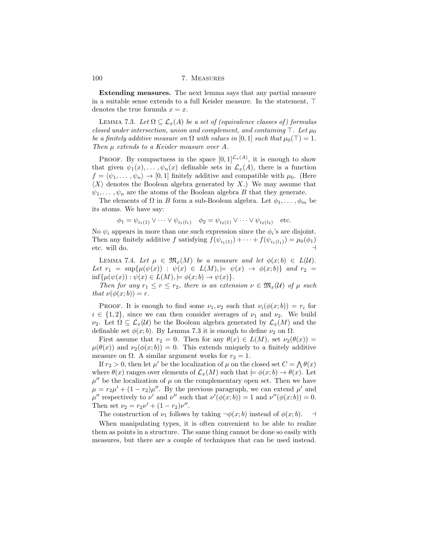100 7. Measures

Extending measures. The next lemma says that any partial measure in a suitable sense extends to a full Keisler measure. In the statement,  $\top$ denotes the true formula  $x = x$ .

LEMMA 7.3. Let  $\Omega \subseteq \mathcal{L}_x(A)$  be a set of (equivalence classes of) formulas closed under intersection, union and complement, and containing  $\top$ . Let  $\mu_0$ be a finitely additive measure on  $\Omega$  with values in [0, 1] such that  $\mu_0(\top) = 1$ . Then  $\mu$  extends to a Keisler measure over A.

**PROOF.** By compactness in the space  $[0,1]^{\mathcal{L}_x(A)}$ , it is enough to show that given  $\psi_1(x), \ldots, \psi_n(x)$  definable sets in  $\mathcal{L}_x(A)$ , there is a function  $f = \langle \psi_1, \dots, \psi_n \rangle \rightarrow [0, 1]$  finitely additive and compatible with  $\mu_0$ . (Here  $\langle X \rangle$  denotes the Boolean algebra generated by X.) We may assume that  $\psi_1, \ldots, \psi_n$  are the atoms of the Boolean algebra B that they generate.

The elements of  $\Omega$  in B form a sub-Boolean algebra. Let  $\phi_1, \ldots, \phi_m$  be its atoms. We have say:

$$
\phi_1 = \psi_{i_1(1)} \vee \cdots \vee \psi_{i_1(l_1)} \quad \phi_2 = \psi_{i_2(1)} \vee \cdots \vee \psi_{i_2(l_2)} \quad \text{etc.}
$$

No  $\psi_i$  appears in more than one such expression since the  $\phi_i$ 's are disjoint. Then any finitely additive f satisfying  $f(\psi_{i_1(1)}) + \cdots + f(\psi_{i_1(l_1)}) = \mu_0(\phi_1)$ etc. will do.

LEMMA 7.4. Let  $\mu \in \mathfrak{M}_x(M)$  be a measure and let  $\phi(x;b) \in L(\mathcal{U})$ . Let  $r_1 = \sup{\mu(\psi(x)) : \psi(x) \in L(M), \models \psi(x) \rightarrow \phi(x;b) \}$  and  $r_2 =$  $\inf \{ \mu(\psi(x)) : \psi(x) \in L(M), \models \phi(x;b) \rightarrow \psi(x) \}.$ 

Then for any  $r_1 \le r \le r_2$ , there is an extension  $\nu \in \mathfrak{M}_x(\mathcal{U})$  of  $\mu$  such that  $\nu(\phi(x;b))=r$ .

PROOF. It is enough to find some  $\nu_1, \nu_2$  such that  $\nu_i(\phi(x;b)) = r_i$  for  $i \in \{1,2\}$ , since we can then consider averages of  $\nu_1$  and  $\nu_2$ . We build  $\nu_2$ . Let  $\Omega \subseteq \mathcal{L}_x(\mathcal{U})$  be the Boolean algebra generated by  $\mathcal{L}_x(M)$  and the definable set  $\phi(x;b)$ . By Lemma 7.3 it is enough to define  $\nu_2$  on  $\Omega$ .

First assume that  $r_2 = 0$ . Then for any  $\theta(x) \in L(M)$ , set  $\nu_2(\theta(x)) =$  $\mu(\theta(x))$  and  $\nu_2(\phi(x;b)) = 0$ . This extends uniquely to a finitely additive measure on  $\Omega$ . A similar argument works for  $r_2 = 1$ .

If  $r_2 > 0$ , then let  $\mu'$  be the localization of  $\mu$  on the closed set  $C = \bigwedge \theta(x)$ where  $\theta(x)$  ranges over elements of  $\mathcal{L}_x(M)$  such that  $\models \phi(x;b) \rightarrow \theta(x)$ . Let  $\mu''$  be the localization of  $\mu$  on the complementary open set. Then we have  $\mu = r_2 \mu' + (1 - r_2) \mu''$ . By the previous paragraph, we can extend  $\mu'$  and  $\mu''$  respectively to  $\nu'$  and  $\nu''$  such that  $\nu'(\phi(x;b)) = 1$  and  $\nu''(\phi(x;b)) = 0$ . Then set  $\nu_2 = r_2 \nu' + (1 - r_2) \nu''$ .

The construction of  $\nu_1$  follows by taking  $\neg \phi(x;b)$  instead of  $\phi(x;b)$ .

When manipulating types, it is often convenient to be able to realize them as points in a structure. The same thing cannot be done so easily with measures, but there are a couple of techniques that can be used instead.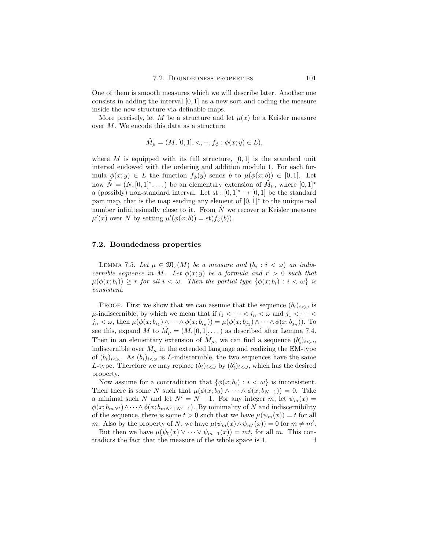One of them is smooth measures which we will describe later. Another one consists in adding the interval  $[0, 1]$  as a new sort and coding the measure inside the new structure via definable maps.

More precisely, let M be a structure and let  $\mu(x)$  be a Keisler measure over M. We encode this data as a structure

$$
\tilde{M}_{\mu} = (M, [0, 1], <, +, f_{\phi} : \phi(x; y) \in L),
$$

where M is equipped with its full structure,  $[0, 1]$  is the standard unit interval endowed with the ordering and addition modulo 1. For each formula  $\phi(x; y) \in L$  the function  $f_{\phi}(y)$  sends b to  $\mu(\phi(x; b)) \in [0, 1]$ . Let now  $\tilde{N} = (N, [0, 1]^*, \dots)$  be an elementary extension of  $\tilde{M}_{\mu}$ , where  $[0, 1]^*$ a (possibly) non-standard interval. Let st :  $[0,1]^* \rightarrow [0,1]$  be the standard part map, that is the map sending any element of  $[0,1]^*$  to the unique real number infinitesimally close to it. From  $\tilde{N}$  we recover a Keisler measure  $\mu'(x)$  over N by setting  $\mu'(\phi(x;b)) = \mathrm{st}(f_{\phi}(b)).$ 

## 7.2. Boundedness properties

LEMMA 7.5. Let  $\mu \in \mathfrak{M}_x(M)$  be a measure and  $(b_i : i < \omega)$  an indiscernible sequence in M. Let  $\phi(x; y)$  be a formula and  $r > 0$  such that  $\mu(\phi(x;b_i)) \geq r$  for all  $i < \omega$ . Then the partial type  $\{\phi(x;b_i): i < \omega\}$  is consistent.

PROOF. First we show that we can assume that the sequence  $(b_i)_{i \leq \omega}$  is  $\mu$ -indiscernible, by which we mean that if  $i_1 < \cdots < i_n < \omega$  and  $j_1 < \cdots <$  $j_n < \omega$ , then  $\mu(\phi(x;b_{i_1}) \wedge \cdots \wedge \phi(x;b_{i_n})) = \mu(\phi(x;b_{j_1}) \wedge \cdots \wedge \phi(x;b_{j_n}))$ . To see this, expand M to  $\tilde{M}_{\mu} = (M, [0, 1], \dots)$  as described after Lemma 7.4. Then in an elementary extension of  $\tilde{M}_{\mu}$ , we can find a sequence  $(b_i')_{i\leq\omega}$ , indiscernible over  $\tilde{M}_{\mu}$  in the extended language and realizing the EM-type of  $(b_i)_{i<\omega}$ . As  $(b_i)_{i<\omega}$  is *L*-indiscernible, the two sequences have the same L-type. Therefore we may replace  $(b_i)_{i \lt \omega}$  by  $(b'_i)_{i \lt \omega}$ , which has the desired property.

Now assume for a contradiction that  $\{\phi(x;b_i): i < \omega\}$  is inconsistent. Then there is some N such that  $\mu(\phi(x;b_0) \wedge \cdots \wedge \phi(x;b_{N-1})) = 0$ . Take a minimal such N and let  $N' = N - 1$ . For any integer m, let  $\psi_m(x) =$  $\phi(x; b_{mN'}) \wedge \cdots \wedge \phi(x; b_{mN'+N'-1})$ . By minimality of N and indiscernibility of the sequence, there is some  $t > 0$  such that we have  $\mu(\psi_m(x)) = t$  for all m. Also by the property of N, we have  $\mu(\psi_m(x) \wedge \psi_{m'}(x)) = 0$  for  $m \neq m'.$ 

But then we have  $\mu(\psi_0(x) \vee \cdots \vee \psi_{m-1}(x)) = mt$ , for all m. This contradicts the fact that the measure of the whole space is 1.  $\Box$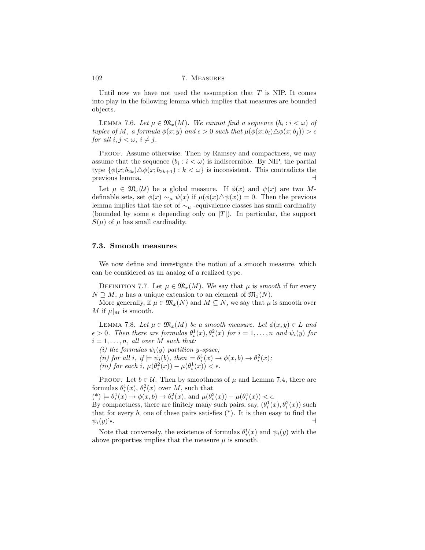102 7. Measures

Until now we have not used the assumption that  $T$  is NIP. It comes into play in the following lemma which implies that measures are bounded objects.

LEMMA 7.6. Let  $\mu \in \mathfrak{M}_x(M)$ . We cannot find a sequence  $(b_i : i < \omega)$  of tuples of M, a formula  $\phi(x; y)$  and  $\epsilon > 0$  such that  $\mu(\phi(x; b_i) \Delta \phi(x; b_i)) > \epsilon$ for all  $i, j < \omega, i \neq j$ .

PROOF. Assume otherwise. Then by Ramsey and compactness, we may assume that the sequence  $(b_i : i < \omega)$  is indiscernible. By NIP, the partial type  $\{\phi(x;b_{2k})\Delta\phi(x;b_{2k+1}): k<\omega\}$  is inconsistent. This contradicts the previous lemma.  $\Box$ 

Let  $\mu \in \mathfrak{M}_x(\mathcal{U})$  be a global measure. If  $\phi(x)$  and  $\psi(x)$  are two Mdefinable sets, set  $\phi(x) \sim_\mu \psi(x)$  if  $\mu(\phi(x) \triangle \psi(x)) = 0$ . Then the previous lemma implies that the set of  $\sim_\mu$ -equivalence classes has small cardinality (bounded by some  $\kappa$  depending only on  $|T|$ ). In particular, the support  $S(\mu)$  of  $\mu$  has small cardinality.

## 7.3. Smooth measures

We now define and investigate the notion of a smooth measure, which can be considered as an analog of a realized type.

DEFINITION 7.7. Let  $\mu \in \mathfrak{M}_x(M)$ . We say that  $\mu$  is smooth if for every  $N \supseteq M$ ,  $\mu$  has a unique extension to an element of  $\mathfrak{M}_x(N)$ .

More generally, if  $\mu \in \mathfrak{M}_x(N)$  and  $M \subseteq N$ , we say that  $\mu$  is smooth over M if  $\mu|_M$  is smooth.

LEMMA 7.8. Let  $\mu \in \mathfrak{M}_x(M)$  be a smooth measure. Let  $\phi(x, y) \in L$  and  $\epsilon > 0$ . Then there are formulas  $\theta_i^1(x), \theta_i^2(x)$  for  $i = 1, ..., n$  and  $\psi_i(y)$  for  $i = 1, \ldots, n$ , all over M such that:

(i) the formulas  $\psi_i(y)$  partition y-space;

(ii) for all i, if  $\models \psi_i(b)$ , then  $\models \theta_i^1(x) \rightarrow \phi(x,b) \rightarrow \theta_i^2(x)$ ;

(iii) for each i,  $\mu(\theta_i^2(x)) - \mu(\theta_i^1(x)) < \epsilon$ .

PROOF. Let  $b \in \mathcal{U}$ . Then by smoothness of  $\mu$  and Lemma 7.4, there are formulas  $\theta_i^1(x)$ ,  $\theta_i^2(x)$  over M, such that

 $(*) \models \theta_i^1(x) \rightarrow \phi(x, b) \rightarrow \theta_i^2(x)$ , and  $\mu(\theta_i^2(x)) - \mu(\theta_i^1(x)) < \epsilon$ .

By compactness, there are finitely many such pairs, say,  $(\theta_i^1(x), \theta_i^2(x))$  such that for every  $b$ , one of these pairs satisfies  $(*)$ . It is then easy to find the  $\psi_i(y)$ 's.  $\qquad \qquad \rightarrow$ 

Note that conversely, the existence of formulas  $\theta_i^t(x)$  and  $\psi_i(y)$  with the above properties implies that the measure  $\mu$  is smooth.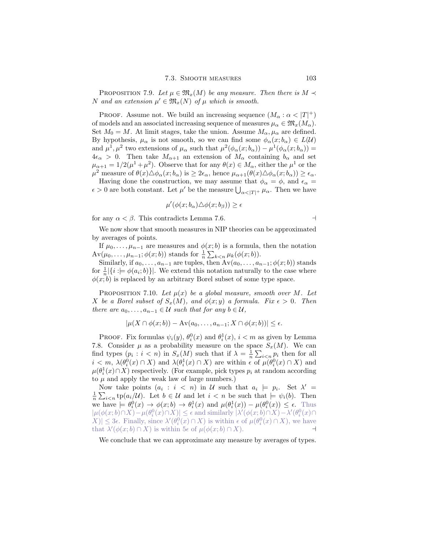PROPOSITION 7.9. Let  $\mu \in \mathfrak{M}_x(M)$  be any measure. Then there is  $M \prec$ N and an extension  $\mu' \in \mathfrak{M}_x(N)$  of  $\mu$  which is smooth.

PROOF. Assume not. We build an increasing sequence  $(M_\alpha : \alpha < |T|^+)$ of models and an associated increasing sequence of measures  $\mu_{\alpha} \in \mathfrak{M}_x(M_{\alpha}).$ Set  $M_0 = M$ . At limit stages, take the union. Assume  $M_\alpha, \mu_\alpha$  are defined. By hypothesis,  $\mu_{\alpha}$  is not smooth, so we can find some  $\phi_{\alpha}(x;b_{\alpha}) \in L(\mathcal{U})$ and  $\mu^1, \mu^2$  two extensions of  $\mu_\alpha$  such that  $\mu^2(\phi_\alpha(x;b_\alpha)) - \mu^1(\phi_\alpha(x;b_\alpha)) =$  $4\epsilon_{\alpha} > 0$ . Then take  $M_{\alpha+1}$  an extension of  $M_{\alpha}$  containing  $b_{\alpha}$  and set  $\mu_{\alpha+1} = 1/2(\mu^1 + \mu^2)$ . Observe that for any  $\theta(x) \in M_\alpha$ , either the  $\mu^1$  or the  $\mu^2$  measure of  $\theta(x) \triangle \phi_\alpha(x; b_\alpha)$  is  $\geq 2\epsilon_\alpha$ , hence  $\mu_{\alpha+1}(\theta(x) \triangle \phi_\alpha(x; b_\alpha)) \geq \epsilon_\alpha$ .

Having done the construction, we may assume that  $\phi_{\alpha} = \phi$ , and  $\epsilon_{\alpha} =$  $\epsilon > 0$  are both constant. Let  $\mu'$  be the measure  $\bigcup_{\alpha < |T| +} \mu_\alpha$ . Then we have

$$
\mu'(\phi(x;b_{\alpha})\triangle\phi(x;b_{\beta}))\geq\epsilon
$$

for any  $\alpha < \beta$ . This contradicts Lemma 7.6.

We now show that smooth measures in NIP theories can be approximated by averages of points.

If  $\mu_0, \ldots, \mu_{n-1}$  are measures and  $\phi(x; b)$  is a formula, then the notation  $Av(\mu_0, \ldots, \mu_{n-1}; \phi(x; b))$  stands for  $\frac{1}{n} \sum_{k \leq n} \mu_k(\phi(x; b)).$ 

Similarly, if  $a_0, \ldots, a_{n-1}$  are tuples, then  $Av(a_0, \ldots, a_{n-1}; \phi(x; b))$  stands for  $\frac{1}{n}|\{i := \phi(a_i; b)\}|$ . We extend this notation naturally to the case where  $\phi(x; b)$  is replaced by an arbitrary Borel subset of some type space.

PROPOSITION 7.10. Let  $\mu(x)$  be a global measure, smooth over M. Let X be a Borel subset of  $S_x(M)$ , and  $\phi(x; y)$  a formula. Fix  $\epsilon > 0$ . Then there are  $a_0, \ldots, a_{n-1} \in \mathcal{U}$  such that for any  $b \in \mathcal{U}$ ,

$$
|\mu(X \cap \phi(x;b)) - \text{Av}(a_0, \dots, a_{n-1}; X \cap \phi(x;b))| \le \epsilon.
$$

PROOF. Fix formulas  $\psi_i(y)$ ,  $\theta_i^0(x)$  and  $\theta_i^1(x)$ ,  $i < m$  as given by Lemma 7.8. Consider  $\mu$  as a probability measure on the space  $S_x(M)$ . We can find types  $(p_i : i < n)$  in  $S_x(M)$  such that if  $\lambda = \frac{1}{n} \sum_{i \leq n} p_i$  then for all  $i < m$ ,  $\lambda(\theta_i^0(x) \cap X)$  and  $\lambda(\theta_i^1(x) \cap X)$  are within  $\epsilon$  of  $\mu(\theta_i^0(x) \cap X)$  and  $\mu(\theta_i^1(x) \cap X)$  respectively. (For example, pick types  $p_i$  at random according to  $\mu$  and apply the weak law of large numbers.)

Now take points  $(a_i : i < n)$  in U such that  $a_i \models p_i$ . Set  $\lambda' =$  $\frac{1}{n} \sum_{i \leq n} \text{tp}(a_i/\mathcal{U})$ . Let  $b \in \mathcal{U}$  and let  $i < n$  be such that  $\models \psi_i(b)$ . Then we have  $\models \theta_i^0(x) \rightarrow \phi(x;b) \rightarrow \theta_i^1(x)$  and  $\mu(\theta_i^1(x)) - \mu(\theta_i^0(x)) \leq \epsilon$ . Thus  $|\mu(\phi(x;b)\cap X) - \mu(\theta_i^0(x)\cap X)| \leq \epsilon$  and similarly  $|\lambda'(\phi(x;b)\cap X) - \lambda'(\theta_i^0(x)\cap X)|$  $|X| \leq 3\epsilon$ . Finally, since  $\lambda'(\theta_i^0(x) \cap X)$  is within  $\epsilon$  of  $\mu(\theta_i^0(x) \cap X)$ , we have that  $\lambda'(\phi(x;b) \cap X)$  is within 5 $\epsilon$  of  $\mu(\phi(x;b) \cap X)$ .

We conclude that we can approximate any measure by averages of types.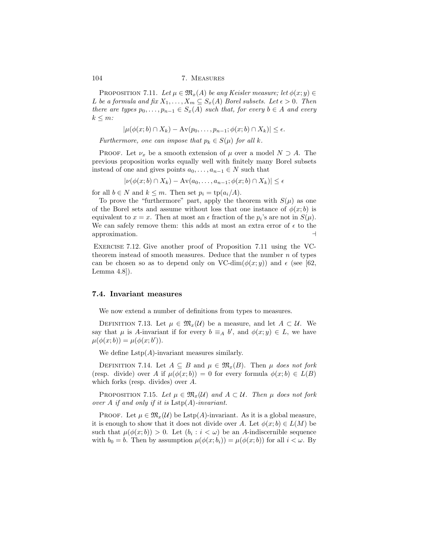104 7. MEASURES

PROPOSITION 7.11. Let  $\mu \in \mathfrak{M}_x(A)$  be any Keisler measure; let  $\phi(x; y) \in$ L be a formula and fix  $X_1, \ldots, X_m \subseteq S_x(A)$  Borel subsets. Let  $\epsilon > 0$ . Then there are types  $p_0, \ldots, p_{n-1} \in S_x(A)$  such that, for every  $b \in A$  and every  $k \leq m$ :

$$
|\mu(\phi(x;b)\cap X_k)-\mathrm{Av}(p_0,\ldots,p_{n-1};\phi(x;b)\cap X_k)|\leq\epsilon.
$$

Furthermore, one can impose that  $p_k \in S(\mu)$  for all k.

PROOF. Let  $\nu_x$  be a smooth extension of  $\mu$  over a model  $N \supset A$ . The previous proposition works equally well with finitely many Borel subsets instead of one and gives points  $a_0, \ldots, a_{n-1} \in N$  such that

$$
|\nu(\phi(x;b)\cap X_k) - \text{Av}(a_0,\ldots,a_{n-1};\phi(x;b)\cap X_k)| \leq \epsilon
$$

for all  $b \in N$  and  $k \leq m$ . Then set  $p_i = \text{tp}(a_i/A)$ .

To prove the "furthermore" part, apply the theorem with  $S(\mu)$  as one of the Borel sets and assume without loss that one instance of  $\phi(x; b)$  is equivalent to  $x = x$ . Then at most an  $\epsilon$  fraction of the  $p_i$ 's are not in  $S(\mu)$ . We can safely remove them: this adds at most an extra error of  $\epsilon$  to the approximation.  $\Box$ 

Exercise 7.12. Give another proof of Proposition 7.11 using the VCtheorem instead of smooth measures. Deduce that the number  $n$  of types can be chosen so as to depend only on VC-dim( $\phi(x; y)$ ) and  $\epsilon$  (see [62, Lemma 4.8]).

#### 7.4. Invariant measures

We now extend a number of definitions from types to measures.

DEFINITION 7.13. Let  $\mu \in \mathfrak{M}_x(\mathcal{U})$  be a measure, and let  $A \subset \mathcal{U}$ . We say that  $\mu$  is A-invariant if for every  $b \equiv_A b'$ , and  $\phi(x; y) \in L$ , we have  $\mu(\phi(x;b)) = \mu(\phi(x;b')).$ 

We define  $\text{Lstp}(A)$ -invariant measures similarly.

DEFINITION 7.14. Let  $A \subseteq B$  and  $\mu \in \mathfrak{M}_x(B)$ . Then  $\mu$  does not fork (resp. divide) over A if  $\mu(\phi(x;b)) = 0$  for every formula  $\phi(x;b) \in L(B)$ which forks (resp. divides) over A.

PROPOSITION 7.15. Let  $\mu \in \mathfrak{M}_x(\mathcal{U})$  and  $A \subset \mathcal{U}$ . Then  $\mu$  does not fork over A if and only if it is  $\text{Lstp}(A)$ -invariant.

PROOF. Let  $\mu \in \mathfrak{M}_{x}(\mathcal{U})$  be Lstp(A)-invariant. As it is a global measure, it is enough to show that it does not divide over A. Let  $\phi(x;b) \in L(M)$  be such that  $\mu(\phi(x;b)) > 0$ . Let  $(b_i : i < \omega)$  be an A-indiscernible sequence with  $b_0 = b$ . Then by assumption  $\mu(\phi(x; b_i)) = \mu(\phi(x; b))$  for all  $i < \omega$ . By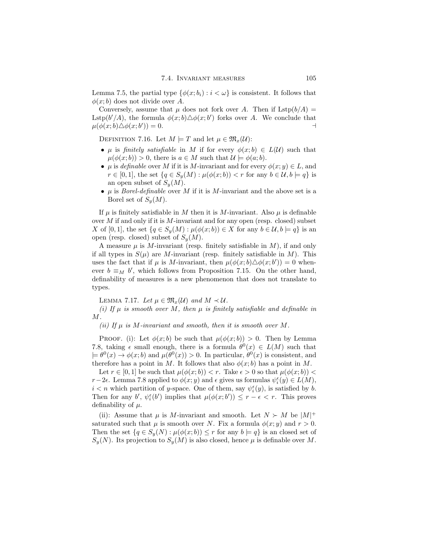Lemma 7.5, the partial type  $\{\phi(x;b_i): i<\omega\}$  is consistent. It follows that  $\phi(x;b)$  does not divide over A.

Conversely, assume that  $\mu$  does not fork over A. Then if  $\text{Lstp}(b/A)$ Lstp(b'/A), the formula  $\phi(x;b)\Delta\phi(x;b')$  forks over A. We conclude that  $\mu(\phi(x;b)\Delta\phi(x;b'))=0.$ 

DEFINITION 7.16. Let  $M \models T$  and let  $\mu \in \mathfrak{M}_x(\mathcal{U})$ :

- $\mu$  is finitely satisfiable in M if for every  $\phi(x;b) \in L(\mathcal{U})$  such that  $\mu(\phi(x;b)) > 0$ , there is  $a \in M$  such that  $\mathcal{U} \models \phi(a;b)$ .
- $\mu$  is definable over M if it is M-invariant and for every  $\phi(x; y) \in L$ , and  $r \in [0,1],$  the set  $\{q \in S_y(M) : \mu(\phi(x;b)) < r \text{ for any } b \in \mathcal{U}, b \models q\}$  is an open subset of  $S_u(M)$ .
- $\mu$  is *Borel-definable* over M if it is M-invariant and the above set is a Borel set of  $S_u(M)$ .

If  $\mu$  is finitely satisfiable in M then it is M-invariant. Also  $\mu$  is definable over  $M$  if and only if it is  $M$ -invariant and for any open (resp. closed) subset X of [0, 1], the set  $\{q \in S_u(M) : \mu(\phi(x;b)) \in X \text{ for any } b \in \mathcal{U}, b \models q\}$  is an open (resp. closed) subset of  $S_u(M)$ .

A measure  $\mu$  is M-invariant (resp. finitely satisfiable in  $M$ ), if and only if all types in  $S(\mu)$  are M-invariant (resp. finitely satisfiable in M). This uses the fact that if  $\mu$  is M-invariant, then  $\mu(\phi(x;b)\Delta\phi(x;b'))=0$  whenever  $b \equiv_M b'$ , which follows from Proposition 7.15. On the other hand, definability of measures is a new phenomenon that does not translate to types.

LEMMA 7.17. Let  $\mu \in \mathfrak{M}_{r}(\mathcal{U})$  and  $M \prec \mathcal{U}$ .

(i) If  $\mu$  is smooth over M, then  $\mu$  is finitely satisfiable and definable in M.

(ii) If  $\mu$  is M-invariant and smooth, then it is smooth over M.

PROOF. (i): Let  $\phi(x;b)$  be such that  $\mu(\phi(x;b)) > 0$ . Then by Lemma 7.8, taking  $\epsilon$  small enough, there is a formula  $\theta^0(x) \in L(M)$  such that  $\models \theta^{0}(x) \rightarrow \phi(x;b)$  and  $\mu(\theta^{0}(x)) > 0$ . In particular,  $\theta^{0}(x)$  is consistent, and therefore has a point in M. It follows that also  $\phi(x; b)$  has a point in M.

Let  $r \in [0, 1]$  be such that  $\mu(\phi(x; b)) < r$ . Take  $\epsilon > 0$  so that  $\mu(\phi(x; b)) <$  $r-2\epsilon$ . Lemma 7.8 applied to  $\phi(x; y)$  and  $\epsilon$  gives us formulas  $\psi_i^{\epsilon}(y) \in L(M)$ ,  $i < n$  which partition of y-space. One of them, say  $\psi_i^{\epsilon}(y)$ , is satisfied by b. Then for any  $b'$ ,  $\psi_i^{\epsilon}(b')$  implies that  $\mu(\phi(x;b')) \leq r - \epsilon < r$ . This proves definability of  $\mu$ .

(ii): Assume that  $\mu$  is M-invariant and smooth. Let  $N \succ M$  be  $|M|^+$ saturated such that  $\mu$  is smooth over N. Fix a formula  $\phi(x; y)$  and  $r > 0$ . Then the set  $\{q \in S_u(N) : \mu(\phi(x;b)) \leq r \text{ for any } b \models q\}$  is an closed set of  $S_y(N)$ . Its projection to  $S_y(M)$  is also closed, hence  $\mu$  is definable over M.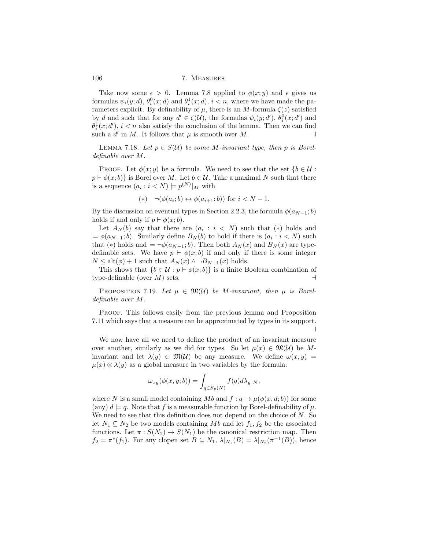106 7. Measures

Take now some  $\epsilon > 0$ . Lemma 7.8 applied to  $\phi(x; y)$  and  $\epsilon$  gives us formulas  $\psi_i(y; d)$ ,  $\theta_i^0(x; d)$  and  $\theta_i^1(x; d)$ ,  $i < n$ , where we have made the parameters explicit. By definability of  $\mu$ , there is an M-formula  $\zeta(z)$  satisfied by d and such that for any  $d' \in \zeta(\mathcal{U})$ , the formulas  $\psi_i(y; d')$ ,  $\theta_i^0(x; d')$  and  $\theta_i^1(x; d'), i < n$  also satisfy the conclusion of the lemma. Then we can find such a d' in M. It follows that  $\mu$  is smooth over M.

LEMMA 7.18. Let  $p \in S(\mathcal{U})$  be some M-invariant type, then p is Boreldefinable over M.

PROOF. Let  $\phi(x; y)$  be a formula. We need to see that the set  $\{b \in \mathcal{U} :$  $p \vdash \phi(x; b)$  is Borel over M. Let  $b \in \mathcal{U}$ . Take a maximal N such that there is a sequence  $(a_i : i < N) \models p^{(N)}|_M$  with

$$
(*) \quad \neg(\phi(a_i; b) \leftrightarrow \phi(a_{i+1}; b)) \text{ for } i < N - 1.
$$

By the discussion on eventual types in Section 2.2.3, the formula  $\phi(a_{N-1}; b)$ holds if and only if  $p \vdash \phi(x;b)$ .

Let  $A_N(b)$  say that there are  $(a_i : i < N)$  such that  $(*)$  holds and  $\models \phi(a_{N-1};b)$ . Similarly define  $B_N(b)$  to hold if there is  $(a_i : i < N)$  such that (\*) holds and  $\models \neg \phi(a_{N-1}; b)$ . Then both  $A_N(x)$  and  $B_N(x)$  are typedefinable sets. We have  $p \vdash \phi(x; b)$  if and only if there is some integer  $N \leq alt(\phi) + 1$  such that  $A_N(x) \wedge \neg B_{N+1}(x)$  holds.

This shows that  $\{b \in \mathcal{U} : p \vdash \phi(x;b)\}\$ is a finite Boolean combination of type-definable (over  $M$ ) sets.  $\Box$ 

PROPOSITION 7.19. Let  $\mu \in \mathfrak{M}(\mathcal{U})$  be M-invariant, then  $\mu$  is Boreldefinable over M.

PROOF. This follows easily from the previous lemma and Proposition 7.11 which says that a measure can be approximated by types in its support.  $\overline{\phantom{a}}$ 

We now have all we need to define the product of an invariant measure over another, similarly as we did for types. So let  $\mu(x) \in \mathfrak{M}(\mathcal{U})$  be Minvariant and let  $\lambda(y) \in \mathfrak{M}(\mathcal{U})$  be any measure. We define  $\omega(x, y) =$  $\mu(x) \otimes \lambda(y)$  as a global measure in two variables by the formula:

$$
\omega_{xy}(\phi(x,y;b)) = \int_{q \in S_y(N)} f(q)d\lambda_y|_N,
$$

where N is a small model containing Mb and  $f : q \mapsto \mu(\phi(x, d; b))$  for some (any)  $d \models q$ . Note that f is a measurable function by Borel-definability of  $\mu$ . We need to see that this definition does not depend on the choice of  $N$ . So let  $N_1 \subseteq N_2$  be two models containing Mb and let  $f_1, f_2$  be the associated functions. Let  $\pi : S(N_2) \to S(N_1)$  be the canonical restriction map. Then  $f_2 = \pi^*(f_1)$ . For any clopen set  $B \subseteq N_1$ ,  $\lambda|_{N_1}(B) = \lambda|_{N_2}(\pi^{-1}(B))$ , hence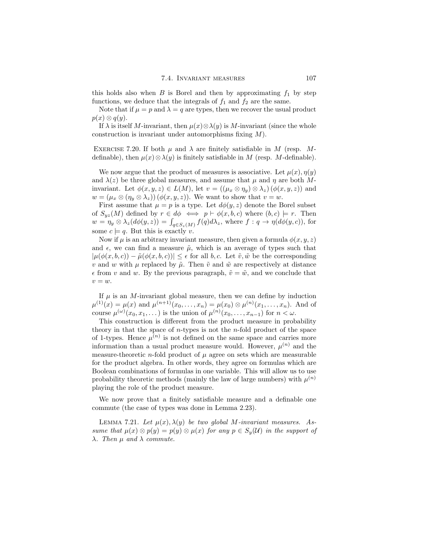this holds also when  $B$  is Borel and then by approximating  $f_1$  by step functions, we deduce that the integrals of  $f_1$  and  $f_2$  are the same.

Note that if  $\mu = p$  and  $\lambda = q$  are types, then we recover the usual product  $p(x) \otimes q(y)$ .

If  $\lambda$  is itself M-invariant, then  $\mu(x)\otimes\lambda(y)$  is M-invariant (since the whole construction is invariant under automorphisms fixing  $M$ ).

EXERCISE 7.20. If both  $\mu$  and  $\lambda$  are finitely satisfiable in M (resp. Mdefinable), then  $\mu(x) \otimes \lambda(y)$  is finitely satisfiable in M (resp. M-definable).

We now argue that the product of measures is associative. Let  $\mu(x)$ ,  $\eta(y)$ and  $\lambda(z)$  be three global measures, and assume that  $\mu$  and  $\eta$  are both Minvariant. Let  $\phi(x, y, z) \in L(M)$ , let  $v = ((\mu_x \otimes \eta_y) \otimes \lambda_z) (\phi(x, y, z))$  and  $w = (\mu_x \otimes (\eta_y \otimes \lambda_z)) (\phi(x, y, z))$ . We want to show that  $v = w$ .

First assume that  $\mu = p$  is a type. Let  $d\phi(y, z)$  denote the Borel subset of  $S_{yz}(M)$  defined by  $r \in d\phi \iff p \vdash \phi(x, b, c)$  where  $(b, c) \models r$ . Then  $w = \eta_y \otimes \lambda_z (d\phi(y, z)) = \int_{q \in S_z(M)} f(q) d\lambda_z$ , where  $f : q \to \eta (d\phi(y, c))$ , for some  $c \models q$ . But this is exactly v.

Now if  $\mu$  is an arbitrary invariant measure, then given a formula  $\phi(x, y, z)$ and  $\epsilon$ , we can find a measure  $\tilde{\mu}$ , which is an average of types such that  $|\mu(\phi(x, b, c)) - \tilde{\mu}(\phi(x, b, c))| \leq \epsilon$  for all b, c. Let  $\tilde{v}, \tilde{w}$  be the corresponding v and w with  $\mu$  replaced by  $\tilde{\mu}$ . Then  $\tilde{v}$  and  $\tilde{w}$  are respectively at distance  $\epsilon$  from v and w. By the previous paragraph,  $\tilde{v} = \tilde{w}$ , and we conclude that  $v = w$ .

If  $\mu$  is an M-invariant global measure, then we can define by induction  $\mu^{(1)}(x) = \mu(x)$  and  $\mu^{(n+1)}(x_0, \ldots, x_n) = \mu(x_0) \otimes \mu^{(n)}(x_1, \ldots, x_n)$ . And of course  $\mu^{(\omega)}(x_0, x_1, \dots)$  is the union of  $\mu^{(n)}(x_0, \dots, x_{n-1})$  for  $n < \omega$ .

This construction is different from the product measure in probability theory in that the space of *n*-types is not the *n*-fold product of the space of 1-types. Hence  $\mu^{(n)}$  is not defined on the same space and carries more information than a usual product measure would. However,  $\mu^{(n)}$  and the measure-theoretic *n*-fold product of  $\mu$  agree on sets which are measurable for the product algebra. In other words, they agree on formulas which are Boolean combinations of formulas in one variable. This will allow us to use probability theoretic methods (mainly the law of large numbers) with  $\mu^{(n)}$ playing the role of the product measure.

We now prove that a finitely satisfiable measure and a definable one commute (the case of types was done in Lemma 2.23).

LEMMA 7.21. Let  $\mu(x), \lambda(y)$  be two global M-invariant measures. Assume that  $\mu(x) \otimes p(y) = p(y) \otimes \mu(x)$  for any  $p \in S_y(\mathcal{U})$  in the support of  $\lambda$ . Then  $\mu$  and  $\lambda$  commute.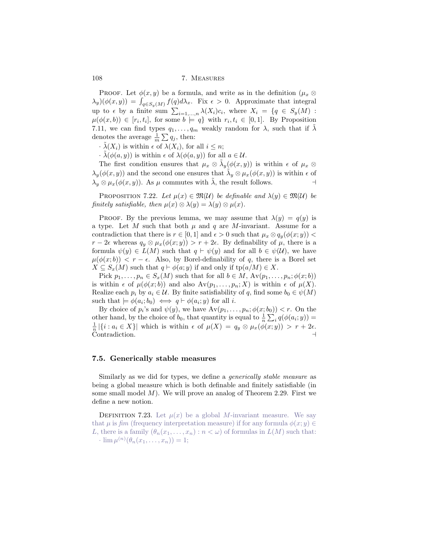108 7. Measures

PROOF. Let  $\phi(x, y)$  be a formula, and write as in the definition  $(\mu_x \otimes$  $(\lambda_y)(\phi(x,y)) = \int_{q \in S_y(M)} f(q) d\lambda_x$ . Fix  $\epsilon > 0$ . Approximate that integral up to  $\epsilon$  by a finite sum  $\sum_{i=1,\dots,n} \lambda(X_i)c_i$ , where  $X_i = \{q \in S_y(M)$ :  $\mu(\phi(x,b)) \in [r_i,t_i],$  for some  $b \models q$  with  $r_i,t_i \in [0,1].$  By Proposition 7.11, we can find types  $q_1, \ldots, q_m$  weakly random for  $\lambda$ , such that if  $\lambda$ denotes the average  $\frac{1}{m}\sum q_j$ , then:

 $\cdot \tilde{\lambda}(X_i)$  is within  $\epsilon$  of  $\lambda(X_i)$ , for all  $i \leq n$ ;

 $\cdot \lambda(\phi(a, y))$  is within  $\epsilon$  of  $\lambda(\phi(a, y))$  for all  $a \in \mathcal{U}$ .

The first condition ensures that  $\mu_x \otimes \tilde{\lambda}_y(\phi(x, y))$  is within  $\epsilon$  of  $\mu_x \otimes$  $\lambda_y(\phi(x,y))$  and the second one ensures that  $\tilde{\lambda}_y \otimes \mu_x(\phi(x,y))$  is within  $\epsilon$  of  $\lambda_y \otimes \mu_x(\phi(x, y))$ . As  $\mu$  commutes with  $\lambda$ , the result follows.

PROPOSITION 7.22. Let  $\mu(x) \in \mathfrak{M}(\mathcal{U})$  be definable and  $\lambda(y) \in \mathfrak{M}(\mathcal{U})$  be finitely satisfiable, then  $\mu(x) \otimes \lambda(y) = \lambda(y) \otimes \mu(x)$ .

PROOF. By the previous lemma, we may assume that  $\lambda(y) = q(y)$  is a type. Let M such that both  $\mu$  and q are M-invariant. Assume for a contradiction that there is  $r \in [0, 1]$  and  $\epsilon > 0$  such that  $\mu_x \otimes q_y(\phi(x; y))$  $r - 2\epsilon$  whereas  $q_y \otimes \mu_x(\phi(x; y)) > r + 2\epsilon$ . By definability of  $\mu$ , there is a formula  $\psi(y) \in L(M)$  such that  $q \vdash \psi(y)$  and for all  $b \in \psi(\mathcal{U})$ , we have  $\mu(\phi(x;b)) < r - \epsilon$ . Also, by Borel-definability of q, there is a Borel set  $X \subseteq S_x(M)$  such that  $q \vdash \phi(a; y)$  if and only if  $tp(a/M) \in X$ .

Pick  $p_1, \ldots, p_n \in S_x(M)$  such that for all  $b \in M$ ,  $Av(p_1, \ldots, p_n; \phi(x; b))$ is within  $\epsilon$  of  $\mu(\phi(x;b))$  and also  $Av(p_1,\ldots,p_n;X)$  is within  $\epsilon$  of  $\mu(X)$ . Realize each  $p_i$  by  $a_i \in \mathcal{U}$ . By finite satisfiability of q, find some  $b_0 \in \psi(M)$ such that  $\models \phi(a_i; b_0) \iff q \vdash \phi(a_i; y)$  for all *i*.

By choice of  $p_i$ 's and  $\psi(y)$ , we have  $Av(p_1, \ldots, p_n; \phi(x; b_0)) < r$ . On the other hand, by the choice of  $b_0$ , that quantity is equal to  $\frac{1}{n} \sum_i q(\phi(a_i; y)) =$  $\frac{1}{n} |\{i : a_i \in X\}|$  which is within  $\epsilon$  of  $\mu(X) = q_y \otimes \mu_x(\phi(x; y)) > r + 2\epsilon$ . Contradiction.

## 7.5. Generically stable measures

Similarly as we did for types, we define a *generically stable measure* as being a global measure which is both definable and finitely satisfiable (in some small model  $M$ ). We will prove an analog of Theorem 2.29. First we define a new notion.

**DEFINITION 7.23.** Let  $\mu(x)$  be a global M-invariant measure. We say that  $\mu$  is fim (frequency interpretation measure) if for any formula  $\phi(x; y) \in$ L, there is a family  $(\theta_n(x_1,\ldots,x_n):n<\omega)$  of formulas in  $L(M)$  such that:  $\cdot \lim \mu^{(n)}(\theta_n(x_1,\ldots,x_n)) = 1;$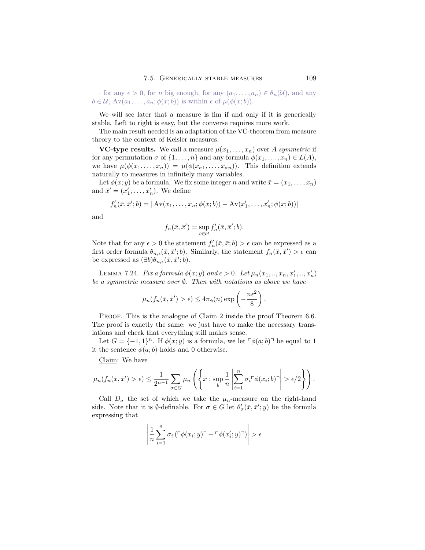· for any  $\epsilon > 0$ , for *n* big enough, for any  $(a_1, \ldots, a_n) \in \theta_n(\mathcal{U})$ , and any  $b \in \mathcal{U}$ ,  $Av(a_1, \ldots, a_n; \phi(x; b))$  is within  $\epsilon$  of  $\mu(\phi(x; b))$ .

We will see later that a measure is fim if and only if it is generically stable. Left to right is easy, but the converse requires more work.

The main result needed is an adaptation of the VC-theorem from measure theory to the context of Keisler measures.

**VC-type results.** We call a measure  $\mu(x_1, \ldots, x_n)$  over A symmetric if for any permutation  $\sigma$  of  $\{1, \ldots, n\}$  and any formula  $\phi(x_1, \ldots, x_n) \in L(A)$ , we have  $\mu(\phi(x_1,\ldots,x_n)) = \mu(\phi(x_{\sigma 1},\ldots,x_{\sigma n}))$ . This definition extends naturally to measures in infinitely many variables.

Let  $\phi(x; y)$  be a formula. We fix some integer n and write  $\bar{x} = (x_1, \ldots, x_n)$ and  $\bar{x}' = (x'_1, \ldots, x'_n)$ . We define

$$
f'_n(\bar{x}, \bar{x}'; b) = |\operatorname{Av}(x_1, \ldots, x_n; \phi(x; b)) - \operatorname{Av}(x'_1, \ldots, x'_n; \phi(x; b))|
$$

and

$$
f_n(\bar{x}, \bar{x}') = \sup_{b \in \mathcal{U}} f'_n(\bar{x}, \bar{x}'; b).
$$

Note that for any  $\epsilon > 0$  the statement  $f'_n(\bar{x}, \bar{x}; b) > \epsilon$  can be expressed as a first order formula  $\theta_{n,\epsilon}(\bar{x}, \bar{x}'; b)$ . Similarly, the statement  $f_n(\bar{x}, \bar{x}') > \epsilon$  can be expressed as  $(\exists b)\theta_{n,\epsilon}(\bar{x}, \bar{x}'; b)$ .

LEMMA 7.24. Fix a formula  $\phi(x; y)$  and  $\epsilon > 0$ . Let  $\mu_n(x_1, ..., x_n, x'_1, ..., x'_n)$ be a symmetric measure over  $\emptyset$ . Then with notations as above we have

$$
\mu_n(f_n(\bar{x}, \bar{x}') > \epsilon) \leq 4\pi_{\phi}(n) \exp\left(-\frac{n\epsilon^2}{8}\right).
$$

PROOF. This is the analogue of Claim 2 inside the proof Theorem 6.6. The proof is exactly the same: we just have to make the necessary translations and check that everything still makes sense.

Let  $G = \{-1,1\}^n$ . If  $\phi(x; y)$  is a formula, we let  $\phi(a; b)$ <sup> $\exists$ </sup> be equal to 1 it the sentence  $\phi(a;b)$  holds and 0 otherwise.

Claim: We have

$$
\mu_n(f_n(\bar{x}, \bar{x}') > \epsilon) \le \frac{1}{2^{n-1}} \sum_{\sigma \in G} \mu_n \left( \left\{ \bar{x} : \sup_b \frac{1}{n} \left| \sum_{i=1}^n \sigma_i \sigma_i(\sigma_i; b) \right| > \epsilon/2 \right\} \right).
$$

Call  $D_{\sigma}$  the set of which we take the  $\mu_n$ -measure on the right-hand side. Note that it is  $\emptyset$ -definable. For  $\sigma \in G$  let  $\theta'_{\sigma}(\bar{x}, \bar{x}'; y)$  be the formula expressing that

$$
\left| \frac{1}{n} \sum_{i=1}^{n} \sigma_i \left( \ulcorner \phi(x_i; y) \urcorner - \ulcorner \phi(x_i'; y) \urcorner \right) \right| > \epsilon
$$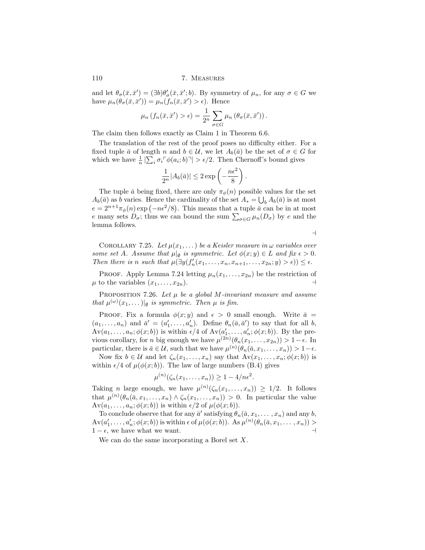110 7. MEASURES

and let  $\theta_{\sigma}(\bar{x}, \bar{x}') = (\exists b)\theta'_{\sigma}(\bar{x}, \bar{x}'; b)$ . By symmetry of  $\mu_n$ , for any  $\sigma \in G$  we have  $\mu_n(\theta_\sigma(\bar{x}, \bar{x}')) = \mu_n(f_n(\bar{x}, \bar{x}') > \epsilon)$ . Hence

$$
\mu_n(f_n(\bar{x}, \bar{x}') > \epsilon) = \frac{1}{2^n} \sum_{\sigma \in G} \mu_n(\theta_\sigma(\bar{x}, \bar{x}')).
$$

The claim then follows exactly as Claim 1 in Theorem 6.6.

The translation of the rest of the proof poses no difficulty either. For a fixed tuple  $\bar{a}$  of length n and  $b \in \mathcal{U}$ , we let  $A_b(\bar{a})$  be the set of  $\sigma \in G$  for which we have  $\frac{1}{n} |\sum_i \sigma_i^{\top} \phi(a_i; b)^{\top}| > \epsilon/2$ . Then Chernoff's bound gives

$$
\frac{1}{2^n} |A_b(\bar{a})| \leq 2 \exp\left(-\frac{n\epsilon^2}{8}\right).
$$

The tuple  $\bar{a}$  being fixed, there are only  $\pi_{\phi}(n)$  possible values for the set  $A_b(\bar{a})$  as b varies. Hence the cardinality of the set  $A_* = \bigcup_b A_b(\bar{a})$  is at most  $e = 2^{n+1}\pi_{\phi}(n) \exp(-n\epsilon^2/8)$ . This means that a tuple  $\bar{a}$  can be in at most e many sets  $D_{\sigma}$ ; thus we can bound the sum  $\sum_{\sigma \in G} \mu_n(D_{\sigma})$  by e and the lemma follows.

 $\overline{\phantom{a}}$ 

COROLLARY 7.25. Let  $\mu(x_1, \ldots)$  be a Keisler measure in  $\omega$  variables over some set A. Assume that  $\mu|_{\emptyset}$  is symmetric. Let  $\phi(x; y) \in L$  and fix  $\epsilon > 0$ . Then there is n such that  $\mu(\exists y(f'_n(x_1,\ldots,x_n,x_{n+1},\ldots,x_{2n};y) > \epsilon)) \leq \epsilon$ .

PROOF. Apply Lemma 7.24 letting  $\mu_n(x_1, \ldots, x_{2n})$  be the restriction of  $\mu$  to the variables  $(x_1, \ldots, x_{2n})$ .

PROPOSITION 7.26. Let  $\mu$  be a global M-invariant measure and assume that  $\mu^{(\omega)}(x_1,\ldots)|_{\emptyset}$  is symmetric. Then  $\mu$  is fim.

PROOF. Fix a formula  $\phi(x; y)$  and  $\epsilon > 0$  small enough. Write  $\bar{a} =$  $(a_1, \ldots, a_n)$  and  $\bar{a}' = (a'_1, \ldots, a'_n)$ . Define  $\theta_n(\bar{a}, \bar{a}')$  to say that for all b,  $Av(a_1, \ldots, a_n; \phi(x; b))$  is within  $\epsilon/4$  of  $Av(a'_1, \ldots, a'_n; \phi(x; b))$ . By the previous corollary, for *n* big enough we have  $\mu^{(2n)}(\theta_n(x_1,\ldots,x_{2n})) > 1-\epsilon$ . In particular, there is  $\bar{a} \in \mathcal{U}$ , such that we have  $\mu^{(n)}(\theta_n(\bar{a}, x_1, \dots, x_n)) > 1 - \epsilon$ .

Now fix  $b \in \mathcal{U}$  and let  $\zeta_n(x_1,\ldots,x_n)$  say that  $Av(x_1,\ldots,x_n;\phi(x;b))$  is within  $\epsilon/4$  of  $\mu(\phi(x; b))$ . The law of large numbers (B.4) gives

$$
\mu^{(n)}(\zeta_n(x_1,\ldots,x_n))\geq 1-4/n\epsilon^2.
$$

Taking *n* large enough, we have  $\mu^{(n)}(\zeta_n(x_1,\ldots,x_n)) \geq 1/2$ . It follows that  $\mu^{(n)}(\theta_n(\bar{a},x_1,\ldots,x_n)\wedge\zeta_n(x_1,\ldots,x_n))>0$ . In particular the value  $Av(a_1, \ldots, a_n; \phi(x; b))$  is within  $\epsilon/2$  of  $\mu(\phi(x; b))$ .

To conclude observe that for any  $\bar{a}'$  satisfying  $\theta_n(\bar{a}, x_1, \ldots, x_n)$  and any b,  $Av(a'_1,\ldots,a'_n;\phi(x;b))$  is within  $\epsilon$  of  $\mu(\phi(x;b))$ . As  $\mu^{(n)}(\theta_n(\bar{a},x_1,\ldots,x_n))$  >  $1 - \epsilon$ , we have what we want.

We can do the same incorporating a Borel set  $X$ .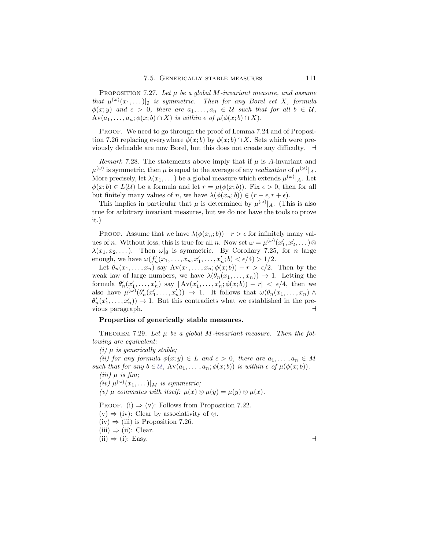PROPOSITION 7.27. Let  $\mu$  be a global M-invariant measure, and assume that  $\mu^{(\omega)}(x_1,\ldots)|_{\emptyset}$  is symmetric. Then for any Borel set X, formula  $\phi(x; y)$  and  $\epsilon > 0$ , there are  $a_1, \ldots, a_n \in \mathcal{U}$  such that for all  $b \in \mathcal{U}$ ,  $Av(a_1, \ldots, a_n; \phi(x; b) \cap X)$  is within  $\epsilon$  of  $\mu(\phi(x; b) \cap X)$ .

PROOF. We need to go through the proof of Lemma 7.24 and of Proposition 7.26 replacing everywhere  $\phi(x; b)$  by  $\phi(x; b) \cap X$ . Sets which were previously definable are now Borel, but this does not create any difficulty.  $\exists$ 

Remark 7.28. The statements above imply that if  $\mu$  is A-invariant and  $\mu^{(\omega)}$  is symmetric, then  $\mu$  is equal to the average of any *realization* of  $\mu^{(\omega)}|_A$ . More precisely, let  $\lambda(x_1,\dots)$  be a global measure which extends  $\mu^{(\omega)}|_A$ . Let  $\phi(x;b) \in L(\mathcal{U})$  be a formula and let  $r = \mu(\phi(x;b))$ . Fix  $\epsilon > 0$ , then for all but finitely many values of n, we have  $\lambda(\phi(x_n; b)) \in (r - \epsilon, r + \epsilon)$ .

This implies in particular that  $\mu$  is determined by  $\mu^{(\omega)}|_A$ . (This is also true for arbitrary invariant measures, but we do not have the tools to prove it.)

PROOF. Assume that we have  $\lambda(\phi(x_n; b)) - r > \epsilon$  for infinitely many values of *n*. Without loss, this is true for all *n*. Now set  $\omega = \mu^{(\omega)}(x'_1, x'_2, \dots) \otimes$  $\lambda(x_1, x_2, \dots)$ . Then  $\omega|_{\emptyset}$  is symmetric. By Corollary 7.25, for *n* large enough, we have  $\omega(f'_n(x_1, ..., x_n, x'_1, ..., x'_n; b) < \epsilon/4) > 1/2$ .

Let  $\theta_n(x_1,\ldots,x_n)$  say  $Av(x_1,\ldots,x_n;\phi(x;b)) - r > \epsilon/2$ . Then by the weak law of large numbers, we have  $\lambda(\theta_n(x_1,\ldots,x_n)) \to 1$ . Letting the formula  $\theta'_n(x'_1,\ldots,x'_n)$  say  $|\operatorname{Av}(x'_1,\ldots,x'_n;\phi(x;b)) - r| < \epsilon/4$ , then we also have  $\mu^{(\omega)}(\theta'_n(x'_1,\ldots,x'_n)) \to 1$ . It follows that  $\omega(\theta_n(x_1,\ldots,x_n) \wedge$  $\theta'_n(x'_1,\ldots,x'_n)$   $\to$  1. But this contradicts what we established in the previous paragraph.  $\Box$ 

# Properties of generically stable measures.

THEOREM 7.29. Let  $\mu$  be a global M-invariant measure. Then the following are equivalent:

 $(i)$   $\mu$  is generically stable;

(ii) for any formula  $\phi(x; y) \in L$  and  $\epsilon > 0$ , there are  $a_1, \ldots, a_n \in M$ such that for any  $b \in \mathcal{U}$ ,  $Av(a_1, \ldots, a_n; \phi(x;b))$  is within  $\epsilon$  of  $\mu(\phi(x;b))$ . (*iii*)  $\mu$  *is fim*;

(iv)  $\mu^{(\omega)}(x_1,\ldots)|_M$  is symmetric;

(v)  $\mu$  commutes with itself:  $\mu(x) \otimes \mu(y) = \mu(y) \otimes \mu(x)$ .

PROOF. (i)  $\Rightarrow$  (v): Follows from Proposition 7.22.

 $(v) \Rightarrow (iv)$ : Clear by associativity of ⊗.

 $(iv) \Rightarrow (iii)$  is Proposition 7.26.

(iii) 
$$
\Rightarrow
$$
 (ii): Clear.

(ii)  $\Rightarrow$  (i): Easy.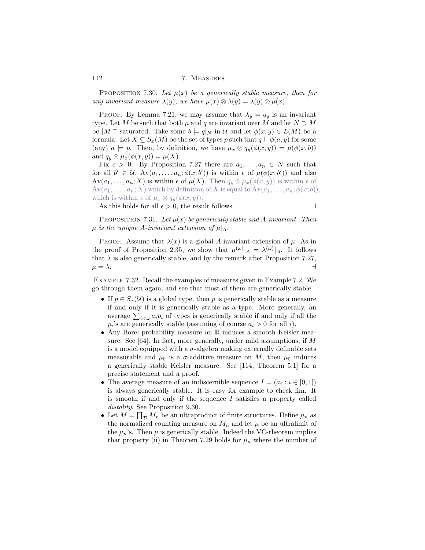112 7. Measures

PROPOSITION 7.30. Let  $\mu(x)$  be a generically stable measure, then for any invariant measure  $\lambda(y)$ , we have  $\mu(x) \otimes \lambda(y) = \lambda(y) \otimes \mu(x)$ .

PROOF. By Lemma 7.21, we may assume that  $\lambda_y = q_y$  is an invariant type. Let M be such that both  $\mu$  and q are invariant over M and let  $N \supset M$ be  $|M|^+$ -saturated. Take some  $b \models q|_N$  in U and let  $\phi(x, y) \in L(M)$  be a formula. Let  $X \subseteq S_x(M)$  be the set of types p such that  $q \vdash \phi(a, y)$  for some (any)  $a \models p$ . Then, by definition, we have  $\mu_x \otimes q_y(\phi(x, y)) = \mu(\phi(x, b))$ and  $q_y \otimes \mu_x(\phi(x, y)) = \mu(X)$ .

Fix  $\epsilon > 0$ . By Proposition 7.27 there are  $a_1, \ldots, a_n \in N$  such that for all  $b' \in \mathcal{U}$ ,  $Av(a_1, \ldots, a_n; \phi(x; b'))$  is within  $\epsilon$  of  $\mu(\phi(x; b'))$  and also  $Av(a_1, \ldots, a_n; X)$  is within  $\epsilon$  of  $\mu(X)$ . Then  $q_y \otimes \mu_x(\phi(x, y))$  is within  $\epsilon$  of  $Av(a_1, \ldots, a_n; X)$  which by definition of X is equal to  $Av(a_1, \ldots, a_n; \phi(x; b)),$ which is within  $\epsilon$  of  $\mu_x \otimes q_y(\phi(x, y))$ .

As this holds for all  $\epsilon > 0$ , the result follows.

PROPOSITION 7.31. Let  $\mu(x)$  be generically stable and A-invariant. Then  $\mu$  is the unique A-invariant extension of  $\mu|_A$ .

PROOF. Assume that  $\lambda(x)$  is a global A-invariant extension of  $\mu$ . As in the proof of Proposition 2.35, we show that  $\mu^{(\omega)}|_{A} = \lambda^{(\omega)}|_{A}$ . It follows that  $\lambda$  is also generically stable, and by the remark after Proposition 7.27,  $\mu = \lambda.$ 

Example 7.32. Recall the examples of measures given in Example 7.2. We go through them again, and see that most of them are generically stable.

- If  $p \in S_x(\mathcal{U})$  is a global type, then p is generically stable as a measure if and only if it is generically stable as a type. More generally, an average  $\sum_{i\leq \omega} a_i p_i$  of types is generically stable if and only if all the  $p_i$ 's are generically stable (assuming of course  $a_i > 0$  for all *i*).
- Any Borel probability measure on R induces a smooth Keisler measure. See [64]. In fact, more generally, under mild assumptions, if M is a model equipped with a  $\sigma$ -algebra making externally definable sets measurable and  $\mu_0$  is a  $\sigma$ -additive measure on M, then  $\mu_0$  induces a generically stable Keisler measure. See [114, Theorem 5.1] for a precise statement and a proof.
- The average measure of an indiscernible sequence  $I = (a_i : i \in [0,1])$ is always generically stable. It is easy for example to check fim. It is smooth if and only if the sequence I satisfies a property called distality. See Proposition 9.30.
- Let  $M = \prod_{\mathcal{D}} M_n$  be an ultraproduct of finite structures. Define  $\mu_n$  as the normalized counting measure on  $M_n$  and let  $\mu$  be an ultralimit of the  $\mu_n$ 's. Then  $\mu$  is generically stable. Indeed the VC-theorem implies that property (ii) in Theorem 7.29 holds for  $\mu_n$  where the number of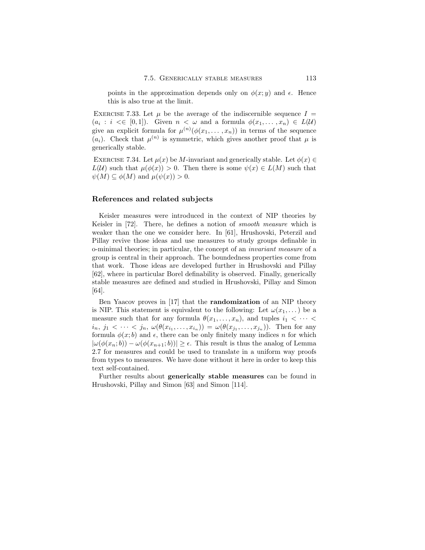points in the approximation depends only on  $\phi(x; y)$  and  $\epsilon$ . Hence this is also true at the limit.

EXERCISE 7.33. Let  $\mu$  be the average of the indiscernible sequence  $I =$  $(a_i : i \leq \in [0,1])$ . Given  $n \leq \omega$  and a formula  $\phi(x_1, \ldots, x_n) \in L(\mathcal{U})$ give an explicit formula for  $\mu^{(n)}(\phi(x_1,\ldots,x_n))$  in terms of the sequence  $(a_i)$ . Check that  $\mu^{(n)}$  is symmetric, which gives another proof that  $\mu$  is generically stable.

EXERCISE 7.34. Let  $\mu(x)$  be M-invariant and generically stable. Let  $\phi(x) \in$  $L(\mathcal{U})$  such that  $\mu(\phi(x)) > 0$ . Then there is some  $\psi(x) \in L(M)$  such that  $\psi(M) \subseteq \phi(M)$  and  $\mu(\psi(x)) > 0$ .

### References and related subjects

Keisler measures were introduced in the context of NIP theories by Keisler in [72]. There, he defines a notion of smooth measure which is weaker than the one we consider here. In [61], Hrushovski, Peterzil and Pillay revive those ideas and use measures to study groups definable in o-minimal theories; in particular, the concept of an invariant measure of a group is central in their approach. The boundedness properties come from that work. Those ideas are developed further in Hrushovski and Pillay [62], where in particular Borel definability is observed. Finally, generically stable measures are defined and studied in Hrushovski, Pillay and Simon [64].

Ben Yaacov proves in [17] that the randomization of an NIP theory is NIP. This statement is equivalent to the following: Let  $\omega(x_1, \dots)$  be a measure such that for any formula  $\theta(x_1, \ldots, x_n)$ , and tuples  $i_1 < \cdots <$  $i_n, j_1 < \cdots < j_n, \ \omega(\theta(x_{i_1}, \ldots, x_{i_n})) = \omega(\theta(x_{j_1}, \ldots, x_{j_n}))$ . Then for any formula  $\phi(x; b)$  and  $\epsilon$ , there can be only finitely many indices n for which  $|\omega(\phi(x_n; b)) - \omega(\phi(x_{n+1}; b))| \ge \epsilon$ . This result is thus the analog of Lemma 2.7 for measures and could be used to translate in a uniform way proofs from types to measures. We have done without it here in order to keep this text self-contained.

Further results about generically stable measures can be found in Hrushovski, Pillay and Simon [63] and Simon [114].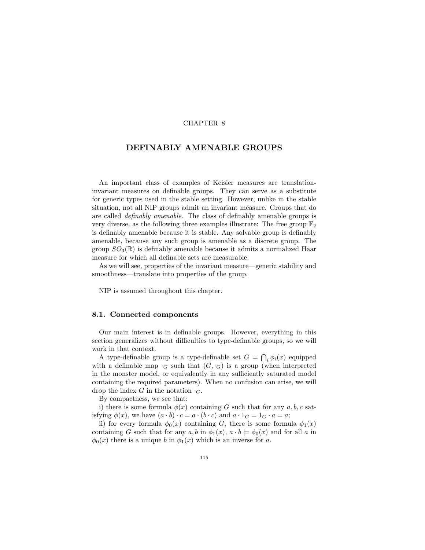### CHAPTER 8

# DEFINABLY AMENABLE GROUPS

An important class of examples of Keisler measures are translationinvariant measures on definable groups. They can serve as a substitute for generic types used in the stable setting. However, unlike in the stable situation, not all NIP groups admit an invariant measure. Groups that do are called definably amenable. The class of definably amenable groups is very diverse, as the following three examples illustrate: The free group  $\mathbb{F}_2$ is definably amenable because it is stable. Any solvable group is definably amenable, because any such group is amenable as a discrete group. The group  $SO_3(\mathbb{R})$  is definably amenable because it admits a normalized Haar measure for which all definable sets are measurable.

As we will see, properties of the invariant measure—generic stability and smoothness—translate into properties of the group.

NIP is assumed throughout this chapter.

### 8.1. Connected components

Our main interest is in definable groups. However, everything in this section generalizes without difficulties to type-definable groups, so we will work in that context.

A type-definable group is a type-definable set  $G = \bigcap_i \phi_i(x)$  equipped with a definable map  $\cdot_G$  such that  $(G, \cdot_G)$  is a group (when interpreted in the monster model, or equivalently in any sufficiently saturated model containing the required parameters). When no confusion can arise, we will drop the index G in the notation  $\cdot_G$ .

By compactness, we see that:

i) there is some formula  $\phi(x)$  containing G such that for any  $a, b, c$  satisfying  $\phi(x)$ , we have  $(a \cdot b) \cdot c = a \cdot (b \cdot c)$  and  $a \cdot 1_G = 1_G \cdot a = a$ ;

ii) for every formula  $\phi_0(x)$  containing G, there is some formula  $\phi_1(x)$ containing G such that for any  $a, b$  in  $\phi_1(x), a \cdot b \models \phi_0(x)$  and for all a in  $\phi_0(x)$  there is a unique b in  $\phi_1(x)$  which is an inverse for a.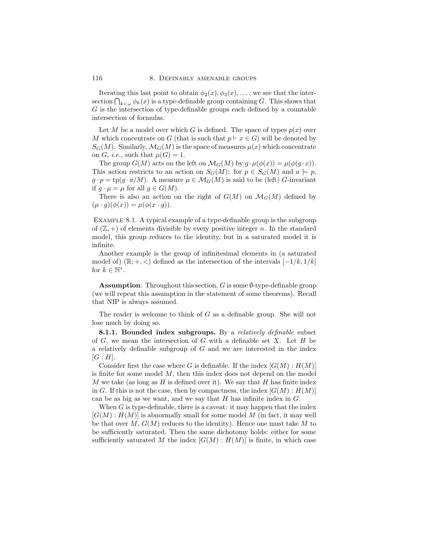Iterating this last point to obtain  $\phi_2(x), \phi_3(x), \ldots$ , we see that the intersection  $\bigcap_{k<\omega}\phi_k(x)$  is a type-definable group containing G. This shows that G is the intersection of type-definable groups each defined by a countable intersection of formulas.

Let M be a model over which G is defined. The space of types  $p(x)$  over M which concentrate on G (that is such that  $p \vdash x \in G$ ) will be denoted by  $S_G(M)$ . Similarly,  $\mathcal{M}_G(M)$  is the space of measures  $\mu(x)$  which concentrate on G, *i.e.*, such that  $\mu(G) = 1$ .

The group  $G(M)$  acts on the left on  $\mathcal{M}_G(M)$  by  $g \cdot \mu(\phi(x)) = \mu(\phi(g \cdot x)).$ This action restricts to an action on  $S_G(M)$ : for  $p \in S_G(M)$  and  $a \models p$ ,  $g \cdot p = \text{tp}(g \cdot a/M)$ . A measure  $\mu \in \mathcal{M}_G(M)$  is said to be (left) G-invariant if  $g \cdot \mu = \mu$  for all  $g \in G(M)$ .

There is also an action on the right of  $G(M)$  on  $\mathcal{M}_G(M)$  defined by  $(\mu \cdot g)(\phi(x)) = \mu(\phi(x \cdot g)).$ 

Example 8.1. A typical example of a type-definable group is the subgroup of  $(\mathbb{Z}, +)$  of elements divisible by every positive integer n. In the standard model, this group reduces to the identity, but in a saturated model it is infinite.

Another example is the group of infinitesimal elements in (a saturated model of) ( $\mathbb{R}; +, <$ ) defined as the intersection of the intervals  $[-1/k, 1/k]$ for  $k \in \mathbb{N}^*$ .

**Assumption:** Throughout this section,  $G$  is some  $\emptyset$ -type-definable group (we will repeat this assumption in the statement of some theorems). Recall that NIP is always assumed.

The reader is welcome to think of G as a definable group. She will not lose much by doing so.

8.1.1. Bounded index subgroups. By a relatively definable subset of  $G$ , we mean the intersection of  $G$  with a definable set  $X$ . Let  $H$  be a relatively definable subgroup of  $G$  and we are interested in the index  $[G:H].$ 

Consider first the case where G is definable. If the index  $[G(M):H(M)]$ is finite for some model  $M$ , then this index does not depend on the model M we take (as long as  $H$  is defined over it). We say that  $H$  has finite index in G. If this is not the case, then by compactness, the index  $[G(M):H(M)]$ can be as big as we want, and we say that  $H$  has infinite index in  $G$ .

When  $G$  is type-definable, there is a caveat: it may happen that the index  $[G(M):H(M)]$  is abnormally small for some model M (in fact, it may well be that over  $M, G(M)$  reduces to the identity). Hence one must take M to be sufficiently saturated. Then the same dichotomy holds: either for some sufficiently saturated M the index  $[G(M):H(M)]$  is finite, in which case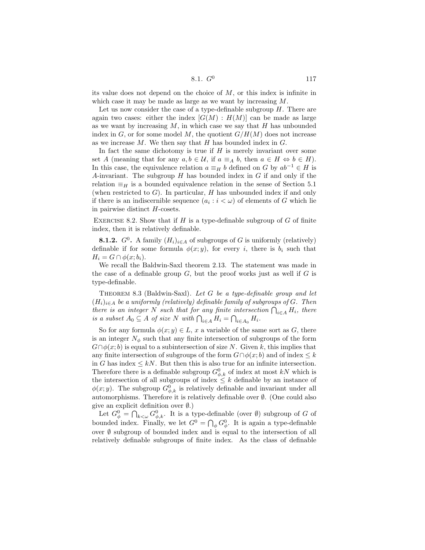8.1.  $G^0$  117

its value does not depend on the choice of  $M$ , or this index is infinite in which case it may be made as large as we want by increasing  $M$ .

Let us now consider the case of a type-definable subgroup  $H$ . There are again two cases: either the index  $[G(M) : H(M)]$  can be made as large as we want by increasing  $M$ , in which case we say that  $H$  has unbounded index in  $G$ , or for some model M, the quotient  $G/H(M)$  does not increase as we increase  $M$ . We then say that  $H$  has bounded index in  $G$ .

In fact the same dichotomy is true if  $H$  is merely invariant over some set A (meaning that for any  $a, b \in \mathcal{U}$ , if  $a \equiv_A b$ , then  $a \in H \Leftrightarrow b \in H$ ). In this case, the equivalence relation  $a \equiv_H b$  defined on G by  $ab^{-1} \in H$  is A-invariant. The subgroup  $H$  has bounded index in  $G$  if and only if the relation  $\equiv_H$  is a bounded equivalence relation in the sense of Section 5.1 (when restricted to  $G$ ). In particular,  $H$  has unbounded index if and only if there is an indiscernible sequence  $(a_i : i < \omega)$  of elements of G which lie in pairwise distinct H-cosets.

EXERCISE 8.2. Show that if  $H$  is a type-definable subgroup of  $G$  of finite index, then it is relatively definable.

**8.1.2.**  $G^0$ . A family  $(H_i)_{i \in A}$  of subgroups of G is uniformly (relatively) definable if for some formula  $\phi(x; y)$ , for every i, there is  $b_i$  such that  $H_i = G \cap \phi(x;b_i).$ 

We recall the Baldwin-Saxl theorem 2.13. The statement was made in the case of a definable group  $G$ , but the proof works just as well if  $G$  is type-definable.

THEOREM 8.3 (Baldwin-Saxl). Let G be a type-definable group and let  $(H_i)_{i\in A}$  be a uniformly (relatively) definable family of subgroups of G. Then there is an integer N such that for any finite intersection  $\bigcap_{i\in A} H_i$ , there is a subset  $A_0 \subseteq A$  of size N with  $\bigcap_{i \in A} H_i = \bigcap_{i \in A_0} H_i$ .

So for any formula  $\phi(x; y) \in L$ , x a variable of the same sort as G, there is an integer  $N_{\phi}$  such that any finite intersection of subgroups of the form  $G \cap \phi(x; b)$  is equal to a subintersection of size N. Given k, this implies that any finite intersection of subgroups of the form  $G \cap \phi(x; b)$  and of index  $\leq k$ in G has index  $\leq kN$ . But then this is also true for an infinite intersection. Therefore there is a definable subgroup  $G^0_{\phi,k}$  of index at most kN which is the intersection of all subgroups of index  $\leq k$  definable by an instance of  $\phi(x; y)$ . The subgroup  $G^0_{\phi, k}$  is relatively definable and invariant under all automorphisms. Therefore it is relatively definable over ∅. (One could also give an explicit definition over  $\emptyset$ .)

Let  $G^0_\phi = \bigcap_{k \leq \omega} G^0_{\phi,k}$ . It is a type-definable (over  $\emptyset$ ) subgroup of G of bounded index. Finally, we let  $G^0 = \bigcap_{\phi} G_{\phi}^0$ . It is again a type-definable over ∅ subgroup of bounded index and is equal to the intersection of all relatively definable subgroups of finite index. As the class of definable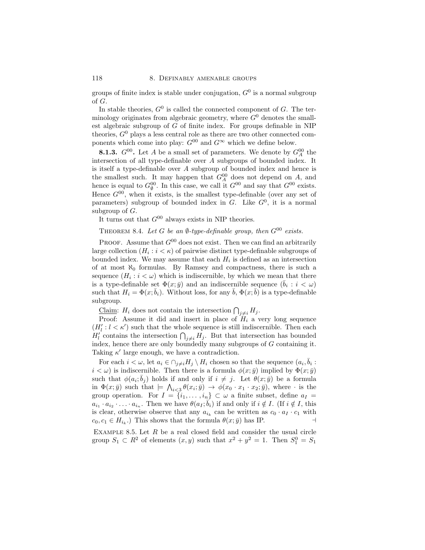groups of finite index is stable under conjugation,  $G^0$  is a normal subgroup of G.

In stable theories,  $G^0$  is called the connected component of G. The terminology originates from algebraic geometry, where  $G^0$  denotes the smallest algebraic subgroup of  $G$  of finite index. For groups definable in NIP theories,  $G^0$  plays a less central role as there are two other connected components which come into play:  $G^{00}$  and  $G^{\infty}$  which we define below.

**8.1.3.**  $G^{00}$ . Let A be a small set of parameters. We denote by  $G_A^{00}$  the intersection of all type-definable over A subgroups of bounded index. It is itself a type-definable over A subgroup of bounded index and hence is the smallest such. It may happen that  $G_A^{00}$  does not depend on A, and hence is equal to  $G_{\emptyset}^{00}$ . In this case, we call it  $G^{00}$  and say that  $G^{00}$  exists. Hence  $G^{00}$ , when it exists, is the smallest type-definable (over any set of parameters) subgroup of bounded index in  $G$ . Like  $G^0$ , it is a normal subgroup of  $G$ .

It turns out that  $G^{00}$  always exists in NIP theories.

THEOREM 8.4. Let G be an  $\emptyset$ -type-definable group, then  $G^{00}$  exists.

PROOF. Assume that  $G^{00}$  does not exist. Then we can find an arbitrarily large collection  $(H_i : i < \kappa)$  of pairwise distinct type-definable subgroups of bounded index. We may assume that each  $H_i$  is defined as an intersection of at most  $\aleph_0$  formulas. By Ramsey and compactness, there is such a sequence  $(H_i : i < \omega)$  which is indiscernible, by which we mean that there is a type-definable set  $\Phi(x;\bar{y})$  and an indiscernible sequence  $(\bar{b}_i : i < \omega)$ such that  $H_i = \Phi(x; \bar{b}_i)$ . Without loss, for any  $\bar{b}$ ,  $\Phi(x; \bar{b})$  is a type-definable subgroup.

Claim:  $H_i$  does not contain the intersection  $\bigcap_{j\neq i} H_j$ .

Proof: Assume it did and insert in place of  $H_i$  a very long sequence  $(H'_l: l<\kappa')$  such that the whole sequence is still indiscernible. Then each  $H'_{l}$  contains the intersection  $\bigcap_{j\neq i} H_{j}$ . But that intersection has bounded index, hence there are only boundedly many subgroups of G containing it. Taking  $\kappa'$  large enough, we have a contradiction.

For each  $i < \omega$ , let  $a_i \in \bigcap_{j \neq i} H_j \setminus H_i$  chosen so that the sequence  $(a_i, \bar{b}_i)$ :  $i < \omega$ ) is indiscernible. Then there is a formula  $\phi(x; \bar{y})$  implied by  $\Phi(x; \bar{y})$ such that  $\phi(a_i, \bar{b}_j)$  holds if and only if  $i \neq j$ . Let  $\theta(x, \bar{y})$  be a formula in  $\Phi(x;\bar{y})$  such that  $\models \bigwedge_{i<3} \theta(x_i;\bar{y}) \rightarrow \phi(x_0 \cdot x_1 \cdot x_2;\bar{y}),$  where  $\cdot$  is the group operation. For  $I = \{i_1, \ldots, i_n\} \subset \omega$  a finite subset, define  $a_I =$  $a_{i_1} \cdot a_{i_2} \cdot \ldots \cdot a_{i_n}$ . Then we have  $\theta(a_I; \overline{b}_i)$  if and only if  $i \notin I$ . (If  $i \notin I$ , this is clear, otherwise observe that any  $a_{i_k}$  can be written as  $c_0 \cdot a_I \cdot c_1$  with  $c_0, c_1 \in H_{i_k}$ .) This shows that the formula  $\theta(x; \bar{y})$  has IP.

EXAMPLE 8.5. Let  $R$  be a real closed field and consider the usual circle group  $S_1 \subset R^2$  of elements  $(x, y)$  such that  $x^2 + y^2 = 1$ . Then  $S_1^0 = S_1$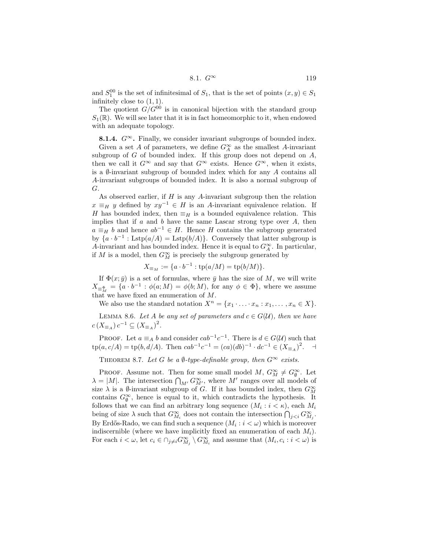8.1.  $G^{\infty}$  119

and  $S_1^{00}$  is the set of infinitesimal of  $S_1$ , that is the set of points  $(x, y) \in S_1$ infinitely close to (1, 1).

The quotient  $G/G^{00}$  is in canonical bijection with the standard group  $S_1(\mathbb{R})$ . We will see later that it is in fact homeomorphic to it, when endowed with an adequate topology.

8.1.4.  $G^{\infty}$ . Finally, we consider invariant subgroups of bounded index. Given a set  $A$  of parameters, we define  $G_A^{\infty}$  as the smallest  $A$ -invariant subgroup of  $G$  of bounded index. If this group does not depend on  $A$ , then we call it  $G^{\infty}$  and say that  $G^{\infty}$  exists. Hence  $G^{\infty}$ , when it exists, is a  $\emptyset$ -invariant subgroup of bounded index which for any A contains all A-invariant subgroups of bounded index. It is also a normal subgroup of G.

As observed earlier, if  $H$  is any A-invariant subgroup then the relation  $x \equiv_H y$  defined by  $xy^{-1} \in H$  is an A-invariant equivalence relation. If H has bounded index, then  $\equiv_H$  is a bounded equivalence relation. This implies that if  $a$  and  $b$  have the same Lascar strong type over  $A$ , then  $a \equiv_H b$  and hence  $ab^{-1} \in H$ . Hence H contains the subgroup generated by  $\{a \cdot b^{-1} : \text{Lstp}(a/A) = \text{Lstp}(b/A)\}\$ . Conversely that latter subgroup is A-invariant and has bounded index. Hence it is equal to  $G_A^{\infty}$ . In particular, if M is a model, then  $G_M^{\infty}$  is precisely the subgroup generated by

$$
X_{\equiv_M} := \{ a \cdot b^{-1} : \text{tp}(a/M) = \text{tp}(b/M) \}.
$$

If  $\Phi(x; \bar{y})$  is a set of formulas, where  $\bar{y}$  has the size of M, we will write  $X_{\equiv M \atop M} = \{a \cdot b^{-1} : \phi(a;M) = \phi(b;M)$ , for any  $\phi \in \Phi\}$ , where we assume that we have fixed an enumeration of  $M$ .

We also use the standard notation  $X^n = \{x_1 \cdot \ldots \cdot x_n : x_1, \ldots, x_n \in X\}.$ 

LEMMA 8.6. Let A be any set of parameters and  $c \in G(\mathcal{U})$ , then we have  $c(X_{\equiv_A}) c^{-1} \subseteq (X_{\equiv_A})^2$ .

PROOF. Let  $a \equiv_A b$  and consider  $cab^{-1}c^{-1}$ . There is  $d \in G(\mathcal{U})$  such that  $tp(a, c/A) = tp(b, d/A)$ . Then  $cab^{-1}c^{-1} = (ca)(db)^{-1} \cdot dc^{-1} \in (X_{\equiv_A})^2$ .  $\dashv$ 

THEOREM 8.7. Let G be a  $\emptyset$ -type-definable group, then  $G^{\infty}$  exists.

PROOF. Assume not. Then for some small model  $M, G_M^{\infty} \neq G_{\emptyset}^{\infty}$ . Let  $\lambda = |M|$ . The intersection  $\bigcap_{M'} G_{M'}^{\infty}$ , where M' ranges over all models of size  $\lambda$  is a Ø-invariant subgroup of G. If it has bounded index, then  $G_M^{\infty}$ contains  $G_{\emptyset}^{\infty}$ , hence is equal to it, which contradicts the hypothesis. It follows that we can find an arbitrary long sequence  $(M_i : i < \kappa)$ , each  $M_i$ being of size  $\lambda$  such that  $G_{M_i}^{\infty}$  does not contain the intersection  $\bigcap_{j.$ By Erdős-Rado, we can find such a sequence  $(M_i : i < \omega)$  which is moreover indiscernible (where we have implicitly fixed an enumeration of each  $M_i$ ). For each  $i < \omega$ , let  $c_i \in \bigcap_{j \neq i} G_{M_j}^{\infty} \setminus G_{M_i}^{\infty}$  and assume that  $(M_i, c_i : i < \omega)$  is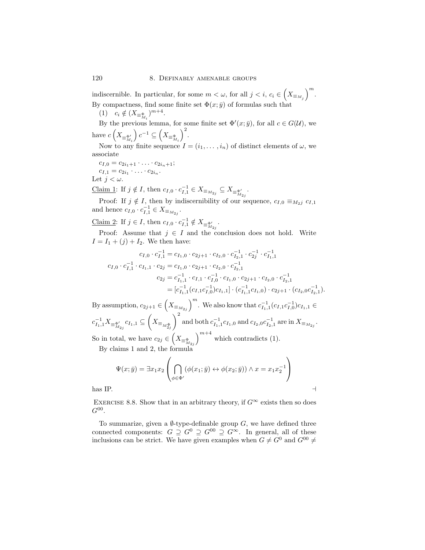indiscernible. In particular, for some  $m < \omega$ , for all  $j < i$ ,  $c_i \in (\mathbf{X}_{\equiv_{M_j}})^m$ . By compactness, find some finite set  $\Phi(x; \bar{y})$  of formulas such that

(1)  $c_i \notin (X_{\equiv_{M_i}^{\Phi}})^{m+4}.$ 

By the previous lemma, for some finite set  $\Phi'(x; \bar{y})$ , for all  $c \in G(\mathcal{U})$ , we have  $c\left(X_{\equiv \frac{\Phi'}{M_i}}\right)$  $C^{-1} \subseteq \left(X_{\equiv_{M_i}^{\Phi}}\right)^2$ .

Now to any finite sequence  $I = (i_1, \ldots, i_n)$  of distinct elements of  $\omega$ , we associate

$$
c_{I,0}=c_{2i_1+1}\cdot...\cdot c_{2i_n+1};
$$

$$
c_{I,1}=c_{2i_1}\cdot\ldots\cdot c_{2i_n}.
$$

Let  $j < \omega$ .

Claim 1: If  $j \notin I$ , then  $c_{I,0} \cdot c_{I,1}^{-1} \in X_{\equiv_{M_{2j}}} \subseteq X_{\equiv_{M_{2j}}}$ .

Proof: If  $j \notin I$ , then by indiscernibility of our sequence,  $c_{I,0} \equiv_{M_2j} c_{I,1}$ and hence  $c_{I,0} \cdot c_{I,1}^{-1} \in X_{\equiv_{M_{2j}}}$ .

Claim 2: If  $j \in I$ , then  $c_{I,0} \cdot c_{I,1}^{-1} \notin X_{\equiv \frac{\Phi'}{M_{2j}}}$ .

Proof: Assume that  $j \in I$  and the conclusion does not hold. Write  $I = I_1 + (j) + I_2$ . We then have:

$$
c_{I,0} \cdot c_{I,1}^{-1} = c_{I_1,0} \cdot c_{2j+1} \cdot c_{I_2,0} \cdot c_{I_2,1}^{-1} \cdot c_{2j}^{-1} \cdot c_{I_1,1}^{-1}
$$
  
\n
$$
c_{I,0} \cdot c_{I,1}^{-1} \cdot c_{I_1,1} \cdot c_{2j} = c_{I_1,0} \cdot c_{2j+1} \cdot c_{I_2,0} \cdot c_{I_2,1}^{-1}
$$
  
\n
$$
c_{2j} = c_{I_1,1}^{-1} \cdot c_{I,1} \cdot c_{I_1,0}^{-1} \cdot c_{I_1,0} \cdot c_{2j+1} \cdot c_{I_2,0} \cdot c_{I_2,1}^{-1}
$$
  
\n
$$
= [c_{I_1,1}^{-1}(c_{I,1}c_{I,0}^{-1})c_{I_1,1}] \cdot (c_{I_1,1}^{-1}c_{I_1,0}) \cdot c_{2j+1} \cdot (c_{I_2,0}c_{I_2,1}^{-1}).
$$

By assumption,  $c_{2j+1} \in \left(X_{\equiv_{M_{2j}}}\right)^m$ . We also know that  $c_{I_1,1}^{-1}(c_{I,1}c_{I,0}^{-1})c_{I_1,1} \in$  $c_{I_1,1}^{-1}X_{\equiv_{M_{2j}}^{\Phi'}}c_{I_1,1}\subseteq\bigg(X_{\equiv_{M_{2j}^\Phi}}$  $\int^2$  and both  $c_{I_1,1}^{-1}c_{I_1,0}$  and  $c_{I_2,0}c_{I_2,1}^{-1}$  are in  $X_{\equiv_{M_{2j}}}$ . So in total, we have  $c_{2j} \in \left(X_{\equiv_{M_{2j}}}^{\infty}\right)^{m+4}$  which contradicts (1).

By claims 1 and 2, the formula

$$
\Psi(x;\bar{y}) = \exists x_1 x_2 \left( \bigcap_{\phi \in \Phi'} (\phi(x_1;\bar{y}) \leftrightarrow \phi(x_2;\bar{y})) \land x = x_1 x_2^{-1} \right)
$$
  
has IP.

EXERCISE 8.8. Show that in an arbitrary theory, if  $G^{\infty}$  exists then so does  $G^{00}$ .

To summarize, given a  $\emptyset$ -type-definable group  $G$ , we have defined three connected components:  $G \supseteq G^0 \supseteq G^{00} \supseteq G^{\infty}$ . In general, all of these inclusions can be strict. We have given examples when  $G \neq G^0$  and  $G^{00} \neq$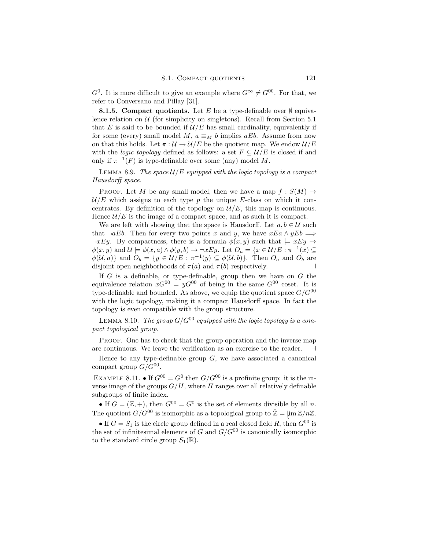$G^0$ . It is more difficult to give an example where  $G^{\infty} \neq G^{00}$ . For that, we refer to Conversano and Pillay [31].

**8.1.5.** Compact quotients. Let E be a type-definable over  $\emptyset$  equivalence relation on  $U$  (for simplicity on singletons). Recall from Section 5.1 that E is said to be bounded if  $\mathcal{U}/E$  has small cardinality, equivalently if for some (every) small model M,  $a \equiv_M b$  implies aEb. Assume from now on that this holds. Let  $\pi : U \to U/E$  be the quotient map. We endow  $U/E$ with the *logic topology* defined as follows: a set  $F \subseteq \mathcal{U}/E$  is closed if and only if  $\pi^{-1}(F)$  is type-definable over some (any) model M.

LEMMA 8.9. The space  $U/E$  equipped with the logic topology is a compact Hausdorff space.

PROOF. Let M be any small model, then we have a map  $f : S(M) \rightarrow$  $U/E$  which assigns to each type p the unique E-class on which it concentrates. By definition of the topology on  $\mathcal{U}/E$ , this map is continuous. Hence  $\mathcal{U}/E$  is the image of a compact space, and as such it is compact.

We are left with showing that the space is Hausdorff. Let  $a, b \in \mathcal{U}$  such that  $\neg aEb$ . Then for every two points x and y, we have  $xEa \wedge yEb \implies$  $\neg x E y$ . By compactness, there is a formula  $\phi(x, y)$  such that  $\models x E y \rightarrow$  $\phi(x, y)$  and  $\mathcal{U} \models \phi(x, a) \land \phi(y, b) \rightarrow \neg x E y$ . Let  $O_a = \{x \in \mathcal{U}/E : \pi^{-1}(x) \subseteq$  $\phi(\mathcal{U},a)\}\$  and  $O_b = \{y \in \mathcal{U}/E : \pi^{-1}(y) \subseteq \phi(\mathcal{U},b)\}\$ . Then  $O_a$  and  $O_b$  are disjoint open neighborhoods of  $\pi(a)$  and  $\pi(b)$  respectively.

If  $G$  is a definable, or type-definable, group then we have on  $G$  the equivalence relation  $xG^{00} = yG^{00}$  of being in the same  $G^{00}$  coset. It is type-definable and bounded. As above, we equip the quotient space  $G/G^{00}$ with the logic topology, making it a compact Hausdorff space. In fact the topology is even compatible with the group structure.

LEMMA 8.10. The group  $G/G^{00}$  equipped with the logic topology is a compact topological group.

PROOF. One has to check that the group operation and the inverse map are continuous. We leave the verification as an exercise to the reader.  $\Box$ 

Hence to any type-definable group  $G$ , we have associated a canonical compact group  $G/G^{00}$ .

EXAMPLE 8.11. • If  $G^{00} = G^0$  then  $G/G^{00}$  is a profinite group: it is the inverse image of the groups  $G/H$ , where H ranges over all relatively definable subgroups of finite index.

• If  $G = (\mathbb{Z}, +)$ , then  $G^{00} = G^0$  is the set of elements divisible by all n. The quotient  $G/G^{00}$  is isomorphic as a topological group to  $\mathbb{Z} = \lim \mathbb{Z}/n\mathbb{Z}$ .

• If  $G = S_1$  is the circle group defined in a real closed field R, then  $G^{00}$  is the set of infinitesimal elements of  $G$  and  $G/G^{00}$  is canonically isomorphic to the standard circle group  $S_1(\mathbb{R})$ .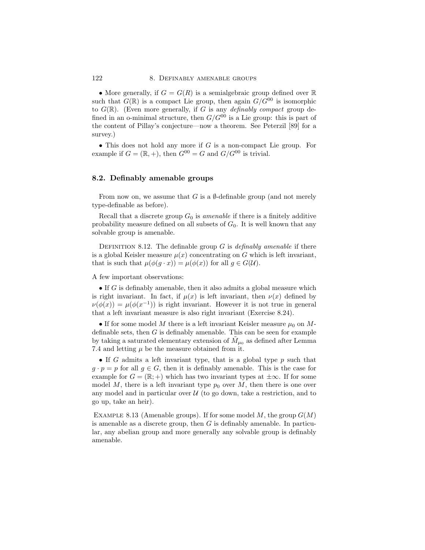• More generally, if  $G = G(R)$  is a semialgebraic group defined over  $\mathbb R$ such that  $G(\mathbb{R})$  is a compact Lie group, then again  $G/G^{00}$  is isomorphic to  $G(\mathbb{R})$ . (Even more generally, if G is any *definably compact* group defined in an o-minimal structure, then  $G/G^{00}$  is a Lie group: this is part of the content of Pillay's conjecture—now a theorem. See Peterzil [89] for a survey.)

• This does not hold any more if  $G$  is a non-compact Lie group. For example if  $G = (\mathbb{R}, +)$ , then  $G^{00} = G$  and  $G/G^{00}$  is trivial.

### 8.2. Definably amenable groups

From now on, we assume that G is a  $\emptyset$ -definable group (and not merely type-definable as before).

Recall that a discrete group  $G_0$  is amenable if there is a finitely additive probability measure defined on all subsets of  $G_0$ . It is well known that any solvable group is amenable.

DEFINITION 8.12. The definable group  $G$  is *definably amenable* if there is a global Keisler measure  $\mu(x)$  concentrating on G which is left invariant, that is such that  $\mu(\phi(g \cdot x)) = \mu(\phi(x))$  for all  $g \in G(\mathcal{U})$ .

A few important observations:

 $\bullet$  If G is definably amenable, then it also admits a global measure which is right invariant. In fact, if  $\mu(x)$  is left invariant, then  $\nu(x)$  defined by  $\nu(\phi(x)) = \mu(\phi(x^{-1}))$  is right invariant. However it is not true in general that a left invariant measure is also right invariant (Exercise 8.24).

• If for some model M there is a left invariant Keisler measure  $\mu_0$  on Mdefinable sets, then  $G$  is definably amenable. This can be seen for example by taking a saturated elementary extension of  $\tilde{M}_{\mu_0}$  as defined after Lemma 7.4 and letting  $\mu$  be the measure obtained from it.

• If  $G$  admits a left invariant type, that is a global type  $p$  such that  $g \cdot p = p$  for all  $q \in G$ , then it is definably amenable. This is the case for example for  $G = (\mathbb{R}; +)$  which has two invariant types at  $\pm \infty$ . If for some model M, there is a left invariant type  $p_0$  over M, then there is one over any model and in particular over  $\mathcal U$  (to go down, take a restriction, and to go up, take an heir).

EXAMPLE 8.13 (Amenable groups). If for some model M, the group  $G(M)$ is amenable as a discrete group, then  $G$  is definably amenable. In particular, any abelian group and more generally any solvable group is definably amenable.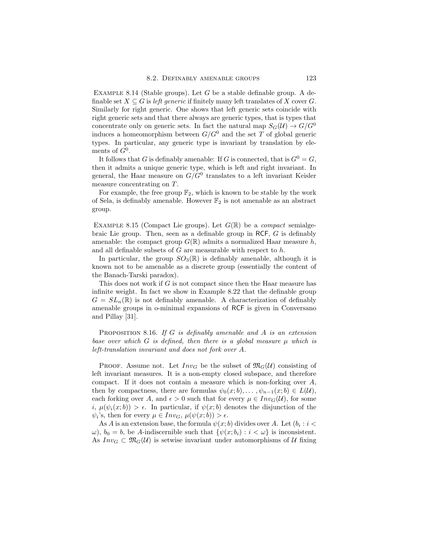EXAMPLE 8.14 (Stable groups). Let G be a stable definable group. A definable set  $X \subseteq G$  is left generic if finitely many left translates of X cover G. Similarly for right generic. One shows that left generic sets coincide with right generic sets and that there always are generic types, that is types that concentrate only on generic sets. In fact the natural map  $S_G(\mathcal{U}) \to G/G^0$ induces a homeomorphism between  $G/G^0$  and the set T of global generic types. In particular, any generic type is invariant by translation by elements of  $G^0$ .

It follows that G is definably amenable: If G is connected, that is  $G^0 = G$ , then it admits a unique generic type, which is left and right invariant. In general, the Haar measure on  $G/G^0$  translates to a left invariant Keisler measure concentrating on T.

For example, the free group  $\mathbb{F}_2$ , which is known to be stable by the work of Sela, is definably amenable. However  $\mathbb{F}_2$  is not amenable as an abstract group.

EXAMPLE 8.15 (Compact Lie groups). Let  $G(\mathbb{R})$  be a *compact* semialgebraic Lie group. Then, seen as a definable group in  $RCF$ ,  $G$  is definably amenable: the compact group  $G(\mathbb{R})$  admits a normalized Haar measure h, and all definable subsets of  $G$  are measurable with respect to  $h$ .

In particular, the group  $SO_3(\mathbb{R})$  is definably amenable, although it is known not to be amenable as a discrete group (essentially the content of the Banach-Tarski paradox).

This does not work if G is not compact since then the Haar measure has infinite weight. In fact we show in Example 8.22 that the definable group  $G = SL_n(\mathbb{R})$  is not definably amenable. A characterization of definably amenable groups in o-minimal expansions of RCF is given in Conversano and Pillay [31].

PROPOSITION 8.16. If  $G$  is definably amenable and  $A$  is an extension base over which  $G$  is defined, then there is a global measure  $\mu$  which is left-translation invariant and does not fork over A.

PROOF. Assume not. Let  $Inv_G$  be the subset of  $\mathfrak{M}_G(\mathcal{U})$  consisting of left invariant measures. It is a non-empty closed subspace, and therefore compact. If it does not contain a measure which is non-forking over  $A$ , then by compactness, there are formulas  $\psi_0(x; b), \dots, \psi_{n-1}(x; b) \in L(\mathcal{U}),$ each forking over A, and  $\epsilon > 0$  such that for every  $\mu \in Inv_G(\mathcal{U})$ , for some i,  $\mu(\psi_i(x;b)) > \epsilon$ . In particular, if  $\psi(x;b)$  denotes the disjunction of the  $\psi_i$ 's, then for every  $\mu \in Inv_G$ ,  $\mu(\psi(x;b)) > \epsilon$ .

As A is an extension base, the formula  $\psi(x; b)$  divides over A. Let  $(b_i : i <$  $\omega$ ,  $b_0 = b$ , be A-indiscernible such that  $\{\psi(x; b_i) : i < \omega\}$  is inconsistent. As  $Inv_G \subset \mathfrak{M}_G(\mathcal{U})$  is setwise invariant under automorphisms of  $\mathcal{U}$  fixing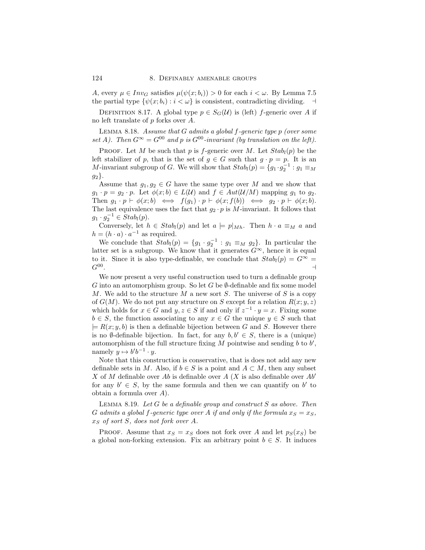A, every  $\mu \in Inv_G$  satisfies  $\mu(\psi(x;b_i)) > 0$  for each  $i < \omega$ . By Lemma 7.5 the partial type  $\{\psi(x;b_i): i<\omega\}$  is consistent, contradicting dividing.  $\exists$ 

DEFINITION 8.17. A global type  $p \in S_G(\mathcal{U})$  is (left) f-generic over A if no left translate of p forks over A.

LEMMA 8.18. Assume that  $G$  admits a global f-generic type  $p$  (over some set A). Then  $G^{\infty} = G^{00}$  and p is  $G^{00}$ -invariant (by translation on the left).

PROOF. Let M be such that p is f-generic over M. Let  $Stab_l(p)$  be the left stabilizer of p, that is the set of  $g \in G$  such that  $g \cdot p = p$ . It is an M-invariant subgroup of G. We will show that  $Stab_l(p) = \{g_1 \cdot g_2^{-1} : g_1 \equiv_M$  $g_2$ .

Assume that  $g_1, g_2 \in G$  have the same type over M and we show that  $g_1 \cdot p = g_2 \cdot p$ . Let  $\phi(x;b) \in L(\mathcal{U})$  and  $f \in Aut(\mathcal{U}/M)$  mapping  $g_1$  to  $g_2$ . Then  $g_1 \cdot p \vdash \phi(x;b) \iff f(g_1) \cdot p \vdash \phi(x; f(b)) \iff g_2 \cdot p \vdash \phi(x;b).$ The last equivalence uses the fact that  $g_2 \cdot p$  is M-invariant. It follows that  $g_1 \cdot g_2^{-1} \in Stab_l(p).$ 

Conversely, let  $h \in Stab_l(p)$  and let  $a \models p|_{Mh}$ . Then  $h \cdot a \equiv_M a$  and  $h = (h \cdot a) \cdot a^{-1}$  as required.

We conclude that  $Stab_l(p) = \{g_1 \cdot g_2^{-1} : g_1 \equiv_M g_2\}$ . In particular the latter set is a subgroup. We know that it generates  $G^{\infty}$ , hence it is equal to it. Since it is also type-definable, we conclude that  $Stab_l(p) = G^{\infty} =$  $G^{00}$ . . A construction of the construction of the construction of the construction of the construction of the construction of the construction of the construction of the construction of the construction of the construction of th

We now present a very useful construction used to turn a definable group G into an automorphism group. So let G be  $\emptyset$ -definable and fix some model M. We add to the structure  $M$  a new sort  $S$ . The universe of  $S$  is a copy of  $G(M)$ . We do not put any structure on S except for a relation  $R(x; y, z)$ which holds for  $x \in G$  and  $y, z \in S$  if and only if  $z^{-1} \cdot y = x$ . Fixing some  $b \in S$ , the function associating to any  $x \in G$  the unique  $y \in S$  such that  $\models R(x; y, b)$  is then a definable bijection between G and S. However there is no Ø-definable bijection. In fact, for any  $b, b' \in S$ , there is a (unique) automorphism of the full structure fixing  $M$  pointwise and sending  $b$  to  $b'$ , namely  $y \mapsto b'b^{-1} \cdot y$ .

Note that this construction is conservative, that is does not add any new definable sets in M. Also, if  $b \in S$  is a point and  $A \subset M$ , then any subset X of M definable over Ab is definable over A (X is also definable over  $Ab'$ for any  $b' \in S$ , by the same formula and then we can quantify on b' to obtain a formula over A).

LEMMA 8.19. Let  $G$  be a definable group and construct  $S$  as above. Then G admits a global f-generic type over A if and only if the formula  $x_S = x_S$ ,  $x<sub>S</sub>$  of sort S, does not fork over A.

PROOF. Assume that  $x_S = x_S$  does not fork over A and let  $p_S(x_S)$  be a global non-forking extension. Fix an arbitrary point  $b \in S$ . It induces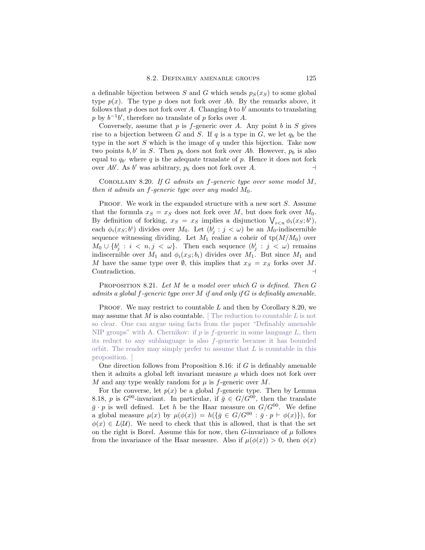a definable bijection between S and G which sends  $p_S(x_S)$  to some global type  $p(x)$ . The type p does not fork over Ab. By the remarks above, it follows that  $p$  does not fork over  $A$ . Changing  $b$  to  $b'$  amounts to translating p by  $b^{-1}b'$ , therefore no translate of p forks over A.

Conversely, assume that  $p$  is  $f$ -generic over  $A$ . Any point  $b$  in  $S$  gives rise to a bijection between G and S. If q is a type in  $G$ , we let  $q_b$  be the type in the sort S which is the image of q under this bijection. Take now two points  $b, b'$  in S. Then  $p_b$  does not fork over Ab. However,  $p_b$  is also equal to  $q_{b'}$  where q is the adequate translate of p. Hence it does not fork over  $Ab'$ . As b' was arbitrary,  $p_b$  does not fork over A.

COROLLARY 8.20. If  $G$  admits an  $f$ -generic type over some model  $M$ , then it admits an f-generic type over any model  $M_0$ .

PROOF. We work in the expanded structure with a new sort S. Assume that the formula  $x_S = x_S$  does not fork over M, but does fork over  $M_0$ . By definition of forking,  $x_S = x_S$  implies a disjunction  $\bigvee_{i \leq n} \phi_i(x_S; b^i)$ , each  $\phi_i(x_S; b^i)$  divides over  $M_0$ . Let  $(b_j^i : j < \omega)$  be an  $M_0$ -indiscernible sequence witnessing dividing. Let  $M_1$  realize a coheir of  $tp(M/M_0)$  over  $M_0 \cup \{b_j^i : i < n, j < \omega\}.$  Then each sequence  $(b_j^i : j < \omega)$  remains indiscernible over  $M_1$  and  $\phi_i(x_S; b_i)$  divides over  $M_1$ . But since  $M_1$  and M have the same type over  $\emptyset$ , this implies that  $x_S = x_S$  forks over M. Contradiction.

PROPOSITION 8.21. Let  $M$  be a model over which  $G$  is defined. Then  $G$ admits a global f-generic type over  $M$  if and only if  $G$  is definably amenable.

PROOF. We may restrict to countable  $L$  and then by Corollary 8.20, we may assume that  $M$  is also countable. [The reduction to countable  $L$  is not so clear. One can argue using facts from the paper "Definably amenable NIP groups" with A. Chernikov: if  $p$  is  $f$ -generic in some language  $L$ , then its reduct to any sublanguage is also f-generic because it has bounded orbit. The reader may simply prefer to assume that  $L$  is countable in this proposition. ]

One direction follows from Proposition 8.16: if  $G$  is definably amenable then it admits a global left invariant measure  $\mu$  which does not fork over M and any type weakly random for  $\mu$  is f-generic over M.

For the converse, let  $p(x)$  be a global f-generic type. Then by Lemma 8.18, p is  $G^{00}$ -invariant. In particular, if  $\bar{g} \in G/G^{00}$ , then the translate  $\overline{g} \cdot p$  is well defined. Let h be the Haar measure on  $G/G^{00}$ . We define a global measure  $\mu(x)$  by  $\mu(\phi(x)) = h(\{\bar{g} \in G/G^{00} : \bar{g} \cdot p \vdash \phi(x)\})$ , for  $\phi(x) \in L(\mathcal{U})$ . We need to check that this is allowed, that is that the set on the right is Borel. Assume this for now, then  $G$ -invariance of  $\mu$  follows from the invariance of the Haar measure. Also if  $\mu(\phi(x)) > 0$ , then  $\phi(x)$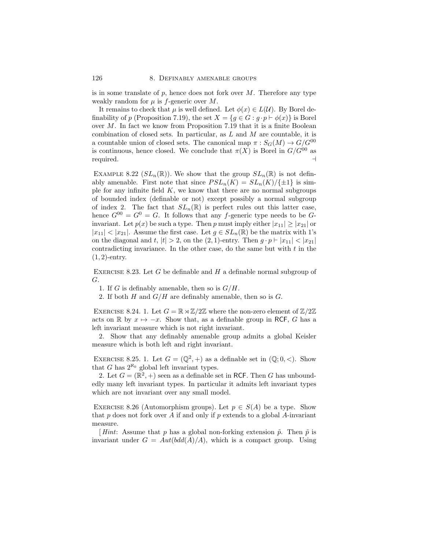is in some translate of  $p$ , hence does not fork over  $M$ . Therefore any type weakly random for  $\mu$  is f-generic over M.

It remains to check that  $\mu$  is well defined. Let  $\phi(x) \in L(\mathcal{U})$ . By Borel definability of p (Proposition 7.19), the set  $X = \{g \in G : g \cdot p \vdash \phi(x)\}\$ is Borel over M. In fact we know from Proposition 7.19 that it is a finite Boolean combination of closed sets. In particular, as  $L$  and  $M$  are countable, it is a countable union of closed sets. The canonical map  $\pi : S_G(M) \to G/G^{00}$ is continuous, hence closed. We conclude that  $\pi(X)$  is Borel in  $G/G^{00}$  as required.  $\Box$ 

EXAMPLE 8.22  $(SL_n(\mathbb{R}))$ . We show that the group  $SL_n(\mathbb{R})$  is not definably amenable. First note that since  $PSL_n(K) = SL_n(K)/\{\pm 1\}$  is simple for any infinite field  $K$ , we know that there are no normal subgroups of bounded index (definable or not) except possibly a normal subgroup of index 2. The fact that  $SL_n(\mathbb{R})$  is perfect rules out this latter case, hence  $G^{00} = G^0 = G$ . It follows that any f-generic type needs to be Ginvariant. Let  $p(x)$  be such a type. Then p must imply either  $|x_{11}| \ge |x_{21}|$  or  $|x_{11}|$  <  $|x_{21}|$ . Assume the first case. Let  $g \in SL_n(\mathbb{R})$  be the matrix with 1's on the diagonal and t,  $|t| > 2$ , on the  $(2, 1)$ -entry. Then  $g \cdot p \vdash |x_{11}| < |x_{21}|$ contradicting invariance. In the other case, do the same but with  $t$  in the  $(1, 2)$ -entry.

EXERCISE 8.23. Let G be definable and H a definable normal subgroup of G.

- 1. If G is definably amenable, then so is  $G/H$ .
- 2. If both H and  $G/H$  are definably amenable, then so is  $G$ .

EXERCISE 8.24. 1. Let  $G = \mathbb{R} \rtimes \mathbb{Z}/2\mathbb{Z}$  where the non-zero element of  $\mathbb{Z}/2\mathbb{Z}$ acts on R by  $x \mapsto -x$ . Show that, as a definable group in RCF, G has a left invariant measure which is not right invariant.

2. Show that any definably amenable group admits a global Keisler measure which is both left and right invariant.

EXERCISE 8.25. 1. Let  $G = (\mathbb{Q}^2, +)$  as a definable set in  $(\mathbb{Q}; 0, <)$ . Show that G has  $2^{\aleph_0}$  global left invariant types.

2. Let  $G = (\mathbb{R}^2, +)$  seen as a definable set in RCF. Then G has unboundedly many left invariant types. In particular it admits left invariant types which are not invariant over any small model.

EXERCISE 8.26 (Automorphism groups). Let  $p \in S(A)$  be a type. Show that  $p$  does not fork over  $A$  if and only if  $p$  extends to a global  $A$ -invariant measure.

[*Hint*: Assume that p has a global non-forking extension  $\tilde{p}$ . Then  $\tilde{p}$  is invariant under  $G = Aut(bdd(A)/A)$ , which is a compact group. Using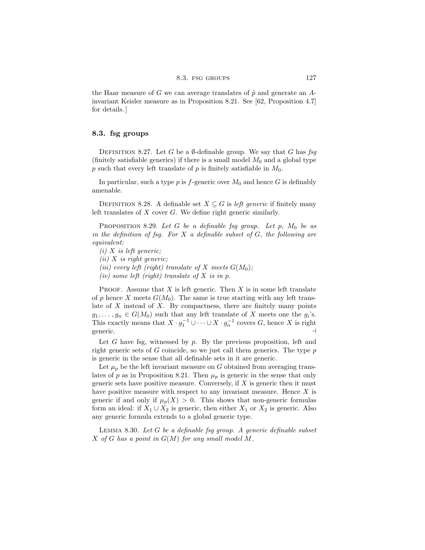the Haar measure of G we can average translates of  $\tilde{p}$  and generate an Ainvariant Keisler measure as in Proposition 8.21. See [62, Proposition 4.7] for details. ]

### 8.3. fsg groups

DEFINITION 8.27. Let G be a  $\emptyset$ -definable group. We say that G has fsq (finitely satisfiable generics) if there is a small model  $M_0$  and a global type p such that every left translate of p is finitely satisfiable in  $M_0$ .

In particular, such a type  $p$  is  $f$ -generic over  $M_0$  and hence  $G$  is definably amenable.

DEFINITION 8.28. A definable set  $X \subseteq G$  is left generic if finitely many left translates of X cover G. We define right generic similarly.

PROPOSITION 8.29. Let  $G$  be a definable fsg group. Let  $p$ ,  $M_0$  be as in the definition of fsq. For  $X$  a definable subset of  $G$ , the following are equivalent:

 $(i)$  X is left generic;  $(ii)$  X is right generic; (iii) every left (right) translate of X meets  $G(M_0)$ ; (iv) some left (right) translate of  $X$  is in  $p$ .

PROOF. Assume that  $X$  is left generic. Then  $X$  is in some left translate of p hence X meets  $G(M_0)$ . The same is true starting with any left translate of  $X$  instead of  $X$ . By compactness, there are finitely many points  $g_1, \ldots, g_n \in G(M_0)$  such that any left translate of X meets one the  $g_i$ 's. This exactly means that  $X \cdot g_1^{-1} \cup \cdots \cup X \cdot g_n^{-1}$  covers G, hence X is right generic.  $\Box$ 

Let G have fsg, witnessed by  $p$ . By the previous proposition, left and right generic sets of  $G$  coincide, so we just call them generics. The type  $p$ is generic in the sense that all definable sets in it are generic.

Let  $\mu_p$  be the left invariant measure on G obtained from averaging translates of p as in Proposition 8.21. Then  $\mu_p$  is generic in the sense that only generic sets have positive measure. Conversely, if  $X$  is generic then it must have positive measure with respect to any invariant measure. Hence X is generic if and only if  $\mu_p(X) > 0$ . This shows that non-generic formulas form an ideal: if  $X_1 \cup X_2$  is generic, then either  $X_1$  or  $X_2$  is generic. Also any generic formula extends to a global generic type.

LEMMA 8.30. Let  $G$  be a definable fsg group. A generic definable subset  $X$  of G has a point in  $G(M)$  for any small model M.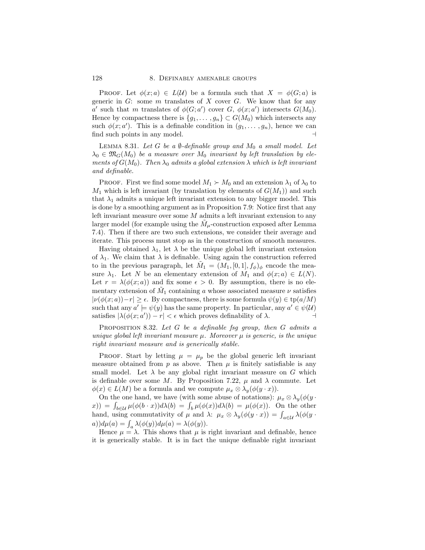**PROOF.** Let  $\phi(x; a) \in L(\mathcal{U})$  be a formula such that  $X = \phi(G; a)$  is generic in  $G$ : some  $m$  translates of  $X$  cover  $G$ . We know that for any a' such that m translates of  $\phi(G; a')$  cover G,  $\phi(x; a')$  intersects  $G(M_0)$ . Hence by compactness there is  $\{g_1, \ldots, g_n\} \subset G(M_0)$  which intersects any such  $\phi(x; a')$ . This is a definable condition in  $(g_1, \ldots, g_n)$ , hence we can find such points in any model.  $\Box$ 

LEMMA 8.31. Let G be a  $\emptyset$ -definable group and  $M_0$  a small model. Let  $\lambda_0 \in \mathfrak{M}_G(M_0)$  be a measure over  $M_0$  invariant by left translation by elements of  $G(M_0)$ . Then  $\lambda_0$  admits a global extension  $\lambda$  which is left invariant and definable.

**PROOF.** First we find some model  $M_1 \succ M_0$  and an extension  $\lambda_1$  of  $\lambda_0$  to  $M_1$  which is left invariant (by translation by elements of  $G(M_1)$ ) and such that  $\lambda_1$  admits a unique left invariant extension to any bigger model. This is done by a smoothing argument as in Proposition 7.9: Notice first that any left invariant measure over some  $M$  admits a left invariant extension to any larger model (for example using the  $\tilde{M}_{\mu}$ -construction exposed after Lemma 7.4). Then if there are two such extensions, we consider their average and iterate. This process must stop as in the construction of smooth measures.

Having obtained  $\lambda_1$ , let  $\lambda$  be the unique global left invariant extension of  $\lambda_1$ . We claim that  $\lambda$  is definable. Using again the construction referred to in the previous paragraph, let  $\tilde{M}_1 = (M_1, [0, 1], f_{\phi})_{\phi}$  encode the measure  $\lambda_1$ . Let N be an elementary extension of  $M_1$  and  $\phi(x; a) \in L(N)$ . Let  $r = \lambda(\phi(x; a))$  and fix some  $\epsilon > 0$ . By assumption, there is no elementary extension of  $\tilde{M}_1$  containing a whose associated measure  $\nu$  satisfies  $|\nu(\phi(x; a)) - r| \geq \epsilon$ . By compactness, there is some formula  $\psi(y) \in \text{tp}(a/M)$ such that any  $a' \models \psi(y)$  has the same property. In particular, any  $a' \in \psi(\mathcal{U})$ satisfies  $|\lambda(\phi(x; a')) - r| < \epsilon$  which proves definability of  $\lambda$ .

PROPOSITION 8.32. Let  $G$  be a definable fsg group, then  $G$  admits a unique global left invariant measure  $\mu$ . Moreover  $\mu$  is generic, is the unique right invariant measure and is generically stable.

PROOF. Start by letting  $\mu = \mu_p$  be the global generic left invariant measure obtained from  $p$  as above. Then  $\mu$  is finitely satisfiable is any small model. Let  $\lambda$  be any global right invariant measure on G which is definable over some M. By Proposition 7.22,  $\mu$  and  $\lambda$  commute. Let  $\phi(x) \in L(M)$  be a formula and we compute  $\mu_x \otimes \lambda_y(\phi(y \cdot x))$ .

On the one hand, we have (with some abuse of notations):  $\mu_x \otimes \lambda_y (\phi(y \cdot$  $f(x) = \int_{b \in \mathcal{U}} \mu(\phi(b \cdot x)) d\lambda(b) = \int_b \mu(\phi(x)) d\lambda(b) = \mu(\phi(x)).$  On the other hand, using commutativity of  $\mu$  and  $\lambda$ :  $\mu_x \otimes \lambda_y(\phi(y \cdot x)) = \int_{a \in \mathcal{U}} \lambda(\phi(y \cdot x))$  $a)$ ) $d\mu(a) = \int_a \lambda(\phi(y)) d\mu(a) = \lambda(\phi(y)).$ 

Hence  $\mu = \lambda$ . This shows that  $\mu$  is right invariant and definable, hence it is generically stable. It is in fact the unique definable right invariant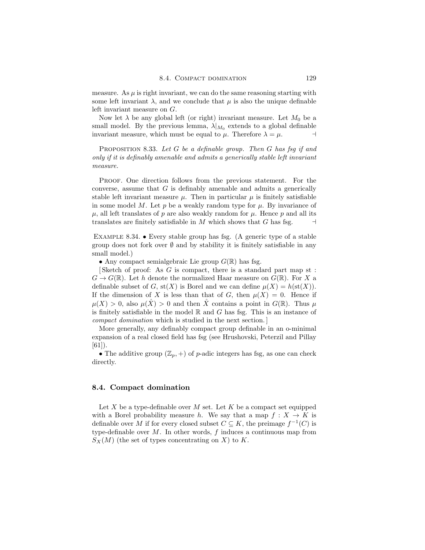measure. As  $\mu$  is right invariant, we can do the same reasoning starting with some left invariant  $\lambda$ , and we conclude that  $\mu$  is also the unique definable left invariant measure on G.

Now let  $\lambda$  be any global left (or right) invariant measure. Let  $M_0$  be a small model. By the previous lemma,  $\lambda|_{M_0}$  extends to a global definable invariant measure, which must be equal to  $\mu$ . Therefore  $\lambda = \mu$ .

PROPOSITION 8.33. Let  $G$  be a definable group. Then  $G$  has fsg if and only if it is definably amenable and admits a generically stable left invariant measure.

PROOF. One direction follows from the previous statement. For the converse, assume that  $G$  is definably amenable and admits a generically stable left invariant measure  $\mu$ . Then in particular  $\mu$  is finitely satisfiable in some model M. Let  $p$  be a weakly random type for  $\mu$ . By invariance of  $\mu$ , all left translates of p are also weakly random for  $\mu$ . Hence p and all its translates are finitely satisfiable in M which shows that G has fsg.  $\Box$ 

EXAMPLE 8.34. • Every stable group has fsg. (A generic type of a stable group does not fork over  $\emptyset$  and by stability it is finitely satisfiable in any small model.)

• Any compact semialgebraic Lie group  $G(\mathbb{R})$  has fsg.

[Sketch of proof: As  $G$  is compact, there is a standard part map st :  $G \to G(\mathbb{R})$ . Let h denote the normalized Haar measure on  $G(\mathbb{R})$ . For X a definable subset of G, st(X) is Borel and we can define  $\mu(X) = h(\text{st}(X))$ . If the dimension of X is less than that of G, then  $\mu(X) = 0$ . Hence if  $\mu(X) > 0$ , also  $\mu(X) > 0$  and then X contains a point in  $G(\mathbb{R})$ . Thus  $\mu$ is finitely satisfiable in the model  $\mathbb R$  and  $G$  has fsg. This is an instance of compact domination which is studied in the next section. ]

More generally, any definably compact group definable in an o-minimal expansion of a real closed field has fsg (see Hrushovski, Peterzil and Pillay  $[61]$ .

• The additive group  $(\mathbb{Z}_p, +)$  of p-adic integers has fsg, as one can check directly.

### 8.4. Compact domination

Let X be a type-definable over M set. Let K be a compact set equipped with a Borel probability measure h. We say that a map  $f: X \to K$  is definable over M if for every closed subset  $C \subseteq K$ , the preimage  $f^{-1}(C)$  is type-definable over  $M$ . In other words,  $f$  induces a continuous map from  $S_X(M)$  (the set of types concentrating on X) to K.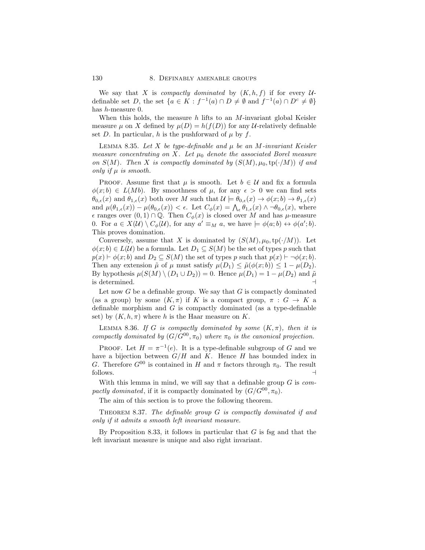We say that X is compactly dominated by  $(K, h, f)$  if for every Udefinable set D, the set  $\{a \in K : f^{-1}(a) \cap D \neq \emptyset \text{ and } f^{-1}(a) \cap D^c \neq \emptyset\}$ has h-measure 0.

When this holds, the measure  $h$  lifts to an  $M$ -invariant global Keisler measure  $\mu$  on X defined by  $\mu(D) = h(f(D))$  for any U-relatively definable set D. In particular, h is the pushforward of  $\mu$  by f.

LEMMA 8.35. Let X be type-definable and  $\mu$  be an M-invariant Keisler measure concentrating on X. Let  $\mu_0$  denote the associated Borel measure on  $S(M)$ . Then X is compactly dominated by  $(S(M), \mu_0, \text{tp}(\cdot/M))$  if and only if  $\mu$  is smooth.

PROOF. Assume first that  $\mu$  is smooth. Let  $b \in \mathcal{U}$  and fix a formula  $\phi(x; b) \in L(Mb)$ . By smoothness of  $\mu$ , for any  $\epsilon > 0$  we can find sets  $\theta_{0,\epsilon}(x)$  and  $\theta_{1,\epsilon}(x)$  both over M such that  $\mathcal{U} \models \theta_{0,\epsilon}(x) \rightarrow \phi(x;b) \rightarrow \theta_{1,\epsilon}(x)$ and  $\mu(\theta_{1,\epsilon}(x)) - \mu(\theta_{0,\epsilon}(x)) < \epsilon$ . Let  $C_{\phi}(x) = \bigwedge_{\epsilon} \theta_{1,\epsilon}(x) \wedge \neg \theta_{0,\epsilon}(x)$ , where  $\epsilon$  ranges over  $(0, 1) \cap \mathbb{Q}$ . Then  $C_{\phi}(x)$  is closed over M and has  $\mu$ -measure 0. For  $a \in X(\mathcal{U}) \setminus C_{\phi}(\mathcal{U})$ , for any  $a' \equiv_M a$ , we have  $\models \phi(a;b) \leftrightarrow \phi(a';b)$ . This proves domination.

Conversely, assume that X is dominated by  $(S(M), \mu_0, \text{tp}(\cdot/M))$ . Let  $\phi(x; b) \in L(\mathcal{U})$  be a formula. Let  $D_1 \subseteq S(M)$  be the set of types p such that  $p(x) \vdash \phi(x; b)$  and  $D_2 \subseteq S(M)$  the set of types p such that  $p(x) \vdash \neg \phi(x; b)$ . Then any extension  $\tilde{\mu}$  of  $\mu$  must satisfy  $\mu(D_1) \leq \tilde{\mu}(\phi(x;b)) \leq 1 - \mu(D_2)$ . By hypothesis  $\mu(S(M) \setminus (D_1 \cup D_2)) = 0$ . Hence  $\mu(D_1) = 1 - \mu(D_2)$  and  $\tilde{\mu}$ is determined.  $\hfill \dashv$ 

Let now  $G$  be a definable group. We say that  $G$  is compactly dominated (as a group) by some  $(K, \pi)$  if K is a compact group,  $\pi : G \to K$  a definable morphism and  $G$  is compactly dominated (as a type-definable set) by  $(K, h, \pi)$  where h is the Haar measure on K.

LEMMA 8.36. If G is compactly dominated by some  $(K, \pi)$ , then it is compactly dominated by  $(G/G^{00}, \pi_0)$  where  $\pi_0$  is the canonical projection.

PROOF. Let  $H = \pi^{-1}(e)$ . It is a type-definable subgroup of G and we have a bijection between  $G/H$  and K. Hence H has bounded index in G. Therefore  $G^{00}$  is contained in H and  $\pi$  factors through  $\pi_0$ . The result follows.  $\Box$ 

With this lemma in mind, we will say that a definable group  $G$  is compactly dominated, if it is compactly dominated by  $(G/G^{00}, \pi_0)$ .

The aim of this section is to prove the following theorem.

THEOREM 8.37. The definable group  $G$  is compactly dominated if and only if it admits a smooth left invariant measure.

By Proposition 8.33, it follows in particular that  $G$  is fsg and that the left invariant measure is unique and also right invariant.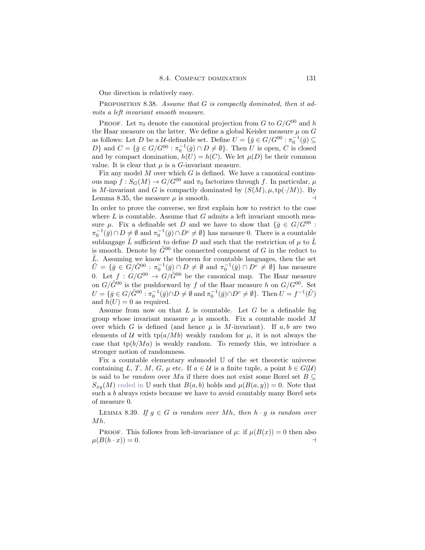One direction is relatively easy.

PROPOSITION 8.38. Assume that G is compactly dominated, then it admits a left invariant smooth measure.

PROOF. Let  $\pi_0$  denote the canonical projection from G to  $G/G^{00}$  and h the Haar measure on the latter. We define a global Keisler measure  $\mu$  on  $G$ as follows: Let D be a U-definable set. Define  $U = \{ \bar{g} \in G/G^{00} : \pi_0^{-1}(\bar{g}) \subseteq$ D} and  $C = \{ \bar{g} \in G/G^{00} : \pi_0^{-1}(\bar{g}) \cap D \neq \emptyset \}$ . Then U is open, C is closed and by compact domination,  $h(U) = h(C)$ . We let  $\mu(D)$  be their common value. It is clear that  $\mu$  is a G-invariant measure.

Fix any model  $M$  over which  $G$  is defined. We have a canonical continuous map  $f : S_G(M) \to G/G^{00}$  and  $\pi_0$  factorizes through f. In particular,  $\mu$ is M-invariant and G is compactly dominated by  $(S(M), \mu, \text{tp}(\cdot/M))$ . By Lemma 8.35, the measure  $\mu$  is smooth.

In order to prove the converse, we first explain how to restrict to the case where  $L$  is countable. Assume that  $G$  admits a left invariant smooth measure  $\mu$ . Fix a definable set D and we have to show that  $\{\bar{g} \in G/G^{00}$ :  $\pi_0^{-1}(\bar{g}) \cap D \neq \emptyset$  and  $\pi_0^{-1}(\bar{g}) \cap D^c \neq \emptyset$  has measure 0. There is a countable sublangage  $\tilde{L}$  sufficient to define D and such that the restriction of  $\mu$  to  $\tilde{L}$ is smooth. Denote by  $\tilde{G}^{00}$  the connected component of G in the reduct to  $\tilde{L}$ . Assuming we know the theorem for countable languages, then the set  $\tilde{U} = \{ \bar{g} \in \tilde{G}/\tilde{G}^{00} : \pi_0^{-1}(\bar{g}) \cap D \neq \emptyset \text{ and } \pi_0^{-1}(\bar{g}) \cap D^c \neq \emptyset \}$  has measure 0. Let  $f: G/G^{00} \to G/\tilde{G}^{00}$  be the canonical map. The Haar measure on  $G/\tilde{G}^{00}$  is the pushforward by f of the Haar measure h on  $G/G^{00}$ . Set  $U = \{ \bar{g} \in G/\tilde{G}^{00} : \pi_0^{-1}(\bar{g}) \cap D \neq \emptyset \text{ and } \pi_0^{-1}(\bar{g}) \cap D^c \neq \emptyset \}.$  Then  $U = f^{-1}(\tilde{U})$ and  $h(U) = 0$  as required.

Assume from now on that  $L$  is countable. Let  $G$  be a definable fsg group whose invariant measure  $\mu$  is smooth. Fix a countable model M over which G is defined (and hence  $\mu$  is M-invariant). If  $a, b$  are two elements of U with  $tp(a/Mb)$  weakly random for  $\mu$ , it is not always the case that  $tp(b/Ma)$  is weakly random. To remedy this, we introduce a stronger notion of randomness.

Fix a countable elementary submodel U of the set theoretic universe containing L, T, M, G,  $\mu$  etc. If  $a \in \mathcal{U}$  is a finite tuple, a point  $b \in G(\mathcal{U})$ is said to be *random* over Ma if there does not exist some Borel set  $B \subseteq$  $S_{xy}(M)$  coded in U such that  $B(a, b)$  holds and  $\mu(B(a, y)) = 0$ . Note that such a b always exists because we have to avoid countably many Borel sets of measure 0.

LEMMA 8.39. If  $g \in G$  is random over Mh, then  $h \cdot g$  is random over Mh.

PROOF. This follows from left-invariance of  $\mu$ : if  $\mu(B(x)) = 0$  then also  $\mu(B(h \cdot x)) = 0.$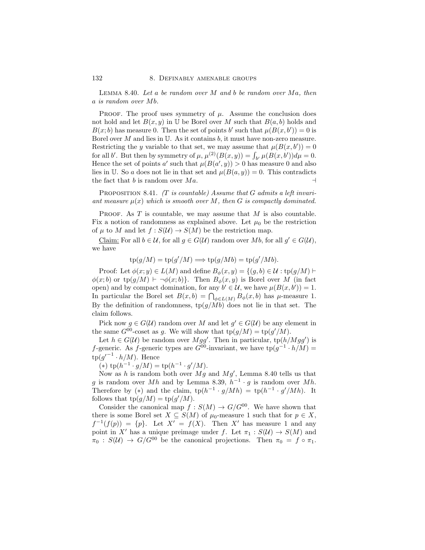LEMMA 8.40. Let a be random over M and b be random over  $Ma$ , then a is random over Mb.

PROOF. The proof uses symmetry of  $\mu$ . Assume the conclusion does not hold and let  $B(x, y)$  in U be Borel over M such that  $B(a, b)$  holds and  $B(x;b)$  has measure 0. Then the set of points b' such that  $\mu(B(x,b'))=0$  is Borel over  $M$  and lies in  $\mathbb U$ . As it contains  $b$ , it must have non-zero measure. Restricting the y variable to that set, we may assume that  $\mu(B(x, b')) = 0$ for all b'. But then by symmetry of  $\mu$ ,  $\mu^{(2)}(B(x, y)) = \int_{b'} \mu(B(x, b')) d\mu = 0$ . Hence the set of points a' such that  $\mu(B(a', y)) > 0$  has measure 0 and also lies in U. So a does not lie in that set and  $\mu(B(a, y)) = 0$ . This contradicts the fact that b is random over  $Ma$ .

PROPOSITION 8.41. (T is countable) Assume that  $G$  admits a left invariant measure  $\mu(x)$  which is smooth over M, then G is compactly dominated.

**PROOF.** As  $T$  is countable, we may assume that  $M$  is also countable. Fix a notion of randomness as explained above. Let  $\mu_0$  be the restriction of  $\mu$  to M and let  $f : S(\mathcal{U}) \to S(M)$  be the restriction map.

Claim: For all  $b \in \mathcal{U}$ , for all  $g \in G(\mathcal{U})$  random over Mb, for all  $g' \in G(\mathcal{U})$ , we have

$$
tp(g/M) = tp(g'/M) \Longrightarrow tp(g/Mb) = tp(g'/Mb).
$$

Proof: Let  $\phi(x; y) \in L(M)$  and define  $B_{\phi}(x, y) = \{(g, b) \in \mathcal{U} : \text{tp}(g/M) \vdash$  $\phi(x; b)$  or tp $(g/M) \vdash \neg \phi(x; b)$ . Then  $B_{\phi}(x, y)$  is Borel over M (in fact open) and by compact domination, for any  $b' \in \mathcal{U}$ , we have  $\mu(B(x, b')) = 1$ . In particular the Borel set  $B(x, b) = \bigcap_{\phi \in L(M)} B_{\phi}(x, b)$  has  $\mu$ -measure 1. By the definition of randomness,  $tp(g/Mb)$  does not lie in that set. The claim follows.

Pick now  $g \in G(\mathcal{U})$  random over M and let  $g' \in G(\mathcal{U})$  be any element in the same  $G^{00}$ -coset as g. We will show that  $\text{tp}(g/M) = \text{tp}(g'/M)$ .

Let  $h \in G(\mathcal{U})$  be random over  $Mgg'$ . Then in particular,  $tp(h/Mgg')$  is f-generic. As f-generic types are  $G^{00}$ -invariant, we have tp $(g^{-1} \cdot h/M)$  =  $\text{tp}(g'^{-1} \cdot h/M)$ . Hence

(\*)  $\text{tp}(h^{-1} \cdot g/M) = \text{tp}(h^{-1} \cdot g'/M).$ 

Now as h is random both over  $Mg$  and  $Mg'$ , Lemma 8.40 tells us that g is random over Mh and by Lemma 8.39,  $h^{-1} \cdot g$  is random over Mh. Therefore by (\*) and the claim,  $tp(h^{-1} \cdot g/Mh) = tp(h^{-1} \cdot g'/Mh)$ . It follows that  $tp(g/M) = tp(g'/M)$ .

Consider the canonical map  $f : S(M) \to G/G^{00}$ . We have shown that there is some Borel set  $X \subseteq S(M)$  of  $\mu_0$ -measure 1 such that for  $p \in X$ ,  $f^{-1}(f(p)) = \{p\}.$  Let  $X' = f(X)$ . Then X' has measure 1 and any point in X' has a unique preimage under f. Let  $\pi_1 : S(\mathcal{U}) \to S(M)$  and  $\pi_0$ :  $S(\mathcal{U}) \to G/G^{00}$  be the canonical projections. Then  $\pi_0 = f \circ \pi_1$ .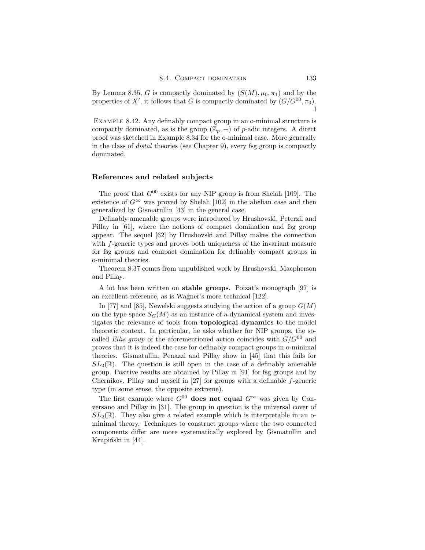By Lemma 8.35, G is compactly dominated by  $(S(M), \mu_0, \pi_1)$  and by the properties of X', it follows that G is compactly dominated by  $(G/G^{00}, \pi_0)$ .  $\overline{\phantom{0}}$ 

Example 8.42. Any definably compact group in an o-minimal structure is compactly dominated, as is the group  $(\mathbb{Z}_p, +)$  of p-adic integers. A direct proof was sketched in Example 8.34 for the o-minimal case. More generally in the class of *distal* theories (see Chapter 9), every fsg group is compactly dominated.

### References and related subjects

The proof that  $G^{00}$  exists for any NIP group is from Shelah [109]. The existence of  $G^{\infty}$  was proved by Shelah [102] in the abelian case and then generalized by Gismatullin [43] in the general case.

Definably amenable groups were introduced by Hrushovski, Peterzil and Pillay in [61], where the notions of compact domination and fsg group appear. The sequel [62] by Hrushovski and Pillay makes the connection with f-generic types and proves both uniqueness of the invariant measure for fsg groups and compact domination for definably compact groups in o-minimal theories.

Theorem 8.37 comes from unpublished work by Hrushovski, Macpherson and Pillay.

A lot has been written on stable groups. Poizat's monograph [97] is an excellent reference, as is Wagner's more technical [122].

In [77] and [85], Newelski suggests studying the action of a group  $G(M)$ on the type space  $S_G(M)$  as an instance of a dynamical system and investigates the relevance of tools from topological dynamics to the model theoretic context. In particular, he asks whether for NIP groups, the socalled Ellis group of the aforementioned action coincides with  $G/G^{00}$  and proves that it is indeed the case for definably compact groups in o-minimal theories. Gismatullin, Penazzi and Pillay show in [45] that this fails for  $SL_2(\mathbb{R})$ . The question is still open in the case of a definably amenable group. Positive results are obtained by Pillay in [91] for fsg groups and by Chernikov, Pillay and myself in  $[27]$  for groups with a definable  $f$ -generic type (in some sense, the opposite extreme).

The first example where  $G^{00}$  does not equal  $G^{\infty}$  was given by Conversano and Pillay in [31]. The group in question is the universal cover of  $SL_2(\mathbb{R})$ . They also give a related example which is interpretable in an ominimal theory. Techniques to construct groups where the two connected components differ are more systematically explored by Gismatullin and Krupiński in [44].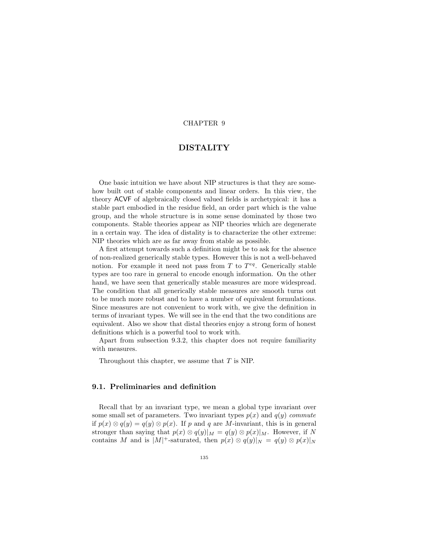#### CHAPTER 9

# DISTALITY

One basic intuition we have about NIP structures is that they are somehow built out of stable components and linear orders. In this view, the theory ACVF of algebraically closed valued fields is archetypical: it has a stable part embodied in the residue field, an order part which is the value group, and the whole structure is in some sense dominated by those two components. Stable theories appear as NIP theories which are degenerate in a certain way. The idea of distality is to characterize the other extreme: NIP theories which are as far away from stable as possible.

A first attempt towards such a definition might be to ask for the absence of non-realized generically stable types. However this is not a well-behaved notion. For example it need not pass from  $T$  to  $T^{eq}$ . Generically stable types are too rare in general to encode enough information. On the other hand, we have seen that generically stable measures are more widespread. The condition that all generically stable measures are smooth turns out to be much more robust and to have a number of equivalent formulations. Since measures are not convenient to work with, we give the definition in terms of invariant types. We will see in the end that the two conditions are equivalent. Also we show that distal theories enjoy a strong form of honest definitions which is a powerful tool to work with.

Apart from subsection 9.3.2, this chapter does not require familiarity with measures.

Throughout this chapter, we assume that T is NIP.

## 9.1. Preliminaries and definition

Recall that by an invariant type, we mean a global type invariant over some small set of parameters. Two invariant types  $p(x)$  and  $q(y)$  commute if  $p(x) \otimes q(y) = q(y) \otimes p(x)$ . If p and q are M-invariant, this is in general stronger than saying that  $p(x) \otimes q(y)|_M = q(y) \otimes p(x)|_M$ . However, if N contains M and is  $|M|$ <sup>+</sup>-saturated, then  $p(x) \otimes q(y)|_N = q(y) \otimes p(x)|_N$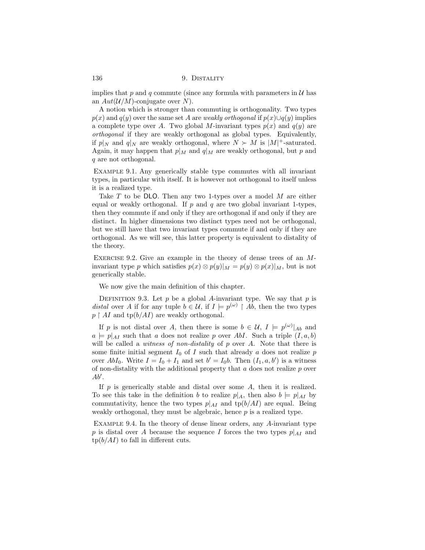implies that p and q commute (since any formula with parameters in  $\mathcal U$  has an  $Aut(U/M)$ -conjugate over N).

A notion which is stronger than commuting is orthogonality. Two types  $p(x)$  and  $q(y)$  over the same set A are weakly orthogonal if  $p(x) \cup q(y)$  implies a complete type over A. Two global M-invariant types  $p(x)$  and  $q(y)$  are orthogonal if they are weakly orthogonal as global types. Equivalently, if  $p|_N$  and  $q|_N$  are weakly orthogonal, where  $N \succ M$  is  $|M|^+$ -saturated. Again, it may happen that  $p|_M$  and  $q|_M$  are weakly orthogonal, but p and q are not orthogonal.

Example 9.1. Any generically stable type commutes with all invariant types, in particular with itself. It is however not orthogonal to itself unless it is a realized type.

Take  $T$  to be DLO. Then any two 1-types over a model  $M$  are either equal or weakly orthogonal. If  $p$  and  $q$  are two global invariant 1-types, then they commute if and only if they are orthogonal if and only if they are distinct. In higher dimensions two distinct types need not be orthogonal, but we still have that two invariant types commute if and only if they are orthogonal. As we will see, this latter property is equivalent to distality of the theory.

EXERCISE 9.2. Give an example in the theory of dense trees of an  $M$ invariant type p which satisfies  $p(x) \otimes p(y)|_M = p(y) \otimes p(x)|_M$ , but is not generically stable.

We now give the main definition of this chapter.

DEFINITION 9.3. Let p be a global A-invariant type. We say that p is distal over A if for any tuple  $b \in \mathcal{U}$ , if  $I \models p^{(\omega)} \restriction Ab$ , then the two types  $p \restriction AI$  and  $tp(b/AI)$  are weakly orthogonal.

If p is not distal over A, then there is some  $b \in \mathcal{U}, I \models p^{(\omega)}|_{Ab}$  and  $a \models p|_{AI}$  such that a does not realize p over AbI. Such a triple  $(I, a, b)$ will be called a *witness of non-distality* of  $p$  over  $A$ . Note that there is some finite initial segment  $I_0$  of  $I$  such that already  $a$  does not realize  $p$ over  $AbI_0$ . Write  $I = I_0 + I_1$  and set  $b' = I_0b$ . Then  $(I_1, a, b')$  is a witness of non-distality with the additional property that  $a$  does not realize  $p$  over  $Ab'.$ 

If  $p$  is generically stable and distal over some  $A$ , then it is realized. To see this take in the definition b to realize  $p|_A$ , then also  $b \models p|_{AI}$  by commutativity, hence the two types  $p|_{AI}$  and  $tp(b/AI)$  are equal. Being weakly orthogonal, they must be algebraic, hence  $p$  is a realized type.

Example 9.4. In the theory of dense linear orders, any A-invariant type p is distal over A because the sequence I forces the two types  $p|_{AI}$  and  $tp(b/AI)$  to fall in different cuts.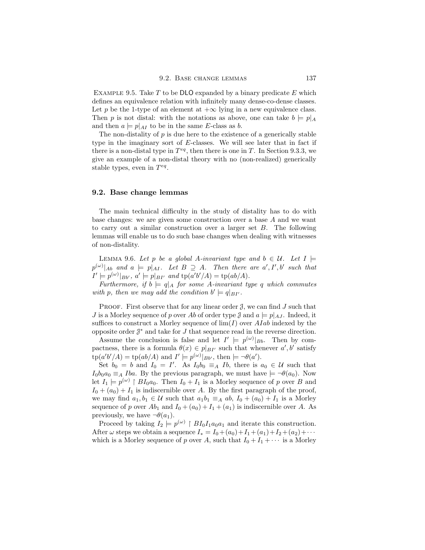EXAMPLE 9.5. Take T to be DLO expanded by a binary predicate E which defines an equivalence relation with infinitely many dense-co-dense classes. Let p be the 1-type of an element at  $+\infty$  lying in a new equivalence class. Then p is not distal: with the notations as above, one can take  $b \models p|_A$ and then  $a \models p|_{AI}$  to be in the same E-class as b.

The non-distality of  $p$  is due here to the existence of a generically stable type in the imaginary sort of E-classes. We will see later that in fact if there is a non-distal type in  $T^{eq}$ , then there is one in T. In Section 9.3.3, we give an example of a non-distal theory with no (non-realized) generically stable types, even in  $T^{eq}$ .

#### 9.2. Base change lemmas

The main technical difficulty in the study of distality has to do with base changes: we are given some construction over a base A and we want to carry out a similar construction over a larger set  $B$ . The following lemmas will enable us to do such base changes when dealing with witnesses of non-distality.

LEMMA 9.6. Let p be a global A-invariant type and  $b \in \mathcal{U}$ . Let  $I \models$  $p^{(\omega)}|_{Ab}$  and  $a \models p|_{AI}$ . Let  $B \supseteq A$ . Then there are  $a', I', b'$  such that  $I' \models p^{(\omega)}|_{Bb'}$ ,  $a' \models p|_{BI'}$  and  $tp(a'b'/A) = tp(ab/A)$ .

Furthermore, if  $b \models q_A$  for some A-invariant type q which commutes with p, then we may add the condition  $b' \models q|_{BI'}$ .

PROOF. First observe that for any linear order  $\beta$ , we can find  $J$  such that J is a Morley sequence of p over Ab of order type  $\mathcal{J}$  and  $a \models p|_{A,I}$ . Indeed, it suffices to construct a Morley sequence of  $\lim(I)$  over AIab indexed by the opposite order  $\mathcal{J}^*$  and take for  $J$  that sequence read in the reverse direction.

Assume the conclusion is false and let  $I' \models p^{(\omega)}|_{Bb}$ . Then by compactness, there is a formula  $\theta(x) \in p|_{BI'}$  such that whenever  $a', b'$  satisfy  $\text{tp}(a'b'/A) = \text{tp}(ab/A)$  and  $I' \models p^{(\omega)}|_{Bb'}$ , then  $\models \neg \theta(a')$ .

Set  $b_0 = b$  and  $I_0 = I'$ . As  $I_0 b_0 \equiv_A Ib$ , there is  $a_0 \in U$  such that  $I_0b_0a_0 \equiv_A Iba$ . By the previous paragraph, we must have  $\models \neg \theta(a_0)$ . Now let  $I_1 \models p^{(\omega)} \restriction BI_0a_0$ . Then  $I_0 + I_1$  is a Morley sequence of p over B and  $I_0 + (a_0) + I_1$  is indiscernible over A. By the first paragraph of the proof, we may find  $a_1, b_1 \in \mathcal{U}$  such that  $a_1b_1 \equiv_A ab$ ,  $I_0 + (a_0) + I_1$  is a Morley sequence of p over  $Ab_1$  and  $I_0 + (a_0) + I_1 + (a_1)$  is indiscernible over A. As previously, we have  $\neg \theta(a_1)$ .

Proceed by taking  $I_2 \models p^{(\omega)} \upharpoonright B I_0 I_1 a_0 a_1$  and iterate this construction. After  $\omega$  steps we obtain a sequence  $I_* = I_0 + (a_0) + I_1 + (a_1) + I_2 + (a_2) + \cdots$ which is a Morley sequence of p over A, such that  $I_0 + I_1 + \cdots$  is a Morley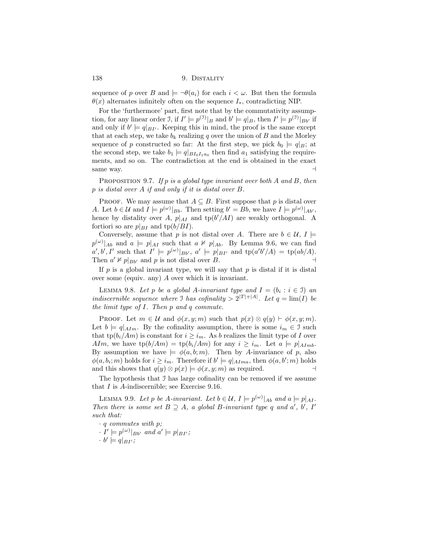138 9. DISTALITY

sequence of p over B and  $\models \neg \theta(a_i)$  for each  $i < \omega$ . But then the formula  $\theta(x)$  alternates infinitely often on the sequence  $I_*,$  contradicting NIP.

For the 'furthermore' part, first note that by the commutativity assumption, for any linear order J, if  $I' \models p^{(1)}|_B$  and  $b' \models q|_B$ , then  $I' \models p^{(1)}|_{Bb'}$  if and only if  $b' \models q|_{BI'}$ . Keeping this in mind, the proof is the same except that at each step, we take  $b_k$  realizing q over the union of B and the Morley sequence of p constructed so far: At the first step, we pick  $b_0 \models q|_B$ ; at the second step, we take  $b_1 \models q|_{BI_0I_1a_0}$  then find  $a_1$  satisfying the requirements, and so on. The contradiction at the end is obtained in the exact same way.

PROPOSITION 9.7. If p is a global type invariant over both A and B, then p is distal over A if and only if it is distal over B.

PROOF. We may assume that  $A \subseteq B$ . First suppose that p is distal over A. Let  $b \in \mathcal{U}$  and  $I \models p^{(\omega)}|_{Bb}$ . Then setting  $b' = Bb$ , we have  $I \models p^{(\omega)}|_{Ab'}$ , hence by distality over A,  $p|_{AI}$  and  $tp(b'/AI)$  are weakly orthogonal. A fortiori so are  $p|_{BI}$  and  $tp(b/BI)$ .

Conversely, assume that p is not distal over A. There are  $b \in \mathcal{U}, I \models$  $p^{(\omega)}|_{Ab}$  and  $a \models p|_{AI}$  such that  $a \not\models p|_{Ab}$ . By Lemma 9.6, we can find  $a', b', I'$  such that  $I' \models p^{(\omega)}|_{Bb'}, a' \models p|_{BI'}$  and  $tp(a'b'/A) = tp(ab/A)$ . Then  $a' \not\vDash p|_{Bb'}$  and p is not distal over B.

If  $p$  is a global invariant type, we will say that  $p$  is distal if it is distal over some (equiv. any) A over which it is invariant.

LEMMA 9.8. Let p be a global A-invariant type and  $I = (b_i : i \in J)$  and indiscernible sequence where  $\Im$  has cofinality  $> 2^{|T|+|A|}$ . Let  $q = \lim(I)$  be the limit type of  $I$ . Then  $p$  and  $q$  commute.

PROOF. Let  $m \in \mathcal{U}$  and  $\phi(x, y; m)$  such that  $p(x) \otimes q(y) \vdash \phi(x, y; m)$ . Let  $b = q|_{AIm}$ . By the cofinality assumption, there is some  $i_m \in \mathcal{I}$  such that tp( $b_i/Am$ ) is constant for  $i \geq i_m$ . As b realizes the limit type of I over AIm, we have  $tp(b/Am) = tp(b_i/Am)$  for any  $i \geq i_m$ . Let  $a \models p|_{AImb}$ . By assumption we have  $\models \phi(a, b; m)$ . Then by A-invariance of p, also  $\phi(a, b_i; m)$  holds for  $i \geq i_m$ . Therefore if  $b' \models q|_{AIma}$ , then  $\phi(a, b'; m)$  holds and this shows that  $q(y) \otimes p(x) \models \phi(x, y; m)$  as required.

The hypothesis that I has large cofinality can be removed if we assume that I is A-indiscernible; see Exercise 9.16.

LEMMA 9.9. Let p be A-invariant. Let  $b \in \mathcal{U}$ ,  $I \models p^{(\omega)}|_{Ab}$  and  $a \models p|_{AI}$ . Then there is some set  $B \supseteq A$ , a global B-invariant type q and a', b', I' such that:

 $\cdot$  q commutes with p;

 $\cdot I' \models p^{(\omega)}|_{Bb'}$  and  $a' \models p|_{BI'};$  $\cdot b' \models q|_{BI'};$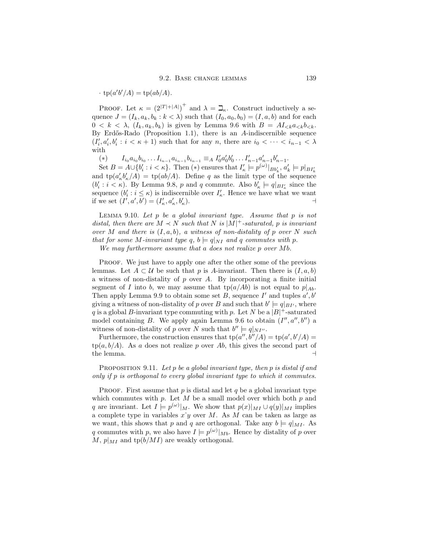$\cdot$  tp( $a'b'/A$ ) = tp( $ab/A$ ).

PROOF. Let  $\kappa = (2^{|T|+|A|})^+$  and  $\lambda = \beth_{\kappa}$ . Construct inductively a sequence  $J = (I_k, a_k, b_k : k < \lambda)$  such that  $(I_0, a_0, b_0) = (I, a, b)$  and for each  $0 < k < \lambda$ ,  $(I_k, a_k, b_k)$  is given by Lemma 9.6 with  $B = AI_{\leq k} a_{\leq k} b_{\leq k}$ . By Erdős-Rado (Proposition 1.1), there is an  $A$ -indiscernible sequence  $(I'_i, a'_i, b'_i : i < \kappa + 1)$  such that for any n, there are  $i_0 < \cdots < i_{n-1} < \lambda$ with

(\*)  $I_{i_0} a_{i_0} b_{i_0} \dots I_{i_{n-1}} a_{i_{n-1}} b_{i_{n-1}} \equiv_A I'_0 a'_0 b'_0 \dots I'_{n-1} a'_{n-1} b'_{n-1}.$ 

Set  $B = A \cup \{b'_i : i < \kappa\}$ . Then (\*) ensures that  $I'_\kappa \models p^{(\omega)}|_{Bb'_k}, a'_k \models p|_{BI'_k}$ and  $\text{tp}(a'_k b'_k/A) = \text{tp}(ab/A)$ . Define q as the limit type of the sequence  $(b_i': i < \kappa)$ . By Lemma 9.8, p and q commute. Also  $b'_\kappa \models q|_{BI'_\kappa}$  since the sequence  $(b'_i : i \leq \kappa)$  is indiscernible over  $I'_\kappa$ . Hence we have what we want if we set  $(I', a', b') = (I'_\kappa, a'_\kappa, b'_\kappa)$ ).  $\qquad \qquad \rightarrow$ 

LEMMA 9.10. Let  $p$  be a global invariant type. Assume that  $p$  is not distal, then there are  $M \prec N$  such that N is  $|M|^+$ -saturated, p is invariant over M and there is  $(I, a, b)$ , a witness of non-distality of p over N such that for some M-invariant type q,  $b \models q|_{NI}$  and q commutes with p.

We may furthermore assume that a does not realize  $p$  over  $Mb$ .

PROOF. We just have to apply one after the other some of the previous lemmas. Let  $A \subset U$  be such that p is A-invariant. Then there is  $(I, a, b)$ a witness of non-distality of  $p$  over  $A$ . By incorporating a finite initial segment of I into b, we may assume that  $tp(a/Ab)$  is not equal to  $p|_{Ab}$ . Then apply Lemma 9.9 to obtain some set B, sequence  $I'$  and tuples  $a', b'$ giving a witness of non-distality of p over B and such that  $b' \models q|_{BI'}$ , where q is a global B-invariant type commuting with p. Let N be a  $|B|$ <sup>+</sup>-saturated model containing B. We apply again Lemma 9.6 to obtain  $(I'', a'', b'')$  a witness of non-distality of p over N such that  $b'' \models q|_{NI''}$ .

Furthermore, the construction ensures that  $tp(a'', b''/A) = tp(a', b'/A) =$  $tp(a, b/A)$ . As a does not realize p over Ab, this gives the second part of the lemma.  $\Box$ 

PROPOSITION 9.11. Let p be a global invariant type, then p is distal if and only if p is orthogonal to every global invariant type to which it commutes.

**PROOF.** First assume that  $p$  is distal and let  $q$  be a global invariant type which commutes with  $p$ . Let  $M$  be a small model over which both  $p$  and q are invariant. Let  $I \models p^{(\omega)}|_M$ . We show that  $p(x)|_{MI} \cup q(y)|_{MI}$  implies a complete type in variables  $x \hat{\ } y$  over M. As M can be taken as large as we want, this shows that p and q are orthogonal. Take any  $b \models q|_{MI}$ . As q commutes with p, we also have  $I \models p^{(\omega)}|_{Mb}$ . Hence by distality of p over  $M, p|_{MI}$  and tp( $b/MI$ ) are weakly orthogonal.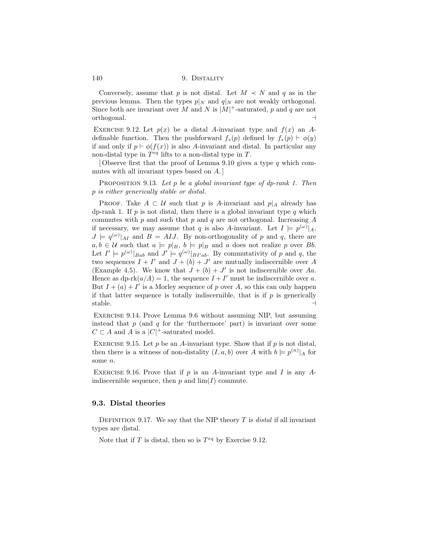#### 140 9. DISTALITY

Conversely, assume that p is not distal. Let  $M \prec N$  and q as in the previous lemma. Then the types  $p|_N$  and  $q|_N$  are not weakly orthogonal. Since both are invariant over M and N is  $|M|^+$ -saturated, p and q are not orthogonal.

EXERCISE 9.12. Let  $p(x)$  be a distal A-invariant type and  $f(x)$  an Adefinable function. Then the pushforward  $f_*(p)$  defined by  $f_*(p) \vdash \phi(y)$ if and only if  $p \vdash \phi(f(x))$  is also A-invariant and distal. In particular any non-distal type in  $T^{eq}$  lifts to a non-distal type in T.

[Observe first that the proof of Lemma 9.10 gives a type q which commutes with all invariant types based on A. ]

PROPOSITION 9.13. Let  $p$  be a global invariant type of dp-rank 1. Then p is either generically stable or distal.

PROOF. Take  $A \subset U$  such that p is A-invariant and  $p|_A$  already has dp-rank 1. If  $p$  is not distal, then there is a global invariant type  $q$  which commutes with  $p$  and such that  $p$  and  $q$  are not orthogonal. Increasing  $A$ if necessary, we may assume that q is also A-invariant. Let  $I = p^{(\omega)}|_A$ ,  $J \models q^{(\omega)}|_{AI}$  and  $B = AIJ$ . By non-orthogonality of p and q, there are  $a, b \in \mathcal{U}$  such that  $a \models p|_B$ ,  $b \models p|_B$  and a does not realize p over Bb. Let  $I' \models p^{(\omega)}|_{Bab}$  and  $J' \models q^{(\omega)}|_{BI'ab}$ . By commutativity of p and q, the two sequences  $I + I'$  and  $J + (b) + J'$  are mutually indiscernible over A (Example 4.5). We know that  $J + (b) + J'$  is not indiscernible over Aa. Hence as dp-rk $(a/A) = 1$ , the sequence  $I + I'$  must be indiscernible over a. But  $I + (a) + I'$  is a Morley sequence of p over A, so this can only happen if that latter sequence is totally indiscernible, that is if  $p$  is generically stable.  $\Box$ 

Exercise 9.14. Prove Lemma 9.6 without assuming NIP, but assuming instead that  $p$  (and  $q$  for the 'furthermore' part) is invariant over some  $C \subset A$  and A is a  $|C|$ <sup>+</sup>-saturated model.

EXERCISE 9.15. Let  $p$  be an A-invariant type. Show that if  $p$  is not distal, then there is a witness of non-distality  $(I, a, b)$  over A with  $b \models p^{(n)}|_A$  for some n.

EXERCISE 9.16. Prove that if p is an A-invariant type and I is any Aindiscernible sequence, then  $p$  and  $\lim(I)$  commute.

#### 9.3. Distal theories

DEFINITION 9.17. We say that the NIP theory  $T$  is *distal* if all invariant types are distal.

Note that if  $T$  is distal, then so is  $T^{eq}$  by Exercise 9.12.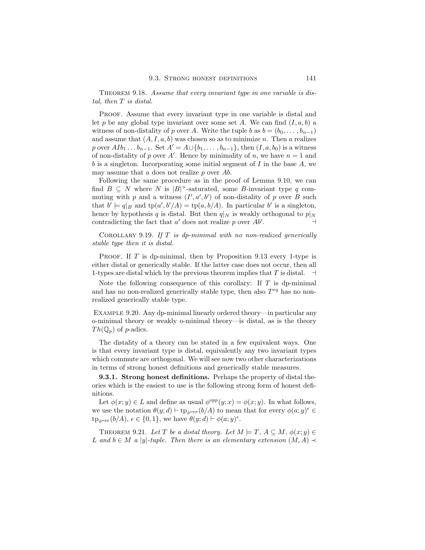THEOREM 9.18. Assume that every invariant type in one variable is distal, then T is distal.

PROOF. Assume that every invariant type in one variable is distal and let p be any global type invariant over some set A. We can find  $(I, a, b)$  a witness of non-distality of p over A. Write the tuple b as  $b = (b_0, \ldots, b_{n-1})$ and assume that  $(A, I, a, b)$  was chosen so as to minimize n. Then a realizes p over  $AIb_1 \ldots b_{n-1}$ . Set  $A' = A \cup \{b_1, \ldots, b_{n-1}\}$ , then  $(I, a, b_0)$  is a witness of non-distality of p over A'. Hence by minimality of n, we have  $n = 1$  and  $b$  is a singleton. Incorporating some initial segment of  $I$  in the base  $A$ , we may assume that  $a$  does not realize  $p$  over  $Ab$ .

Following the same procedure as in the proof of Lemma 9.10, we can find  $B \subseteq N$  where N is  $|B|^{+}$ -saturated, some B-invariant type q commuting with p and a witness  $(I', a', b')$  of non-distality of p over B such that  $b' \models q|_B$  and  $tp(a', b'/A) = tp(a, b/A)$ . In particular b' is a singleton, hence by hypothesis q is distal. But then  $q|_N$  is weakly orthogonal to  $p|_N$ contradicting the fact that  $a'$  does not realize p over  $Ab'$ . a

COROLLARY 9.19. If  $T$  is dp-minimal with no non-realized generically stable type then it is distal.

PROOF. If  $T$  is dp-minimal, then by Proposition 9.13 every 1-type is either distal or generically stable. If the latter case does not occur, then all 1-types are distal which by the previous theorem implies that T is distal.  $\Box$ 

Note the following consequence of this corollary: If  $T$  is dp-minimal and has no non-realized generically stable type, then also  $T^{eq}$  has no nonrealized generically stable type.

Example 9.20. Any dp-minimal linearly ordered theory—in particular any o-minimal theory or weakly o-minimal theory—is distal, as is the theory  $Th(\mathbb{Q}_p)$  of p-adics.

The distality of a theory can be stated in a few equivalent ways. One is that every invariant type is distal, equivalently any two invariant types which commute are orthogonal. We will see now two other characterizations in terms of strong honest definitions and generically stable measures.

9.3.1. Strong honest definitions. Perhaps the property of distal theories which is the easiest to use is the following strong form of honest definitions.

Let  $\phi(x; y) \in L$  and define as usual  $\phi^{opp}(y; x) = \phi(x; y)$ . In what follows, we use the notation  $\theta(y; d) \vdash \text{tp}_{\phi^{opp}}(b/A)$  to mean that for every  $\phi(a; y)$ <sup> $\epsilon \in$ </sup>  ${\rm tp}_{\phi^{opp}}(b/A),\,\epsilon\in\{0,1\},\,\text{we have}\,\,\theta(y;d)\vdash\phi(a;y)^{\epsilon}.$ 

THEOREM 9.21. Let T be a distal theory. Let  $M \models T$ ,  $A \subseteq M$ ,  $\phi(x; y) \in$ L and  $b \in M$  a |y|-tuple. Then there is an elementary extension  $(M, A) \prec$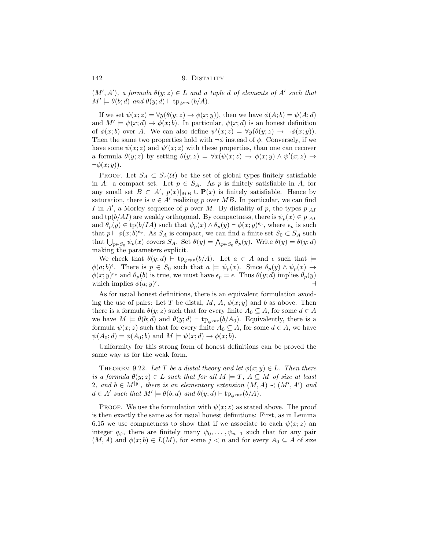142 9. DISTALITY

 $(M', A')$ , a formula  $\theta(y; z) \in L$  and a tuple d of elements of A' such that  $M' \models \theta(b; d)$  and  $\theta(y; d) \vdash \text{tp}_{\phi^{opp}}(b/A)$ .

If we set  $\psi(x; z) = \forall y(\theta(y; z) \rightarrow \phi(x; y))$ , then we have  $\phi(A; b) = \psi(A; d)$ and  $M' \models \psi(x; d) \rightarrow \phi(x; b)$ . In particular,  $\psi(x; d)$  is an honest definition of  $\phi(x;b)$  over A. We can also define  $\psi'(x;z) = \forall y(\theta(y;z) \rightarrow \neg \phi(x;y)).$ Then the same two properties hold with  $\neg \phi$  instead of  $\phi$ . Conversely, if we have some  $\psi(x; z)$  and  $\psi'(x; z)$  with these properties, than one can recover a formula  $\theta(y; z)$  by setting  $\theta(y; z) = \forall x(\psi(x; z) \rightarrow \phi(x; y) \land \psi'(x; z) \rightarrow$  $\neg \phi(x; y)$ ).

PROOF. Let  $S_A \subset S_x(\mathcal{U})$  be the set of global types finitely satisfiable in A: a compact set. Let  $p \in S_A$ . As p is finitely satisfiable in A, for any small set  $B \subset A', p(x)|_{MB} \cup P(x)$  is finitely satisfiable. Hence by saturation, there is  $a \in A'$  realizing p over MB. In particular, we can find I in A', a Morley sequence of p over M. By distality of p, the types  $p|_{AI}$ and tp( $b/AI$ ) are weakly orthogonal. By compactness, there is  $\psi_p(x) \in p|_{AI}$ and  $\theta_p(y) \in \text{tp}(b/IA)$  such that  $\psi_p(x) \wedge \theta_p(y) \vdash \phi(x; y)^{\epsilon_p}$ , where  $\epsilon_p$  is such that  $p \vdash \phi(x;b)^{\epsilon_p}$ . As  $S_A$  is compact, we can find a finite set  $S_0 \subset S_A$  such that  $\bigcup_{p\in S_0} \psi_p(x)$  covers  $S_A$ . Set  $\theta(y) = \bigwedge_{p\in S_0} \theta_p(y)$ . Write  $\theta(y) = \theta(y; d)$ making the parameters explicit.

We check that  $\theta(y; d) \vdash \text{tp}_{\phi^{opp}}(b/A)$ . Let  $a \in A$  and  $\epsilon$  such that  $\models$  $\phi(a;b)^{\epsilon}$ . There is  $p \in S_0$  such that  $a \models \psi_p(x)$ . Since  $\theta_p(y) \wedge \psi_p(x) \rightarrow$  $\phi(x; y)^{\epsilon_p}$  and  $\theta_p(b)$  is true, we must have  $\epsilon_p = \epsilon$ . Thus  $\theta(y; d)$  implies  $\theta_p(y)$ which implies  $\phi(a; y)$ <sup> $\epsilon$ </sup> . A construction of the construction of the construction of the construction of the construction of the construction of the construction of the construction of the construction of the construction of the construction of th

As for usual honest definitions, there is an equivalent formulation avoiding the use of pairs: Let T be distal, M, A,  $\phi(x; y)$  and b as above. Then there is a formula  $\theta(y; z)$  such that for every finite  $A_0 \subseteq A$ , for some  $d \in A$ we have  $M \models \theta(b; d)$  and  $\theta(y; d) \vdash \text{tp}_{\phi^{opp}}(b/A_0)$ . Equivalently, there is a formula  $\psi(x; z)$  such that for every finite  $A_0 \subseteq A$ , for some  $d \in A$ , we have  $\psi(A_0; d) = \phi(A_0; b)$  and  $M \models \psi(x; d) \rightarrow \phi(x; b)$ .

Uniformity for this strong form of honest definitions can be proved the same way as for the weak form.

THEOREM 9.22. Let T be a distal theory and let  $\phi(x; y) \in L$ . Then there is a formula  $\theta(y; z) \in L$  such that for all  $M \models T$ ,  $A \subseteq M$  of size at least 2, and  $b \in M^{|y|}$ , there is an elementary extension  $(M, A) \prec (M', A')$  and  $d \in A'$  such that  $M' \models \theta(b; d)$  and  $\theta(y; d) \vdash \text{tp}_{\phi^{opp}}(b/A)$ .

**PROOF.** We use the formulation with  $\psi(x; z)$  as stated above. The proof is then exactly the same as for usual honest definitions: First, as in Lemma 6.15 we use compactness to show that if we associate to each  $\psi(x; z)$  and integer  $q_{\psi}$ , there are finitely many  $\psi_0, \dots, \psi_{n-1}$  such that for any pair  $(M, A)$  and  $\phi(x; b) \in L(M)$ , for some  $j < n$  and for every  $A_0 \subseteq A$  of size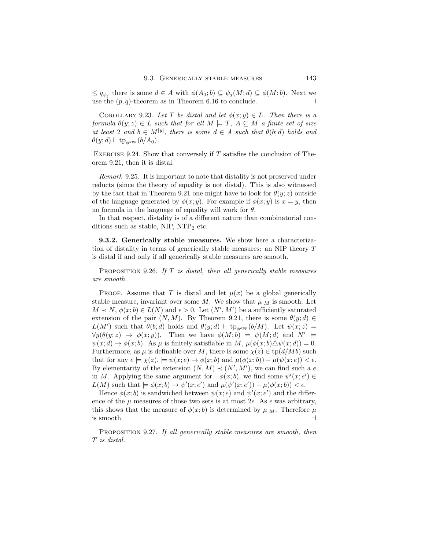$\leq q_{\psi_j}$  there is some  $d \in A$  with  $\phi(A_0; b) \subseteq \psi_j(M; d) \subseteq \phi(M; b)$ . Next we use the  $(p, q)$ -theorem as in Theorem 6.16 to conclude.

COROLLARY 9.23. Let T be distal and let  $\phi(x; y) \in L$ . Then there is a formula  $\theta(y; z) \in L$  such that for all  $M \models T$ ,  $A \subseteq M$  a finite set of size at least 2 and  $b \in M^{[y]}$ , there is some  $d \in A$  such that  $\theta(b;d)$  holds and  $\theta(y; d) \vdash \text{tp}_{\phi^{opp}}(b/A_0).$ 

EXERCISE 9.24. Show that conversely if  $T$  satisfies the conclusion of Theorem 9.21, then it is distal.

Remark 9.25. It is important to note that distality is not preserved under reducts (since the theory of equality is not distal). This is also witnessed by the fact that in Theorem 9.21 one might have to look for  $\theta(y; z)$  outside of the language generated by  $\phi(x; y)$ . For example if  $\phi(x; y)$  is  $x = y$ , then no formula in the language of equality will work for  $\theta$ .

In that respect, distality is of a different nature than combinatorial conditions such as stable,  $NIP$ ,  $NTP_2$  etc.

9.3.2. Generically stable measures. We show here a characterization of distality in terms of generically stable measures: an NIP theory T is distal if and only if all generically stable measures are smooth.

PROPOSITION 9.26. If  $T$  is distal, then all generically stable measures are smooth.

PROOF. Assume that T is distal and let  $\mu(x)$  be a global generically stable measure, invariant over some M. We show that  $\mu|_M$  is smooth. Let  $M \prec N$ ,  $\phi(x; b) \in L(N)$  and  $\epsilon > 0$ . Let  $(N', M')$  be a sufficiently saturated extension of the pair  $(N, M)$ . By Theorem 9.21, there is some  $\theta(y; d) \in$  $L(M')$  such that  $\theta(b; d)$  holds and  $\theta(y; d) \vdash \text{tp}_{\phi^{opp}}(b/M)$ . Let  $\psi(x; z) =$  $\forall y(\theta(y;z) \rightarrow \phi(x;y)).$  Then we have  $\phi(M;b) = \psi(M;d)$  and  $N' \models$  $\psi(x; d) \to \phi(x; b)$ . As  $\mu$  is finitely satisfiable in M,  $\mu(\phi(x; b) \triangle \psi(x; d)) = 0$ . Furthermore, as  $\mu$  is definable over M, there is some  $\chi(z) \in \text{tp}(d/Mb)$  such that for any  $e \models \chi(z)$ ,  $\models \psi(x; e) \rightarrow \phi(x; b)$  and  $\mu(\phi(x; b)) - \mu(\psi(x; e)) < \epsilon$ . By elementarity of the extension  $(N, M) \prec (N', M')$ , we can find such a e in M. Applying the same argument for  $\neg \phi(x;b)$ , we find some  $\psi'(x;e') \in$  $L(M)$  such that  $\models \phi(x;b) \rightarrow \psi'(x;e')$  and  $\mu(\psi'(x;e')) - \mu(\phi(x;b)) < \epsilon$ .

Hence  $\phi(x;b)$  is sandwiched between  $\psi(x;e)$  and  $\psi'(x;e')$  and the difference of the  $\mu$  measures of those two sets is at most  $2\epsilon$ . As  $\epsilon$  was arbitrary, this shows that the measure of  $\phi(x; b)$  is determined by  $\mu|_M$ . Therefore  $\mu$ is smooth.

PROPOSITION 9.27. If all generically stable measures are smooth, then T is distal.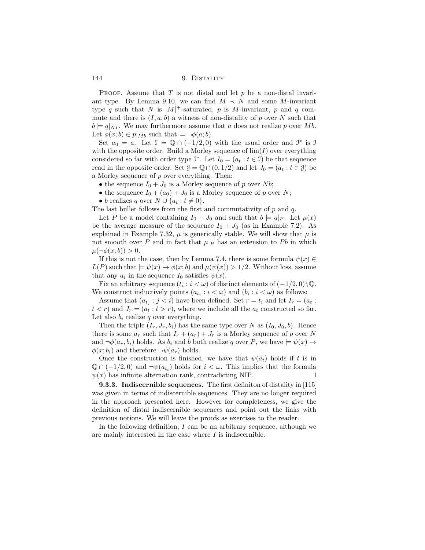144 9. DISTALITY

PROOF. Assume that T is not distal and let p be a non-distal invariant type. By Lemma 9.10, we can find  $M \prec N$  and some M-invariant type q such that N is  $|M|^+$ -saturated, p is M-invariant, p and q commute and there is  $(I, a, b)$  a witness of non-distality of p over N such that  $b = q|_{NI}$ . We may furthermore assume that a does not realize p over Mb. Let  $\phi(x;b) \in p|_{Mb}$  such that  $\models \neg \phi(a;b)$ .

Set  $a_0 = a$ . Let  $\mathfrak{I} = \mathbb{Q} \cap (-1/2, 0)$  with the usual order and  $\mathfrak{I}^*$  is  $\mathfrak{I}$ with the opposite order. Build a Morley sequence of  $\lim(I)$  over everything considered so far with order type  $\mathcal{I}^*$ . Let  $I_0 = (a_t : t \in \mathcal{I})$  be that sequence read in the opposite order. Set  $\mathcal{J} = \mathbb{Q} \cap (0, 1/2)$  and let  $J_0 = (a_t : t \in \mathcal{J})$  be a Morley sequence of  $p$  over everything. Then:

- the sequence  $I_0 + J_0$  is a Morley sequence of p over Nb;
- the sequence  $I_0 + (a_0) + J_0$  is a Morley sequence of p over N;
- b realizes q over  $N \cup \{a_t : t \neq 0\}.$

The last bullet follows from the first and commutativity of  $p$  and  $q$ .

Let P be a model containing  $I_0 + J_0$  and such that  $b \models q|_{P}$ . Let  $\mu(x)$ be the average measure of the sequence  $I_0 + J_0$  (as in Example 7.2). As explained in Example 7.32,  $\mu$  is generically stable. We will show that  $\mu$  is not smooth over P and in fact that  $\mu|_P$  has an extension to Pb in which  $\mu(\neg\phi(x;b)) > 0.$ 

If this is not the case, then by Lemma 7.4, there is some formula  $\psi(x) \in$  $L(P)$  such that  $\models \psi(x) \rightarrow \phi(x;b)$  and  $\mu(\psi(x)) > 1/2$ . Without loss, assume that any  $a_i$  in the sequence  $I_0$  satisfies  $\psi(x)$ .

Fix an arbitrary sequence  $(t_i : i < \omega)$  of distinct elements of  $(-1/2, 0)$  Q. We construct inductively points  $(a_{t_i} : i < \omega)$  and  $(b_i : i < \omega)$  as follows:

Assume that  $(a_{t_j} : j < i)$  have been defined. Set  $r = t_i$  and let  $I_r = (a_t : j \leq i)$  $t < r$ ) and  $J_r = (a_t : t > r)$ , where we include all the  $a_t$  constructed so far. Let also  $b_i$  realize q over everything.

Then the triple  $(I_r, J_r, b_i)$  has the same type over N as  $(I_0, J_0, b)$ . Hence there is some  $a_r$  such that  $I_r + (a_r) + J_r$  is a Morley sequence of p over N and  $\neg \phi(a_r, b_i)$  holds. As  $b_i$  and b both realize q over P, we have  $\models \psi(x) \rightarrow$  $\phi(x;b_i)$  and therefore  $\neg\psi(a_r)$  holds.

Once the construction is finished, we have that  $\psi(a_t)$  holds if t is in  $\mathbb{Q} \cap (-1/2, 0)$  and  $\neg \psi(a_{t_i})$  holds for  $i < \omega$ . This implies that the formula  $\psi(x)$  has infinite alternation rank, contradicting NIP.

9.3.3. Indiscernible sequences. The first definiton of distality in [115] was given in terms of indiscernible sequences. They are no longer required in the approach presented here. However for completeness, we give the definition of distal indiscernible sequences and point out the links with previous notions. We will leave the proofs as exercises to the reader.

In the following definition, I can be an arbitrary sequence, although we are mainly interested in the case where  $I$  is indiscernible.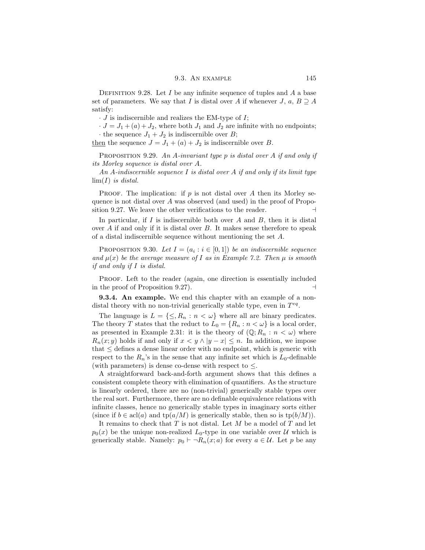DEFINITION 9.28. Let I be any infinite sequence of tuples and A a base set of parameters. We say that I is distal over A if whenever  $J, a, B \supseteq A$ satisfy:

 $\cdot$  J is indiscernible and realizes the EM-type of I;

 $J = J_1 + (a) + J_2$ , where both  $J_1$  and  $J_2$  are infinite with no endpoints;  $\cdot$  the sequence  $J_1 + J_2$  is indiscernible over B;

then the sequence  $J = J_1 + (a) + J_2$  is indiscernible over B.

PROPOSITION 9.29. An A-invariant type p is distal over A if and only if its Morley sequence is distal over A.

An A-indiscernible sequence  $I$  is distal over  $A$  if and only if its limit type  $\lim(I)$  is distal.

PROOF. The implication: if  $p$  is not distal over  $A$  then its Morley sequence is not distal over  $A$  was observed (and used) in the proof of Proposition 9.27. We leave the other verifications to the reader.  $\Box$ 

In particular, if I is indiscernible both over A and B, then it is distal over  $A$  if and only if it is distal over  $B$ . It makes sense therefore to speak of a distal indiscernible sequence without mentioning the set A.

PROPOSITION 9.30. Let  $I = (a_i : i \in [0,1])$  be an indiscernible sequence and  $\mu(x)$  be the average measure of I as in Example 7.2. Then  $\mu$  is smooth if and only if I is distal.

PROOF. Left to the reader (again, one direction is essentially included in the proof of Proposition 9.27).

9.3.4. An example. We end this chapter with an example of a nondistal theory with no non-trivial generically stable type, even in  $T^{eq}$ .

The language is  $L = \{ \leq, R_n : n < \omega \}$  where all are binary predicates. The theory T states that the reduct to  $L_0 = \{R_n : n < \omega\}$  is a local order, as presented in Example 2.31: it is the theory of  $(\mathbb{Q}; R_n : n < \omega)$  where  $R_n(x; y)$  holds if and only if  $x < y \wedge |y - x| \leq n$ . In addition, we impose that  $\leq$  defines a dense linear order with no endpoint, which is generic with respect to the  $R_n$ 's in the sense that any infinite set which is  $L_0$ -definable (with parameters) is dense co-dense with respect to  $\leq$ .

A straightforward back-and-forth argument shows that this defines a consistent complete theory with elimination of quantifiers. As the structure is linearly ordered, there are no (non-trivial) generically stable types over the real sort. Furthermore, there are no definable equivalence relations with infinite classes, hence no generically stable types in imaginary sorts either (since if  $b \in \text{acl}(a)$  and  $\text{tp}(a/M)$  is generically stable, then so is  $\text{tp}(b/M)$ ).

It remains to check that  $T$  is not distal. Let  $M$  be a model of  $T$  and let  $p_0(x)$  be the unique non-realized  $L_0$ -type in one variable over U which is generically stable. Namely:  $p_0 \vdash \neg R_n(x; a)$  for every  $a \in \mathcal{U}$ . Let p be any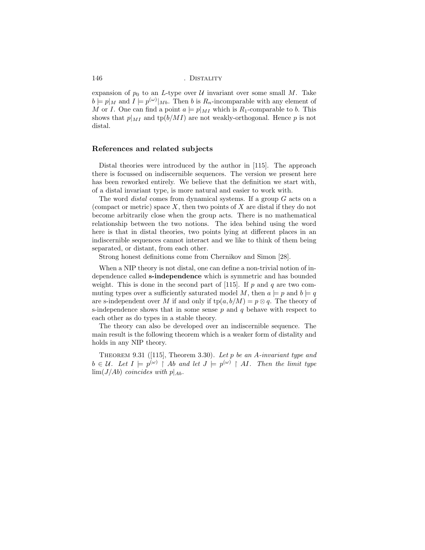146 . DISTALITY

expansion of  $p_0$  to an *L*-type over *U* invariant over some small *M*. Take  $b | = p \mid_M$  and  $I | = p^{(\omega)} \mid_{Mb}$ . Then b is  $R_n$ -incomparable with any element of M or I. One can find a point  $a \models p|_{MI}$  which is  $R_1$ -comparable to b. This shows that  $p|_{MI}$  and  $tp(b/MI)$  are not weakly-orthogonal. Hence p is not distal.

## References and related subjects

Distal theories were introduced by the author in [115]. The approach there is focussed on indiscernible sequences. The version we present here has been reworked entirely. We believe that the definition we start with, of a distal invariant type, is more natural and easier to work with.

The word *distal* comes from dynamical systems. If a group  $G$  acts on a (compact or metric) space  $X$ , then two points of  $X$  are distal if they do not become arbitrarily close when the group acts. There is no mathematical relationship between the two notions. The idea behind using the word here is that in distal theories, two points lying at different places in an indiscernible sequences cannot interact and we like to think of them being separated, or distant, from each other.

Strong honest definitions come from Chernikov and Simon [28].

When a NIP theory is not distal, one can define a non-trivial notion of independence called **s-independence** which is symmetric and has bounded weight. This is done in the second part of [115]. If  $p$  and  $q$  are two commuting types over a sufficiently saturated model M, then  $a \models p$  and  $b \models q$ are s-independent over M if and only if  $tp(a, b/M) = p \otimes q$ . The theory of s-independence shows that in some sense  $p$  and  $q$  behave with respect to each other as do types in a stable theory.

The theory can also be developed over an indiscernible sequence. The main result is the following theorem which is a weaker form of distality and holds in any NIP theory.

THEOREM 9.31 ([115], Theorem 3.30). Let p be an A-invariant type and  $b \in \mathcal{U}$ . Let  $I \models p^{(\omega)} \restriction Ab$  and let  $J \models p^{(\omega)} \restriction AI$ . Then the limit type  $\lim(J/Ab)$  coincides with  $p|_{Ab}$ .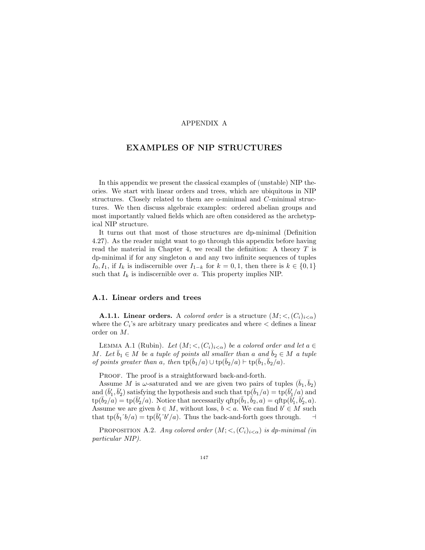## APPENDIX A

# EXAMPLES OF NIP STRUCTURES

In this appendix we present the classical examples of (unstable) NIP theories. We start with linear orders and trees, which are ubiquitous in NIP structures. Closely related to them are o-minimal and C-minimal structures. We then discuss algebraic examples: ordered abelian groups and most importantly valued fields which are often considered as the archetypical NIP structure.

It turns out that most of those structures are dp-minimal (Definition 4.27). As the reader might want to go through this appendix before having read the material in Chapter 4, we recall the definition: A theory  $T$  is  $dp$ -minimal if for any singleton  $a$  and any two infinite sequences of tuples  $I_0, I_1$ , if  $I_k$  is indiscernible over  $I_{1-k}$  for  $k = 0, 1$ , then there is  $k \in \{0, 1\}$ such that  $I_k$  is indiscernible over a. This property implies NIP.

## A.1. Linear orders and trees

**A.1.1. Linear orders.** A colored order is a structure  $(M; \langle, (C_i)_{i \leq \alpha})$ where the  $C_i$ 's are arbitrary unary predicates and where  $\lt$  defines a linear order on M.

LEMMA A.1 (Rubin). Let  $(M; \langle , (C_i)_{i \leq \alpha})$  be a colored order and let  $a \in$ M. Let  $b_1 \in M$  be a tuple of points all smaller than a and  $b_2 \in M$  a tuple of points greater than a, then  $\text{tp}(\bar{b}_1/a) \cup \text{tp}(\bar{b}_2/a) \vdash \text{tp}(\bar{b}_1, \bar{b}_2/a)$ .

PROOF. The proof is a straightforward back-and-forth.

Assume M is  $\omega$ -saturated and we are given two pairs of tuples  $(\bar{b}_1, \bar{b}_2)$ and  $(\bar{b}'_1, \bar{b}'_2)$  satisfying the hypothesis and such that  $tp(\bar{b}_1/a) = tp(\bar{b}'_1/a)$  and  $\text{tp}(\bar{b}_2/a) = \text{tp}(\bar{b}'_2/a)$ . Notice that necessarily  $\text{qftp}(\bar{b}_1, \bar{b}_2, a) = \text{qftp}(\bar{b}'_1, \bar{b}'_2, a)$ . Assume we are given  $b \in M$ , without loss,  $b < a$ . We can find  $b' \in M$  such that  $\text{tp}(\bar{b}_1\hat{b}/a) = \text{tp}(\bar{b}'_1\hat{b}'/a)$ . Thus the back-and-forth goes through.  $\Box$ 

PROPOSITION A.2. Any colored order  $(M; <, (C_i)_{i < \alpha})$  is dp-minimal (in particular NIP).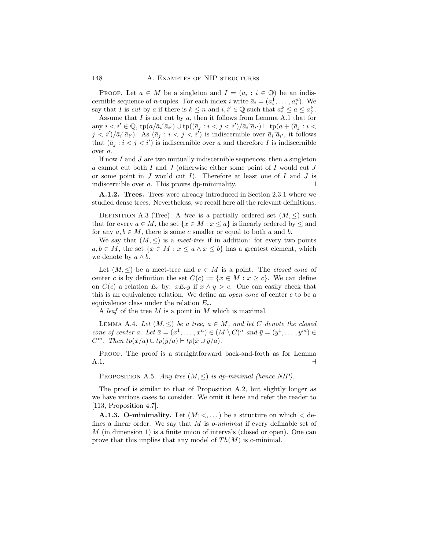PROOF. Let  $a \in M$  be a singleton and  $I = (\bar{a}_i : i \in \mathbb{Q})$  be an indiscernible sequence of *n*-tuples. For each index *i* write  $\bar{a}_i = (a_i^1, \dots, a_i^n)$ . We say that *I* is cut by *a* if there is  $k \leq n$  and  $i, i' \in \mathbb{Q}$  such that  $a_i^k \leq a \leq a_i^k$ .

Assume that  $I$  is not cut by  $a$ , then it follows from Lemma A.1 that for any  $i < i' \in \mathbb{Q}$ ,  $\text{tp}(a/\bar{a}_i \bar{a}_{i'}) \cup \text{tp}((\bar{a}_j : i < j < i')/\bar{a}_i \bar{a}_{i'})$   $\vdash \text{tp}(a + (\bar{a}_j : i < j')$  $j < i'$ )/ $\bar{a}_i \bar{a}_{i'}$ ). As  $(\bar{a}_j : i < j < i')$  is indiscernible over  $\bar{a}_i \bar{a}_{i'}$ , it follows that  $(\bar{a}_j : i < j < i')$  is indiscernible over a and therefore I is indiscernible over a.

If now  $I$  and  $J$  are two mutually indiscernible sequences, then a singleton a cannot cut both  $I$  and  $J$  (otherwise either some point of  $I$  would cut  $J$ or some point in  $J$  would cut  $I$ ). Therefore at least one of  $I$  and  $J$  is indiscernible over a. This proves dp-minimality.  $\Box$ 

A.1.2. Trees. Trees were already introduced in Section 2.3.1 where we studied dense trees. Nevertheless, we recall here all the relevant definitions.

DEFINITION A.3 (Tree). A tree is a partially ordered set  $(M, \leq)$  such that for every  $a \in M$ , the set  $\{x \in M : x \le a\}$  is linearly ordered by  $\le$  and for any  $a, b \in M$ , there is some c smaller or equal to both a and b.

We say that  $(M, \leq)$  is a *meet-tree* if in addition: for every two points  $a, b \in M$ , the set  $\{x \in M : x \le a \wedge x \le b\}$  has a greatest element, which we denote by  $a \wedge b$ .

Let  $(M, \leq)$  be a meet-tree and  $c \in M$  is a point. The *closed cone* of center c is by definition the set  $C(c) := \{x \in M : x \geq c\}$ . We can define on  $C(c)$  a relation  $E_c$  by:  $xE_cy$  if  $x \wedge y > c$ . One can easily check that this is an equivalence relation. We define an *open cone* of center  $c$  to be a equivalence class under the relation  $E_c$ .

A *leaf* of the tree M is a point in M which is maximal.

LEMMA A.4. Let  $(M, \leq)$  be a tree,  $a \in M$ , and let C denote the closed cone of center a. Let  $\bar{x} = (x^1, \ldots, x^n) \in (M \setminus C)^n$  and  $\bar{y} = (y^1, \ldots, y^m) \in$  $C^m$ . Then  $tp(\bar{x}/a) \cup tp(\bar{y}/a) \vdash tp(\bar{x} \cup \bar{y}/a)$ .

PROOF. The proof is a straightforward back-and-forth as for Lemma A.1.  $\qquad \qquad \rightarrow$ 

PROPOSITION A.5. Any tree  $(M, \leq)$  is dp-minimal (hence NIP).

The proof is similar to that of Proposition A.2, but slightly longer as we have various cases to consider. We omit it here and refer the reader to [113, Proposition 4.7].

**A.1.3. O-minimality.** Let  $(M; \langle, \ldots \rangle)$  be a structure on which  $\langle$  defines a linear order. We say that  $M$  is *o-minimal* if every definable set of  $M$  (in dimension 1) is a finite union of intervals (closed or open). One can prove that this implies that any model of  $Th(M)$  is o-minimal.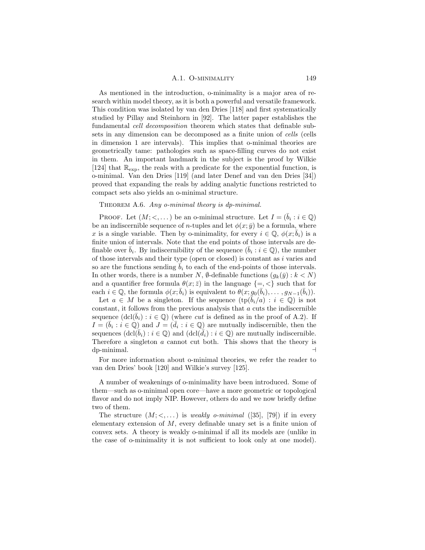As mentioned in the introduction, o-minimality is a major area of research within model theory, as it is both a powerful and versatile framework. This condition was isolated by van den Dries [118] and first systematically studied by Pillay and Steinhorn in [92]. The latter paper establishes the fundamental *cell decomposition* theorem which states that definable subsets in any dimension can be decomposed as a finite union of cells (cells in dimension 1 are intervals). This implies that o-minimal theories are geometrically tame: pathologies such as space-filling curves do not exist in them. An important landmark in the subject is the proof by Wilkie [124] that  $\mathbb{R}_{\text{exp}}$ , the reals with a predicate for the exponential function, is o-minimal. Van den Dries [119] (and later Denef and van den Dries [34]) proved that expanding the reals by adding analytic functions restricted to compact sets also yields an o-minimal structure.

### THEOREM A.6. Any o-minimal theory is dp-minimal.

PROOF. Let  $(M; <, \dots)$  be an o-minimal structure. Let  $I = (\bar{b}_i : i \in \mathbb{Q})$ be an indiscernible sequence of *n*-tuples and let  $\phi(x; \bar{y})$  be a formula, where x is a single variable. Then by o-minimality, for every  $i \in \mathbb{Q}$ ,  $\phi(x; \overline{b}_i)$  is a finite union of intervals. Note that the end points of those intervals are definable over  $\bar{b}_i$ . By indiscernibility of the sequence  $(\bar{b}_i : i \in \mathbb{Q})$ , the number of those intervals and their type (open or closed) is constant as  $i$  varies and so are the functions sending  $\overline{b}_i$  to each of the end-points of those intervals. In other words, there is a number N, Ø-definable functions  $(g_k(\bar{y}) : k < N)$ and a quantifier free formula  $\theta(x; \bar{z})$  in the language  $\{=, \leq\}$  such that for each  $i \in \mathbb{Q}$ , the formula  $\phi(x; \bar{b}_i)$  is equivalent to  $\theta(x; g_0(\bar{b}_i), \ldots, g_{N-1}(\bar{b}_i))$ .

Let  $a \in M$  be a singleton. If the sequence  $(tp(b_i/a) : i \in \mathbb{Q})$  is not constant, it follows from the previous analysis that a cuts the indiscernible sequence  $(\text{dcl}(b_i) : i \in \mathbb{Q})$  (where cut is defined as in the proof of A.2). If  $I = (\bar{b}_i : i \in \mathbb{Q})$  and  $J = (\bar{d}_i : i \in \mathbb{Q})$  are mutually indiscernible, then the sequences  $(\text{dcl}(\bar{b}_i) : i \in \mathbb{Q})$  and  $(\text{dcl}(\bar{d}_i) : i \in \mathbb{Q})$  are mutually indiscernible. Therefore a singleton a cannot cut both. This shows that the theory is  $\Delta$ dp-minimal.  $\Delta$ 

For more information about o-minimal theories, we refer the reader to van den Dries' book [120] and Wilkie's survey [125].

A number of weakenings of o-minimality have been introduced. Some of them—such as o-minimal open core—have a more geometric or topological flavor and do not imply NIP. However, others do and we now briefly define two of them.

The structure  $(M; \leq, \dots)$  is weakly o-minimal ([35], [79]) if in every elementary extension of  $M$ , every definable unary set is a finite union of convex sets. A theory is weakly o-minimal if all its models are (unlike in the case of o-minimality it is not sufficient to look only at one model).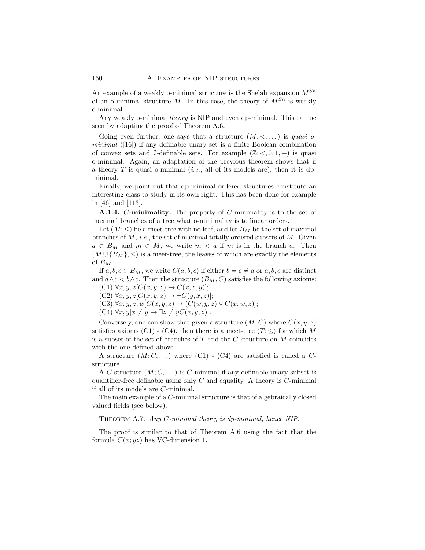An example of a weakly o-minimal structure is the Shelah expansion  $M^{Sh}$ of an o-minimal structure  $M$ . In this case, the theory of  $M^{Sh}$  is weakly o-minimal.

Any weakly o-minimal theory is NIP and even dp-minimal. This can be seen by adapting the proof of Theorem A.6.

Going even further, one says that a structure  $(M; \leq, \ldots)$  is quasi ominimal ([16]) if any definable unary set is a finite Boolean combination of convex sets and Ø-definable sets. For example  $(\mathbb{Z}; <, 0, 1, +)$  is quasi o-minimal. Again, an adaptation of the previous theorem shows that if a theory T is quasi o-minimal (*i.e.*, all of its models are), then it is dpminimal.

Finally, we point out that dp-minimal ordered structures constitute an interesting class to study in its own right. This has been done for example in [46] and [113].

**A.1.4.** C-minimality. The property of C-minimality is to the set of maximal branches of a tree what o-minimality is to linear orders.

Let  $(M; \leq)$  be a meet-tree with no leaf, and let  $B_M$  be the set of maximal branches of  $M$ , *i.e.*, the set of maximal totally ordered subsets of  $M$ . Given  $a \in B_M$  and  $m \in M$ , we write  $m < a$  if m is in the branch a. Then  $(M \cup {B_M}, \leq)$  is a meet-tree, the leaves of which are exactly the elements of  $B_M$ .

If  $a, b, c \in B_M$ , we write  $C(a, b, c)$  if either  $b = c \neq a$  or  $a, b, c$  are distinct and  $a \wedge c < b \wedge c$ . Then the structure  $(B_M, C)$  satisfies the following axioms:

 $(C1) \forall x, y, z[C(x, y, z) \rightarrow C(x, z, y)];$  $(C2) \forall x, y, z[C(x, y, z) \rightarrow \neg C(y, x, z)];$ 

(C3)  $\forall x, y, z, w[C(x, y, z) \rightarrow (C(w, y, z) \vee C(x, w, z)];$ 

(C4)  $\forall x, y[x \neq y \rightarrow \exists z \neq yC(x, y, z)].$ 

Conversely, one can show that given a structure  $(M; C)$  where  $C(x, y, z)$ satisfies axioms (C1) - (C4), then there is a meet-tree  $(T, \leq)$  for which M is a subset of the set of branches of  $T$  and the  $C$ -structure on  $M$  coincides with the one defined above.

A structure  $(M; C, ...)$  where  $(Cl)$  -  $(C4)$  are satisfied is called a Cstructure.

A C-structure  $(M; C, \dots)$  is C-minimal if any definable unary subset is quantifier-free definable using only  $C$  and equality. A theory is  $C$ -minimal if all of its models are C-minimal.

The main example of a C-minimal structure is that of algebraically closed valued fields (see below).

THEOREM A.7. Any C-minimal theory is dp-minimal, hence NIP.

The proof is similar to that of Theorem A.6 using the fact that the formula  $C(x; yz)$  has VC-dimension 1.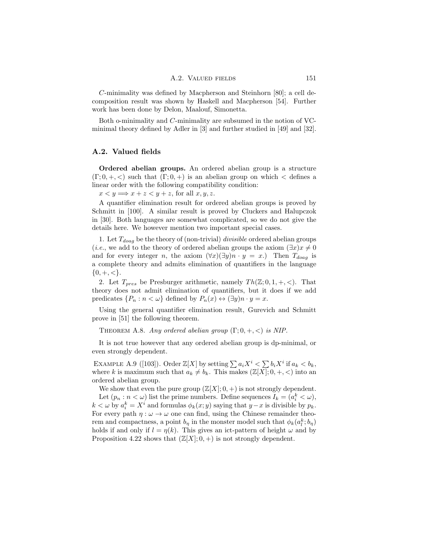C-minimality was defined by Macpherson and Steinhorn [80]; a cell decomposition result was shown by Haskell and Macpherson [54]. Further work has been done by Delon, Maalouf, Simonetta.

Both o-minimality and C-minimality are subsumed in the notion of VCminimal theory defined by Adler in [3] and further studied in [49] and [32].

## A.2. Valued fields

Ordered abelian groups. An ordered abelian group is a structure  $(\Gamma; 0, +, <)$  such that  $(\Gamma; 0, +)$  is an abelian group on which  $<$  defines a linear order with the following compatibility condition:

 $x < y \Longrightarrow x + z < y + z$ , for all  $x, y, z$ .

A quantifier elimination result for ordered abelian groups is proved by Schmitt in [100]. A similar result is proved by Cluckers and Halupczok in [30]. Both languages are somewhat complicated, so we do not give the details here. We however mention two important special cases.

1. Let  $T_{dog}$  be the theory of (non-trivial) *divisible* ordered abelian groups (*i.e.*, we add to the theory of ordered abelian groups the axiom  $(\exists x)x \neq 0$ and for every integer n, the axiom  $(\forall x)(\exists y)n \cdot y = x$ .) Then  $T_{doaq}$  is a complete theory and admits elimination of quantifiers in the language  $\{0, +, <\}.$ 

2. Let  $T_{pres}$  be Presburger arithmetic, namely  $Th(\mathbb{Z};0,1,+,<)$ . That theory does not admit elimination of quantifiers, but it does if we add predicates  $\{P_n : n < \omega\}$  defined by  $P_n(x) \leftrightarrow (\exists y)n \cdot y = x$ .

Using the general quantifier elimination result, Gurevich and Schmitt prove in [51] the following theorem.

THEOREM A.8. Any ordered abelian group  $(\Gamma; 0, +, <)$  is NIP.

It is not true however that any ordered abelian group is dp-minimal, or even strongly dependent.

EXAMPLE A.9 ([103]). Order  $\mathbb{Z}[X]$  by setting  $\sum a_i X^i < \sum b_i X^i$  if  $a_k < b_k$ , where k is maximum such that  $a_k \neq b_k$ . This makes  $(\mathbb{Z}[X]; 0, +, <)$  into an ordered abelian group.

We show that even the pure group  $(\mathbb{Z}[X]; 0, +)$  is not strongly dependent. Let  $(p_n : n < \omega)$  list the prime numbers. Define sequences  $I_k = (a_i^k < \omega)$ ,  $k < \omega$  by  $a_i^k = X^i$  and formulas  $\phi_k(x; y)$  saying that  $y-x$  is divisible by  $p_k$ . For every path  $\eta : \omega \to \omega$  one can find, using the Chinese remainder theorem and compactness, a point  $b_{\eta}$  in the monster model such that  $\phi_k(a_l^k; b_{\eta})$ holds if and only if  $l = \eta(k)$ . This gives an ict-pattern of height  $\omega$  and by Proposition 4.22 shows that  $(\mathbb{Z}[X]; 0, +)$  is not strongly dependent.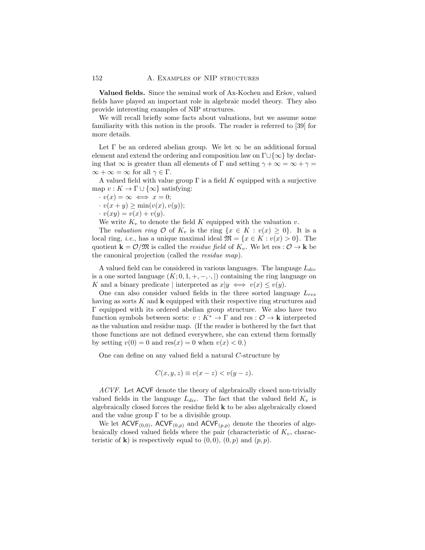**Valued fields.** Since the seminal work of Ax-Kochen and Ersov, valued fields have played an important role in algebraic model theory. They also provide interesting examples of NIP structures.

We will recall briefly some facts about valuations, but we assume some familiarity with this notion in the proofs. The reader is referred to [39] for more details.

Let  $\Gamma$  be an ordered abelian group. We let  $\infty$  be an additional formal element and extend the ordering and composition law on  $\Gamma \cup \{\infty\}$  by declaring that  $\infty$  is greater than all elements of  $\Gamma$  and setting  $\gamma + \infty = \infty + \gamma =$  $\infty + \infty = \infty$  for all  $\gamma \in \Gamma$ .

A valued field with value group  $\Gamma$  is a field K equipped with a surjective map  $v : K \to \Gamma \cup \{\infty\}$  satisfying:

$$
v(x) = \infty \iff x = 0;
$$

 $\cdot v(x+y) \geq \min(v(x), v(y));$ 

 $\cdot v(xy) = v(x) + v(y).$ 

We write  $K_v$  to denote the field K equipped with the valuation v.

The valuation ring  $\mathcal O$  of  $K_v$  is the ring  $\{x \in K : v(x) \geq 0\}$ . It is a local ring, *i.e.*, has a unique maximal ideal  $\mathfrak{M} = \{x \in K : v(x) > 0\}$ . The quotient  $\mathbf{k} = \mathcal{O}/\mathfrak{M}$  is called the *residue field* of  $K_v$ . We let res:  $\mathcal{O} \to \mathbf{k}$  be the canonical projection (called the residue map).

A valued field can be considered in various languages. The language  $L_{div}$ is a one sorted language  $(K; 0, 1, +, -, \cdot, |)$  containing the ring language on K and a binary predicate | interpreted as  $x|y \iff v(x) \leq v(y)$ .

One can also consider valued fields in the three sorted language  $L_{res}$ having as sorts  $K$  and  $k$  equipped with their respective ring structures and Γ equipped with its ordered abelian group structure. We also have two function symbols between sorts:  $v: K^* \to \Gamma$  and res :  $\mathcal{O} \to \mathbf{k}$  interpreted as the valuation and residue map. (If the reader is bothered by the fact that those functions are not defined everywhere, she can extend them formally by setting  $v(0) = 0$  and  $res(x) = 0$  when  $v(x) < 0$ .

One can define on any valued field a natural C-structure by

$$
C(x, y, z) \equiv v(x - z) < v(y - z).
$$

ACVF. Let ACVF denote the theory of algebraically closed non-trivially valued fields in the language  $L_{div}$ . The fact that the valued field  $K_v$  is algebraically closed forces the residue field  $\bf{k}$  to be also algebraically closed and the value group  $\Gamma$  to be a divisible group.

We let  $ACVF_{(0,0)}$ ,  $ACVF_{(0,p)}$  and  $ACVF_{(p,p)}$  denote the theories of algebraically closed valued fields where the pair (characteristic of  $K_v$ , characteristic of **k**) is respectively equal to  $(0, 0)$ ,  $(0, p)$  and  $(p, p)$ .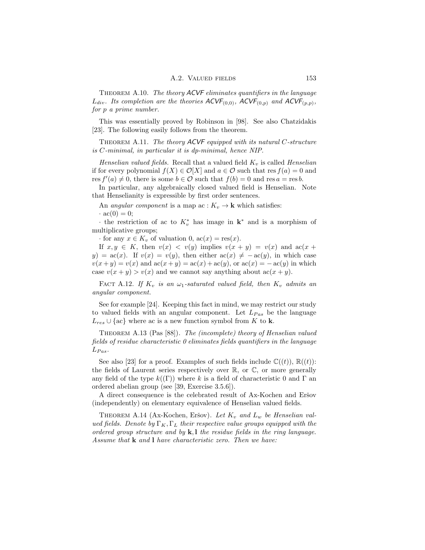THEOREM A.10. The theory ACVF eliminates quantifiers in the language  $L_{div}$ . Its completion are the theories  $ACVF_{(0,0)}$ ,  $ACVF_{(0,p)}$  and  $ACVF_{(p,p)}$ , for p a prime number.

This was essentially proved by Robinson in [98]. See also Chatzidakis [23]. The following easily follows from the theorem.

THEOREM A.11. The theory  $ACVF$  equipped with its natural  $C\text{-}structure$ is C-minimal, in particular it is dp-minimal, hence NIP.

Henselian valued fields. Recall that a valued field  $K_v$  is called Henselian if for every polynomial  $f(X) \in \mathcal{O}[X]$  and  $a \in \mathcal{O}$  such that res  $f(a) = 0$  and res  $f'(a) \neq 0$ , there is some  $b \in \mathcal{O}$  such that  $f(b) = 0$  and res  $a = \text{res } b$ .

In particular, any algebraically closed valued field is Henselian. Note that Henselianity is expressible by first order sentences.

An angular component is a map ac :  $K_v \to \mathbf{k}$  which satisfies:

 $\cdot$  ac(0) = 0;

• the restriction of ac to  $K_v^*$  has image in  $\mathbf{k}^*$  and is a morphism of multiplicative groups;

· for any  $x \in K_v$  of valuation 0,  $ac(x) = res(x)$ .

If  $x, y \in K$ , then  $v(x) < v(y)$  implies  $v(x + y) = v(x)$  and  $\operatorname{ac}(x + y)$  $y$ ) = ac(x). If  $v(x) = v(y)$ , then either ac(x)  $\neq -\alpha(y)$ , in which case  $v(x + y) = v(x)$  and  $\operatorname{ac}(x + y) = \operatorname{ac}(x) + \operatorname{ac}(y)$ , or  $\operatorname{ac}(x) = -\operatorname{ac}(y)$  in which case  $v(x + y) > v(x)$  and we cannot say anything about  $\operatorname{ac}(x + y)$ .

FACT A.12. If  $K_v$  is an  $\omega_1$ -saturated valued field, then  $K_v$  admits an angular component.

See for example [24]. Keeping this fact in mind, we may restrict our study to valued fields with an angular component. Let  $L_{Pas}$  be the language  $L_{res} \cup \{ac\}$  where ac is a new function symbol from K to k.

Theorem A.13 (Pas [88]). The (incomplete) theory of Henselian valued fields of residue characteristic  $\theta$  eliminates fields quantifiers in the language  $L_{Pas}$ .

See also [23] for a proof. Examples of such fields include  $\mathbb{C}((t))$ ,  $\mathbb{R}((t))$ : the fields of Laurent series respectively over  $\mathbb{R}$ , or  $\mathbb{C}$ , or more generally any field of the type  $k((\Gamma))$  where k is a field of characteristic 0 and  $\Gamma$  and ordered abelian group (see [39, Exercise 3.5.6]).

A direct consequence is the celebrated result of Ax-Kochen and Eršov (independently) on elementary equivalence of Henselian valued fields.

THEOREM A.14 (Ax-Kochen, Eršov). Let  $K_v$  and  $L_w$  be Henselian valued fields. Denote by  $\Gamma_K, \Gamma_L$  their respective value groups equipped with the ordered group structure and by  $k, l$  the residue fields in the ring language. Assume that **k** and **l** have characteristic zero. Then we have: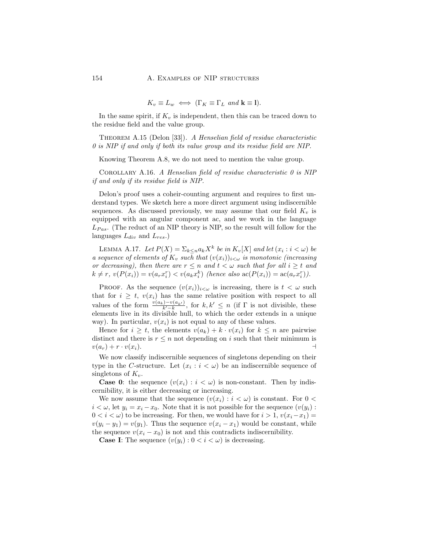$$
K_v \equiv L_w \iff (\Gamma_K \equiv \Gamma_L \text{ and } \mathbf{k} \equiv \mathbf{l}).
$$

In the same spirit, if  $K_v$  is independent, then this can be traced down to the residue field and the value group.

Theorem A.15 (Delon [33]). A Henselian field of residue characteristic 0 is NIP if and only if both its value group and its residue field are NIP.

Knowing Theorem A.8, we do not need to mention the value group.

COROLLARY A.16. A Henselian field of residue characteristic  $\theta$  is NIP if and only if its residue field is NIP.

Delon's proof uses a coheir-counting argument and requires to first understand types. We sketch here a more direct argument using indiscernible sequences. As discussed previously, we may assume that our field  $K_v$  is equipped with an angular component ac, and we work in the language  $L_{Pas}$ . (The reduct of an NIP theory is NIP, so the result will follow for the languages  $L_{div}$  and  $L_{res}$ .)

LEMMA A.17. Let  $P(X) = \sum_{k \leq n} a_k X^k$  be in  $K_v[X]$  and let  $(x_i : i < \omega)$  be a sequence of elements of  $K_v$  such that  $(v(x_i))_{i\leq w}$  is monotonic (increasing or decreasing), then there are  $r \leq n$  and  $t < \omega$  such that for all  $i \geq t$  and  $k \neq r$ ,  $v(P(x_i)) = v(a_r x_i^r) < v(a_k x_i^k)$  (hence also  $\operatorname{ac}(P(x_i)) = \operatorname{ac}(a_r x_i^r)$ ).

PROOF. As the sequence  $(v(x_i))_{i\leq \omega}$  is increasing, there is  $t < \omega$  such that for  $i \geq t$ ,  $v(x_i)$  has the same relative position with respect to all values of the form  $\frac{v(a_k)-v(a_{k'})}{k'-k}$ , for  $k, k' \leq n$  (if  $\Gamma$  is not divisible, these elements live in its divisible hull, to which the order extends in a unique way). In particular,  $v(x_i)$  is not equal to any of these values.

Hence for  $i \geq t$ , the elements  $v(a_k) + k \cdot v(x_i)$  for  $k \leq n$  are pairwise distinct and there is  $r \leq n$  not depending on i such that their minimum is  $v(a_r) + r \cdot v(x_i).$ 

We now classify indiscernible sequences of singletons depending on their type in the C-structure. Let  $(x_i : i < \omega)$  be an indiscernible sequence of singletons of  $K_v$ .

**Case 0:** the sequence  $(v(x_i) : i < \omega)$  is non-constant. Then by indiscernibility, it is either decreasing or increasing.

We now assume that the sequence  $(v(x_i) : i < \omega)$  is constant. For  $0 <$  $i < \omega$ , let  $y_i = x_i - x_0$ . Note that it is not possible for the sequence  $(v(y_i))$ :  $0 < i < \omega$ ) to be increasing. For then, we would have for  $i > 1$ ,  $v(x_i - x_1) =$  $v(y_i - y_1) = v(y_1)$ . Thus the sequence  $v(x_i - x_1)$  would be constant, while the sequence  $v(x_i - x_0)$  is not and this contradicts indiscernibility.

**Case I:** The sequence  $(v(y_i): 0 < i < \omega)$  is decreasing.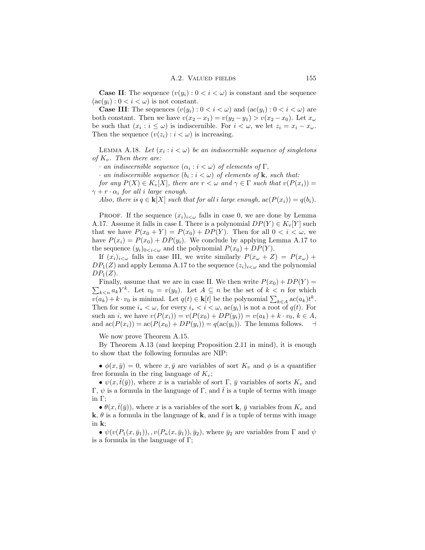**Case II:** The sequence  $(v(y_i): 0 < i < \omega)$  is constant and the sequence  $(\mathrm{ac}(y_i): 0 < i < \omega)$  is not constant.

**Case III:** The sequences  $(v(y_i): 0 < i < \omega)$  and  $(\text{ac}(y_i): 0 < i < \omega)$  are both constant. Then we have  $v(x_2 - x_1) = v(y_2 - y_1) > v(x_2 - x_0)$ . Let  $x_{\omega}$ be such that  $(x_i : i \leq \omega)$  is indiscernible. For  $i < \omega$ , we let  $z_i = x_i - x_\omega$ . Then the sequence  $(v(z_i) : i < \omega)$  is increasing.

LEMMA A.18. Let  $(x_i : i < \omega)$  be an indiscernible sequence of singletons of  $K_v$ . Then there are:

- · an indiscernible sequence  $(\alpha_i : i < \omega)$  of elements of  $\Gamma$ ,
- · an indiscernible sequence  $(b_i : i < \omega)$  of elements of **k**, such that:

for any  $P(X) \in K_v[X]$ , there are  $r < \omega$  and  $\gamma \in \Gamma$  such that  $v(P(x_i)) =$  $\gamma + r \cdot \alpha_i$  for all i large enough.

Also, there is  $q \in \mathbf{k}[X]$  such that for all i large enough,  $\operatorname{ac}(P(x_i)) = q(b_i)$ .

PROOF. If the sequence  $(x_i)_{i\lt\omega}$  falls in case 0, we are done by Lemma A.17. Assume it falls in case I. There is a polynomial  $DP(Y) \in K_v[Y]$  such that we have  $P(x_0 + Y) = P(x_0) + DP(Y)$ . Then for all  $0 < i < \omega$ , we have  $P(x_i) = P(x_0) + DP(y_i)$ . We conclude by applying Lemma A.17 to the sequence  $(y_i)_{0 \leq i \leq \omega}$  and the polynomial  $P(x_0) + DP(Y)$ .

If  $(x_i)_{i\leq \omega}$  falls in case III, we write similarly  $P(x_\omega + Z) = P(x_\omega) +$  $DP_1(Z)$  and apply Lemma A.17 to the sequence  $(z_i)_{i\lt\omega}$  and the polynomial  $DP_1(Z)$ .

 $\sum_{k\leq n} a_k Y^k$ . Let  $v_0 = v(y_0)$ . Let  $A \subseteq n$  be the set of  $k < n$  for which Finally, assume that we are in case II. We then write  $P(x_0) + DP(Y) =$  $v(a_k) + k \cdot v_0$  is minimal. Let  $q(t) \in \mathbf{k}[t]$  be the polynomial  $\sum_{k \in A} \text{ac}(a_k)t^k$ . Then for some  $i_* < \omega$ , for every  $i_* < i < \omega$ ,  $\mathrm{ac}(y_i)$  is not a root of  $q(t)$ . For such an *i*, we have  $v(P(x_i)) = v(P(x_0) + DP(y_i)) = v(a_k) + k \cdot v_0, k \in A$ , and  $\mathrm{ac}(P(x_i)) = \mathrm{ac}(P(x_0) + DP(y_i)) = q(\mathrm{ac}(y_i))$ . The lemma follows.  $\Box$ 

We now prove Theorem A.15.

By Theorem A.13 (and keeping Proposition 2.11 in mind), it is enough to show that the following formulas are NIP:

•  $\phi(x, \bar{y}) = 0$ , where  $x, \bar{y}$  are variables of sort  $K_v$  and  $\phi$  is a quantifier free formula in the ring language of  $K_v$ ;

•  $\psi(x,\bar{t}(\bar{y}))$ , where x is a variable of sort  $\Gamma$ ,  $\bar{y}$  variables of sorts  $K_v$  and Γ,  $\psi$  is a formula in the language of Γ, and  $\bar{t}$  is a tuple of terms with image in Γ;

•  $\theta(x,\bar{t}(\bar{y}))$ , where x is a variables of the sort **k**,  $\bar{y}$  variables from  $K_v$  and **k**,  $\theta$  is a formula in the language of **k**, and  $\bar{t}$  is a tuple of terms with image in k;

•  $\psi(v(P_1(x, \bar{y}_1)), v(P_n(x, \bar{y}_1)), \bar{y}_2)$ , where  $\bar{y}_2$  are variables from  $\Gamma$  and  $\psi$ is a formula in the language of  $\Gamma$ ;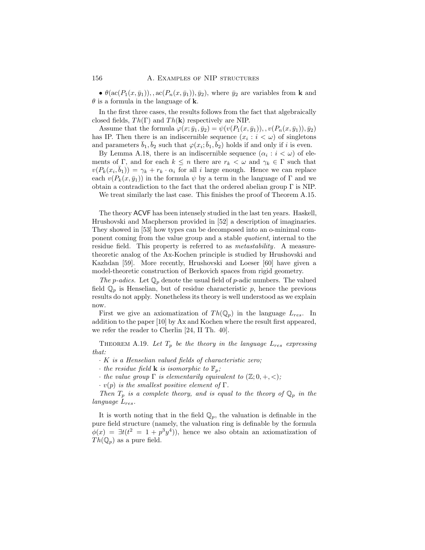•  $\theta(\operatorname{ac}(P_1(x, \bar{y}_1)), \operatorname{ac}(P_n(x, \bar{y}_1)), \bar{y}_2)$ , where  $\bar{y}_2$  are variables from **k** and  $\theta$  is a formula in the language of **k**.

In the first three cases, the results follows from the fact that algebraically closed fields,  $Th(\Gamma)$  and  $Th(\mathbf{k})$  respectively are NIP.

Assume that the formula  $\varphi(x;\bar{y}_1,\bar{y}_2) = \psi(v(P_1(x,\bar{y}_1)), v(P_n(x,\bar{y}_1)), \bar{y}_2)$ has IP. Then there is an indiscernible sequence  $(x_i : i < \omega)$  of singletons and parameters  $\bar{b}_1, \bar{b}_2$  such that  $\varphi(x_i; \bar{b}_1, \bar{b}_2)$  holds if and only if i is even.

By Lemma A.18, there is an indiscernible sequence  $(\alpha_i : i < \omega)$  of elements of Γ, and for each  $k \leq n$  there are  $r_k < \omega$  and  $\gamma_k \in \Gamma$  such that  $v(P_k(x_i, \bar{b}_1)) = \gamma_k + r_k \cdot \alpha_i$  for all i large enough. Hence we can replace each  $v(P_k(x, \bar{y}_1))$  in the formula  $\psi$  by a term in the language of  $\Gamma$  and we obtain a contradiction to the fact that the ordered abelian group  $\Gamma$  is NIP.

We treat similarly the last case. This finishes the proof of Theorem A.15.

The theory ACVF has been intensely studied in the last ten years. Haskell, Hrushovski and Macpherson provided in [52] a description of imaginaries. They showed in [53] how types can be decomposed into an o-minimal component coming from the value group and a stable *quotient*, internal to the residue field. This property is referred to as *metastability*. A measuretheoretic analog of the Ax-Kochen principle is studied by Hrushovski and Kazhdan [59]. More recently, Hrushovski and Loeser [60] have given a model-theoretic construction of Berkovich spaces from rigid geometry.

The p-adics. Let  $\mathbb{Q}_p$  denote the usual field of p-adic numbers. The valued field  $\mathbb{Q}_p$  is Henselian, but of residue characteristic p, hence the previous results do not apply. Nonetheless its theory is well understood as we explain now.

First we give an axiomatization of  $Th(\mathbb{Q}_p)$  in the language  $L_{res}$ . In addition to the paper [10] by Ax and Kochen where the result first appeared, we refer the reader to Cherlin [24, II Th. 40].

THEOREM A.19. Let  $T_p$  be the theory in the language  $L_{res}$  expressing that:

· K is a Henselian valued fields of characteristic zero;

 $\cdot$  the residue field **k** is isomorphic to  $\mathbb{F}_p$ ;

 $\cdot$  the value group  $\Gamma$  is elementarily equivalent to  $(\mathbb{Z};0,+,<);$ 

 $\cdot v(p)$  is the smallest positive element of  $\Gamma$ .

Then  $T_p$  is a complete theory, and is equal to the theory of  $\mathbb{Q}_p$  in the language  $L_{res}$ .

It is worth noting that in the field  $\mathbb{Q}_p$ , the valuation is definable in the pure field structure (namely, the valuation ring is definable by the formula  $\phi(x) = \exists t (t^2 = 1 + p^3 y^4)$ , hence we also obtain an axiomatization of  $Th(\mathbb{Q}_p)$  as a pure field.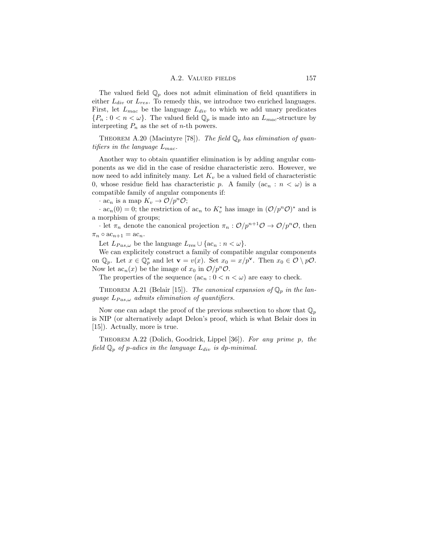The valued field  $\mathbb{Q}_p$  does not admit elimination of field quantifiers in either  $L_{div}$  or  $L_{res}$ . To remedy this, we introduce two enriched languages. First, let  $L_{mac}$  be the language  $L_{div}$  to which we add unary predicates  $\{P_n: 0 < n < \omega\}$ . The valued field  $\mathbb{Q}_p$  is made into an  $L_{mac}$ -structure by interpreting  $P_n$  as the set of *n*-th powers.

THEOREM A.20 (Macintyre [78]). The field  $\mathbb{Q}_p$  has elimination of quantifiers in the language  $L_{mac}$ .

Another way to obtain quantifier elimination is by adding angular components as we did in the case of residue characteristic zero. However, we now need to add infinitely many. Let  $K_v$  be a valued field of characteristic 0, whose residue field has characteristic p. A family  $(ac_n : n < \omega)$  is a compatible family of angular components if:

 $\cdot$  ac<sub>n</sub> is a map  $K_v \to \mathcal{O}/p^n\mathcal{O};$ 

 $\cdot$  ac<sub>n</sub>(0) = 0; the restriction of ac<sub>n</sub> to  $K_v^*$  has image in  $(\mathcal{O}/p^n\mathcal{O})^*$  and is a morphism of groups;

· let  $\pi_n$  denote the canonical projection  $\pi_n: \mathcal{O}/p^{n+1}\mathcal{O} \to \mathcal{O}/p^n\mathcal{O}$ , then  $\pi_n \circ \mathrm{ac}_{n+1} = \mathrm{ac}_n.$ 

Let  $L_{Pas,\omega}$  be the language  $L_{res} \cup \{ac_n : n < \omega\}.$ 

We can explicitely construct a family of compatible angular components on  $\mathbb{Q}_p$ . Let  $x \in \mathbb{Q}_p^*$  and let  $\mathbf{v} = v(x)$ . Set  $x_0 = x/p^{\mathbf{v}}$ . Then  $x_0 \in \mathcal{O} \setminus p\mathcal{O}$ . Now let  $ac_n(x)$  be the image of  $x_0$  in  $\mathcal{O}/p^n\mathcal{O}$ .

The properties of the sequence  $(ac_n: 0 < n < \omega)$  are easy to check.

THEOREM A.21 (Belair [15]). The canonical expansion of  $\mathbb{Q}_p$  in the language  $L_{Pas,\omega}$  admits elimination of quantifiers.

Now one can adapt the proof of the previous subsection to show that  $\mathbb{Q}_p$ is NIP (or alternatively adapt Delon's proof, which is what Belair does in [15]). Actually, more is true.

Theorem A.22 (Dolich, Goodrick, Lippel [36]). For any prime p, the field  $\mathbb{Q}_p$  of p-adics in the language  $L_{div}$  is dp-minimal.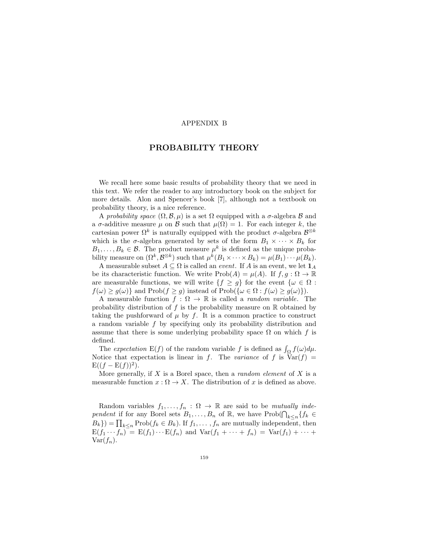### APPENDIX B

## PROBABILITY THEORY

We recall here some basic results of probability theory that we need in this text. We refer the reader to any introductory book on the subject for more details. Alon and Spencer's book [7], although not a textbook on probability theory, is a nice reference.

A probability space  $(\Omega, \mathcal{B}, \mu)$  is a set  $\Omega$  equipped with a  $\sigma$ -algebra  $\mathcal B$  and a  $\sigma$ -additive measure  $\mu$  on  $\mathcal B$  such that  $\mu(\Omega) = 1$ . For each integer k, the cartesian power  $\Omega^k$  is naturally equipped with the product  $\sigma$ -algebra  $\mathcal{B}^{\otimes k}$ which is the  $\sigma$ -algebra generated by sets of the form  $B_1 \times \cdots \times B_k$  for  $B_1, \ldots, B_k \in \mathcal{B}$ . The product measure  $\mu^k$  is defined as the unique probability measure on  $(\Omega^k, \mathcal{B}^{\otimes k})$  such that  $\mu^k(B_1 \times \cdots \times B_k) = \mu(B_1) \cdots \mu(B_k)$ .

A measurable subset  $A \subseteq \Omega$  is called an *event*. If A is an event, we let  $\mathbf{1}_A$ be its characteristic function. We write  $\text{Prob}(A) = \mu(A)$ . If  $f, g : \Omega \to \mathbb{R}$ are measurable functions, we will write  $\{f \ge g\}$  for the event  $\{\omega \in \Omega :$  $f(\omega) \ge g(\omega)$  and Prob $(f \ge g)$  instead of Prob $(\{\omega \in \Omega : f(\omega) \ge g(\omega)\})$ .

A measurable function  $f : \Omega \to \mathbb{R}$  is called a *random variable*. The probability distribution of  $f$  is the probability measure on  $\mathbb R$  obtained by taking the pushforward of  $\mu$  by f. It is a common practice to construct a random variable  $f$  by specifying only its probability distribution and assume that there is some underlying probability space  $\Omega$  on which f is defined.

The expectation  $E(f)$  of the random variable f is defined as  $\int_{\Omega} f(\omega) d\mu$ . Notice that expectation is linear in f. The variance of f is  $Var(f)$  =  $E((f - E(f))^2)$ .

More generally, if  $X$  is a Borel space, then a *random element* of  $X$  is a measurable function  $x : \Omega \to X$ . The distribution of x is defined as above.

Random variables  $f_1, \ldots, f_n : \Omega \to \mathbb{R}$  are said to be mutually independent if for any Borel sets  $B_1, \ldots, B_n$  of  $\mathbb{R}$ , we have  $\text{Prob}(\bigcap_{k \leq n} \{f_k \in$  $B_k$ }) =  $\prod_{k \leq n} \text{Prob}(f_k \in B_k)$ . If  $f_1, \ldots, f_n$  are mutually independent, then  $E(f_1 \cdots f_n) = E(f_1) \cdots E(f_n)$  and  $Var(f_1 + \cdots + f_n) = Var(f_1) + \cdots$  $Var(f_n)$ .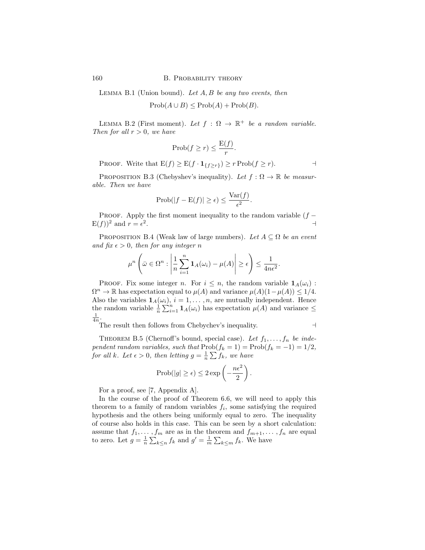LEMMA B.1 (Union bound). Let  $A, B$  be any two events, then

 $\text{Prob}(A \cup B) \leq \text{Prob}(A) + \text{Prob}(B).$ 

LEMMA B.2 (First moment). Let  $f : \Omega \to \mathbb{R}^+$  be a random variable. Then for all  $r > 0$ , we have

$$
\text{Prob}(f \ge r) \le \frac{\mathcal{E}(f)}{r}.
$$

PROOF. Write that  $E(f) \ge E(f \cdot \mathbf{1}_{\{f \ge r\}}) \ge r \operatorname{Prob}(f \ge r).$ 

PROPOSITION B.3 (Chebyshev's inequality). Let  $f : \Omega \to \mathbb{R}$  be measurable. Then we have

$$
\text{Prob}(|f - \mathbf{E}(f)| \ge \epsilon) \le \frac{\text{Var}(f)}{\epsilon^2}.
$$

PROOF. Apply the first moment inequality to the random variable  $(f E(f)$ <sup>2</sup> and  $r = \epsilon^2$ . A construction of the construction of the construction of the construction of the construction of the construction of the construction of the construction of the construction of the construction of the construction of th

PROPOSITION B.4 (Weak law of large numbers). Let  $A \subseteq \Omega$  be an event and fix  $\epsilon > 0$ , then for any integer n

$$
\mu^{n}\left(\bar{\omega}\in\Omega^{n}:\left|\frac{1}{n}\sum_{i=1}^{n}\mathbf{1}_{A}(\omega_{i})-\mu(A)\right|\geq\epsilon\right)\leq\frac{1}{4n\epsilon^{2}}.
$$

PROOF. Fix some integer n. For  $i \leq n$ , the random variable  $\mathbf{1}_A(\omega_i)$ :  $\Omega^n \to \mathbb{R}$  has expectation equal to  $\mu(A)$  and variance  $\mu(A)(1-\mu(A)) \leq 1/4$ . Also the variables  $\mathbf{1}_A(\omega_i)$ ,  $i = 1, \ldots, n$ , are mutually independent. Hence the random variable  $\frac{1}{n} \sum_{i=1}^{n} \mathbf{1}_{A}(\omega_i)$  has expectation  $\mu(A)$  and variance  $\leq$  $\frac{1}{4n}$ .

The result then follows from Chebychev's inequality.  $\Box$ 

THEOREM B.5 (Chernoff's bound, special case). Let  $f_1, \ldots, f_n$  be independent random variables, such that  $\text{Prob}(f_k = 1) = \text{Prob}(f_k = -1) = 1/2$ , for all k. Let  $\epsilon > 0$ , then letting  $g = \frac{1}{n} \sum f_k$ , we have

$$
\text{Prob}(|g| \ge \epsilon) \le 2 \exp\left(-\frac{n\epsilon^2}{2}\right).
$$

For a proof, see [7, Appendix A].

In the course of the proof of Theorem 6.6, we will need to apply this theorem to a family of random variables  $f_i$ , some satisfying the required hypothesis and the others being uniformly equal to zero. The inequality of course also holds in this case. This can be seen by a short calculation: assume that  $f_1, \ldots, f_m$  are as in the theorem and  $f_{m+1}, \ldots, f_n$  are equal to zero. Let  $g = \frac{1}{n} \sum_{k \leq n} f_k$  and  $g' = \frac{1}{m} \sum_{k \leq m} f_k$ . We have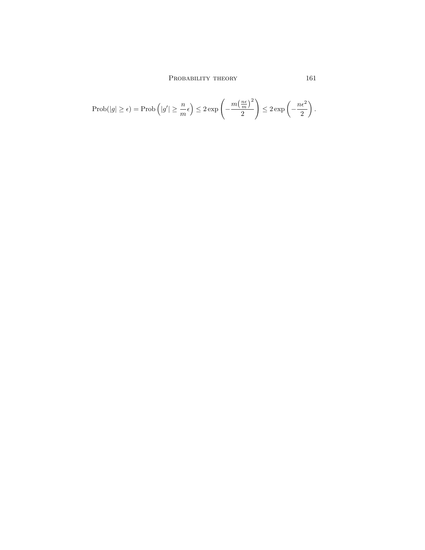$$
\text{Prob}(|g| \geq \epsilon) = \text{Prob}\left(|g'| \geq \frac{n}{m}\epsilon\right) \leq 2\exp\left(-\frac{m\left(\frac{n\epsilon}{m}\right)^2}{2}\right) \leq 2\exp\left(-\frac{n\epsilon^2}{2}\right).
$$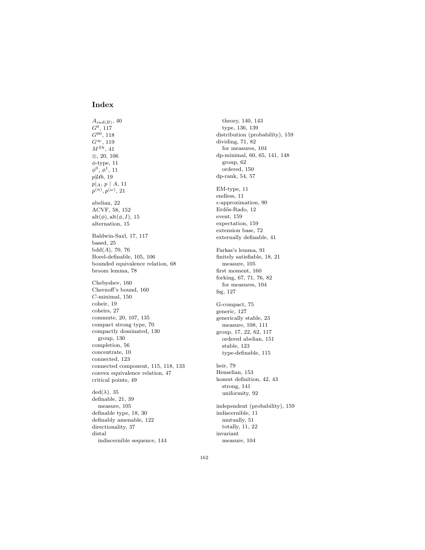# Index

 $A_{ind(B)}$ , 40  $G^0$ , 117  $G^{00}$ , 118  $G^{\infty}$ , 119  ${\cal M}^{Sh},\, 41$ ⊗, 20, 106  $\phi$ -type, 11  $\phi^0, \, \phi^1, \, 11$  $p|Ub, 19$  $p|_A, p \restriction A, 11$  $p^{(n)},p^{(\omega)},$  21 abelian, 22 ACVF, 58, 152  $\mathrm{alt}(\phi), \mathrm{alt}(\phi, I),$ 15 alternation, 15 Baldwin-Saxl, 17, 117 based, 25  $\text{bdd}(A)$ , 70, 76 Borel-definable, 105, 106 bounded equivalence relation, 68 broom lemma, 78 Chebyshev, 160 Chernoff's bound, 160 C-minimal, 150 coheir, 19 coheirs, 27 commute, 20, 107, 135 compact strong type, 70 compactly dominated, 130 group, 130 completion, 56 concentrate, 10 connected, 123 connected component, 115, 118, 133 convex equivalence relation, 47 critical points, 49  $\text{ded}(\lambda)$ , 35 definable, 21, 39 measure, 105 definable type, 18, 30 definably amenable, 122

directionality, 37

indiscernible sequence, 144

distal

theory, 140, 143 type, 136, 139 distribution (probability), 159 dividing, 71, 82 for measures, 104 dp-minimal, 60, 65, 141, 148 group, 62 ordered, 150 dp-rank, 54, 57 EM-type, 11 endless, 11 -approximation, 90 Erdős-Rado, 12 event, 159 expectation, 159 extension base, 72 externally definable, 41 Farkas's lemma, 91 finitely satisfiable, 18, 21 measure, 105 first moment, 160 forking, 67, 71, 76, 82 for measures, 104 fsg, 127 G-compact, 75 generic, 127 generically stable, 23 measure, 108, 111 group, 17, 22, 62, 117 ordered abelian, 151 stable, 123 type-definable, 115 heir, 79 Henselian, 153 honest definition, 42, 43 strong, 141 uniformity, 92 independent (probability), 159 indiscernible, 11 mutually, 51 totally, 11, 22 invariant measure, 104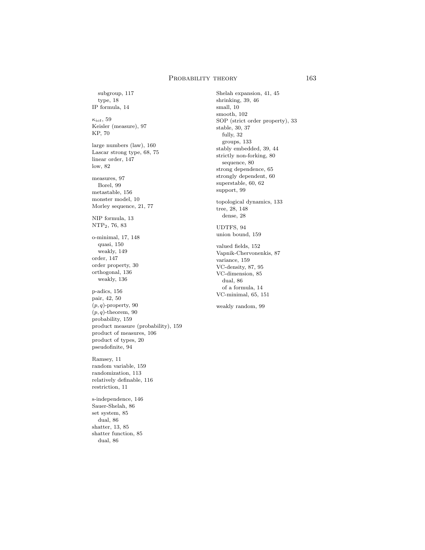## PROBABILITY THEORY 163

subgroup, 117 type, 18 IP formula, 14  $\kappa_{ict}$ , 59 Keisler (measure), 97 KP, 70 large numbers (law), 160 Lascar strong type, 68, 75 linear order, 147 low, 82 measures, 97 Borel, 99 metastable, 156 monster model, 10 Morley sequence, 21, 77 NIP formula, 13 NTP2, 76, 83 o-minimal, 17, 148 quasi, 150 weakly, 149 order, 147 order property, 30 orthogonal, 136 weakly, 136 p-adics, 156 pair, 42, 50  $(p, q)$ -property, 90  $(p, q)$ -theorem, 90 probability, 159 product measure (probability), 159 product of measures, 106 product of types, 20 pseudofinite, 94 Ramsey, 11 random variable, 159 randomization, 113 relatively definable, 116 restriction, 11 s-independence, 146 Sauer-Shelah, 86 set system, 85 dual, 86 shatter, 13, 85

shatter function, 85 dual, 86

Shelah expansion, 41, 45 shrinking, 39, 46 small, 10 smooth, 102 SOP (strict order property), 33 stable, 30, 37 fully, 32 groups, 133 stably embedded, 39, 44 strictly non-forking, 80 sequence, 80 strong dependence, 65 strongly dependent, 60 superstable, 60, 62 support, 99 topological dynamics, 133 tree, 28, 148 dense, 28 UDTFS, 94 union bound, 159 valued fields, 152 Vapnik-Chervonenkis, 87 variance, 159 VC-density, 87, 95 VC-dimension, 85 dual, 86 of a formula, 14 VC-minimal, 65, 151

weakly random, 99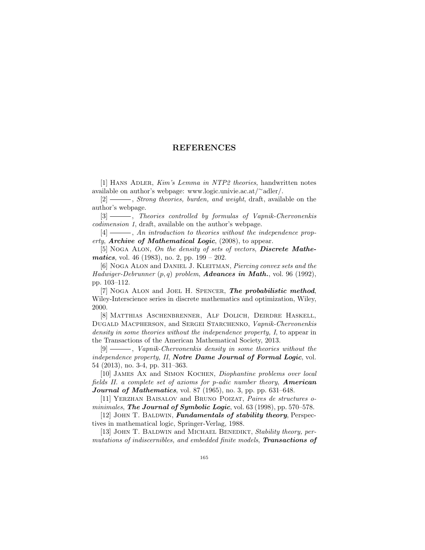[1] HANS ADLER, Kim's Lemma in NTP2 theories, handwritten notes available on author's webpage: www.logic.univie.ac.at/∼adler/.

 $[2]$  , Strong theories, burden, and weight, draft, available on the author's webpage.

[3] - Rheories controlled by formulas of Vapnik-Chervonenkis codimension 1, draft, available on the author's webpage.

 $[4]$   $\longrightarrow$ , An introduction to theories without the independence property, **Archive of Mathematical Logic**, (2008), to appear.

[5] NOGA ALON, On the density of sets of vectors, **Discrete Mathe***matics*, vol. 46 (1983), no. 2, pp.  $199 - 202$ .

[6] NOGA ALON and DANIEL J. KLEITMAN, Piercing convex sets and the Hadwiger-Debrunner  $(p, q)$  problem, **Advances in Math.**, vol. 96 (1992), pp. 103–112.

[7] NOGA ALON and JOEL H. SPENCER, The probabilistic method, Wiley-Interscience series in discrete mathematics and optimization, Wiley, 2000.

[8] Matthias Aschenbrenner, Alf Dolich, Deirdre Haskell, Dugald Macpherson, and Sergei Starchenko, Vapnik-Chervonenkis density in some theories without the independence property, I, to appear in the Transactions of the American Mathematical Society, 2013.

[9]  $\longrightarrow$ , Vapnik-Chervonenkis density in some theories without the independence property, II, **Notre Dame Journal of Formal Logic**, vol. 54 (2013), no. 3-4, pp. 311–363.

[10] JAMES AX and SIMON KOCHEN, *Diophantine problems over local* fields II. a complete set of axioms for p-adic number theory, **American Journal of Mathematics**, vol. 87 (1965), no. 3, pp. pp. 631–648.

[11] YERZHAN BAISALOV and BRUNO POIZAT, Paires de structures ominimales, The Journal of Symbolic Logic, vol.  $63$  (1998), pp.  $570-578$ .

[12] JOHN T. BALDWIN, Fundamentals of stability theory, Perspectives in mathematical logic, Springer-Verlag, 1988.

[13] JOHN T. BALDWIN and MICHAEL BENEDIKT, Stability theory, permutations of indiscernibles, and embedded finite models. **Transactions of**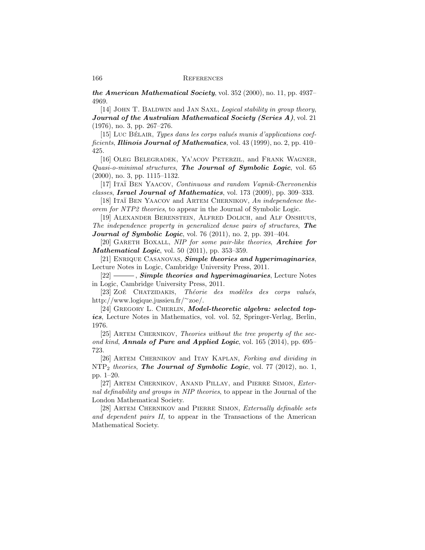the American Mathematical Society, vol. 352 (2000), no. 11, pp. 4937– 4969.

[14] JOHN T. BALDWIN and JAN SAXL, *Logical stability in group theory*, Journal of the Australian Mathematical Society (Series A), vol. 21 (1976), no. 3, pp. 267–276.

 $[15]$  Luc BÉLAIR, Types dans les corps valués munis d'applications coefficients, Illinois Journal of Mathematics, vol. 43 (1999), no. 2, pp. 410– 425.

[16] OLEG BELEGRADEK, YA'ACOV PETERZIL, and FRANK WAGNER, Quasi-o-minimal structures, The Journal of Symbolic Logic, vol. 65 (2000), no. 3, pp. 1115–1132.

[17] Itaï BEN YAACOV, Continuous and random Vapnik-Chervonenkis classes, Israel Journal of Mathematics, vol. 173 (2009), pp. 309–333.

[18] Itaï Ben Yaacov and ARTEM CHERNIKOV, An independence theorem for NTP2 theories, to appear in the Journal of Symbolic Logic.

[19] Alexander Berenstein, Alfred Dolich, and Alf Onshuus, The independence property in generalized dense pairs of structures, The **Journal of Symbolic Logic, vol.** 76 (2011), no. 2, pp. 391–404.

[20] GARETH BOXALL, NIP for some pair-like theories, **Archive for Mathematical Logic**, vol. 50  $(2011)$ , pp. 353-359.

[21] ENRIQUE CASANOVAS, Simple theories and hyperimaginaries, Lecture Notes in Logic, Cambridge University Press, 2011.

 $[22]$   $\longrightarrow$ , *Simple theories and hyperimaginaries*, Lecture Notes in Logic, Cambridge University Press, 2011.

[23] ZOÉ CHATZIDAKIS, Théorie des modèles des corps valués, http://www.logique.jussieu.fr/<sup>∼</sup>zoe/.

[24] GREGORY L. CHERLIN, Model-theoretic algebra: selected topics, Lecture Notes in Mathematics, vol. vol. 52, Springer-Verlag, Berlin, 1976.

[25] ARTEM CHERNIKOV, Theories without the tree property of the second kind, **Annals of Pure and Applied Logic**, vol. 165  $(2014)$ , pp. 695– 723.

[26] ARTEM CHERNIKOV and ITAY KAPLAN, Forking and dividing in  $NTP_2$  theories, The Journal of Symbolic Logic, vol. 77 (2012), no. 1, pp. 1–20.

[27] ARTEM CHERNIKOV, ANAND PILLAY, and PIERRE SIMON, External definability and groups in NIP theories, to appear in the Journal of the London Mathematical Society.

[28] ARTEM CHERNIKOV and PIERRE SIMON, Externally definable sets and dependent pairs II, to appear in the Transactions of the American Mathematical Society.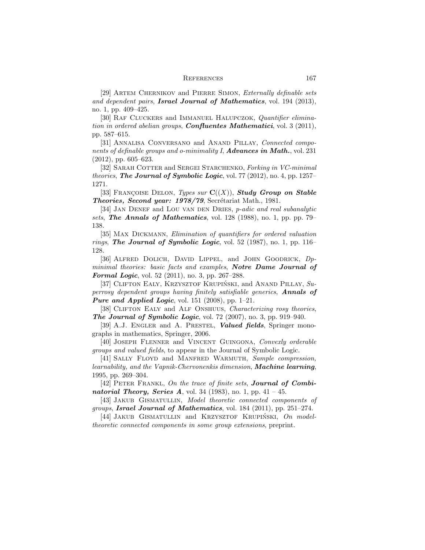[29] Artem Chernikov and Pierre Simon, Externally definable sets and dependent pairs, Israel Journal of Mathematics, vol. 194 (2013), no. 1, pp. 409–425.

[30] RAF CLUCKERS and IMMANUEL HALUPCZOK, Quantifier elimination in ordered abelian groups, **Confluentes Mathematici**, vol.  $3$  (2011), pp. 587–615.

[31] ANNALISA CONVERSANO and ANAND PILLAY, Connected components of definable groups and o-minimality I, **Advances in Math.**, vol. 231 (2012), pp. 605–623.

[32] SARAH COTTER and SERGEI STARCHENKO, Forking in VC-minimal theories, The Journal of Symbolic Logic, vol. 77 (2012), no. 4, pp. 1257– 1271.

[33] FRANÇOISE DELON, Types sur  $\mathbf{C}((X))$ , **Study Group on Stable Theories, Second year: 1978/79, Secrétariat Math., 1981.** 

[34] JAN DENEF and LOU VAN DEN DRIES, p-adic and real subanalytic sets, The Annals of Mathematics, vol. 128 (1988), no. 1, pp. pp. 79– 138.

[35] Max Dickmann, Elimination of quantifiers for ordered valuation rings, The Journal of Symbolic Logic, vol. 52 (1987), no. 1, pp. 116– 128.

[36] ALFRED DOLICH, DAVID LIPPEL, and JOHN GOODRICK, Dpminimal theories: basic facts and examples, Notre Dame Journal of **Formal Logic**, vol. 52 (2011), no. 3, pp. 267-288.

[37] CLIFTON EALY, KRZYSZTOF KRUPIŃSKI, and ANAND PILLAY,  $Su$ perrosy dependent groups having finitely satisfiable generics, Annals of **Pure and Applied Logic, vol.** 151 (2008), pp. 1–21.

[38] CLIFTON EALY and ALF ONSHUUS, Characterizing rosy theories, The Journal of Symbolic Logic, vol. 72 (2007), no. 3, pp. 919–940.

[39] A.J. ENGLER and A. PRESTEL, Valued fields, Springer monographs in mathematics, Springer, 2006.

[40] Joseph Flenner and Vincent Guingona, Convexly orderable groups and valued fields, to appear in the Journal of Symbolic Logic.

[41] SALLY FLOYD and MANFRED WARMUTH, Sample compression, learnability, and the Vapnik-Chervonenkis dimension, **Machine learning**, 1995, pp. 269–304.

[42] PETER FRANKL, On the trace of finite sets, **Journal of Combi**natorial Theory, Series A, vol. 34 (1983), no. 1, pp. 41 – 45.

[43] JAKUB GISMATULLIN, Model theoretic connected components of groups, Israel Journal of Mathematics, vol.  $184$  (2011), pp. 251–274.

[44] JAKUB GISMATULLIN and KRZYSZTOF KRUPIŃSKI, On modeltheoretic connected components in some group extensions, preprint.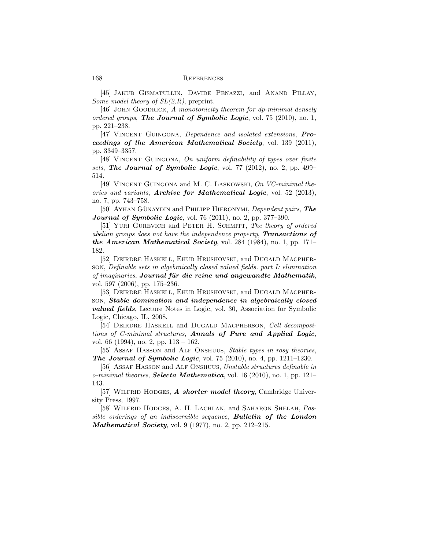[45] Jakub Gismatullin, Davide Penazzi, and Anand Pillay, Some model theory of  $SL(2,R)$ , preprint.

[46] JOHN GOODRICK, A monotonicity theorem for dp-minimal densely ordered groups, The Journal of Symbolic Logic, vol. 75 (2010), no. 1, pp. 221–238.

[47] VINCENT GUINGONA, Dependence and isolated extensions, **Pro**ceedings of the American Mathematical Society, vol. 139 (2011), pp. 3349–3357.

[48] VINCENT GUINGONA, On uniform definability of types over finite sets, The Journal of Symbolic Logic, vol. 77  $(2012)$ , no. 2, pp. 499– 514.

[49] VINCENT GUINGONA and M. C. LASKOWSKI, On VC-minimal theories and variants, **Archive for Mathematical Logic**, vol. 52 (2013), no. 7, pp. 743–758.

[50] AYHAN GÜNAYDIN and PHILIPP HIERONYMI, Dependent pairs, The **Journal of Symbolic Logic, vol.** 76 (2011), no. 2, pp. 377–390.

[51] YURI GUREVICH and PETER H. SCHMITT, The theory of ordered abelian groups does not have the independence property, Transactions of the American Mathematical Society, vol. 284 (1984), no. 1, pp. 171– 182.

[52] Deirdre Haskell, Ehud Hrushovski, and Dugald Macpherson, Definable sets in algebraically closed valued fields. part I: elimination of imaginaries, Journal für die reine und angewandte Mathematik, vol. 597 (2006), pp. 175–236.

[53] DEIRDRE HASKELL, EHUD HRUSHOVSKI, and DUGALD MACPHERson, Stable domination and independence in algebraically closed valued fields, Lecture Notes in Logic, vol. 30, Association for Symbolic Logic, Chicago, IL, 2008.

[54] DEIRDRE HASKELL and DUGALD MACPHERSON, Cell decompositions of C-minimal structures, Annals of Pure and Applied Logic, vol. 66 (1994), no. 2, pp. 113 – 162.

[55] ASSAF HASSON and ALF ONSHUUS, Stable types in rosy theories, **The Journal of Symbolic Logic**, vol. 75 (2010), no. 4, pp. 1211–1230.

[56] ASSAF HASSON and ALF ONSHUUS, Unstable structures definable in *o-minimal theories, Selecta Mathematica, vol.* 16 (2010), no. 1, pp.  $121-$ 143.

[57] WILFRID HODGES, A shorter model theory, Cambridge University Press, 1997.

[58] WILFRID HODGES, A. H. LACHLAN, and SAHARON SHELAH, Possible orderings of an indiscernible sequence, **Bulletin of the London Mathematical Society, vol. 9** (1977), no. 2, pp. 212–215.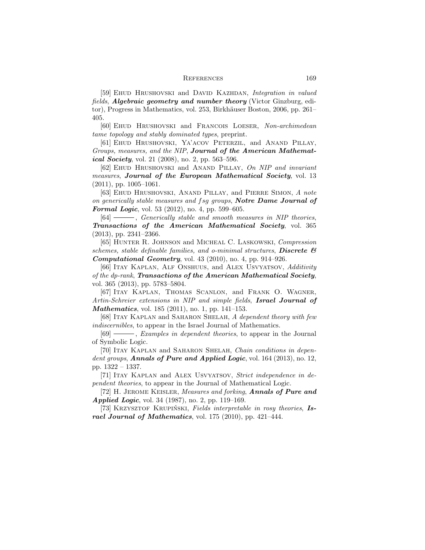[59] EHUD HRUSHOVSKI and DAVID KAZHDAN, *Integration in valued* fields, **Algebraic geometry and number theory** (Victor Ginzburg, editor), Progress in Mathematics, vol. 253, Birkhäuser Boston, 2006, pp. 261– 405.

[60] Ehud Hrushovski and Francois Loeser, Non-archimedean tame topology and stably dominated types, preprint.

[61] Ehud Hrushovski, Ya'acov Peterzil, and Anand Pillay, Groups, measures, and the NIP, Journal of the American Mathemat*ical Society*, vol. 21  $(2008)$ , no. 2, pp. 563–596.

[62] EHUD HRUSHOVSKI and ANAND PILLAY, On NIP and invariant measures, Journal of the European Mathematical Society, vol. 13 (2011), pp. 1005–1061.

[63] EHUD HRUSHOVSKI, ANAND PILLAY, and PIERRE SIMON, A note on generically stable measures and fsg groups, Notre Dame Journal of **Formal Logic**, vol. 53 (2012), no. 4, pp. 599–605.

[64] - Generically stable and smooth measures in NIP theories, Transactions of the American Mathematical Society, vol. 365 (2013), pp. 2341–2366.

[65] HUNTER R. JOHNSON and MICHEAL C. LASKOWSKI, Compression schemes, stable definable families, and o-minimal structures, **Discrete**  $\mathcal{B}$ **Computational Geometry, vol. 43 (2010), no. 4, pp. 914–926.** 

[66] ITAY KAPLAN, ALF ONSHUUS, and ALEX USVYATSOV, Additivity of the dp-rank, Transactions of the American Mathematical Society, vol. 365 (2013), pp. 5783–5804.

[67] Itay Kaplan, Thomas Scanlon, and Frank O. Wagner, Artin-Schreier extensions in NIP and simple fields, Israel Journal of Mathematics, vol. 185 (2011), no. 1, pp. 141–153.

[68] ITAY KAPLAN and SAHARON SHELAH, A dependent theory with few indiscernibles, to appear in the Israel Journal of Mathematics.

[69]  $\longrightarrow$ , *Examples in dependent theories*, to appear in the Journal of Symbolic Logic.

[70] ITAY KAPLAN and SAHARON SHELAH, Chain conditions in dependent groups, **Annals of Pure and Applied Logic**, vol. 164  $(2013)$ , no. 12, pp. 1322 – 1337.

[71] Itay Kaplan and Alex Usvyatsov, Strict independence in dependent theories, to appear in the Journal of Mathematical Logic.

[72] H. JEROME KEISLER, Measures and forking, **Annals of Pure and** Applied Logic, vol. 34 (1987), no. 2, pp. 119–169.

[73] KRZYSZTOF KRUPIŃSKI, Fields interpretable in rosy theories,  $Is$ rael Journal of Mathematics, vol. 175 (2010), pp. 421-444.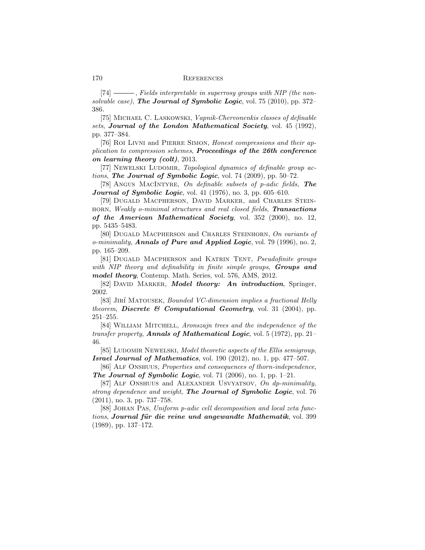[74]  $\rightarrow$ , Fields interpretable in superrosy groups with NIP (the nonsolvable case), The Journal of Symbolic Logic, vol. 75 (2010), pp. 372– 386.

[75] MICHAEL C. LASKOWSKI, Vapnik-Chervonenkis classes of definable sets, Journal of the London Mathematical Society, vol. 45 (1992), pp. 377–384.

[76] ROI LIVNI and PIERRE SIMON, *Honest compressions and their ap*plication to compression schemes, Proceedings of the 26th conference on learning theory (colt), 2013.

[77] NEWELSKI LUDOMIR, Topological dynamics of definable group actions, The Journal of Symbolic Logic, vol. 74 (2009), pp. 50–72.

[78] ANGUS MACINTYRE, On definable subsets of p-adic fields, **The Journal of Symbolic Logic, vol.** 41 (1976), no. 3, pp. 605–610.

[79] Dugald Macpherson, David Marker, and Charles Stein-HORN, Weakly o-minimal structures and real closed fields, Transactions of the American Mathematical Society, vol. 352 (2000), no. 12, pp. 5435–5483.

[80] DUGALD MACPHERSON and CHARLES STEINHORN, On variants of  $o-minimality$ , Annals of Pure and Applied Logic, vol. 79 (1996), no. 2, pp. 165–209.

[81] DUGALD MACPHERSON and KATRIN TENT, Pseudofinite groups with NIP theory and definability in finite simple groups, **Groups and** model theory, Contemp. Math. Series, vol. 576, AMS, 2012.

 $[82]$  DAVID MARKER, *Model theory: An introduction*, Springer, 2002.

[83] JIRÍ MATOUSEK, *Bounded VC-dimension implies a fractional Helly* theorem, Discrete & Computational Geometry, vol. 31 (2004), pp. 251–255.

[84] WILLIAM MITCHELL, Aronszajn trees and the independence of the transfer property, **Annals of Mathematical Logic**, vol.  $5(1972)$ , pp.  $21-$ 46.

[85] LUDOMIR NEWELSKI, Model theoretic aspects of the Ellis semigroup, **Israel Journal of Mathematics**, vol.  $190$   $(2012)$ , no.  $1$ , pp.  $477-507$ .

[86] ALF ONSHUUS, Properties and consequences of thorn-independence, The Journal of Symbolic Logic, vol. 71 (2006), no. 1, pp. 1–21.

[87] ALF ONSHUUS and ALEXANDER USVYATSOV, On dp-minimality, strong dependence and weight, The Journal of Symbolic Logic, vol. 76 (2011), no. 3, pp. 737–758.

[88] Johan Pas, Uniform p-adic cell decomposition and local zeta functions, Journal für die reine und angewandte Mathematik, vol. 399 (1989), pp. 137–172.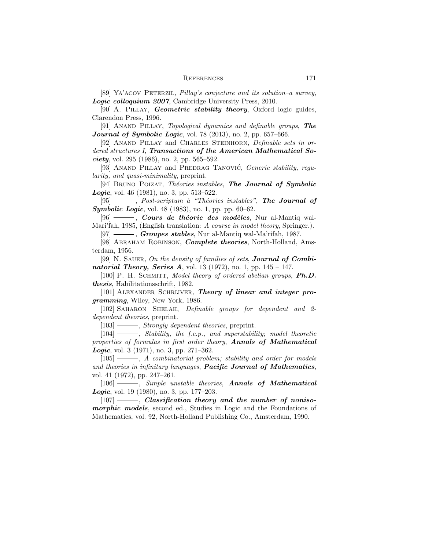[89] Ya'acov Peterzil, Pillay's conjecture and its solution–a survey, Logic colloquium 2007, Cambridge University Press, 2010.

[90] A. PILLAY, *Geometric stability theory*, Oxford logic guides, Clarendon Press, 1996.

[91] ANAND PILLAY, Topological dynamics and definable groups, The **Journal of Symbolic Logic, vol.** 78 (2013), no. 2, pp. 657–666.

[92] ANAND PILLAY and CHARLES STEINHORN, *Definable sets in or*dered structures I, Transactions of the American Mathematical So*ciety*, vol. 295 (1986), no. 2, pp. 565–592.

[93] ANAND PILLAY and PREDRAG TANOVIĆ, Generic stability, regularity, and quasi-minimality, preprint.

[94] BRUNO POIZAT, Théories instables, The Journal of Symbolic **Logic**, vol. 46 (1981), no. 3, pp. 513–522.

 $[95]$  - Rost-scriptum à "Théories instables", The Journal of **Symbolic Logic**, vol. 48 (1983), no. 1, pp. pp. 60–62.

 $[96]$  - *Cours de théorie des modèles*, Nur al-Mantiq wal-Mari'fah, 1985, (English translation: A course in model theory, Springer.).

 $[97]$  ——, *Groupes stables*, Nur al-Mantiq wal-Ma'rifah, 1987.

[98] ABRAHAM ROBINSON, *Complete theories*, North-Holland, Amsterdam, 1956.

[99] N. SAUER, On the density of families of sets, **Journal of Combi**natorial Theory, Series A, vol. 13 (1972), no. 1, pp.  $145 - 147$ .

[100] P. H. SCHMITT, Model theory of ordered abelian groups, Ph.D. thesis, Habilitationsschrift, 1982.

[101] ALEXANDER SCHRIJVER, Theory of linear and integer programming, Wiley, New York, 1986.

[102] SAHARON SHELAH, Definable groups for dependent and 2dependent theories, preprint.

[103]  $\longrightarrow$ , *Strongly dependent theories*, preprint.

 $[104]$   $\longrightarrow$ , Stability, the f.c.p., and superstability; model theoretic properties of formulas in first order theory, Annals of Mathematical Logic, vol. 3 (1971), no. 3, pp. 271–362.

 $[105]$   $\longrightarrow$ , A combinatorial problem; stability and order for models and theories in infinitary languages, Pacific Journal of Mathematics, vol. 41 (1972), pp. 247–261.

 $[106]$   $\longrightarrow$ , Simple unstable theories, Annals of Mathematical Logic, vol. 19 (1980), no. 3, pp. 177–203.

 $[107]$   $\longrightarrow$ , Classification theory and the number of nonisomorphic models, second ed., Studies in Logic and the Foundations of Mathematics, vol. 92, North-Holland Publishing Co., Amsterdam, 1990.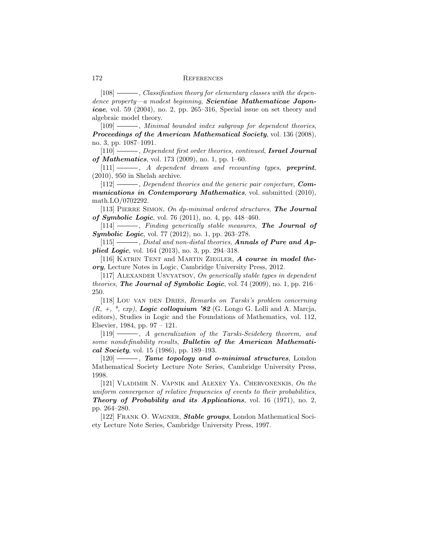$[108]$   $\longrightarrow$ , Classification theory for elementary classes with the dependence property—a modest beginning, Scientiae Mathematicae Japon*icae*, vol. 59  $(2004)$ , no. 2, pp. 265–316, Special issue on set theory and algebraic model theory.

 $[109]$   $\longrightarrow$ , Minimal bounded index subgroup for dependent theories, Proceedings of the American Mathematical Society, vol. 136 (2008), no. 3, pp. 1087–1091.

[110] - Rependent first order theories, continued, Israel Journal of Mathematics, vol. 173 (2009), no. 1, pp. 1–60.

 $[111]$   $\longrightarrow$ , A dependent dream and recounting types, **preprint**, (2010), 950 in Shelah archive.

 $[112]$  — , Dependent theories and the generic pair conjecture, Communications in Contemporary Mathematics, vol. submitted  $(2010)$ , math.LO/0702292.

[113] PIERRE SIMON, On dp-minimal ordered structures, The Journal of Symbolic Logic, vol. 76 (2011), no. 4, pp. 448–460.

 $[114]$  - Finding generically stable measures, The Journal of **Symbolic Logic**, vol. 77 (2012), no. 1, pp. 263–278.

 $[115]$  -  $\overline{\hspace{1cm}}$ , Distal and non-distal theories, **Annals of Pure and Ap***plied Logic*, vol. 164  $(2013)$ , no. 3, pp. 294–318.

[116] KATRIN TENT and MARTIN ZIEGLER, A course in model theory, Lecture Notes in Logic, Cambridge University Press, 2012.

[117] ALEXANDER USVYATSOV, On generically stable types in dependent theories, The Journal of Symbolic Logic, vol. 74  $(2009)$ , no. 1, pp. 216– 250.

[118] Lou van den Dries, Remarks on Tarski's problem concerning  $(R, +, *, exp)$ , Logic colloquium '82 (G. Longo G. Lolli and A. Marcja, editors), Studies in Logic and the Foundations of Mathematics, vol. 112, Elsevier, 1984, pp. 97 – 121.

[119]  $\longrightarrow$ , A generalization of the Tarski-Seideberg theorem, and some nondefinability results, **Bulletin of the American Mathemati**cal Society, vol. 15 (1986), pp. 189–193.

[120] - Rame topology and o-minimal structures, London Mathematical Society Lecture Note Series, Cambridge University Press, 1998.

[121] VLADIMIR N. VAPNIK and ALEXEY YA. CHERVONENKIS, On the uniform convergence of relative frequencies of events to their probabilities, Theory of Probability and its Applications, vol. 16 (1971), no. 2, pp. 264–280.

[122] FRANK O. WAGNER, Stable groups, London Mathematical Society Lecture Note Series, Cambridge University Press, 1997.